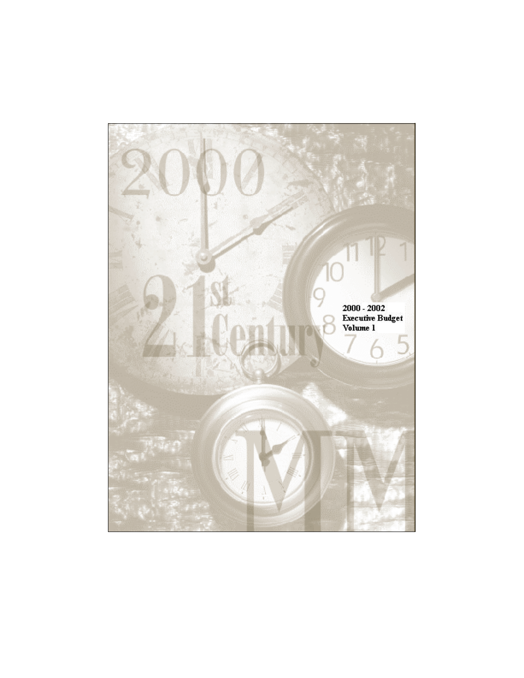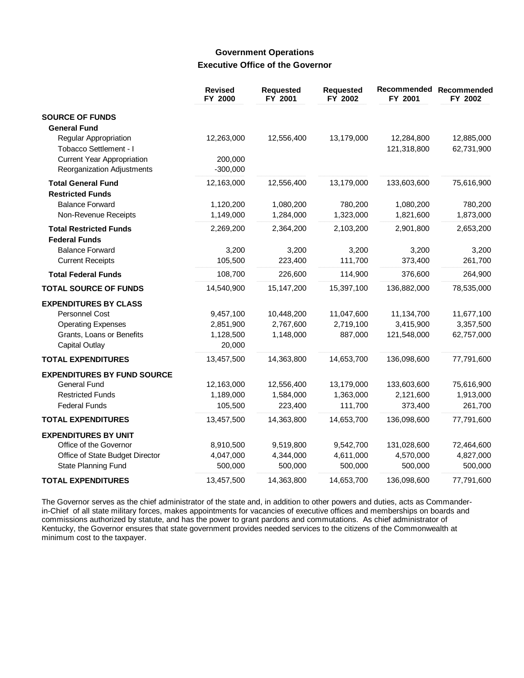## **Government Operations Executive Office of the Governor**

|                                    | <b>Revised</b><br>FY 2000 | Requested<br>FY 2001 | <b>Requested</b><br>FY 2002 | Recommended<br>FY 2001 | Recommended<br>FY 2002 |
|------------------------------------|---------------------------|----------------------|-----------------------------|------------------------|------------------------|
| <b>SOURCE OF FUNDS</b>             |                           |                      |                             |                        |                        |
| <b>General Fund</b>                |                           |                      |                             |                        |                        |
| Regular Appropriation              | 12,263,000                | 12,556,400           | 13,179,000                  | 12,284,800             | 12,885,000             |
| Tobacco Settlement - I             |                           |                      |                             | 121,318,800            | 62,731,900             |
| <b>Current Year Appropriation</b>  | 200,000                   |                      |                             |                        |                        |
| Reorganization Adjustments         | $-300,000$                |                      |                             |                        |                        |
| <b>Total General Fund</b>          | 12,163,000                | 12,556,400           | 13,179,000                  | 133,603,600            | 75,616,900             |
| <b>Restricted Funds</b>            |                           |                      |                             |                        |                        |
| <b>Balance Forward</b>             | 1,120,200                 | 1,080,200            | 780,200                     | 1,080,200              | 780,200                |
| Non-Revenue Receipts               | 1,149,000                 | 1,284,000            | 1,323,000                   | 1,821,600              | 1,873,000              |
| <b>Total Restricted Funds</b>      | 2,269,200                 | 2,364,200            | 2,103,200                   | 2,901,800              | 2,653,200              |
| <b>Federal Funds</b>               |                           |                      |                             |                        |                        |
| <b>Balance Forward</b>             | 3,200                     | 3,200                | 3,200                       | 3,200                  | 3,200                  |
| <b>Current Receipts</b>            | 105,500                   | 223,400              | 111,700                     | 373,400                | 261,700                |
| <b>Total Federal Funds</b>         | 108,700                   | 226,600              | 114,900                     | 376,600                | 264,900                |
| <b>TOTAL SOURCE OF FUNDS</b>       | 14,540,900                | 15,147,200           | 15,397,100                  | 136,882,000            | 78,535,000             |
| <b>EXPENDITURES BY CLASS</b>       |                           |                      |                             |                        |                        |
| Personnel Cost                     | 9,457,100                 | 10,448,200           | 11,047,600                  | 11,134,700             | 11,677,100             |
| <b>Operating Expenses</b>          | 2,851,900                 | 2,767,600            | 2,719,100                   | 3,415,900              | 3,357,500              |
| Grants, Loans or Benefits          | 1,128,500                 | 1,148,000            | 887,000                     | 121,548,000            | 62,757,000             |
| Capital Outlay                     | 20,000                    |                      |                             |                        |                        |
| <b>TOTAL EXPENDITURES</b>          | 13,457,500                | 14,363,800           | 14,653,700                  | 136,098,600            | 77,791,600             |
| <b>EXPENDITURES BY FUND SOURCE</b> |                           |                      |                             |                        |                        |
| <b>General Fund</b>                | 12,163,000                | 12,556,400           | 13,179,000                  | 133,603,600            | 75,616,900             |
| <b>Restricted Funds</b>            | 1,189,000                 | 1,584,000            | 1,363,000                   | 2,121,600              | 1,913,000              |
| <b>Federal Funds</b>               | 105,500                   | 223,400              | 111,700                     | 373,400                | 261,700                |
| <b>TOTAL EXPENDITURES</b>          | 13,457,500                | 14,363,800           | 14,653,700                  | 136,098,600            | 77,791,600             |
| <b>EXPENDITURES BY UNIT</b>        |                           |                      |                             |                        |                        |
| Office of the Governor             | 8,910,500                 | 9,519,800            | 9,542,700                   | 131,028,600            | 72,464,600             |
| Office of State Budget Director    | 4,047,000                 | 4,344,000            | 4,611,000                   | 4,570,000              | 4,827,000              |
| State Planning Fund                | 500,000                   | 500,000              | 500,000                     | 500,000                | 500,000                |
| <b>TOTAL EXPENDITURES</b>          | 13,457,500                | 14,363,800           | 14,653,700                  | 136,098,600            | 77,791,600             |

The Governor serves as the chief administrator of the state and, in addition to other powers and duties, acts as Commanderin-Chief of all state military forces, makes appointments for vacancies of executive offices and memberships on boards and commissions authorized by statute, and has the power to grant pardons and commutations. As chief administrator of Kentucky, the Governor ensures that state government provides needed services to the citizens of the Commonwealth at minimum cost to the taxpayer.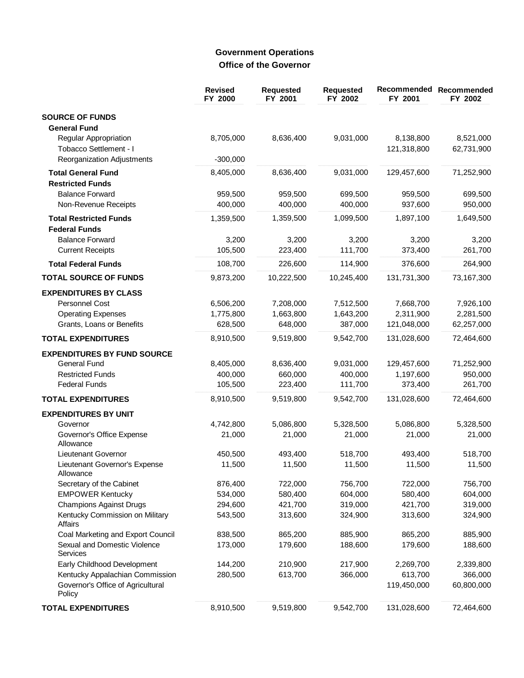# **Government Operations** Office of the Governor

|                                                                                | <b>Revised</b><br>FY 2000 | <b>Requested</b><br>FY 2001 | <b>Requested</b><br>FY 2002 | Recommended<br>FY 2001   | Recommended<br>FY 2002  |
|--------------------------------------------------------------------------------|---------------------------|-----------------------------|-----------------------------|--------------------------|-------------------------|
| <b>SOURCE OF FUNDS</b><br><b>General Fund</b>                                  |                           |                             |                             |                          |                         |
| Regular Appropriation<br>Tobacco Settlement - I                                | 8,705,000                 | 8,636,400                   | 9,031,000                   | 8,138,800<br>121,318,800 | 8,521,000<br>62,731,900 |
| Reorganization Adjustments                                                     | $-300,000$                |                             |                             |                          |                         |
| <b>Total General Fund</b><br><b>Restricted Funds</b>                           | 8,405,000                 | 8,636,400                   | 9,031,000                   | 129,457,600              | 71,252,900              |
| <b>Balance Forward</b><br>Non-Revenue Receipts                                 | 959,500<br>400,000        | 959,500<br>400,000          | 699,500<br>400,000          | 959,500<br>937,600       | 699,500<br>950,000      |
| <b>Total Restricted Funds</b><br><b>Federal Funds</b>                          | 1,359,500                 | 1,359,500                   | 1,099,500                   | 1,897,100                | 1,649,500               |
| <b>Balance Forward</b><br><b>Current Receipts</b>                              | 3,200<br>105,500          | 3,200<br>223,400            | 3,200<br>111,700            | 3,200<br>373,400         | 3,200<br>261,700        |
| <b>Total Federal Funds</b>                                                     | 108,700                   | 226,600                     | 114,900                     | 376,600                  | 264,900                 |
| <b>TOTAL SOURCE OF FUNDS</b>                                                   | 9,873,200                 | 10,222,500                  | 10,245,400                  | 131,731,300              | 73,167,300              |
| <b>EXPENDITURES BY CLASS</b>                                                   |                           |                             |                             |                          |                         |
| <b>Personnel Cost</b>                                                          | 6,506,200                 | 7,208,000                   | 7,512,500                   | 7,668,700                | 7,926,100               |
| <b>Operating Expenses</b><br>Grants, Loans or Benefits                         | 1,775,800<br>628,500      | 1,663,800<br>648,000        | 1,643,200<br>387,000        | 2,311,900<br>121,048,000 | 2,281,500<br>62,257,000 |
| <b>TOTAL EXPENDITURES</b>                                                      | 8,910,500                 | 9,519,800                   | 9,542,700                   | 131,028,600              | 72,464,600              |
| <b>EXPENDITURES BY FUND SOURCE</b>                                             |                           |                             |                             |                          |                         |
| <b>General Fund</b>                                                            | 8,405,000                 | 8,636,400                   | 9,031,000                   | 129,457,600              | 71,252,900              |
| <b>Restricted Funds</b>                                                        | 400,000                   | 660,000                     | 400,000                     | 1,197,600                | 950,000                 |
| <b>Federal Funds</b>                                                           | 105,500                   | 223,400                     | 111,700                     | 373,400                  | 261,700                 |
| <b>TOTAL EXPENDITURES</b>                                                      | 8,910,500                 | 9,519,800                   | 9,542,700                   | 131,028,600              | 72,464,600              |
| <b>EXPENDITURES BY UNIT</b>                                                    |                           |                             |                             |                          |                         |
| Governor                                                                       | 4,742,800                 | 5,086,800                   | 5,328,500                   | 5,086,800                | 5,328,500               |
| Governor's Office Expense<br>Allowance                                         | 21,000                    | 21,000                      | 21,000                      | 21,000                   | 21,000                  |
| Lieutenant Governor                                                            | 450,500                   | 493,400                     | 518,700                     | 493,400                  | 518,700                 |
| Lieutenant Governor's Expense<br>Allowance                                     | 11,500                    | 11,500                      | 11,500                      | 11,500                   | 11,500                  |
| Secretary of the Cabinet                                                       | 876,400                   | 722,000                     | 756,700                     | 722,000                  | 756,700                 |
| <b>EMPOWER Kentucky</b>                                                        | 534,000                   | 580,400                     | 604,000                     | 580,400                  | 604,000                 |
| <b>Champions Against Drugs</b><br>Kentucky Commission on Military              | 294,600<br>543,500        | 421,700<br>313,600          | 319,000<br>324,900          | 421,700<br>313,600       | 319,000<br>324,900      |
| Affairs                                                                        |                           |                             |                             |                          |                         |
| Coal Marketing and Export Council                                              | 838,500                   | 865,200                     | 885,900                     | 865,200                  | 885,900                 |
| Sexual and Domestic Violence<br>Services                                       | 173,000                   | 179,600                     | 188,600                     | 179,600                  | 188,600                 |
| Early Childhood Development                                                    | 144,200                   | 210,900                     | 217,900                     | 2,269,700                | 2,339,800               |
| Kentucky Appalachian Commission<br>Governor's Office of Agricultural<br>Policy | 280,500                   | 613,700                     | 366,000                     | 613,700<br>119,450,000   | 366,000<br>60,800,000   |
| <b>TOTAL EXPENDITURES</b>                                                      | 8,910,500                 | 9,519,800                   | 9,542,700                   | 131,028,600              | 72,464,600              |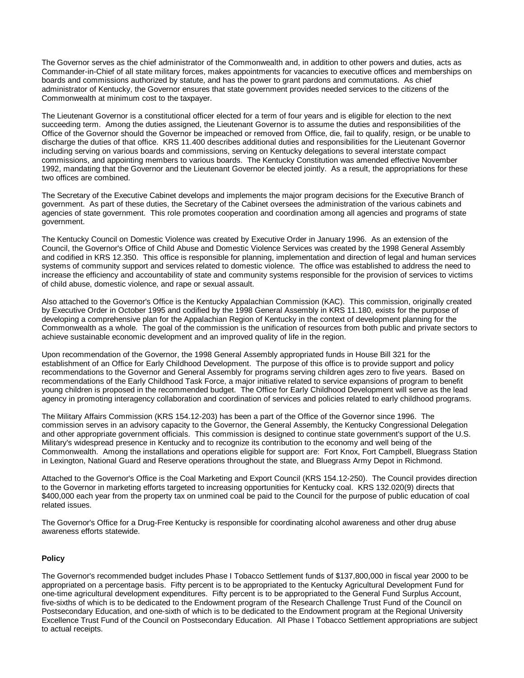The Governor serves as the chief administrator of the Commonwealth and, in addition to other powers and duties, acts as Commander-in-Chief of all state military forces, makes appointments for vacancies to executive offices and memberships on boards and commissions authorized by statute, and has the power to grant pardons and commutations. As chief administrator of Kentucky, the Governor ensures that state government provides needed services to the citizens of the Commonwealth at minimum cost to the taxpayer.

The Lieutenant Governor is a constitutional officer elected for a term of four years and is eligible for election to the next succeeding term. Among the duties assigned, the Lieutenant Governor is to assume the duties and responsibilities of the Office of the Governor should the Governor be impeached or removed from Office, die, fail to qualify, resign, or be unable to discharge the duties of that office. KRS 11.400 describes additional duties and responsibilities for the Lieutenant Governor including serving on various boards and commissions, serving on Kentucky delegations to several interstate compact commissions, and appointing members to various boards. The Kentucky Constitution was amended effective November 1992, mandating that the Governor and the Lieutenant Governor be elected jointly. As a result, the appropriations for these two offices are combined.

The Secretary of the Executive Cabinet develops and implements the major program decisions for the Executive Branch of government. As part of these duties, the Secretary of the Cabinet oversees the administration of the various cabinets and agencies of state government. This role promotes cooperation and coordination among all agencies and programs of state government.

The Kentucky Council on Domestic Violence was created by Executive Order in January 1996. As an extension of the Council, the Governor's Office of Child Abuse and Domestic Violence Services was created by the 1998 General Assembly and codified in KRS 12.350. This office is responsible for planning, implementation and direction of legal and human services systems of community support and services related to domestic violence. The office was established to address the need to increase the efficiency and accountability of state and community systems responsible for the provision of services to victims of child abuse, domestic violence, and rape or sexual assault.

Also attached to the Governor's Office is the Kentucky Appalachian Commission (KAC). This commission, originally created by Executive Order in October 1995 and codified by the 1998 General Assembly in KRS 11.180, exists for the purpose of developing a comprehensive plan for the Appalachian Region of Kentucky in the context of development planning for the Commonwealth as a whole. The goal of the commission is the unification of resources from both public and private sectors to achieve sustainable economic development and an improved quality of life in the region.

Upon recommendation of the Governor, the 1998 General Assembly appropriated funds in House Bill 321 for the establishment of an Office for Early Childhood Development. The purpose of this office is to provide support and policy recommendations to the Governor and General Assembly for programs serving children ages zero to five years. Based on recommendations of the Early Childhood Task Force, a major initiative related to service expansions of program to benefit young children is proposed in the recommended budget. The Office for Early Childhood Development will serve as the lead agency in promoting interagency collaboration and coordination of services and policies related to early childhood programs.

The Military Affairs Commission (KRS 154.12-203) has been a part of the Office of the Governor since 1996. The commission serves in an advisory capacity to the Governor, the General Assembly, the Kentucky Congressional Delegation and other appropriate government officials. This commission is designed to continue state government's support of the U.S. Military's widespread presence in Kentucky and to recognize its contribution to the economy and well being of the Commonwealth. Among the installations and operations eligible for support are: Fort Knox, Fort Campbell, Bluegrass Station in Lexington, National Guard and Reserve operations throughout the state, and Bluegrass Army Depot in Richmond.

Attached to the Governor's Office is the Coal Marketing and Export Council (KRS 154.12-250). The Council provides direction to the Governor in marketing efforts targeted to increasing opportunities for Kentucky coal. KRS 132.020(9) directs that \$400,000 each year from the property tax on unmined coal be paid to the Council for the purpose of public education of coal related issues.

The Governor's Office for a Drug-Free Kentucky is responsible for coordinating alcohol awareness and other drug abuse awareness efforts statewide.

#### **Policy**

The Governor's recommended budget includes Phase I Tobacco Settlement funds of \$137,800,000 in fiscal year 2000 to be appropriated on a percentage basis. Fifty percent is to be appropriated to the Kentucky Agricultural Development Fund for one-time agricultural development expenditures. Fifty percent is to be appropriated to the General Fund Surplus Account, five-sixths of which is to be dedicated to the Endowment program of the Research Challenge Trust Fund of the Council on Postsecondary Education, and one-sixth of which is to be dedicated to the Endowment program at the Regional University Excellence Trust Fund of the Council on Postsecondary Education. All Phase I Tobacco Settlement appropriations are subject to actual receipts.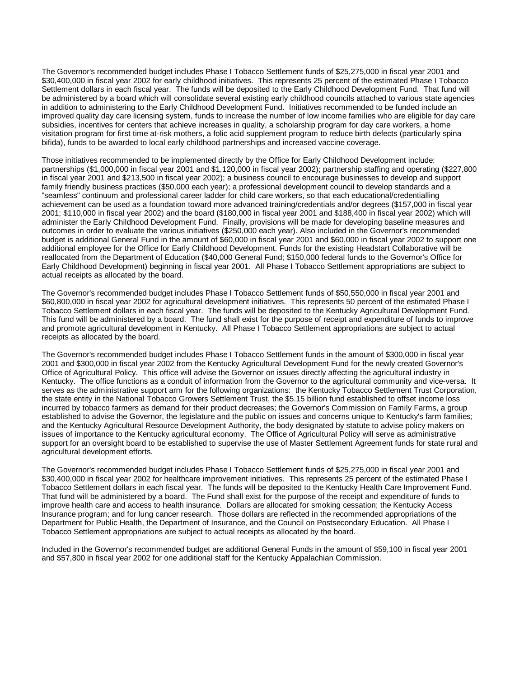The Governor's recommended budget includes Phase I Tobacco Settlement funds of \$25,275,000 in fiscal year 2001 and \$30,400,000 in fiscal year 2002 for early childhood initiatives. This represents 25 percent of the estimated Phase I Tobacco Settlement dollars in each fiscal year. The funds will be deposited to the Early Childhood Development Fund. That fund will be administered by a board which will consolidate several existing early childhood councils attached to various state agencies in addition to administering to the Early Childhood Development Fund. Initiatives recommended to be funded include an improved quality day care licensing system, funds to increase the number of low income families who are eligible for day care subsidies, incentives for centers that achieve increases in quality, a scholarship program for day care workers, a home visitation program for first time at-risk mothers, a folic acid supplement program to reduce birth defects (particularly spina bifida), funds to be awarded to local early childhood partnerships and increased vaccine coverage.

Those initiatives recommended to be implemented directly by the Office for Early Childhood Development include: partnerships (\$1,000,000 in fiscal year 2001 and \$1,120,000 in fiscal year 2002); partnership staffing and operating (\$227,800 in fiscal year 2001 and \$213,500 in fiscal year 2002); a business council to encourage businesses to develop and support family friendly business practices (\$50,000 each year); a professional development council to develop standards and a "seamless" continuum and professional career ladder for child care workers, so that each educational/credentialling achievement can be used as a foundation toward more advanced training/credentials and/or degrees (\$157,000 in fiscal year 2001; \$110,000 in fiscal year 2002) and the board (\$180,000 in fiscal year 2001 and \$188,400 in fiscal year 2002) which will administer the Early Childhood Development Fund. Finally, provisions will be made for developing baseline measures and outcomes in order to evaluate the various initiatives (\$250,000 each year). Also included in the Governor's recommended budget is additional General Fund in the amount of \$60,000 in fiscal year 2001 and \$60,000 in fiscal year 2002 to support one additional employee for the Office for Early Childhood Development. Funds for the existing Headstart Collaborative will be reallocated from the Department of Education (\$40,000 General Fund; \$150,000 federal funds to the Governor's Office for Early Childhood Development) beginning in fiscal year 2001. All Phase I Tobacco Settlement appropriations are subject to actual receipts as allocated by the board.

The Governor's recommended budget includes Phase I Tobacco Settlement funds of \$50,550,000 in fiscal year 2001 and \$60,800,000 in fiscal year 2002 for agricultural development initiatives. This represents 50 percent of the estimated Phase I Tobacco Settlement dollars in each fiscal year. The funds will be deposited to the Kentucky Agricultural Development Fund. This fund will be administered by a board. The fund shall exist for the purpose of receipt and expenditure of funds to improve and promote agricultural development in Kentucky. All Phase I Tobacco Settlement appropriations are subject to actual receipts as allocated by the board.

The Governor's recommended budget includes Phase I Tobacco Settlement funds in the amount of \$300,000 in fiscal year 2001 and \$300,000 in fiscal year 2002 from the Kentucky Agricultural Development Fund for the newly created Governor's Office of Agricultural Policy. This office will advise the Governor on issues directly affecting the agricultural industry in Kentucky. The office functions as a conduit of information from the Governor to the agricultural community and vice-versa. It serves as the administrative support arm for the following organizations: the Kentucky Tobacco Settlement Trust Corporation, the state entity in the National Tobacco Growers Settlement Trust, the \$5.15 billion fund established to offset income loss incurred by tobacco farmers as demand for their product decreases; the Governor's Commission on Family Farms, a group established to advise the Governor, the legislature and the public on issues and concerns unique to Kentucky's farm families; and the Kentucky Agricultural Resource Development Authority, the body designated by statute to advise policy makers on issues of importance to the Kentucky agricultural economy. The Office of Agricultural Policy will serve as administrative support for an oversight board to be established to supervise the use of Master Settlement Agreement funds for state rural and agricultural development efforts.

The Governor's recommended budget includes Phase I Tobacco Settlement funds of \$25,275,000 in fiscal year 2001 and \$30,400,000 in fiscal year 2002 for healthcare improvement initiatives. This represents 25 percent of the estimated Phase I Tobacco Settlement dollars in each fiscal year. The funds will be deposited to the Kentucky Health Care Improvement Fund. That fund will be administered by a board. The Fund shall exist for the purpose of the receipt and expenditure of funds to improve health care and access to health insurance. Dollars are allocated for smoking cessation; the Kentucky Access Insurance program; and for lung cancer research. Those dollars are reflected in the recommended appropriations of the Department for Public Health, the Department of Insurance, and the Council on Postsecondary Education. All Phase I Tobacco Settlement appropriations are subject to actual receipts as allocated by the board.

Included in the Governor's recommended budget are additional General Funds in the amount of \$59,100 in fiscal year 2001 and \$57,800 in fiscal year 2002 for one additional staff for the Kentucky Appalachian Commission.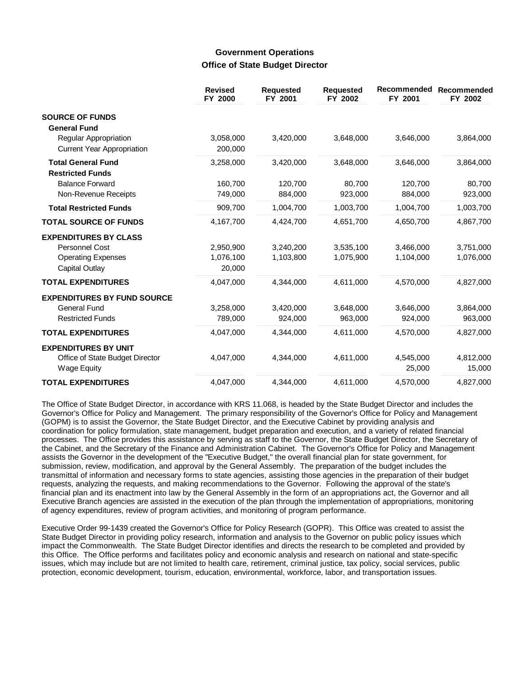## **Government Operations Office of State Budget Director**

|                                                                                                      | <b>Revised</b><br>FY 2000        | <b>Requested</b><br>FY 2001 | <b>Requested</b><br>FY 2002 | Recommended<br>FY 2001 | Recommended<br>FY 2002 |
|------------------------------------------------------------------------------------------------------|----------------------------------|-----------------------------|-----------------------------|------------------------|------------------------|
| <b>SOURCE OF FUNDS</b>                                                                               |                                  |                             |                             |                        |                        |
| <b>General Fund</b><br>Regular Appropriation<br><b>Current Year Appropriation</b>                    | 3,058,000<br>200,000             | 3,420,000                   | 3,648,000                   | 3,646,000              | 3,864,000              |
| <b>Total General Fund</b><br><b>Restricted Funds</b>                                                 | 3,258,000                        | 3,420,000                   | 3,648,000                   | 3,646,000              | 3,864,000              |
| <b>Balance Forward</b><br>Non-Revenue Receipts                                                       | 160,700<br>749,000               | 120,700<br>884,000          | 80,700<br>923,000           | 120,700<br>884,000     | 80,700<br>923,000      |
| <b>Total Restricted Funds</b>                                                                        | 909,700                          | 1,004,700                   | 1,003,700                   | 1,004,700              | 1,003,700              |
| <b>TOTAL SOURCE OF FUNDS</b>                                                                         | 4,167,700                        | 4,424,700                   | 4,651,700                   | 4,650,700              | 4,867,700              |
| <b>EXPENDITURES BY CLASS</b><br><b>Personnel Cost</b><br><b>Operating Expenses</b><br>Capital Outlay | 2,950,900<br>1,076,100<br>20,000 | 3,240,200<br>1,103,800      | 3,535,100<br>1,075,900      | 3,466,000<br>1,104,000 | 3,751,000<br>1,076,000 |
| <b>TOTAL EXPENDITURES</b>                                                                            | 4,047,000                        | 4,344,000                   | 4,611,000                   | 4,570,000              | 4,827,000              |
| <b>EXPENDITURES BY FUND SOURCE</b><br><b>General Fund</b><br><b>Restricted Funds</b>                 | 3,258,000<br>789,000             | 3,420,000<br>924,000        | 3,648,000<br>963,000        | 3,646,000<br>924,000   | 3,864,000<br>963,000   |
| <b>TOTAL EXPENDITURES</b>                                                                            | 4,047,000                        | 4,344,000                   | 4,611,000                   | 4,570,000              | 4,827,000              |
| <b>EXPENDITURES BY UNIT</b><br>Office of State Budget Director<br><b>Wage Equity</b>                 | 4,047,000                        | 4,344,000                   | 4,611,000                   | 4,545,000<br>25,000    | 4,812,000<br>15,000    |
| <b>TOTAL EXPENDITURES</b>                                                                            | 4,047,000                        | 4.344.000                   | 4,611,000                   | 4,570,000              | 4,827,000              |

The Office of State Budget Director, in accordance with KRS 11.068, is headed by the State Budget Director and includes the Governor's Office for Policy and Management. The primary responsibility of the Governor's Office for Policy and Management (GOPM) is to assist the Governor, the State Budget Director, and the Executive Cabinet by providing analysis and coordination for policy formulation, state management, budget preparation and execution, and a variety of related financial processes. The Office provides this assistance by serving as staff to the Governor, the State Budget Director, the Secretary of the Cabinet, and the Secretary of the Finance and Administration Cabinet. The Governor's Office for Policy and Management assists the Governor in the development of the "Executive Budget," the overall financial plan for state government, for submission, review, modification, and approval by the General Assembly. The preparation of the budget includes the transmittal of information and necessary forms to state agencies, assisting those agencies in the preparation of their budget requests, analyzing the requests, and making recommendations to the Governor. Following the approval of the state's financial plan and its enactment into law by the General Assembly in the form of an appropriations act, the Governor and all Executive Branch agencies are assisted in the execution of the plan through the implementation of appropriations, monitoring of agency expenditures, review of program activities, and monitoring of program performance.

Executive Order 99-1439 created the Governor's Office for Policy Research (GOPR). This Office was created to assist the State Budget Director in providing policy research, information and analysis to the Governor on public policy issues which impact the Commonwealth. The State Budget Director identifies and directs the research to be completed and provided by this Office. The Office performs and facilitates policy and economic analysis and research on national and state-specific issues, which may include but are not limited to health care, retirement, criminal justice, tax policy, social services, public protection, economic development, tourism, education, environmental, workforce, labor, and transportation issues.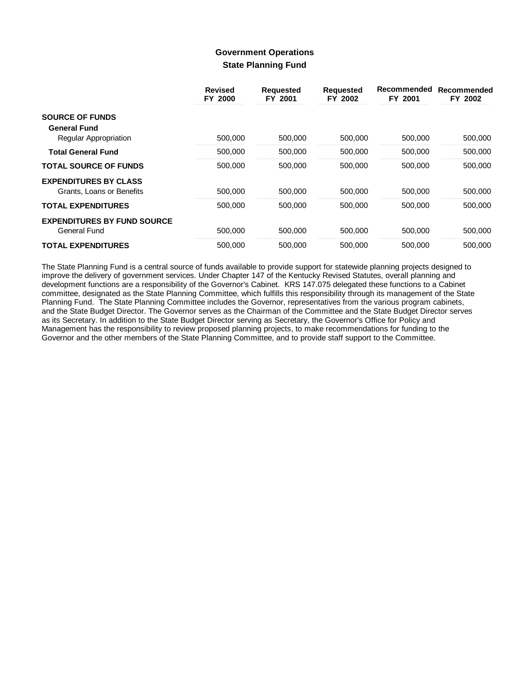## **Government Operations State Planning Fund**

|                                    | <b>Revised</b><br>FY 2000 | <b>Requested</b><br>FY 2001 | <b>Requested</b><br>FY 2002 | Recommended<br>FY 2001 | Recommended<br>FY 2002 |
|------------------------------------|---------------------------|-----------------------------|-----------------------------|------------------------|------------------------|
| <b>SOURCE OF FUNDS</b>             |                           |                             |                             |                        |                        |
| <b>General Fund</b>                |                           |                             |                             |                        |                        |
| Regular Appropriation              | 500,000                   | 500,000                     | 500,000                     | 500,000                | 500,000                |
| <b>Total General Fund</b>          | 500,000                   | 500.000                     | 500,000                     | 500,000                | 500,000                |
| <b>TOTAL SOURCE OF FUNDS</b>       | 500,000                   | 500,000                     | 500,000                     | 500,000                | 500,000                |
| <b>EXPENDITURES BY CLASS</b>       |                           |                             |                             |                        |                        |
| Grants, Loans or Benefits          | 500,000                   | 500,000                     | 500,000                     | 500,000                | 500,000                |
| <b>TOTAL EXPENDITURES</b>          | 500.000                   | 500.000                     | 500.000                     | 500.000                | 500,000                |
| <b>EXPENDITURES BY FUND SOURCE</b> |                           |                             |                             |                        |                        |
| General Fund                       | 500,000                   | 500,000                     | 500,000                     | 500,000                | 500,000                |
| <b>TOTAL EXPENDITURES</b>          | 500,000                   | 500.000                     | 500,000                     | 500,000                | 500.000                |

The State Planning Fund is a central source of funds available to provide support for statewide planning projects designed to improve the delivery of government services. Under Chapter 147 of the Kentucky Revised Statutes, overall planning and development functions are a responsibility of the Governor's Cabinet. KRS 147.075 delegated these functions to a Cabinet committee, designated as the State Planning Committee, which fulfills this responsibility through its management of the State Planning Fund. The State Planning Committee includes the Governor, representatives from the various program cabinets, and the State Budget Director. The Governor serves as the Chairman of the Committee and the State Budget Director serves as its Secretary. In addition to the State Budget Director serving as Secretary, the Governor's Office for Policy and Management has the responsibility to review proposed planning projects, to make recommendations for funding to the Governor and the other members of the State Planning Committee, and to provide staff support to the Committee.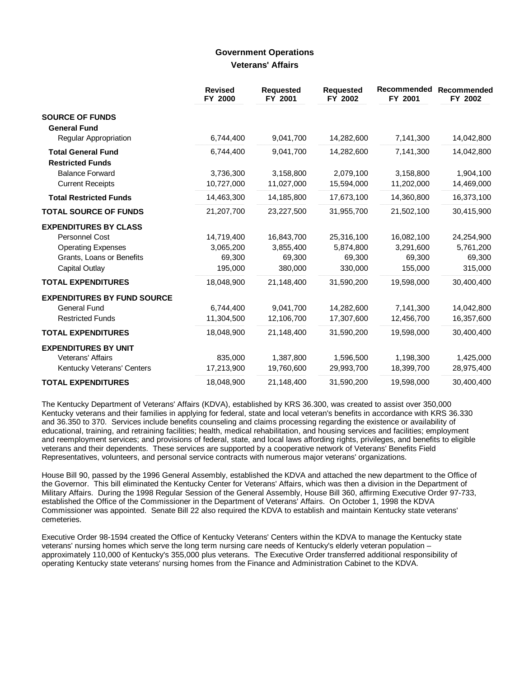## **Government Operations Veterans' Affairs**

|                                    | <b>Revised</b><br>FY 2000 | <b>Requested</b><br>FY 2001 | <b>Requested</b><br>FY 2002 | Recommended<br>FY 2001 | Recommended<br>FY 2002 |
|------------------------------------|---------------------------|-----------------------------|-----------------------------|------------------------|------------------------|
| <b>SOURCE OF FUNDS</b>             |                           |                             |                             |                        |                        |
| <b>General Fund</b>                |                           |                             |                             |                        |                        |
| Regular Appropriation              | 6,744,400                 | 9,041,700                   | 14,282,600                  | 7,141,300              | 14,042,800             |
| <b>Total General Fund</b>          | 6,744,400                 | 9,041,700                   | 14,282,600                  | 7,141,300              | 14,042,800             |
| <b>Restricted Funds</b>            |                           |                             |                             |                        |                        |
| <b>Balance Forward</b>             | 3,736,300                 | 3,158,800                   | 2,079,100                   | 3,158,800              | 1,904,100              |
| <b>Current Receipts</b>            | 10,727,000                | 11,027,000                  | 15,594,000                  | 11,202,000             | 14,469,000             |
| <b>Total Restricted Funds</b>      | 14,463,300                | 14,185,800                  | 17,673,100                  | 14,360,800             | 16,373,100             |
| <b>TOTAL SOURCE OF FUNDS</b>       | 21,207,700                | 23,227,500                  | 31,955,700                  | 21,502,100             | 30,415,900             |
| <b>EXPENDITURES BY CLASS</b>       |                           |                             |                             |                        |                        |
| <b>Personnel Cost</b>              | 14,719,400                | 16,843,700                  | 25,316,100                  | 16,082,100             | 24,254,900             |
| <b>Operating Expenses</b>          | 3,065,200                 | 3,855,400                   | 5,874,800                   | 3,291,600              | 5,761,200              |
| Grants, Loans or Benefits          | 69,300                    | 69,300                      | 69,300                      | 69,300                 | 69,300                 |
| Capital Outlay                     | 195,000                   | 380,000                     | 330,000                     | 155,000                | 315,000                |
| <b>TOTAL EXPENDITURES</b>          | 18,048,900                | 21,148,400                  | 31,590,200                  | 19,598,000             | 30,400,400             |
| <b>EXPENDITURES BY FUND SOURCE</b> |                           |                             |                             |                        |                        |
| <b>General Fund</b>                | 6.744.400                 | 9.041.700                   | 14,282,600                  | 7,141,300              | 14,042,800             |
| <b>Restricted Funds</b>            | 11,304,500                | 12,106,700                  | 17,307,600                  | 12,456,700             | 16,357,600             |
| <b>TOTAL EXPENDITURES</b>          | 18,048,900                | 21,148,400                  | 31,590,200                  | 19,598,000             | 30,400,400             |
| <b>EXPENDITURES BY UNIT</b>        |                           |                             |                             |                        |                        |
| Veterans' Affairs                  | 835,000                   | 1,387,800                   | 1,596,500                   | 1,198,300              | 1,425,000              |
| Kentucky Veterans' Centers         | 17,213,900                | 19,760,600                  | 29,993,700                  | 18,399,700             | 28,975,400             |
| <b>TOTAL EXPENDITURES</b>          | 18,048,900                | 21,148,400                  | 31,590,200                  | 19,598,000             | 30,400,400             |

The Kentucky Department of Veterans' Affairs (KDVA), established by KRS 36.300, was created to assist over 350,000 Kentucky veterans and their families in applying for federal, state and local veteran's benefits in accordance with KRS 36.330 and 36.350 to 370. Services include benefits counseling and claims processing regarding the existence or availability of educational, training, and retraining facilities; health, medical rehabilitation, and housing services and facilities; employment and reemployment services; and provisions of federal, state, and local laws affording rights, privileges, and benefits to eligible veterans and their dependents. These services are supported by a cooperative network of Veterans' Benefits Field Representatives, volunteers, and personal service contracts with numerous major veterans' organizations.

House Bill 90, passed by the 1996 General Assembly, established the KDVA and attached the new department to the Office of the Governor. This bill eliminated the Kentucky Center for Veterans' Affairs, which was then a division in the Department of Military Affairs. During the 1998 Regular Session of the General Assembly, House Bill 360, affirming Executive Order 97-733, established the Office of the Commissioner in the Department of Veterans' Affairs. On October 1, 1998 the KDVA Commissioner was appointed. Senate Bill 22 also required the KDVA to establish and maintain Kentucky state veterans' cemeteries.

Executive Order 98-1594 created the Office of Kentucky Veterans' Centers within the KDVA to manage the Kentucky state veterans' nursing homes which serve the long term nursing care needs of Kentucky's elderly veteran population – approximately 110,000 of Kentucky's 355,000 plus veterans. The Executive Order transferred additional responsibility of operating Kentucky state veterans' nursing homes from the Finance and Administration Cabinet to the KDVA.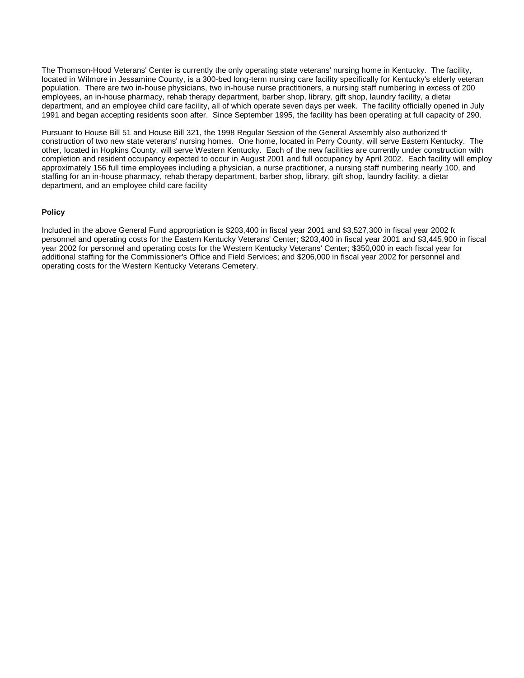The Thomson-Hood Veterans' Center is currently the only operating state veterans' nursing home in Kentucky. The facility, located in Wilmore in Jessamine County, is a 300-bed long-term nursing care facility specifically for Kentucky's elderly veteran population. There are two in-house physicians, two in-house nurse practitioners, a nursing staff numbering in excess of 200 employees, an in-house pharmacy, rehab therapy department, barber shop, library, gift shop, laundry facility, a dietar department, and an employee child care facility, all of which operate seven days per week. The facility officially opened in July 1991 and began accepting residents soon after. Since September 1995, the facility has been operating at full capacity of 290.

Pursuant to House Bill 51 and House Bill 321, the 1998 Regular Session of the General Assembly also authorized th construction of two new state veterans' nursing homes. One home, located in Perry County, will serve Eastern Kentucky. The other, located in Hopkins County, will serve Western Kentucky. Each of the new facilities are currently under construction with completion and resident occupancy expected to occur in August 2001 and full occupancy by April 2002. Each facility will employ approximately 156 full time employees including a physician, a nurse practitioner, a nursing staff numbering nearly 100, and staffing for an in-house pharmacy, rehab therapy department, barber shop, library, gift shop, laundry facility, a dietar department, and an employee child care facility.

#### **Policy**

Included in the above General Fund appropriation is \$203,400 in fiscal year 2001 and \$3,527,300 in fiscal year 2002 for personnel and operating costs for the Eastern Kentucky Veterans' Center; \$203,400 in fiscal year 2001 and \$3,445,900 in fiscal year 2002 for personnel and operating costs for the Western Kentucky Veterans' Center; \$350,000 in each fiscal year for additional staffing for the Commissioner's Office and Field Services; and \$206,000 in fiscal year 2002 for personnel and operating costs for the Western Kentucky Veterans Cemetery.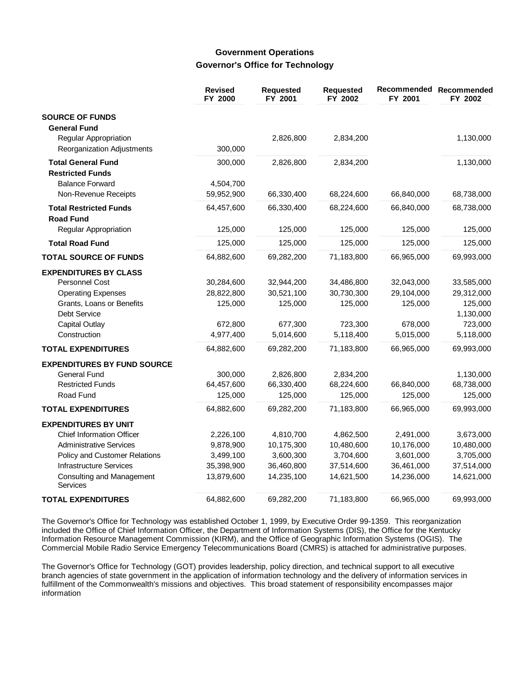## **Government Operations Governor's Office for Technology**

|                                                   | <b>Revised</b><br>FY 2000 | Requested<br>FY 2001 | <b>Requested</b><br>FY 2002 | Recommended<br>FY 2001 | Recommended<br>FY 2002 |
|---------------------------------------------------|---------------------------|----------------------|-----------------------------|------------------------|------------------------|
| <b>SOURCE OF FUNDS</b>                            |                           |                      |                             |                        |                        |
| <b>General Fund</b>                               |                           |                      |                             |                        |                        |
| Regular Appropriation                             |                           | 2,826,800            | 2,834,200                   |                        | 1,130,000              |
| Reorganization Adjustments                        | 300,000                   |                      |                             |                        |                        |
| <b>Total General Fund</b>                         | 300,000                   | 2,826,800            | 2,834,200                   |                        | 1,130,000              |
| <b>Restricted Funds</b>                           |                           |                      |                             |                        |                        |
| <b>Balance Forward</b>                            | 4,504,700                 |                      |                             |                        |                        |
| Non-Revenue Receipts                              | 59,952,900                | 66,330,400           | 68,224,600                  | 66,840,000             | 68,738,000             |
| <b>Total Restricted Funds</b><br><b>Road Fund</b> | 64,457,600                | 66,330,400           | 68,224,600                  | 66,840,000             | 68,738,000             |
| Regular Appropriation                             | 125,000                   | 125,000              | 125,000                     | 125,000                | 125,000                |
| <b>Total Road Fund</b>                            | 125,000                   | 125,000              | 125,000                     | 125,000                | 125,000                |
| <b>TOTAL SOURCE OF FUNDS</b>                      | 64,882,600                | 69,282,200           | 71,183,800                  | 66,965,000             | 69,993,000             |
| <b>EXPENDITURES BY CLASS</b>                      |                           |                      |                             |                        |                        |
| Personnel Cost                                    | 30,284,600                | 32,944,200           | 34,486,800                  | 32,043,000             | 33,585,000             |
| <b>Operating Expenses</b>                         | 28,822,800                | 30,521,100           | 30,730,300                  | 29,104,000             | 29,312,000             |
| Grants, Loans or Benefits                         | 125,000                   | 125,000              | 125,000                     | 125,000                | 125,000                |
| <b>Debt Service</b>                               |                           |                      |                             |                        | 1,130,000              |
| <b>Capital Outlay</b>                             | 672,800                   | 677,300              | 723,300                     | 678,000                | 723,000                |
| Construction                                      | 4,977,400                 | 5,014,600            | 5,118,400                   | 5,015,000              | 5,118,000              |
| <b>TOTAL EXPENDITURES</b>                         | 64,882,600                | 69,282,200           | 71,183,800                  | 66,965,000             | 69,993,000             |
| <b>EXPENDITURES BY FUND SOURCE</b>                |                           |                      |                             |                        |                        |
| <b>General Fund</b>                               | 300,000                   | 2,826,800            | 2,834,200                   |                        | 1,130,000              |
| <b>Restricted Funds</b>                           | 64,457,600                | 66,330,400           | 68,224,600                  | 66,840,000             | 68,738,000             |
| Road Fund                                         | 125,000                   | 125,000              | 125,000                     | 125,000                | 125,000                |
| <b>TOTAL EXPENDITURES</b>                         | 64,882,600                | 69,282,200           | 71,183,800                  | 66,965,000             | 69,993,000             |
| <b>EXPENDITURES BY UNIT</b>                       |                           |                      |                             |                        |                        |
| <b>Chief Information Officer</b>                  | 2,226,100                 | 4,810,700            | 4,862,500                   | 2,491,000              | 3,673,000              |
| <b>Administrative Services</b>                    | 9,878,900                 | 10,175,300           | 10,480,600                  | 10,176,000             | 10,480,000             |
| Policy and Customer Relations                     | 3,499,100                 | 3,600,300            | 3,704,600                   | 3,601,000              | 3,705,000              |
| <b>Infrastructure Services</b>                    | 35,398,900                | 36,460,800           | 37,514,600                  | 36,461,000             | 37,514,000             |
| Consulting and Management<br><b>Services</b>      | 13,879,600                | 14,235,100           | 14,621,500                  | 14,236,000             | 14,621,000             |
| <b>TOTAL EXPENDITURES</b>                         | 64,882,600                | 69,282,200           | 71,183,800                  | 66,965,000             | 69,993,000             |

The Governor's Office for Technology was established October 1, 1999, by Executive Order 99-1359. This reorganization included the Office of Chief Information Officer, the Department of Information Systems (DIS), the Office for the Kentucky Information Resource Management Commission (KIRM), and the Office of Geographic Information Systems (OGIS). The Commercial Mobile Radio Service Emergency Telecommunications Board (CMRS) is attached for administrative purposes.

The Governor's Office for Technology (GOT) provides leadership, policy direction, and technical support to all executive branch agencies of state government in the application of information technology and the delivery of information services in fulfillment of the Commonwealth's missions and objectives. This broad statement of responsibility encompasses major information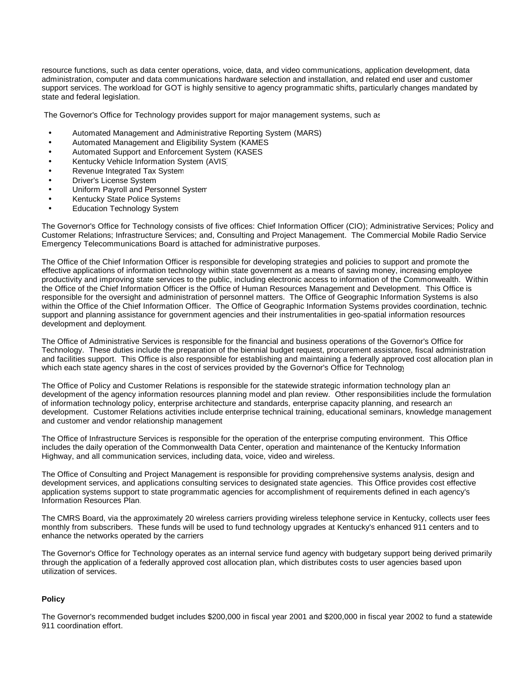resource functions, such as data center operations, voice, data, and video communications, application development, data administration, computer and data communications hardware selection and installation, and related end user and customer support services. The workload for GOT is highly sensitive to agency programmatic shifts, particularly changes mandated by state and federal legislation.

The Governor's Office for Technology provides support for major management systems, such as:

- Automated Management and Administrative Reporting System (MARS)
- Automated Management and Eligibility System (KAMES)
- Automated Support and Enforcement System (KASES)
- Kentucky Vehicle Information System (AVIS)
- Revenue Integrated Tax System
- **Driver's License System**
- Uniform Payroll and Personnel System
- Kentucky State Police Systems
- **Education Technology System**

The Governor's Office for Technology consists of five offices: Chief Information Officer (CIO); Administrative Services; Policy and Customer Relations; Infrastructure Services; and, Consulting and Project Management. The Commercial Mobile Radio Service Emergency Telecommunications Board is attached for administrative purposes.

The Office of the Chief Information Officer is responsible for developing strategies and policies to support and promote the effective applications of information technology within state government as a means of saving money, increasing employee productivity and improving state services to the public, including electronic access to information of the Commonwealth. Within the Office of the Chief Information Officer is the Office of Human Resources Management and Development. This Office is responsible for the oversight and administration of personnel matters. The Office of Geographic Information Systems is also within the Office of the Chief Information Officer. The Office of Geographic Information Systems provides coordination, technic support and planning assistance for government agencies and their instrumentalities in geo-spatial information resources development and deployment.

The Office of Administrative Services is responsible for the financial and business operations of the Governor's Office for Technology. These duties include the preparation of the biennial budget request, procurement assistance, fiscal administration and facilities support. This Office is also responsible for establishing and maintaining a federally approved cost allocation plan in which each state agency shares in the cost of services provided by the Governor's Office for Technology

The Office of Policy and Customer Relations is responsible for the statewide strategic information technology plan an development of the agency information resources planning model and plan review. Other responsibilities include the formulation of information technology policy, enterprise architecture and standards, enterprise capacity planning, and research and development. Customer Relations activities include enterprise technical training, educational seminars, knowledge management and customer and vendor relationship management.

The Office of Infrastructure Services is responsible for the operation of the enterprise computing environment. This Office includes the daily operation of the Commonwealth Data Center, operation and maintenance of the Kentucky Information Highway, and all communication services, including data, voice, video and wireless.

The Office of Consulting and Project Management is responsible for providing comprehensive systems analysis, design and development services, and applications consulting services to designated state agencies. This Office provides cost effective application systems support to state programmatic agencies for accomplishment of requirements defined in each agency's Information Resources Plan.

The CMRS Board, via the approximately 20 wireless carriers providing wireless telephone service in Kentucky, collects user fees monthly from subscribers. These funds will be used to fund technology upgrades at Kentucky's enhanced 911 centers and to enhance the networks operated by the carriers.

The Governor's Office for Technology operates as an internal service fund agency with budgetary support being derived primarily through the application of a federally approved cost allocation plan, which distributes costs to user agencies based upon utilization of services.

#### **Policy**

The Governor's recommended budget includes \$200,000 in fiscal year 2001 and \$200,000 in fiscal year 2002 to fund a statewide 911 coordination effort.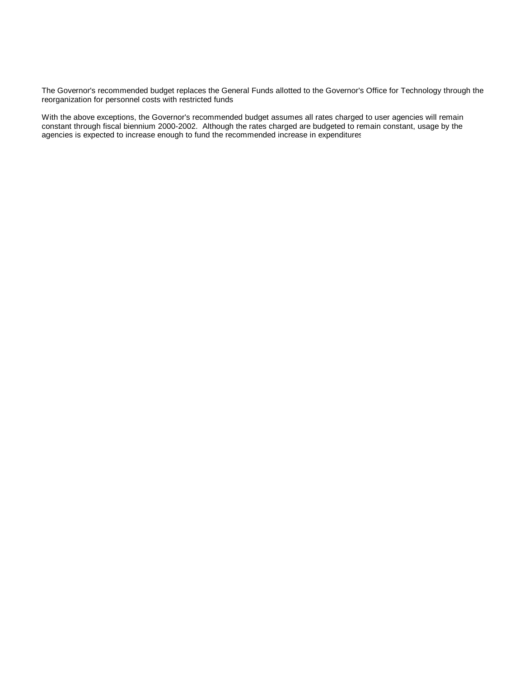The Governor's recommended budget replaces the General Funds allotted to the Governor's Office for Technology through the reorganization for personnel costs with restricted funds.

With the above exceptions, the Governor's recommended budget assumes all rates charged to user agencies will remain constant through fiscal biennium 2000-2002. Although the rates charged are budgeted to remain constant, usage by the agencies is expected to increase enough to fund the recommended increase in expenditures.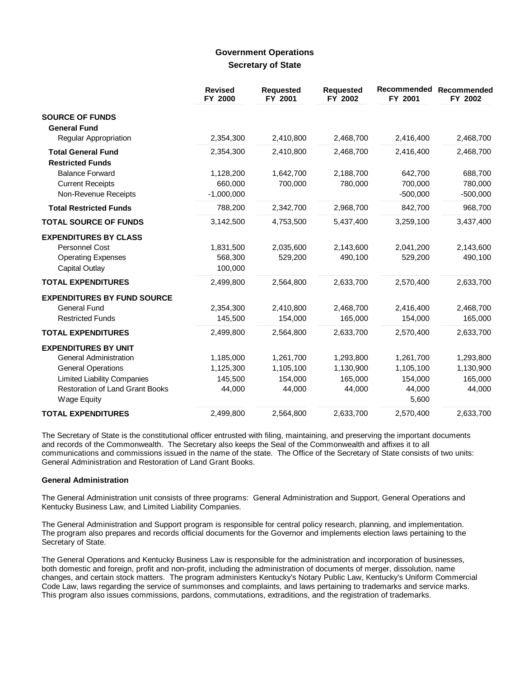## **Government Operations Secretary of State**

|                                                                                               | <b>Revised</b><br>FY 2000       | <b>Requested</b><br>FY 2001 | <b>Requested</b><br>FY 2002 | Recommended<br>FY 2001 | Recommended<br>FY 2002 |
|-----------------------------------------------------------------------------------------------|---------------------------------|-----------------------------|-----------------------------|------------------------|------------------------|
| <b>SOURCE OF FUNDS</b><br><b>General Fund</b>                                                 |                                 |                             |                             |                        |                        |
| Regular Appropriation                                                                         | 2,354,300                       | 2,410,800                   | 2,468,700                   | 2,416,400              | 2,468,700              |
| <b>Total General Fund</b><br><b>Restricted Funds</b>                                          | 2,354,300                       | 2,410,800                   | 2,468,700                   | 2,416,400              | 2,468,700              |
| <b>Balance Forward</b>                                                                        | 1,128,200                       | 1,642,700                   | 2,188,700                   | 642,700                | 688,700                |
| <b>Current Receipts</b>                                                                       | 660,000                         | 700,000                     | 780,000                     | 700,000                | 780,000                |
| Non-Revenue Receipts                                                                          | $-1,000,000$                    |                             |                             | $-500,000$             | $-500,000$             |
| <b>Total Restricted Funds</b>                                                                 | 788,200                         | 2,342,700                   | 2,968,700                   | 842,700                | 968,700                |
| <b>TOTAL SOURCE OF FUNDS</b>                                                                  | 3,142,500                       | 4,753,500                   | 5,437,400                   | 3,259,100              | 3,437,400              |
| <b>EXPENDITURES BY CLASS</b><br>Personnel Cost<br><b>Operating Expenses</b><br>Capital Outlay | 1,831,500<br>568,300<br>100,000 | 2,035,600<br>529,200        | 2,143,600<br>490,100        | 2,041,200<br>529,200   | 2,143,600<br>490,100   |
| <b>TOTAL EXPENDITURES</b>                                                                     | 2,499,800                       | 2,564,800                   | 2,633,700                   | 2,570,400              | 2,633,700              |
| <b>EXPENDITURES BY FUND SOURCE</b><br><b>General Fund</b>                                     | 2,354,300                       | 2,410,800                   | 2,468,700                   | 2,416,400              | 2,468,700              |
| <b>Restricted Funds</b>                                                                       | 145,500                         | 154,000                     | 165,000                     | 154,000                | 165,000                |
| <b>TOTAL EXPENDITURES</b>                                                                     | 2,499,800                       | 2,564,800                   | 2,633,700                   | 2,570,400              | 2,633,700              |
| <b>EXPENDITURES BY UNIT</b>                                                                   |                                 |                             |                             |                        |                        |
| <b>General Administration</b>                                                                 | 1,185,000                       | 1,261,700                   | 1,293,800                   | 1,261,700              | 1,293,800              |
| <b>General Operations</b>                                                                     | 1,125,300                       | 1,105,100                   | 1,130,900                   | 1,105,100              | 1,130,900              |
| <b>Limited Liability Companies</b>                                                            | 145,500                         | 154,000                     | 165,000                     | 154,000                | 165,000                |
| <b>Restoration of Land Grant Books</b><br><b>Wage Equity</b>                                  | 44,000                          | 44,000                      | 44,000                      | 44,000<br>5,600        | 44,000                 |
| <b>TOTAL EXPENDITURES</b>                                                                     | 2,499,800                       | 2,564,800                   | 2,633,700                   | 2,570,400              | 2,633,700              |

The Secretary of State is the constitutional officer entrusted with filing, maintaining, and preserving the important documents and records of the Commonwealth. The Secretary also keeps the Seal of the Commonwealth and affixes it to all communications and commissions issued in the name of the state. The Office of the Secretary of State consists of two units: General Administration and Restoration of Land Grant Books.

### **General Administration**

The General Administration unit consists of three programs: General Administration and Support, General Operations and Kentucky Business Law, and Limited Liability Companies.

The General Administration and Support program is responsible for central policy research, planning, and implementation. The program also prepares and records official documents for the Governor and implements election laws pertaining to the Secretary of State.

The General Operations and Kentucky Business Law is responsible for the administration and incorporation of businesses, both domestic and foreign, profit and non-profit, including the administration of documents of merger, dissolution, name changes, and certain stock matters. The program administers Kentucky's Notary Public Law, Kentucky's Uniform Commercial Code Law, laws regarding the service of summonses and complaints, and laws pertaining to trademarks and service marks. This program also issues commissions, pardons, commutations, extraditions, and the registration of trademarks.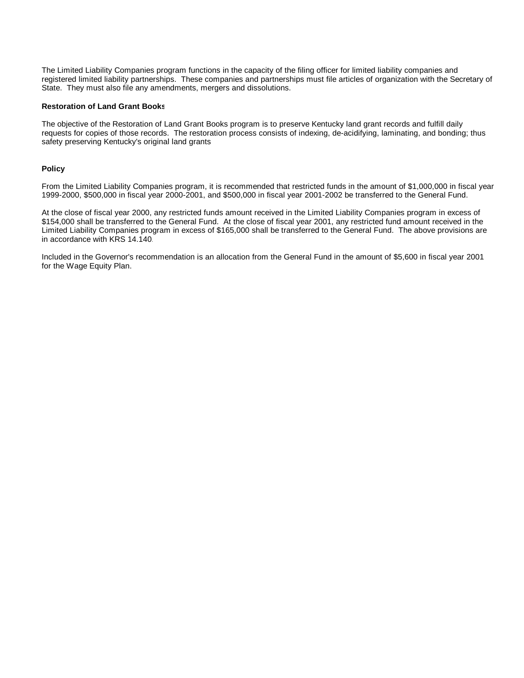The Limited Liability Companies program functions in the capacity of the filing officer for limited liability companies and registered limited liability partnerships. These companies and partnerships must file articles of organization with the Secretary of State. They must also file any amendments, mergers and dissolutions.

#### **Restoration of Land Grant Books**

The objective of the Restoration of Land Grant Books program is to preserve Kentucky land grant records and fulfill daily requests for copies of those records. The restoration process consists of indexing, de-acidifying, laminating, and bonding; thus safety preserving Kentucky's original land grants.

#### **Policy**

From the Limited Liability Companies program, it is recommended that restricted funds in the amount of \$1,000,000 in fiscal year 1999-2000, \$500,000 in fiscal year 2000-2001, and \$500,000 in fiscal year 2001-2002 be transferred to the General Fund.

At the close of fiscal year 2000, any restricted funds amount received in the Limited Liability Companies program in excess of \$154,000 shall be transferred to the General Fund. At the close of fiscal year 2001, any restricted fund amount received in the Limited Liability Companies program in excess of \$165,000 shall be transferred to the General Fund. The above provisions are in accordance with KRS 14.140.

Included in the Governor's recommendation is an allocation from the General Fund in the amount of \$5,600 in fiscal year 2001 for the Wage Equity Plan.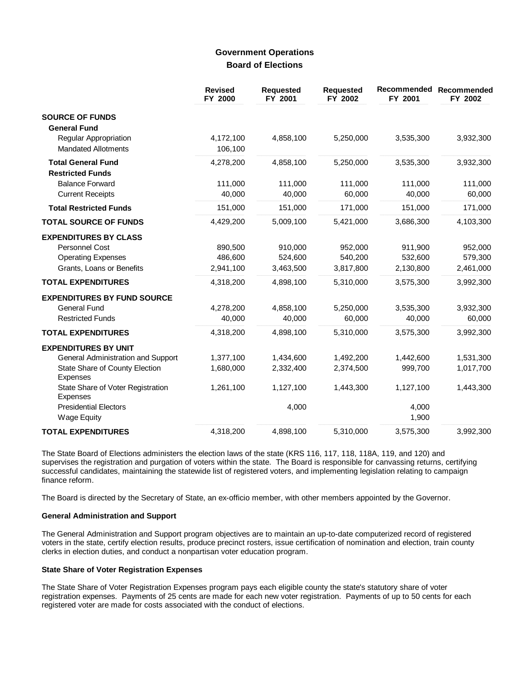## **Government Operations Board of Elections**

|                                                                                                                        | <b>Revised</b><br>FY 2000       | <b>Requested</b><br>FY 2001     | <b>Requested</b><br>FY 2002     | Recommended<br>FY 2001          | Recommended<br>FY 2002          |
|------------------------------------------------------------------------------------------------------------------------|---------------------------------|---------------------------------|---------------------------------|---------------------------------|---------------------------------|
| <b>SOURCE OF FUNDS</b><br><b>General Fund</b>                                                                          |                                 |                                 |                                 |                                 |                                 |
| <b>Regular Appropriation</b><br><b>Mandated Allotments</b>                                                             | 4,172,100<br>106,100            | 4,858,100                       | 5,250,000                       | 3,535,300                       | 3,932,300                       |
| <b>Total General Fund</b><br><b>Restricted Funds</b>                                                                   | 4,278,200                       | 4,858,100                       | 5,250,000                       | 3,535,300                       | 3,932,300                       |
| <b>Balance Forward</b><br><b>Current Receipts</b>                                                                      | 111,000<br>40,000               | 111,000<br>40,000               | 111,000<br>60,000               | 111,000<br>40,000               | 111,000<br>60,000               |
| <b>Total Restricted Funds</b>                                                                                          | 151,000                         | 151,000                         | 171,000                         | 151,000                         | 171,000                         |
| <b>TOTAL SOURCE OF FUNDS</b>                                                                                           | 4,429,200                       | 5,009,100                       | 5,421,000                       | 3,686,300                       | 4,103,300                       |
| <b>EXPENDITURES BY CLASS</b><br>Personnel Cost<br><b>Operating Expenses</b><br>Grants, Loans or Benefits               | 890,500<br>486,600<br>2,941,100 | 910,000<br>524,600<br>3,463,500 | 952,000<br>540,200<br>3,817,800 | 911,900<br>532,600<br>2,130,800 | 952,000<br>579,300<br>2,461,000 |
| <b>TOTAL EXPENDITURES</b>                                                                                              | 4,318,200                       | 4,898,100                       | 5,310,000                       | 3,575,300                       | 3,992,300                       |
| <b>EXPENDITURES BY FUND SOURCE</b><br><b>General Fund</b><br><b>Restricted Funds</b>                                   | 4,278,200<br>40,000             | 4,858,100<br>40,000             | 5,250,000<br>60,000             | 3,535,300<br>40,000             | 3,932,300<br>60,000             |
| <b>TOTAL EXPENDITURES</b>                                                                                              | 4,318,200                       | 4,898,100                       | 5,310,000                       | 3,575,300                       | 3,992,300                       |
| <b>EXPENDITURES BY UNIT</b><br>General Administration and Support<br>State Share of County Election<br><b>Expenses</b> | 1,377,100<br>1,680,000          | 1,434,600<br>2,332,400          | 1,492,200<br>2,374,500          | 1,442,600<br>999,700            | 1,531,300<br>1,017,700          |
| State Share of Voter Registration<br><b>Expenses</b><br><b>Presidential Electors</b>                                   | 1,261,100                       | 1,127,100<br>4,000              | 1,443,300                       | 1,127,100<br>4,000              | 1,443,300                       |
| <b>Wage Equity</b>                                                                                                     |                                 |                                 |                                 | 1,900                           |                                 |
| <b>TOTAL EXPENDITURES</b>                                                                                              | 4,318,200                       | 4,898,100                       | 5,310,000                       | 3,575,300                       | 3,992,300                       |

The State Board of Elections administers the election laws of the state (KRS 116, 117, 118, 118A, 119, and 120) and supervises the registration and purgation of voters within the state. The Board is responsible for canvassing returns, certifying successful candidates, maintaining the statewide list of registered voters, and implementing legislation relating to campaign finance reform.

The Board is directed by the Secretary of State, an ex-officio member, with other members appointed by the Governor.

#### **General Administration and Support**

The General Administration and Support program objectives are to maintain an up-to-date computerized record of registered voters in the state, certify election results, produce precinct rosters, issue certification of nomination and election, train county clerks in election duties, and conduct a nonpartisan voter education program.

#### **State Share of Voter Registration Expenses**

The State Share of Voter Registration Expenses program pays each eligible county the state's statutory share of voter registration expenses. Payments of 25 cents are made for each new voter registration. Payments of up to 50 cents for each registered voter are made for costs associated with the conduct of elections.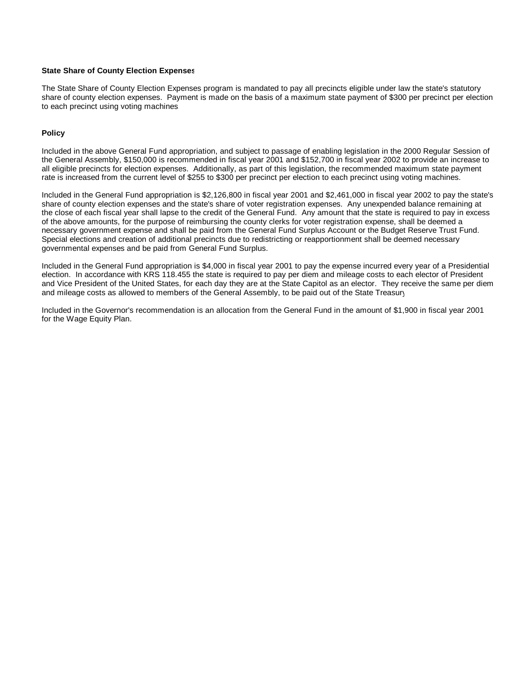#### **State Share of County Election Expenses**

The State Share of County Election Expenses program is mandated to pay all precincts eligible under law the state's statutory share of county election expenses. Payment is made on the basis of a maximum state payment of \$300 per precinct per election to each precinct using voting machines.

#### **Policy**

Included in the above General Fund appropriation, and subject to passage of enabling legislation in the 2000 Regular Session of the General Assembly, \$150,000 is recommended in fiscal year 2001 and \$152,700 in fiscal year 2002 to provide an increase to all eligible precincts for election expenses. Additionally, as part of this legislation, the recommended maximum state payment rate is increased from the current level of \$255 to \$300 per precinct per election to each precinct using voting machines.

Included in the General Fund appropriation is \$2,126,800 in fiscal year 2001 and \$2,461,000 in fiscal year 2002 to pay the state's share of county election expenses and the state's share of voter registration expenses. Any unexpended balance remaining at the close of each fiscal year shall lapse to the credit of the General Fund. Any amount that the state is required to pay in excess of the above amounts, for the purpose of reimbursing the county clerks for voter registration expense, shall be deemed a necessary government expense and shall be paid from the General Fund Surplus Account or the Budget Reserve Trust Fund. Special elections and creation of additional precincts due to redistricting or reapportionment shall be deemed necessary governmental expenses and be paid from General Fund Surplus.

Included in the General Fund appropriation is \$4,000 in fiscal year 2001 to pay the expense incurred every year of a Presidential election. In accordance with KRS 118.455 the state is required to pay per diem and mileage costs to each elector of President and Vice President of the United States, for each day they are at the State Capitol as an elector. They receive the same per diem and mileage costs as allowed to members of the General Assembly, to be paid out of the State Treasury.

Included in the Governor's recommendation is an allocation from the General Fund in the amount of \$1,900 in fiscal year 2001 for the Wage Equity Plan.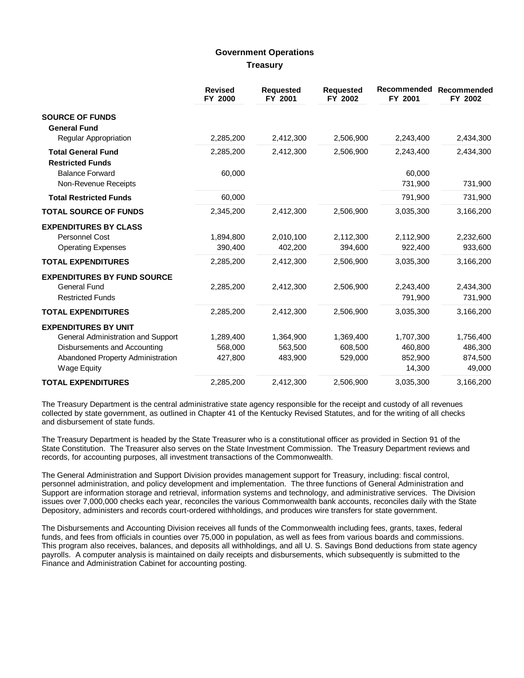## **Government Operations Treasury**

|                                                                                      | <b>Revised</b><br>FY 2000 | <b>Requested</b><br>FY 2001 | <b>Requested</b><br>FY 2002 | Recommended<br>FY 2001 | Recommended<br>FY 2002 |
|--------------------------------------------------------------------------------------|---------------------------|-----------------------------|-----------------------------|------------------------|------------------------|
| <b>SOURCE OF FUNDS</b><br><b>General Fund</b>                                        |                           |                             |                             |                        |                        |
| Regular Appropriation                                                                | 2,285,200                 | 2,412,300                   | 2,506,900                   | 2,243,400              | 2,434,300              |
| <b>Total General Fund</b><br><b>Restricted Funds</b>                                 | 2,285,200                 | 2,412,300                   | 2,506,900                   | 2,243,400              | 2,434,300              |
| <b>Balance Forward</b><br>Non-Revenue Receipts                                       | 60,000                    |                             |                             | 60,000<br>731,900      | 731,900                |
| <b>Total Restricted Funds</b>                                                        | 60,000                    |                             |                             | 791,900                | 731,900                |
| <b>TOTAL SOURCE OF FUNDS</b>                                                         | 2,345,200                 | 2,412,300                   | 2,506,900                   | 3,035,300              | 3,166,200              |
| <b>EXPENDITURES BY CLASS</b><br><b>Personnel Cost</b><br><b>Operating Expenses</b>   | 1,894,800<br>390,400      | 2,010,100<br>402,200        | 2,112,300<br>394,600        | 2,112,900<br>922,400   | 2,232,600<br>933,600   |
| <b>TOTAL EXPENDITURES</b>                                                            | 2,285,200                 | 2,412,300                   | 2,506,900                   | 3,035,300              | 3,166,200              |
| <b>EXPENDITURES BY FUND SOURCE</b><br><b>General Fund</b><br><b>Restricted Funds</b> | 2,285,200                 | 2,412,300                   | 2,506,900                   | 2,243,400<br>791,900   | 2,434,300<br>731,900   |
| <b>TOTAL EXPENDITURES</b>                                                            | 2,285,200                 | 2,412,300                   | 2,506,900                   | 3,035,300              | 3,166,200              |
| <b>EXPENDITURES BY UNIT</b>                                                          |                           |                             |                             |                        |                        |
| General Administration and Support                                                   | 1,289,400                 | 1,364,900                   | 1,369,400                   | 1,707,300              | 1,756,400              |
| Disbursements and Accounting                                                         | 568,000                   | 563,500                     | 608,500                     | 460,800                | 486,300                |
| Abandoned Property Administration<br><b>Wage Equity</b>                              | 427,800                   | 483,900                     | 529,000                     | 852,900<br>14,300      | 874,500<br>49,000      |
| <b>TOTAL EXPENDITURES</b>                                                            | 2,285,200                 | 2,412,300                   | 2,506,900                   | 3,035,300              | 3,166,200              |

The Treasury Department is the central administrative state agency responsible for the receipt and custody of all revenues collected by state government, as outlined in Chapter 41 of the Kentucky Revised Statutes, and for the writing of all checks and disbursement of state funds.

The Treasury Department is headed by the State Treasurer who is a constitutional officer as provided in Section 91 of the State Constitution. The Treasurer also serves on the State Investment Commission. The Treasury Department reviews and records, for accounting purposes, all investment transactions of the Commonwealth.

The General Administration and Support Division provides management support for Treasury, including: fiscal control, personnel administration, and policy development and implementation. The three functions of General Administration and Support are information storage and retrieval, information systems and technology, and administrative services. The Division issues over 7,000,000 checks each year, reconciles the various Commonwealth bank accounts, reconciles daily with the State Depository, administers and records court-ordered withholdings, and produces wire transfers for state government.

The Disbursements and Accounting Division receives all funds of the Commonwealth including fees, grants, taxes, federal funds, and fees from officials in counties over 75,000 in population, as well as fees from various boards and commissions. This program also receives, balances, and deposits all withholdings, and all U. S. Savings Bond deductions from state agency payrolls. A computer analysis is maintained on daily receipts and disbursements, which subsequently is submitted to the Finance and Administration Cabinet for accounting posting.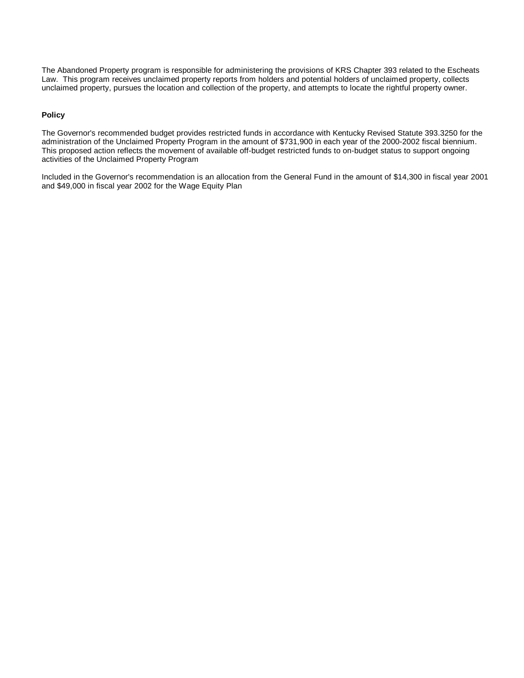The Abandoned Property program is responsible for administering the provisions of KRS Chapter 393 related to the Escheats Law. This program receives unclaimed property reports from holders and potential holders of unclaimed property, collects unclaimed property, pursues the location and collection of the property, and attempts to locate the rightful property owner.

### **Policy**

The Governor's recommended budget provides restricted funds in accordance with Kentucky Revised Statute 393.3250 for the administration of the Unclaimed Property Program in the amount of \$731,900 in each year of the 2000-2002 fiscal biennium. This proposed action reflects the movement of available off-budget restricted funds to on-budget status to support ongoing activities of the Unclaimed Property Program.

Included in the Governor's recommendation is an allocation from the General Fund in the amount of \$14,300 in fiscal year 2001 and \$49,000 in fiscal year 2002 for the Wage Equity Plan.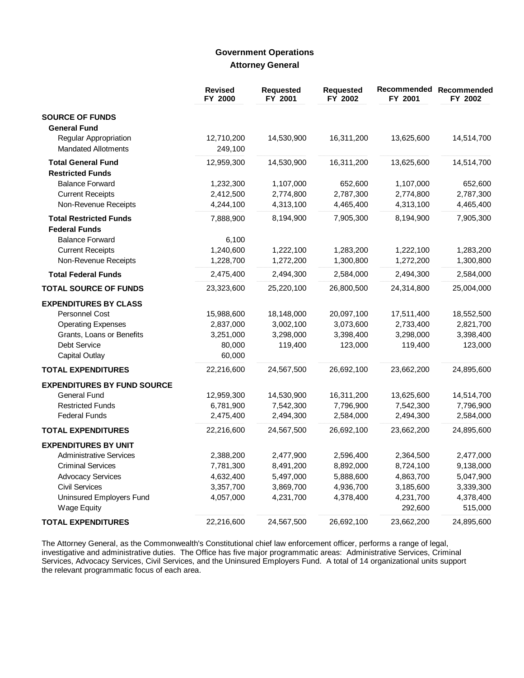# **Government Operations Attorney General**

|                                    | <b>Revised</b><br>FY 2000 | <b>Requested</b><br>FY 2001 | <b>Requested</b><br>FY 2002 | Recommended Recommended<br>FY 2001 | FY 2002    |
|------------------------------------|---------------------------|-----------------------------|-----------------------------|------------------------------------|------------|
| <b>SOURCE OF FUNDS</b>             |                           |                             |                             |                                    |            |
| <b>General Fund</b>                |                           |                             |                             |                                    |            |
| Regular Appropriation              | 12,710,200                | 14,530,900                  | 16,311,200                  | 13,625,600                         | 14,514,700 |
| <b>Mandated Allotments</b>         | 249,100                   |                             |                             |                                    |            |
| <b>Total General Fund</b>          | 12,959,300                | 14,530,900                  | 16,311,200                  | 13,625,600                         | 14,514,700 |
| <b>Restricted Funds</b>            |                           |                             |                             |                                    |            |
| <b>Balance Forward</b>             | 1,232,300                 | 1,107,000                   | 652,600                     | 1,107,000                          | 652,600    |
| <b>Current Receipts</b>            | 2,412,500                 | 2,774,800                   | 2,787,300                   | 2,774,800                          | 2,787,300  |
| Non-Revenue Receipts               | 4,244,100                 | 4,313,100                   | 4,465,400                   | 4,313,100                          | 4,465,400  |
| <b>Total Restricted Funds</b>      | 7,888,900                 | 8,194,900                   | 7,905,300                   | 8,194,900                          | 7,905,300  |
| <b>Federal Funds</b>               |                           |                             |                             |                                    |            |
| <b>Balance Forward</b>             | 6,100                     |                             |                             |                                    |            |
| <b>Current Receipts</b>            | 1,240,600                 | 1,222,100                   | 1,283,200                   | 1,222,100                          | 1,283,200  |
| Non-Revenue Receipts               | 1,228,700                 | 1,272,200                   | 1,300,800                   | 1,272,200                          | 1,300,800  |
| <b>Total Federal Funds</b>         | 2,475,400                 | 2,494,300                   | 2,584,000                   | 2,494,300                          | 2,584,000  |
| <b>TOTAL SOURCE OF FUNDS</b>       | 23,323,600                | 25,220,100                  | 26,800,500                  | 24,314,800                         | 25,004,000 |
| <b>EXPENDITURES BY CLASS</b>       |                           |                             |                             |                                    |            |
| Personnel Cost                     | 15,988,600                | 18,148,000                  | 20,097,100                  | 17,511,400                         | 18,552,500 |
| <b>Operating Expenses</b>          | 2,837,000                 | 3,002,100                   | 3,073,600                   | 2,733,400                          | 2,821,700  |
| Grants, Loans or Benefits          | 3,251,000                 | 3,298,000                   | 3,398,400                   | 3,298,000                          | 3,398,400  |
| <b>Debt Service</b>                | 80,000                    | 119,400                     | 123,000                     | 119,400                            | 123,000    |
| <b>Capital Outlay</b>              | 60,000                    |                             |                             |                                    |            |
| <b>TOTAL EXPENDITURES</b>          | 22,216,600                | 24,567,500                  | 26,692,100                  | 23,662,200                         | 24,895,600 |
| <b>EXPENDITURES BY FUND SOURCE</b> |                           |                             |                             |                                    |            |
| <b>General Fund</b>                | 12,959,300                | 14,530,900                  | 16,311,200                  | 13,625,600                         | 14,514,700 |
| <b>Restricted Funds</b>            | 6,781,900                 | 7,542,300                   | 7,796,900                   | 7,542,300                          | 7,796,900  |
| <b>Federal Funds</b>               | 2,475,400                 | 2,494,300                   | 2,584,000                   | 2,494,300                          | 2,584,000  |
| <b>TOTAL EXPENDITURES</b>          | 22,216,600                | 24,567,500                  | 26,692,100                  | 23,662,200                         | 24,895,600 |
| <b>EXPENDITURES BY UNIT</b>        |                           |                             |                             |                                    |            |
| <b>Administrative Services</b>     | 2,388,200                 | 2,477,900                   | 2,596,400                   | 2,364,500                          | 2,477,000  |
| <b>Criminal Services</b>           | 7,781,300                 | 8,491,200                   | 8,892,000                   | 8,724,100                          | 9,138,000  |
| <b>Advocacy Services</b>           | 4,632,400                 | 5,497,000                   | 5,888,600                   | 4,863,700                          | 5,047,900  |
| <b>Civil Services</b>              | 3,357,700                 | 3,869,700                   | 4,936,700                   | 3,185,600                          | 3,339,300  |
| Uninsured Employers Fund           | 4,057,000                 | 4,231,700                   | 4,378,400                   | 4,231,700                          | 4,378,400  |
| <b>Wage Equity</b>                 |                           |                             |                             | 292,600                            | 515,000    |
| <b>TOTAL EXPENDITURES</b>          | 22,216,600                | 24,567,500                  | 26,692,100                  | 23,662,200                         | 24,895,600 |

The Attorney General, as the Commonwealth's Constitutional chief law enforcement officer, performs a range of legal, investigative and administrative duties. The Office has five major programmatic areas: Administrative Ser the relevant programmatic focus of each area.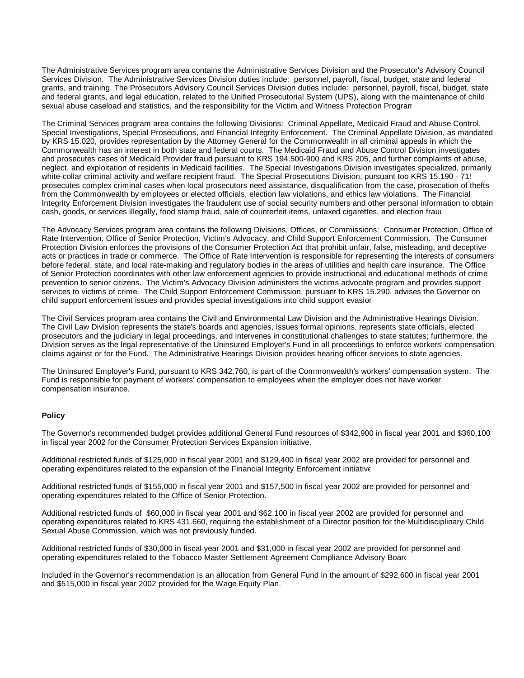The Administrative Services program area contains the Administrative Services Division and the Prosecutor's Advisory Council Services Division. The Administrative Services Division duties include: personnel, payroll, fiscal, budget, state and federal grants, and training. The Prosecutors Advisory Council Services Division duties include: personnel, payroll, fiscal, budget, state and federal grants, and legal education, related to the Unified Prosecutorial System (UPS), along with the maintenance of child sexual abuse caseload and statistics, and the responsibility for the Victim and Witness Protection Program.

The Criminal Services program area contains the following Divisions: Criminal Appellate, Medicaid Fraud and Abuse Control, Special Investigations, Special Prosecutions, and Financial Integrity Enforcement. The Criminal Appellate Division, as mandated by KRS 15.020, provides representation by the Attorney General for the Commonwealth in all criminal appeals in which the Commonwealth has an interest in both state and federal courts. The Medicaid Fraud and Abuse Control Division investigates and prosecutes cases of Medicaid Provider fraud pursuant to KRS 194.500-900 and KRS 205, and further complaints of abuse, neglect, and exploitation of residents in Medicaid facilities. The Special Investigations Division investigates specialized, primarily white-collar criminal activity and welfare recipient fraud. The Special Prosecutions Division, pursuant too KRS 15.190 - 71, prosecutes complex criminal cases when local prosecutors need assistance, disqualification from the case, prosecution of thefts from the Commonwealth by employees or elected officials, election law violations, and ethics law violations. The Financial Integrity Enforcement Division investigates the fraudulent use of social security numbers and other personal information to obtain cash, goods, or services illegally, food stamp fraud, sale of counterfeit items, untaxed cigarettes, and election fraud

The Advocacy Services program area contains the following Divisions, Offices, or Commissions: Consumer Protection, Office of Rate Intervention, Office of Senior Protection, Victim's Advocacy, and Child Support Enforcement Commission. The Consumer Protection Division enforces the provisions of the Consumer Protection Act that prohibit unfair, false, misleading, and deceptive acts or practices in trade or commerce. The Office of Rate Intervention is responsible for representing the interests of consumers before federal, state, and local rate-making and regulatory bodies in the areas of utilities and health care insurance. The Office of Senior Protection coordinates with other law enforcement agencies to provide instructional and educational methods of crime prevention to senior citizens. The Victim's Advocacy Division administers the victims advocate program and provides support services to victims of crime. The Child Support Enforcement Commission, pursuant to KRS 15.290, advises the Governor on child support enforcement issues and provides special investigations into child support evasion.

The Civil Services program area contains the Civil and Environmental Law Division and the Administrative Hearings Division. The Civil Law Division represents the state's boards and agencies, issues formal opinions, represents state officials, elected prosecutors and the judiciary in legal proceedings, and intervenes in constitutional challenges to state statutes; furthermore, the Division serves as the legal representative of the Uninsured Employer's Fund in all proceedings to enforce workers' compensation claims against or for the Fund. The Administrative Hearings Division provides hearing officer services to state agencies.

The Uninsured Employer's Fund, pursuant to KRS 342.760, is part of the Commonwealth's workers' compensation system. The Fund is responsible for payment of workers' compensation to employees when the employer does not have worker compensation insurance.

#### **Policy**

The Governor's recommended budget provides additional General Fund resources of \$342,900 in fiscal year 2001 and \$360,100 in fiscal year 2002 for the Consumer Protection Services Expansion initiative.

Additional restricted funds of \$125,000 in fiscal year 2001 and \$129,400 in fiscal year 2002 are provided for personnel and operating expenditures related to the expansion of the Financial Integrity Enforcement initiative.

Additional restricted funds of \$155,000 in fiscal year 2001 and \$157,500 in fiscal year 2002 are provided for personnel and operating expenditures related to the Office of Senior Protection.

Additional restricted funds of \$60,000 in fiscal year 2001 and \$62,100 in fiscal year 2002 are provided for personnel and operating expenditures related to KRS 431.660, requiring the establishment of a Director position for the Multidisciplinary Child Sexual Abuse Commission, which was not previously funded.

Additional restricted funds of \$30,000 in fiscal year 2001 and \$31,000 in fiscal year 2002 are provided for personnel and operating expenditures related to the Tobacco Master Settlement Agreement Compliance Advisory Board.

Included in the Governor's recommendation is an allocation from General Fund in the amount of \$292,600 in fiscal year 2001 and \$515,000 in fiscal year 2002 provided for the Wage Equity Plan.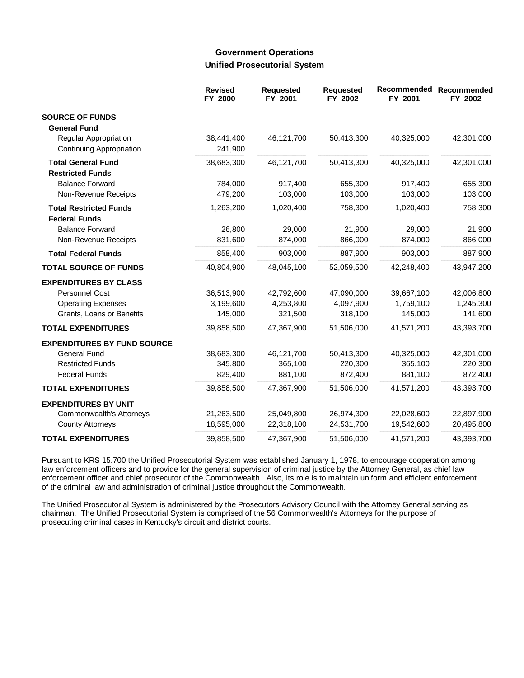## **Government Operations Unified Prosecutorial System**

|                                                | <b>Revised</b><br>FY 2000 | <b>Requested</b><br>FY 2001 | <b>Requested</b><br>FY 2002 | Recommended<br>FY 2001 | Recommended<br>FY 2002 |
|------------------------------------------------|---------------------------|-----------------------------|-----------------------------|------------------------|------------------------|
| <b>SOURCE OF FUNDS</b><br><b>General Fund</b>  |                           |                             |                             |                        |                        |
| Regular Appropriation                          | 38,441,400                | 46,121,700                  | 50,413,300                  | 40,325,000             | 42,301,000             |
| Continuing Appropriation                       | 241,900                   |                             |                             |                        |                        |
| <b>Total General Fund</b>                      | 38,683,300                | 46,121,700                  | 50,413,300                  | 40,325,000             | 42,301,000             |
| <b>Restricted Funds</b>                        |                           |                             |                             |                        |                        |
| <b>Balance Forward</b><br>Non-Revenue Receipts | 784,000<br>479,200        | 917,400<br>103,000          | 655,300<br>103,000          | 917,400<br>103,000     | 655,300<br>103,000     |
| <b>Total Restricted Funds</b>                  | 1,263,200                 | 1,020,400                   | 758,300                     | 1,020,400              | 758,300                |
| <b>Federal Funds</b>                           |                           |                             |                             |                        |                        |
| <b>Balance Forward</b><br>Non-Revenue Receipts | 26,800<br>831,600         | 29,000<br>874,000           | 21,900<br>866,000           | 29,000<br>874,000      | 21,900<br>866,000      |
| <b>Total Federal Funds</b>                     | 858,400                   | 903,000                     | 887,900                     | 903,000                | 887,900                |
| <b>TOTAL SOURCE OF FUNDS</b>                   | 40,804,900                | 48,045,100                  | 52,059,500                  | 42,248,400             | 43,947,200             |
| <b>EXPENDITURES BY CLASS</b>                   |                           |                             |                             |                        |                        |
| Personnel Cost                                 | 36,513,900                | 42,792,600                  | 47,090,000                  | 39,667,100             | 42,006,800             |
| <b>Operating Expenses</b>                      | 3,199,600                 | 4,253,800                   | 4,097,900                   | 1,759,100              | 1,245,300              |
| Grants, Loans or Benefits                      | 145,000                   | 321,500                     | 318,100                     | 145,000                | 141,600                |
| <b>TOTAL EXPENDITURES</b>                      | 39,858,500                | 47,367,900                  | 51,506,000                  | 41,571,200             | 43,393,700             |
| <b>EXPENDITURES BY FUND SOURCE</b>             |                           |                             |                             |                        |                        |
| <b>General Fund</b>                            | 38,683,300                | 46,121,700                  | 50,413,300                  | 40,325,000             | 42,301,000             |
| <b>Restricted Funds</b>                        | 345,800                   | 365,100                     | 220,300                     | 365,100                | 220,300                |
| <b>Federal Funds</b>                           | 829,400                   | 881,100                     | 872,400                     | 881,100                | 872,400                |
| <b>TOTAL EXPENDITURES</b>                      | 39,858,500                | 47,367,900                  | 51,506,000                  | 41,571,200             | 43,393,700             |
| <b>EXPENDITURES BY UNIT</b>                    |                           |                             |                             |                        |                        |
| Commonwealth's Attorneys                       | 21,263,500                | 25,049,800                  | 26,974,300                  | 22,028,600             | 22,897,900             |
| <b>County Attorneys</b>                        | 18,595,000                | 22,318,100                  | 24,531,700                  | 19,542,600             | 20,495,800             |
| <b>TOTAL EXPENDITURES</b>                      | 39,858,500                | 47,367,900                  | 51,506,000                  | 41,571,200             | 43,393,700             |

Pursuant to KRS 15.700 the Unified Prosecutorial System was established January 1, 1978, to encourage cooperation among law enforcement officers and to provide for the general supervision of criminal justice by the Attorney General, as chief law enforcement officer and chief prosecutor of the Commonwealth. Also, its role is to maintain uniform and efficient enforcement of the criminal law and administration of criminal justice throughout the Commonwealth.

The Unified Prosecutorial System is administered by the Prosecutors Advisory Council with the Attorney General serving as chairman. The Unified Prosecutorial System is comprised of the 56 Commonwealth's Attorneys for the purpose of prosecuting criminal cases in Kentucky's circuit and district courts.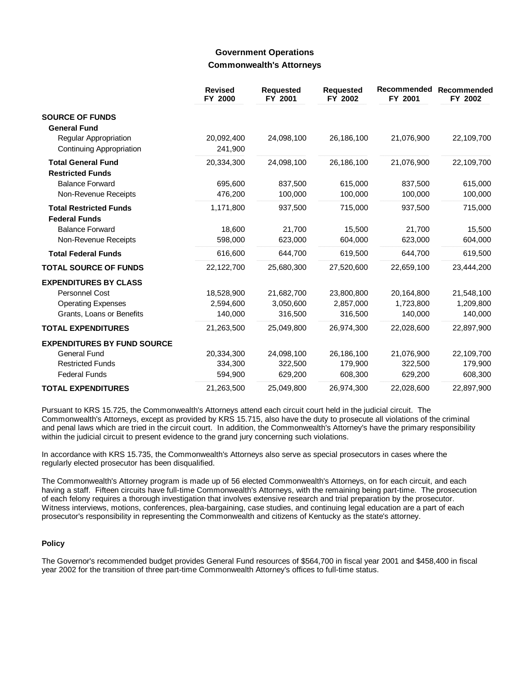## **Government Operations Commonwealth's Attorneys**

|                                                       | <b>Revised</b><br>FY 2000 | <b>Requested</b><br>FY 2001 | <b>Requested</b><br>FY 2002 | Recommended<br>FY 2001 | <b>Recommended</b><br>FY 2002 |
|-------------------------------------------------------|---------------------------|-----------------------------|-----------------------------|------------------------|-------------------------------|
| <b>SOURCE OF FUNDS</b>                                |                           |                             |                             |                        |                               |
| <b>General Fund</b>                                   |                           |                             |                             |                        |                               |
| Regular Appropriation<br>Continuing Appropriation     | 20,092,400<br>241,900     | 24,098,100                  | 26,186,100                  | 21,076,900             | 22,109,700                    |
| <b>Total General Fund</b>                             | 20,334,300                | 24,098,100                  | 26,186,100                  | 21,076,900             | 22,109,700                    |
| <b>Restricted Funds</b>                               |                           |                             |                             |                        |                               |
| <b>Balance Forward</b>                                | 695,600                   | 837,500                     | 615,000                     | 837,500                | 615,000                       |
| Non-Revenue Receipts                                  | 476,200                   | 100,000                     | 100,000                     | 100,000                | 100,000                       |
| <b>Total Restricted Funds</b><br><b>Federal Funds</b> | 1,171,800                 | 937,500                     | 715,000                     | 937,500                | 715,000                       |
| <b>Balance Forward</b>                                | 18,600                    | 21.700                      | 15.500                      | 21.700                 | 15,500                        |
| Non-Revenue Receipts                                  | 598,000                   | 623,000                     | 604,000                     | 623,000                | 604,000                       |
|                                                       | 616,600                   | 644,700                     | 619,500                     | 644,700                | 619,500                       |
| <b>Total Federal Funds</b>                            |                           |                             |                             |                        |                               |
| <b>TOTAL SOURCE OF FUNDS</b>                          | 22,122,700                | 25,680,300                  | 27,520,600                  | 22,659,100             | 23,444,200                    |
| <b>EXPENDITURES BY CLASS</b>                          |                           |                             |                             |                        |                               |
| Personnel Cost                                        | 18,528,900                | 21,682,700                  | 23,800,800                  | 20,164,800             | 21,548,100                    |
| <b>Operating Expenses</b>                             | 2,594,600                 | 3,050,600                   | 2,857,000                   | 1,723,800              | 1,209,800                     |
| Grants, Loans or Benefits                             | 140,000                   | 316,500                     | 316,500                     | 140,000                | 140,000                       |
| <b>TOTAL EXPENDITURES</b>                             | 21,263,500                | 25,049,800                  | 26,974,300                  | 22,028,600             | 22,897,900                    |
| <b>EXPENDITURES BY FUND SOURCE</b>                    |                           |                             |                             |                        |                               |
| <b>General Fund</b>                                   | 20,334,300                | 24,098,100                  | 26,186,100                  | 21,076,900             | 22,109,700                    |
| <b>Restricted Funds</b>                               | 334,300                   | 322,500                     | 179,900                     | 322,500                | 179,900                       |
| <b>Federal Funds</b>                                  | 594,900                   | 629,200                     | 608,300                     | 629,200                | 608,300                       |
| <b>TOTAL EXPENDITURES</b>                             | 21,263,500                | 25,049,800                  | 26,974,300                  | 22,028,600             | 22,897,900                    |

Pursuant to KRS 15.725, the Commonwealth's Attorneys attend each circuit court held in the judicial circuit. The Commonwealth's Attorneys, except as provided by KRS 15.715, also have the duty to prosecute all violations of the criminal and penal laws which are tried in the circuit court. In addition, the Commonwealth's Attorney's have the primary responsibility within the judicial circuit to present evidence to the grand jury concerning such violations.

In accordance with KRS 15.735, the Commonwealth's Attorneys also serve as special prosecutors in cases where the regularly elected prosecutor has been disqualified.

The Commonwealth's Attorney program is made up of 56 elected Commonwealth's Attorneys, on for each circuit, and each having a staff. Fifteen circuits have full-time Commonwealth's Attorneys, with the remaining being part-time. The prosecution of each felony requires a thorough investigation that involves extensive research and trial preparation by the prosecutor. Witness interviews, motions, conferences, plea-bargaining, case studies, and continuing legal education are a part of each prosecutor's responsibility in representing the Commonwealth and citizens of Kentucky as the state's attorney.

### **Policy**

The Governor's recommended budget provides General Fund resources of \$564,700 in fiscal year 2001 and \$458,400 in fiscal year 2002 for the transition of three part-time Commonwealth Attorney's offices to full-time status.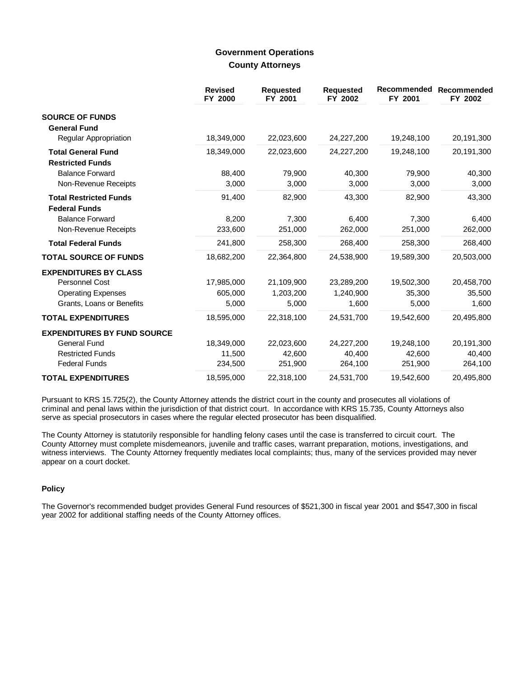## **Government Operations County Attorneys**

|                                                       | <b>Revised</b><br>FY 2000 | <b>Requested</b><br>FY 2001 | <b>Requested</b><br>FY 2002 | Recommended<br>FY 2001 | <b>Recommended</b><br>FY 2002 |
|-------------------------------------------------------|---------------------------|-----------------------------|-----------------------------|------------------------|-------------------------------|
| <b>SOURCE OF FUNDS</b>                                |                           |                             |                             |                        |                               |
| <b>General Fund</b>                                   |                           |                             |                             |                        |                               |
| Regular Appropriation                                 | 18,349,000                | 22,023,600                  | 24,227,200                  | 19,248,100             | 20,191,300                    |
| <b>Total General Fund</b><br><b>Restricted Funds</b>  | 18,349,000                | 22,023,600                  | 24,227,200                  | 19,248,100             | 20,191,300                    |
| <b>Balance Forward</b>                                | 88,400                    | 79,900                      | 40,300                      | 79,900                 | 40,300                        |
| Non-Revenue Receipts                                  | 3,000                     | 3,000                       | 3,000                       | 3,000                  | 3,000                         |
| <b>Total Restricted Funds</b><br><b>Federal Funds</b> | 91,400                    | 82,900                      | 43,300                      | 82,900                 | 43,300                        |
| <b>Balance Forward</b>                                | 8,200                     | 7,300                       | 6,400                       | 7,300                  | 6,400                         |
| Non-Revenue Receipts                                  | 233,600                   | 251,000                     | 262,000                     | 251,000                | 262,000                       |
| <b>Total Federal Funds</b>                            | 241,800                   | 258,300                     | 268,400                     | 258,300                | 268,400                       |
| <b>TOTAL SOURCE OF FUNDS</b>                          | 18,682,200                | 22,364,800                  | 24,538,900                  | 19,589,300             | 20,503,000                    |
| <b>EXPENDITURES BY CLASS</b>                          |                           |                             |                             |                        |                               |
| Personnel Cost                                        | 17,985,000                | 21,109,900                  | 23,289,200                  | 19,502,300             | 20,458,700                    |
| <b>Operating Expenses</b>                             | 605,000                   | 1,203,200                   | 1,240,900                   | 35,300                 | 35,500                        |
| Grants, Loans or Benefits                             | 5,000                     | 5,000                       | 1,600                       | 5,000                  | 1,600                         |
| <b>TOTAL EXPENDITURES</b>                             | 18,595,000                | 22,318,100                  | 24,531,700                  | 19,542,600             | 20,495,800                    |
| <b>EXPENDITURES BY FUND SOURCE</b>                    |                           |                             |                             |                        |                               |
| <b>General Fund</b>                                   | 18,349,000                | 22,023,600                  | 24,227,200                  | 19,248,100             | 20,191,300                    |
| <b>Restricted Funds</b>                               | 11,500                    | 42,600                      | 40,400                      | 42,600                 | 40,400                        |
| <b>Federal Funds</b>                                  | 234,500                   | 251,900                     | 264,100                     | 251,900                | 264,100                       |
| <b>TOTAL EXPENDITURES</b>                             | 18,595,000                | 22,318,100                  | 24,531,700                  | 19,542,600             | 20,495,800                    |

Pursuant to KRS 15.725(2), the County Attorney attends the district court in the county and prosecutes all violations of criminal and penal laws within the jurisdiction of that district court. In accordance with KRS 15.735, County Attorneys also serve as special prosecutors in cases where the regular elected prosecutor has been disqualified.

The County Attorney is statutorily responsible for handling felony cases until the case is transferred to circuit court. The County Attorney must complete misdemeanors, juvenile and traffic cases, warrant preparation, motions, investigations, and witness interviews. The County Attorney frequently mediates local complaints; thus, many of the services provided may never appear on a court docket.

#### **Policy**

The Governor's recommended budget provides General Fund resources of \$521,300 in fiscal year 2001 and \$547,300 in fiscal year 2002 for additional staffing needs of the County Attorney offices.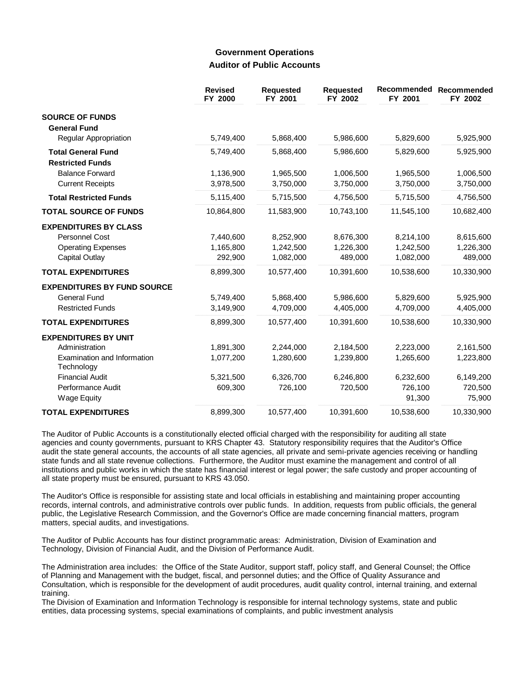## **Government Operations Auditor of Public Accounts**

|                                           | <b>Revised</b><br>FY 2000 | <b>Requested</b><br>FY 2001 | <b>Requested</b><br>FY 2002 | Recommended<br>FY 2001 | Recommended<br>FY 2002 |
|-------------------------------------------|---------------------------|-----------------------------|-----------------------------|------------------------|------------------------|
| <b>SOURCE OF FUNDS</b>                    |                           |                             |                             |                        |                        |
| <b>General Fund</b>                       |                           |                             |                             |                        |                        |
| Regular Appropriation                     | 5,749,400                 | 5,868,400                   | 5,986,600                   | 5,829,600              | 5,925,900              |
| <b>Total General Fund</b>                 | 5,749,400                 | 5,868,400                   | 5,986,600                   | 5,829,600              | 5,925,900              |
| <b>Restricted Funds</b>                   |                           |                             |                             |                        |                        |
| <b>Balance Forward</b>                    | 1,136,900                 | 1,965,500                   | 1,006,500                   | 1,965,500              | 1,006,500              |
| <b>Current Receipts</b>                   | 3,978,500                 | 3,750,000                   | 3,750,000                   | 3,750,000              | 3,750,000              |
| <b>Total Restricted Funds</b>             | 5,115,400                 | 5,715,500                   | 4,756,500                   | 5,715,500              | 4,756,500              |
| <b>TOTAL SOURCE OF FUNDS</b>              | 10,864,800                | 11,583,900                  | 10,743,100                  | 11,545,100             | 10,682,400             |
| <b>EXPENDITURES BY CLASS</b>              |                           |                             |                             |                        |                        |
| Personnel Cost                            | 7,440,600                 | 8,252,900                   | 8,676,300                   | 8,214,100              | 8,615,600              |
| <b>Operating Expenses</b>                 | 1,165,800                 | 1,242,500                   | 1,226,300                   | 1,242,500              | 1,226,300              |
| Capital Outlay                            | 292,900                   | 1,082,000                   | 489,000                     | 1,082,000              | 489,000                |
| <b>TOTAL EXPENDITURES</b>                 | 8,899,300                 | 10,577,400                  | 10,391,600                  | 10,538,600             | 10,330,900             |
| <b>EXPENDITURES BY FUND SOURCE</b>        |                           |                             |                             |                        |                        |
| <b>General Fund</b>                       | 5,749,400                 | 5,868,400                   | 5,986,600                   | 5,829,600              | 5,925,900              |
| <b>Restricted Funds</b>                   | 3,149,900                 | 4,709,000                   | 4,405,000                   | 4,709,000              | 4,405,000              |
| <b>TOTAL EXPENDITURES</b>                 | 8,899,300                 | 10,577,400                  | 10,391,600                  | 10,538,600             | 10,330,900             |
| <b>EXPENDITURES BY UNIT</b>               |                           |                             |                             |                        |                        |
| Administration                            | 1,891,300                 | 2,244,000                   | 2,184,500                   | 2,223,000              | 2,161,500              |
| Examination and Information<br>Technology | 1,077,200                 | 1,280,600                   | 1,239,800                   | 1,265,600              | 1,223,800              |
| <b>Financial Audit</b>                    | 5,321,500                 | 6,326,700                   | 6,246,800                   | 6,232,600              | 6,149,200              |
| Performance Audit                         | 609,300                   | 726,100                     | 720,500                     | 726,100                | 720,500                |
| Wage Equity                               |                           |                             |                             | 91,300                 | 75,900                 |
| <b>TOTAL EXPENDITURES</b>                 | 8,899,300                 | 10,577,400                  | 10,391,600                  | 10,538,600             | 10,330,900             |

The Auditor of Public Accounts is a constitutionally elected official charged with the responsibility for auditing all state agencies and county governments, pursuant to KRS Chapter 43. Statutory responsibility requires that the Auditor's Office audit the state general accounts, the accounts of all state agencies, all private and semi-private agencies receiving or handling state funds and all state revenue collections. Furthermore, the Auditor must examine the management and control of all institutions and public works in which the state has financial interest or legal power; the safe custody and proper accounting of all state property must be ensured, pursuant to KRS 43.050.

The Auditor's Office is responsible for assisting state and local officials in establishing and maintaining proper accounting records, internal controls, and administrative controls over public funds. In addition, requests from public officials, the general public, the Legislative Research Commission, and the Governor's Office are made concerning financial matters, program matters, special audits, and investigations.

The Auditor of Public Accounts has four distinct programmatic areas: Administration, Division of Examination and Technology, Division of Financial Audit, and the Division of Performance Audit.

The Administration area includes: the Office of the State Auditor, support staff, policy staff, and General Counsel; the Office of Planning and Management with the budget, fiscal, and personnel duties; and the Office of Quality Assurance and Consultation, which is responsible for the development of audit procedures, audit quality control, internal training, and external training.

The Division of Examination and Information Technology is responsible for internal technology systems, state and public entities, data processing systems, special examinations of complaints, and public investment analysis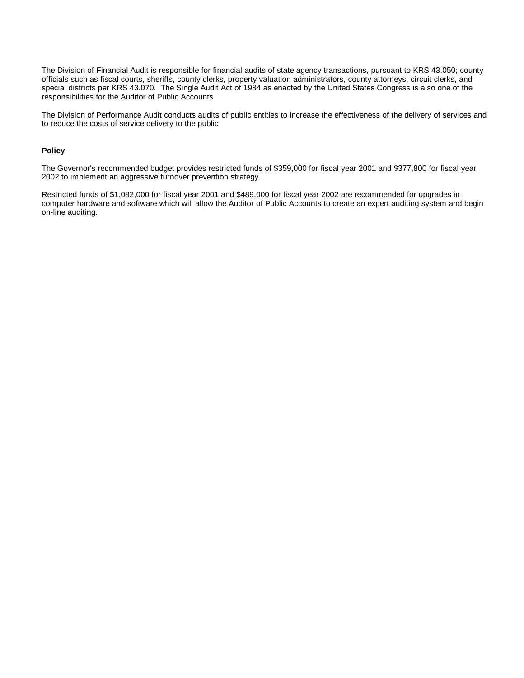The Division of Financial Audit is responsible for financial audits of state agency transactions, pursuant to KRS 43.050; county officials such as fiscal courts, sheriffs, county clerks, property valuation administrators, county attorneys, circuit clerks, and special districts per KRS 43.070. The Single Audit Act of 1984 as enacted by the United States Congress is also one of the responsibilities for the Auditor of Public Accounts.

The Division of Performance Audit conducts audits of public entities to increase the effectiveness of the delivery of services and to reduce the costs of service delivery to the public.

### **Policy**

The Governor's recommended budget provides restricted funds of \$359,000 for fiscal year 2001 and \$377,800 for fiscal year 2002 to implement an aggressive turnover prevention strategy.

Restricted funds of \$1,082,000 for fiscal year 2001 and \$489,000 for fiscal year 2002 are recommended for upgrades in computer hardware and software which will allow the Auditor of Public Accounts to create an expert auditing system and begin on-line auditing.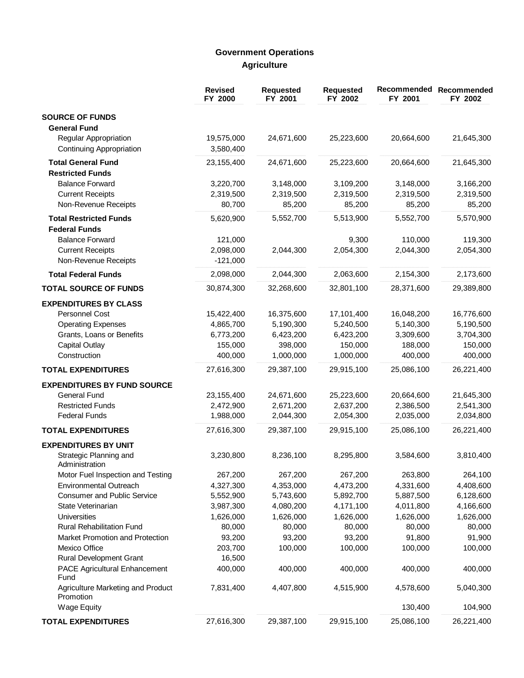# **Government Operations Agriculture**

|                                                                                                                                                   | <b>Revised</b><br>FY 2000                                   | <b>Requested</b><br>FY 2001                                  | <b>Requested</b><br>FY 2002                                  | Recommended<br>FY 2001                                      | Recommended<br>FY 2002                                      |
|---------------------------------------------------------------------------------------------------------------------------------------------------|-------------------------------------------------------------|--------------------------------------------------------------|--------------------------------------------------------------|-------------------------------------------------------------|-------------------------------------------------------------|
| <b>SOURCE OF FUNDS</b><br><b>General Fund</b>                                                                                                     |                                                             |                                                              |                                                              |                                                             |                                                             |
| <b>Regular Appropriation</b><br><b>Continuing Appropriation</b>                                                                                   | 19,575,000<br>3,580,400                                     | 24,671,600                                                   | 25,223,600                                                   | 20,664,600                                                  | 21,645,300                                                  |
| <b>Total General Fund</b><br><b>Restricted Funds</b>                                                                                              | 23,155,400                                                  | 24,671,600                                                   | 25,223,600                                                   | 20,664,600                                                  | 21,645,300                                                  |
| <b>Balance Forward</b><br><b>Current Receipts</b><br>Non-Revenue Receipts                                                                         | 3,220,700<br>2,319,500<br>80,700                            | 3,148,000<br>2,319,500<br>85,200                             | 3,109,200<br>2,319,500<br>85,200                             | 3,148,000<br>2,319,500<br>85,200                            | 3,166,200<br>2,319,500<br>85,200                            |
| <b>Total Restricted Funds</b><br><b>Federal Funds</b>                                                                                             | 5,620,900                                                   | 5,552,700                                                    | 5,513,900                                                    | 5,552,700                                                   | 5,570,900                                                   |
| <b>Balance Forward</b><br><b>Current Receipts</b><br>Non-Revenue Receipts                                                                         | 121,000<br>2,098,000<br>$-121,000$                          | 2,044,300                                                    | 9,300<br>2,054,300                                           | 110,000<br>2,044,300                                        | 119,300<br>2,054,300                                        |
| <b>Total Federal Funds</b>                                                                                                                        | 2,098,000                                                   | 2,044,300                                                    | 2,063,600                                                    | 2,154,300                                                   | 2,173,600                                                   |
| <b>TOTAL SOURCE OF FUNDS</b>                                                                                                                      | 30,874,300                                                  | 32,268,600                                                   | 32,801,100                                                   | 28,371,600                                                  | 29,389,800                                                  |
| <b>EXPENDITURES BY CLASS</b><br>Personnel Cost<br><b>Operating Expenses</b><br>Grants, Loans or Benefits<br><b>Capital Outlay</b><br>Construction | 15,422,400<br>4,865,700<br>6,773,200<br>155,000<br>400,000  | 16,375,600<br>5,190,300<br>6,423,200<br>398,000<br>1,000,000 | 17,101,400<br>5,240,500<br>6,423,200<br>150,000<br>1,000,000 | 16,048,200<br>5,140,300<br>3,309,600<br>188,000<br>400,000  | 16,776,600<br>5,190,500<br>3,704,300<br>150,000<br>400,000  |
| <b>TOTAL EXPENDITURES</b>                                                                                                                         | 27,616,300                                                  | 29,387,100                                                   | 29,915,100                                                   | 25,086,100                                                  | 26,221,400                                                  |
| <b>EXPENDITURES BY FUND SOURCE</b>                                                                                                                |                                                             |                                                              |                                                              |                                                             |                                                             |
| <b>General Fund</b><br><b>Restricted Funds</b><br><b>Federal Funds</b>                                                                            | 23,155,400<br>2,472,900<br>1,988,000                        | 24,671,600<br>2,671,200<br>2,044,300                         | 25,223,600<br>2,637,200<br>2,054,300                         | 20,664,600<br>2,386,500<br>2,035,000                        | 21,645,300<br>2,541,300<br>2,034,800                        |
| <b>TOTAL EXPENDITURES</b>                                                                                                                         | 27,616,300                                                  | 29,387,100                                                   | 29,915,100                                                   | 25,086,100                                                  | 26,221,400                                                  |
| <b>EXPENDITURES BY UNIT</b><br>Strategic Planning and<br>Administration                                                                           | 3,230,800                                                   | 8,236,100                                                    | 8,295,800                                                    | 3,584,600                                                   | 3,810,400                                                   |
| Motor Fuel Inspection and Testing<br><b>Environmental Outreach</b><br><b>Consumer and Public Service</b><br>State Veterinarian<br>Universities    | 267,200<br>4,327,300<br>5,552,900<br>3,987,300<br>1,626,000 | 267,200<br>4,353,000<br>5,743,600<br>4,080,200<br>1,626,000  | 267,200<br>4,473,200<br>5,892,700<br>4,171,100<br>1,626,000  | 263,800<br>4,331,600<br>5,887,500<br>4,011,800<br>1,626,000 | 264,100<br>4,408,600<br>6,128,600<br>4,166,600<br>1,626,000 |
| <b>Rural Rehabilitation Fund</b><br>Market Promotion and Protection<br>Mexico Office<br>Rural Development Grant                                   | 80,000<br>93,200<br>203,700<br>16,500                       | 80,000<br>93,200<br>100,000                                  | 80,000<br>93,200<br>100,000                                  | 80,000<br>91,800<br>100,000                                 | 80,000<br>91,900<br>100,000                                 |
| PACE Agricultural Enhancement<br>Fund                                                                                                             | 400,000                                                     | 400,000                                                      | 400,000                                                      | 400,000                                                     | 400,000                                                     |
| Agriculture Marketing and Product<br>Promotion<br><b>Wage Equity</b>                                                                              | 7,831,400                                                   | 4,407,800                                                    | 4,515,900                                                    | 4,578,600<br>130,400                                        | 5,040,300<br>104,900                                        |
| <b>TOTAL EXPENDITURES</b>                                                                                                                         | 27,616,300                                                  | 29,387,100                                                   | 29,915,100                                                   | 25,086,100                                                  | 26,221,400                                                  |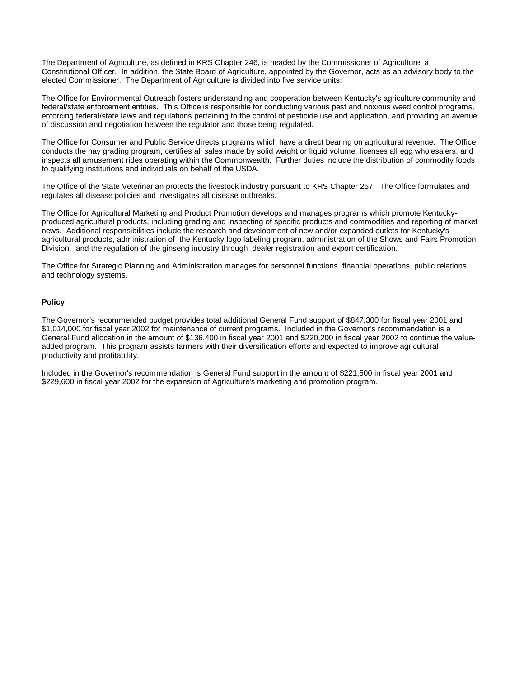The Department of Agriculture, as defined in KRS Chapter 246, is headed by the Commissioner of Agriculture, a Constitutional Officer. In addition, the State Board of Agriculture, appointed by the Governor, acts as an advisory body to the elected Commissioner. The Department of Agriculture is divided into five service units:

The Office for Environmental Outreach fosters understanding and cooperation between Kentucky's agriculture community and federal/state enforcement entities. This Office is responsible for conducting various pest and noxious weed control programs, enforcing federal/state laws and regulations pertaining to the control of pesticide use and application, and providing an avenue of discussion and negotiation between the regulator and those being regulated.

The Office for Consumer and Public Service directs programs which have a direct bearing on agricultural revenue. The Office conducts the hay grading program, certifies all sales made by solid weight or liquid volume, licenses all egg wholesalers, and inspects all amusement rides operating within the Commonwealth. Further duties include the distribution of commodity foods to qualifying institutions and individuals on behalf of the USDA.

The Office of the State Veterinarian protects the livestock industry pursuant to KRS Chapter 257. The Office formulates and regulates all disease policies and investigates all disease outbreaks.

The Office for Agricultural Marketing and Product Promotion develops and manages programs which promote Kentuckyproduced agricultural products, including grading and inspecting of specific products and commodities and reporting of market news. Additional responsibilities include the research and development of new and/or expanded outlets for Kentucky's agricultural products, administration of the Kentucky logo labeling program, administration of the Shows and Fairs Promotion Division, and the regulation of the ginseng industry through dealer registration and export certification.

The Office for Strategic Planning and Administration manages for personnel functions, financial operations, public relations, and technology systems.

#### **Policy**

The Governor's recommended budget provides total additional General Fund support of \$847,300 for fiscal year 2001 and \$1,014,000 for fiscal year 2002 for maintenance of current programs. Included in the Governor's recommendation is a General Fund allocation in the amount of \$136,400 in fiscal year 2001 and \$220,200 in fiscal year 2002 to continue the valueadded program. This program assists farmers with their diversification efforts and expected to improve agricultural productivity and profitability.

Included in the Governor's recommendation is General Fund support in the amount of \$221,500 in fiscal year 2001 and \$229,600 in fiscal year 2002 for the expansion of Agriculture's marketing and promotion program.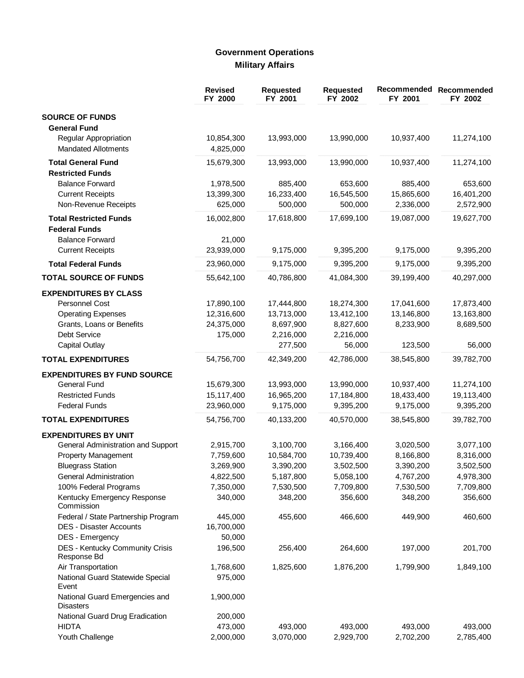# **Government Operations Military Affairs**

|                                                    | <b>Revised</b><br>FY 2000 | <b>Requested</b><br>FY 2001 | <b>Requested</b><br>FY 2002 | Recommended<br>FY 2001 | Recommended<br>FY 2002 |
|----------------------------------------------------|---------------------------|-----------------------------|-----------------------------|------------------------|------------------------|
| <b>SOURCE OF FUNDS</b>                             |                           |                             |                             |                        |                        |
| <b>General Fund</b>                                |                           |                             |                             |                        |                        |
| <b>Regular Appropriation</b>                       | 10,854,300                | 13,993,000                  | 13,990,000                  | 10,937,400             | 11,274,100             |
| <b>Mandated Allotments</b>                         | 4,825,000                 |                             |                             |                        |                        |
| <b>Total General Fund</b>                          | 15,679,300                | 13,993,000                  | 13,990,000                  | 10,937,400             | 11,274,100             |
| <b>Restricted Funds</b>                            |                           |                             |                             |                        |                        |
| <b>Balance Forward</b>                             | 1,978,500                 | 885,400                     | 653,600                     | 885,400                | 653,600                |
| <b>Current Receipts</b>                            | 13,399,300                | 16,233,400                  | 16,545,500                  | 15,865,600             | 16,401,200             |
| Non-Revenue Receipts                               | 625,000                   | 500,000                     | 500,000                     | 2,336,000              | 2,572,900              |
| <b>Total Restricted Funds</b>                      | 16,002,800                | 17,618,800                  | 17,699,100                  | 19,087,000             | 19,627,700             |
| <b>Federal Funds</b>                               |                           |                             |                             |                        |                        |
| <b>Balance Forward</b>                             | 21,000                    |                             |                             |                        |                        |
| <b>Current Receipts</b>                            | 23,939,000                | 9,175,000                   | 9,395,200                   | 9,175,000              | 9,395,200              |
| <b>Total Federal Funds</b>                         | 23,960,000                | 9,175,000                   | 9,395,200                   | 9,175,000              | 9,395,200              |
| <b>TOTAL SOURCE OF FUNDS</b>                       | 55,642,100                | 40,786,800                  | 41,084,300                  | 39,199,400             | 40,297,000             |
| <b>EXPENDITURES BY CLASS</b>                       |                           |                             |                             |                        |                        |
| Personnel Cost                                     | 17,890,100                | 17,444,800                  | 18,274,300                  | 17,041,600             | 17,873,400             |
| <b>Operating Expenses</b>                          | 12,316,600                | 13,713,000                  | 13,412,100                  | 13,146,800             | 13,163,800             |
| Grants, Loans or Benefits                          | 24,375,000                | 8,697,900                   | 8,827,600                   | 8,233,900              | 8,689,500              |
| <b>Debt Service</b>                                | 175,000                   | 2,216,000                   | 2,216,000                   |                        |                        |
| <b>Capital Outlay</b>                              |                           | 277,500                     | 56,000                      | 123,500                | 56,000                 |
| <b>TOTAL EXPENDITURES</b>                          | 54,756,700                | 42,349,200                  | 42,786,000                  | 38,545,800             | 39,782,700             |
| <b>EXPENDITURES BY FUND SOURCE</b>                 |                           |                             |                             |                        |                        |
| General Fund                                       | 15,679,300                | 13,993,000                  | 13,990,000                  | 10,937,400             | 11,274,100             |
| <b>Restricted Funds</b>                            | 15,117,400                | 16,965,200                  | 17,184,800                  | 18,433,400             | 19,113,400             |
| <b>Federal Funds</b>                               | 23,960,000                | 9,175,000                   | 9,395,200                   | 9,175,000              | 9,395,200              |
| <b>TOTAL EXPENDITURES</b>                          | 54,756,700                | 40,133,200                  | 40,570,000                  | 38,545,800             | 39,782,700             |
| <b>EXPENDITURES BY UNIT</b>                        |                           |                             |                             |                        |                        |
| General Administration and Support                 | 2,915,700                 | 3,100,700                   | 3,166,400                   | 3,020,500              | 3,077,100              |
| Property Management                                | 7,759,600                 | 10,584,700                  | 10,739,400                  | 8,166,800              | 8,316,000              |
| <b>Bluegrass Station</b>                           | 3,269,900                 | 3,390,200                   | 3,502,500                   | 3,390,200              | 3,502,500              |
| General Administration                             | 4,822,500                 | 5,187,800                   | 5,058,100                   | 4,767,200              | 4,978,300              |
| 100% Federal Programs                              | 7,350,000                 | 7,530,500                   | 7,709,800                   | 7,530,500              | 7,709,800              |
| Kentucky Emergency Response                        | 340,000                   | 348,200                     | 356,600                     | 348,200                | 356,600                |
| Commission                                         |                           |                             |                             |                        |                        |
| Federal / State Partnership Program                | 445,000                   | 455,600                     | 466,600                     | 449,900                | 460,600                |
| <b>DES - Disaster Accounts</b>                     | 16,700,000                |                             |                             |                        |                        |
| DES - Emergency                                    | 50,000                    |                             |                             |                        |                        |
| DES - Kentucky Community Crisis<br>Response Bd     | 196,500                   | 256,400                     | 264,600                     | 197,000                | 201,700                |
| Air Transportation                                 | 1,768,600                 | 1,825,600                   | 1,876,200                   | 1,799,900              | 1,849,100              |
| National Guard Statewide Special<br>Event          | 975,000                   |                             |                             |                        |                        |
| National Guard Emergencies and<br><b>Disasters</b> | 1,900,000                 |                             |                             |                        |                        |
| National Guard Drug Eradication                    | 200,000                   |                             |                             |                        |                        |
| <b>HIDTA</b>                                       | 473,000                   | 493,000                     | 493,000                     | 493,000                | 493,000                |
| Youth Challenge                                    | 2,000,000                 | 3,070,000                   | 2,929,700                   | 2,702,200              | 2,785,400              |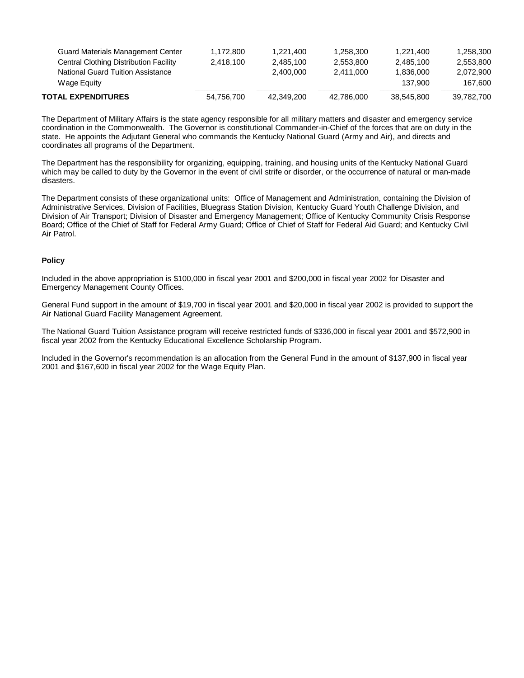| TOTAL EXPENDITURES                       | 54,756,700 | 42.349.200 | 42.786.000 | 38.545.800 | 39,782,700 |
|------------------------------------------|------------|------------|------------|------------|------------|
| Wage Equity                              |            |            |            | 137.900    | 167.600    |
| National Guard Tuition Assistance        |            | 2.400.000  | 2.411.000  | 1.836.000  | 2.072.900  |
| Central Clothing Distribution Facility   | 2.418.100  | 2.485.100  | 2.553.800  | 2.485.100  | 2,553,800  |
| <b>Guard Materials Management Center</b> | 1.172.800  | 1.221.400  | 1.258.300  | 1.221.400  | 1,258,300  |
|                                          |            |            |            |            |            |

The Department of Military Affairs is the state agency responsible for all military matters and disaster and emergency service coordination in the Commonwealth. The Governor is constitutional Commander-in-Chief of the forces that are on duty in the state. He appoints the Adjutant General who commands the Kentucky National Guard (Army and Air), and directs and coordinates all programs of the Department.

The Department has the responsibility for organizing, equipping, training, and housing units of the Kentucky National Guard which may be called to duty by the Governor in the event of civil strife or disorder, or the occurrence of natural or man-made disasters.

The Department consists of these organizational units: Office of Management and Administration, containing the Division of Administrative Services, Division of Facilities, Bluegrass Station Division, Kentucky Guard Youth Challenge Division, and Division of Air Transport; Division of Disaster and Emergency Management; Office of Kentucky Community Crisis Response Board; Office of the Chief of Staff for Federal Army Guard; Office of Chief of Staff for Federal Aid Guard; and Kentucky Civil Air Patrol.

#### **Policy**

Included in the above appropriation is \$100,000 in fiscal year 2001 and \$200,000 in fiscal year 2002 for Disaster and Emergency Management County Offices.

General Fund support in the amount of \$19,700 in fiscal year 2001 and \$20,000 in fiscal year 2002 is provided to support the Air National Guard Facility Management Agreement.

The National Guard Tuition Assistance program will receive restricted funds of \$336,000 in fiscal year 2001 and \$572,900 in fiscal year 2002 from the Kentucky Educational Excellence Scholarship Program.

Included in the Governor's recommendation is an allocation from the General Fund in the amount of \$137,900 in fiscal year 2001 and \$167,600 in fiscal year 2002 for the Wage Equity Plan.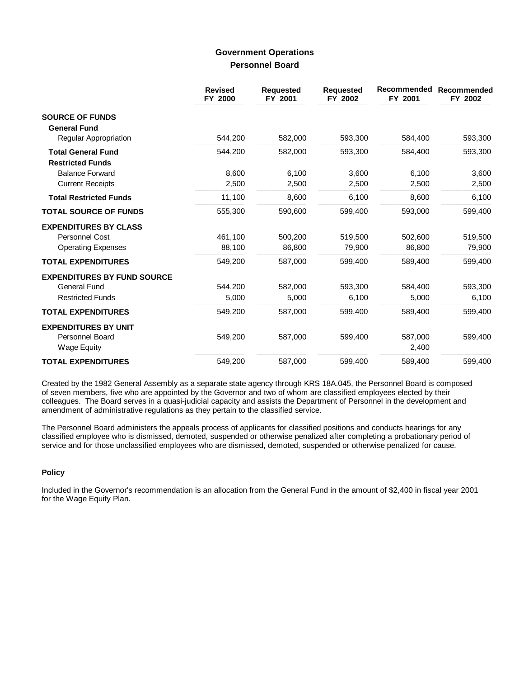## **Government Operations Personnel Board**

|                                                                             | <b>Revised</b><br>FY 2000 | <b>Requested</b><br>FY 2001 | <b>Requested</b><br>FY 2002 | Recommended<br>FY 2001 | Recommended<br>FY 2002 |
|-----------------------------------------------------------------------------|---------------------------|-----------------------------|-----------------------------|------------------------|------------------------|
| <b>SOURCE OF FUNDS</b><br><b>General Fund</b>                               |                           |                             |                             |                        |                        |
| Regular Appropriation                                                       | 544,200                   | 582,000                     | 593,300                     | 584,400                | 593,300                |
| <b>Total General Fund</b><br><b>Restricted Funds</b>                        | 544,200                   | 582,000                     | 593,300                     | 584,400                | 593,300                |
| <b>Balance Forward</b>                                                      | 8.600                     | 6.100                       | 3,600                       | 6,100                  | 3,600                  |
| <b>Current Receipts</b>                                                     | 2,500                     | 2,500                       | 2,500                       | 2,500                  | 2,500                  |
| <b>Total Restricted Funds</b>                                               | 11,100                    | 8,600                       | 6,100                       | 8,600                  | 6,100                  |
| <b>TOTAL SOURCE OF FUNDS</b>                                                | 555,300                   | 590,600                     | 599,400                     | 593,000                | 599,400                |
| <b>EXPENDITURES BY CLASS</b>                                                |                           |                             |                             |                        |                        |
| Personnel Cost                                                              | 461.100                   | 500,200                     | 519,500                     | 502,600                | 519,500                |
| <b>Operating Expenses</b>                                                   | 88,100                    | 86,800                      | 79,900                      | 86,800                 | 79,900                 |
| <b>TOTAL EXPENDITURES</b>                                                   | 549.200                   | 587.000                     | 599.400                     | 589.400                | 599.400                |
| <b>EXPENDITURES BY FUND SOURCE</b>                                          |                           |                             |                             |                        |                        |
| <b>General Fund</b>                                                         | 544,200                   | 582.000                     | 593.300                     | 584,400                | 593,300                |
| <b>Restricted Funds</b>                                                     | 5,000                     | 5,000                       | 6,100                       | 5,000                  | 6,100                  |
| <b>TOTAL EXPENDITURES</b>                                                   | 549,200                   | 587,000                     | 599,400                     | 589,400                | 599,400                |
| <b>EXPENDITURES BY UNIT</b><br><b>Personnel Board</b><br><b>Wage Equity</b> | 549.200                   | 587.000                     | 599,400                     | 587,000<br>2,400       | 599,400                |
| <b>TOTAL EXPENDITURES</b>                                                   | 549,200                   | 587,000                     | 599,400                     | 589,400                | 599,400                |

Created by the 1982 General Assembly as a separate state agency through KRS 18A.045, the Personnel Board is composed of seven members, five who are appointed by the Governor and two of whom are classified employees elected by their colleagues. The Board serves in a quasi-judicial capacity and assists the Department of Personnel in the development and amendment of administrative regulations as they pertain to the classified service.

The Personnel Board administers the appeals process of applicants for classified positions and conducts hearings for any classified employee who is dismissed, demoted, suspended or otherwise penalized after completing a probationary period of service and for those unclassified employees who are dismissed, demoted, suspended or otherwise penalized for cause.

### **Policy**

Included in the Governor's recommendation is an allocation from the General Fund in the amount of \$2,400 in fiscal year 2001 for the Wage Equity Plan.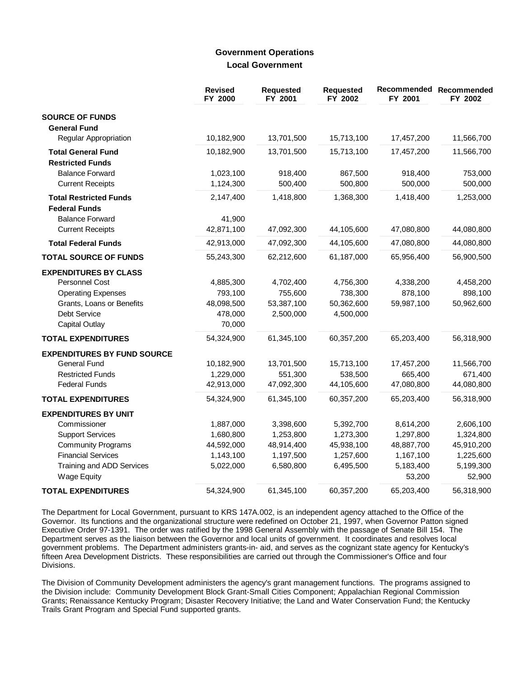## **Government Operations Local Government**

|                                    | <b>Revised</b><br>FY 2000 | <b>Requested</b><br>FY 2001 | <b>Requested</b><br>FY 2002 | Recommended<br>FY 2001 | Recommended<br>FY 2002 |
|------------------------------------|---------------------------|-----------------------------|-----------------------------|------------------------|------------------------|
| <b>SOURCE OF FUNDS</b>             |                           |                             |                             |                        |                        |
| <b>General Fund</b>                |                           |                             |                             |                        |                        |
| <b>Regular Appropriation</b>       | 10,182,900                | 13,701,500                  | 15,713,100                  | 17,457,200             | 11,566,700             |
| <b>Total General Fund</b>          | 10,182,900                | 13,701,500                  | 15,713,100                  | 17,457,200             | 11,566,700             |
| <b>Restricted Funds</b>            |                           |                             |                             |                        |                        |
| <b>Balance Forward</b>             | 1,023,100                 | 918,400                     | 867,500                     | 918,400                | 753,000                |
| <b>Current Receipts</b>            | 1,124,300                 | 500,400                     | 500,800                     | 500,000                | 500,000                |
| <b>Total Restricted Funds</b>      | 2,147,400                 | 1,418,800                   | 1,368,300                   | 1,418,400              | 1,253,000              |
| <b>Federal Funds</b>               |                           |                             |                             |                        |                        |
| <b>Balance Forward</b>             | 41,900                    |                             |                             |                        |                        |
| <b>Current Receipts</b>            | 42,871,100                | 47,092,300                  | 44,105,600                  | 47,080,800             | 44,080,800             |
| <b>Total Federal Funds</b>         | 42,913,000                | 47,092,300                  | 44,105,600                  | 47,080,800             | 44,080,800             |
| <b>TOTAL SOURCE OF FUNDS</b>       | 55,243,300                | 62,212,600                  | 61,187,000                  | 65,956,400             | 56,900,500             |
| <b>EXPENDITURES BY CLASS</b>       |                           |                             |                             |                        |                        |
| Personnel Cost                     | 4,885,300                 | 4,702,400                   | 4,756,300                   | 4,338,200              | 4,458,200              |
| <b>Operating Expenses</b>          | 793,100                   | 755,600                     | 738,300                     | 878,100                | 898,100                |
| Grants, Loans or Benefits          | 48,098,500                | 53,387,100                  | 50,362,600                  | 59,987,100             | 50,962,600             |
| <b>Debt Service</b>                | 478,000                   | 2,500,000                   | 4,500,000                   |                        |                        |
| Capital Outlay                     | 70,000                    |                             |                             |                        |                        |
| <b>TOTAL EXPENDITURES</b>          | 54,324,900                | 61,345,100                  | 60,357,200                  | 65,203,400             | 56,318,900             |
| <b>EXPENDITURES BY FUND SOURCE</b> |                           |                             |                             |                        |                        |
| <b>General Fund</b>                | 10,182,900                | 13,701,500                  | 15,713,100                  | 17,457,200             | 11,566,700             |
| <b>Restricted Funds</b>            | 1,229,000                 | 551,300                     | 538,500                     | 665,400                | 671,400                |
| <b>Federal Funds</b>               | 42,913,000                | 47,092,300                  | 44,105,600                  | 47,080,800             | 44,080,800             |
| <b>TOTAL EXPENDITURES</b>          | 54,324,900                | 61,345,100                  | 60,357,200                  | 65,203,400             | 56,318,900             |
| <b>EXPENDITURES BY UNIT</b>        |                           |                             |                             |                        |                        |
| Commissioner                       | 1,887,000                 | 3,398,600                   | 5,392,700                   | 8,614,200              | 2,606,100              |
| <b>Support Services</b>            | 1,680,800                 | 1,253,800                   | 1,273,300                   | 1,297,800              | 1,324,800              |
| <b>Community Programs</b>          | 44,592,000                | 48,914,400                  | 45,938,100                  | 48,887,700             | 45,910,200             |
| <b>Financial Services</b>          | 1,143,100                 | 1,197,500                   | 1,257,600                   | 1,167,100              | 1,225,600              |
| Training and ADD Services          | 5,022,000                 | 6,580,800                   | 6,495,500                   | 5,183,400              | 5,199,300              |
| <b>Wage Equity</b>                 |                           |                             |                             | 53,200                 | 52,900                 |
| <b>TOTAL EXPENDITURES</b>          | 54,324,900                | 61,345,100                  | 60,357,200                  | 65,203,400             | 56,318,900             |

The Department for Local Government, pursuant to KRS 147A.002, is an independent agency attached to the Office of the Governor. Its functions and the organizational structure were redefined on October 21, 1997, when Governor Patton signed Executive Order 97-1391. The order was ratified by the 1998 General Assembly with the passage of Senate Bill 154. The Department serves as the liaison between the Governor and local units of government. It coordinates and resolves local government problems. The Department administers grants-in- aid, and serves as the cognizant state agency for Kentucky's fifteen Area Development Districts. These responsibilities are carried out through the Commissioner's Office and four Divisions.

The Division of Community Development administers the agency's grant management functions. The programs assigned to the Division include: Community Development Block Grant-Small Cities Component; Appalachian Regional Commission Grants; Renaissance Kentucky Program; Disaster Recovery Initiative; the Land and Water Conservation Fund; the Kentucky Trails Grant Program and Special Fund supported grants.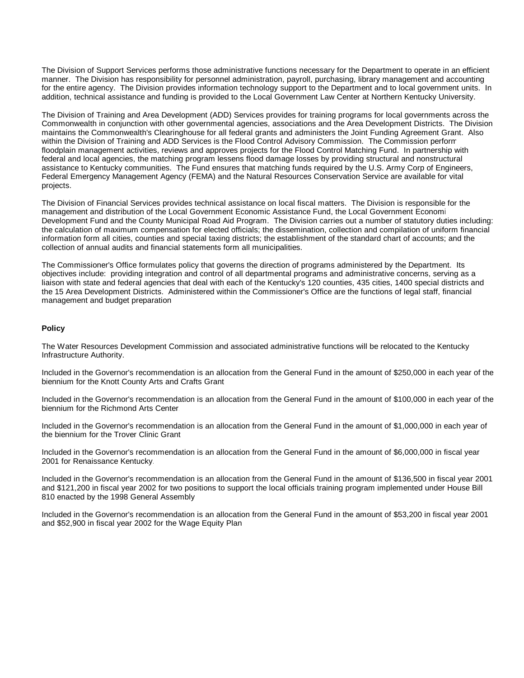The Division of Support Services performs those administrative functions necessary for the Department to operate in an efficient manner. The Division has responsibility for personnel administration, payroll, purchasing, library management and accounting for the entire agency. The Division provides information technology support to the Department and to local government units. In addition, technical assistance and funding is provided to the Local Government Law Center at Northern Kentucky University.

The Division of Training and Area Development (ADD) Services provides for training programs for local governments across the Commonwealth in conjunction with other governmental agencies, associations and the Area Development Districts. The Division maintains the Commonwealth's Clearinghouse for all federal grants and administers the Joint Funding Agreement Grant. Also within the Division of Training and ADD Services is the Flood Control Advisory Commission. The Commission perform floodplain management activities, reviews and approves projects for the Flood Control Matching Fund. In partnership with federal and local agencies, the matching program lessens flood damage losses by providing structural and nonstructural assistance to Kentucky communities. The Fund ensures that matching funds required by the U.S. Army Corp of Engineers, Federal Emergency Management Agency (FEMA) and the Natural Resources Conservation Service are available for vital projects.

The Division of Financial Services provides technical assistance on local fiscal matters. The Division is responsible for the management and distribution of the Local Government Economic Assistance Fund, the Local Government Economic Development Fund and the County Municipal Road Aid Program. The Division carries out a number of statutory duties including: the calculation of maximum compensation for elected officials; the dissemination, collection and compilation of uniform financial information form all cities, counties and special taxing districts; the establishment of the standard chart of accounts; and the collection of annual audits and financial statements form all municipalities.

The Commissioner's Office formulates policy that governs the direction of programs administered by the Department. Its objectives include: providing integration and control of all departmental programs and administrative concerns, serving as a liaison with state and federal agencies that deal with each of the Kentucky's 120 counties, 435 cities, 1400 special districts and the 15 Area Development Districts. Administered within the Commissioner's Office are the functions of legal staff, financial management and budget preparation.

#### **Policy**

The Water Resources Development Commission and associated administrative functions will be relocated to the Kentucky Infrastructure Authority.

Included in the Governor's recommendation is an allocation from the General Fund in the amount of \$250,000 in each year of the biennium for the Knott County Arts and Crafts Grant.

Included in the Governor's recommendation is an allocation from the General Fund in the amount of \$100,000 in each year of the biennium for the Richmond Arts Center.

Included in the Governor's recommendation is an allocation from the General Fund in the amount of \$1,000,000 in each year of the biennium for the Trover Clinic Grant.

Included in the Governor's recommendation is an allocation from the General Fund in the amount of \$6,000,000 in fiscal year 2001 for Renaissance Kentucky.

Included in the Governor's recommendation is an allocation from the General Fund in the amount of \$136,500 in fiscal year 2001 and \$121,200 in fiscal year 2002 for two positions to support the local officials training program implemented under House Bill 810 enacted by the 1998 General Assembly.

Included in the Governor's recommendation is an allocation from the General Fund in the amount of \$53,200 in fiscal year 2001 and \$52,900 in fiscal year 2002 for the Wage Equity Plan.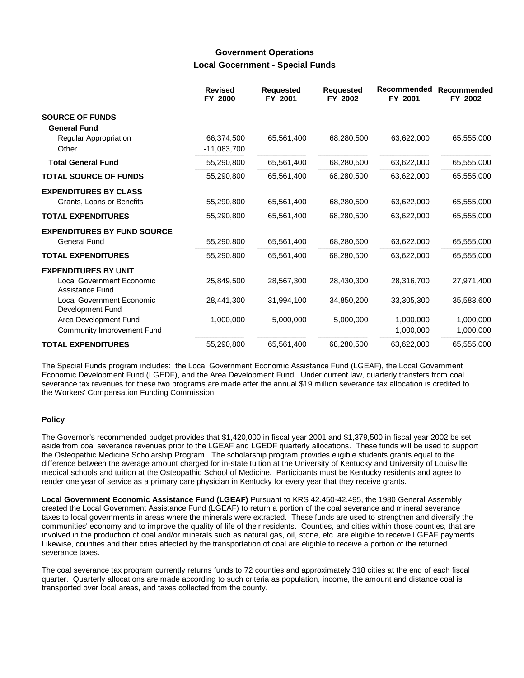## **Government Operations Local Gocernment - Special Funds**

|                                                      | <b>Revised</b><br>FY 2000 | <b>Requested</b><br>FY 2001 | <b>Requested</b><br>FY 2002 | Recommended<br>FY 2001 | Recommended<br>FY 2002 |
|------------------------------------------------------|---------------------------|-----------------------------|-----------------------------|------------------------|------------------------|
| <b>SOURCE OF FUNDS</b>                               |                           |                             |                             |                        |                        |
| <b>General Fund</b>                                  |                           |                             |                             |                        |                        |
| Regular Appropriation                                | 66,374,500                | 65,561,400                  | 68,280,500                  | 63,622,000             | 65,555,000             |
| Other                                                | $-11,083,700$             |                             |                             |                        |                        |
| <b>Total General Fund</b>                            | 55,290,800                | 65,561,400                  | 68,280,500                  | 63,622,000             | 65,555,000             |
| <b>TOTAL SOURCE OF FUNDS</b>                         | 55,290,800                | 65,561,400                  | 68,280,500                  | 63,622,000             | 65,555,000             |
| <b>EXPENDITURES BY CLASS</b>                         |                           |                             |                             |                        |                        |
| Grants, Loans or Benefits                            | 55,290,800                | 65,561,400                  | 68,280,500                  | 63,622,000             | 65,555,000             |
| <b>TOTAL EXPENDITURES</b>                            | 55,290,800                | 65,561,400                  | 68,280,500                  | 63,622,000             | 65,555,000             |
| <b>EXPENDITURES BY FUND SOURCE</b>                   |                           |                             |                             |                        |                        |
| <b>General Fund</b>                                  | 55,290,800                | 65,561,400                  | 68,280,500                  | 63,622,000             | 65,555,000             |
| <b>TOTAL EXPENDITURES</b>                            | 55,290,800                | 65,561,400                  | 68,280,500                  | 63,622,000             | 65,555,000             |
| <b>EXPENDITURES BY UNIT</b>                          |                           |                             |                             |                        |                        |
| <b>Local Government Economic</b><br>Assistance Fund  | 25,849,500                | 28,567,300                  | 28,430,300                  | 28,316,700             | 27,971,400             |
| <b>Local Government Economic</b><br>Development Fund | 28,441,300                | 31,994,100                  | 34,850,200                  | 33,305,300             | 35,583,600             |
| Area Development Fund                                | 1,000,000                 | 5,000,000                   | 5,000,000                   | 1,000,000              | 1,000,000              |
| Community Improvement Fund                           |                           |                             |                             | 1,000,000              | 1,000,000              |
| <b>TOTAL EXPENDITURES</b>                            | 55,290,800                | 65,561,400                  | 68.280.500                  | 63,622,000             | 65,555,000             |

The Special Funds program includes: the Local Government Economic Assistance Fund (LGEAF), the Local Government Economic Development Fund (LGEDF), and the Area Development Fund. Under current law, quarterly transfers from coal severance tax revenues for these two programs are made after the annual \$19 million severance tax allocation is credited to the Workers' Compensation Funding Commission.

#### **Policy**

The Governor's recommended budget provides that \$1,420,000 in fiscal year 2001 and \$1,379,500 in fiscal year 2002 be set aside from coal severance revenues prior to the LGEAF and LGEDF quarterly allocations. These funds will be used to support the Osteopathic Medicine Scholarship Program. The scholarship program provides eligible students grants equal to the difference between the average amount charged for in-state tuition at the University of Kentucky and University of Louisville medical schools and tuition at the Osteopathic School of Medicine. Participants must be Kentucky residents and agree to render one year of service as a primary care physician in Kentucky for every year that they receive grants.

**Local Government Economic Assistance Fund (LGEAF)** Pursuant to KRS 42.450-42.495, the 1980 General Assembly created the Local Government Assistance Fund (LGEAF) to return a portion of the coal severance and mineral severance taxes to local governments in areas where the minerals were extracted. These funds are used to strengthen and diversify the communities' economy and to improve the quality of life of their residents. Counties, and cities within those counties, that are involved in the production of coal and/or minerals such as natural gas, oil, stone, etc. are eligible to receive LGEAF payments. Likewise, counties and their cities affected by the transportation of coal are eligible to receive a portion of the returned severance taxes.

The coal severance tax program currently returns funds to 72 counties and approximately 318 cities at the end of each fiscal quarter. Quarterly allocations are made according to such criteria as population, income, the amount and distance coal is transported over local areas, and taxes collected from the county.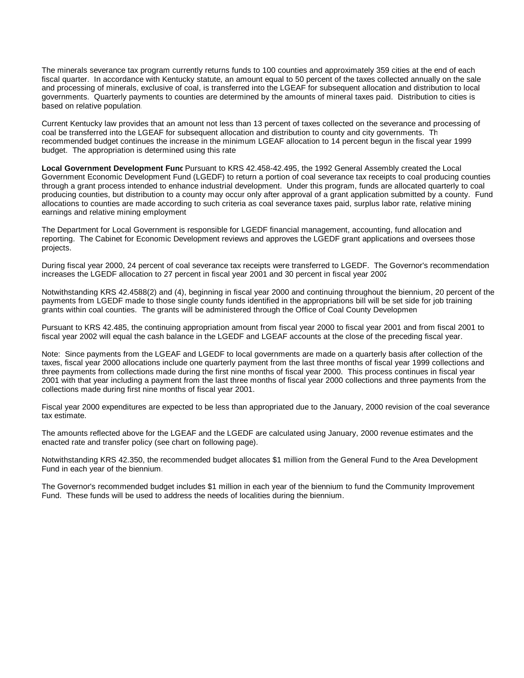The minerals severance tax program currently returns funds to 100 counties and approximately 359 cities at the end of each fiscal quarter. In accordance with Kentucky statute, an amount equal to 50 percent of the taxes collected annually on the sale and processing of minerals, exclusive of coal, is transferred into the LGEAF for subsequent allocation and distribution to local governments. Quarterly payments to counties are determined by the amounts of mineral taxes paid. Distribution to cities is based on relative population.

Current Kentucky law provides that an amount not less than 13 percent of taxes collected on the severance and processing of coal be transferred into the LGEAF for subsequent allocation and distribution to county and city governments. Th recommended budget continues the increase in the minimum LGEAF allocation to 14 percent begun in the fiscal year 1999 budget. The appropriation is determined using this rate.

Local Government Development Func Pursuant to KRS 42.458-42.495, the 1992 General Assembly created the Local Government Economic Development Fund (LGEDF) to return a portion of coal severance tax receipts to coal producing counties through a grant process intended to enhance industrial development. Under this program, funds are allocated quarterly to coal producing counties, but distribution to a county may occur only after approval of a grant application submitted by a county. Fund allocations to counties are made according to such criteria as coal severance taxes paid, surplus labor rate, relative mining earnings and relative mining employment.

The Department for Local Government is responsible for LGEDF financial management, accounting, fund allocation and reporting. The Cabinet for Economic Development reviews and approves the LGEDF grant applications and oversees those projects.

During fiscal year 2000, 24 percent of coal severance tax receipts were transferred to LGEDF. The Governor's recommendation increases the LGEDF allocation to 27 percent in fiscal year 2001 and 30 percent in fiscal year 2002.

Notwithstanding KRS 42.4588(2) and (4), beginning in fiscal year 2000 and continuing throughout the biennium, 20 percent of the payments from LGEDF made to those single county funds identified in the appropriations bill will be set side for job training grants within coal counties. The grants will be administered through the Office of Coal County Developmen

Pursuant to KRS 42.485, the continuing appropriation amount from fiscal year 2000 to fiscal year 2001 and from fiscal 2001 to fiscal year 2002 will equal the cash balance in the LGEDF and LGEAF accounts at the close of the preceding fiscal year.

Note: Since payments from the LGEAF and LGEDF to local governments are made on a quarterly basis after collection of the taxes, fiscal year 2000 allocations include one quarterly payment from the last three months of fiscal year 1999 collections and three payments from collections made during the first nine months of fiscal year 2000. This process continues in fiscal year 2001 with that year including a payment from the last three months of fiscal year 2000 collections and three payments from the collections made during first nine months of fiscal year 2001.

Fiscal year 2000 expenditures are expected to be less than appropriated due to the January, 2000 revision of the coal severance tax estimate.

The amounts reflected above for the LGEAF and the LGEDF are calculated using January, 2000 revenue estimates and the enacted rate and transfer policy (see chart on following page).

Notwithstanding KRS 42.350, the recommended budget allocates \$1 million from the General Fund to the Area Development Fund in each year of the biennium.

The Governor's recommended budget includes \$1 million in each year of the biennium to fund the Community Improvement Fund. These funds will be used to address the needs of localities during the biennium.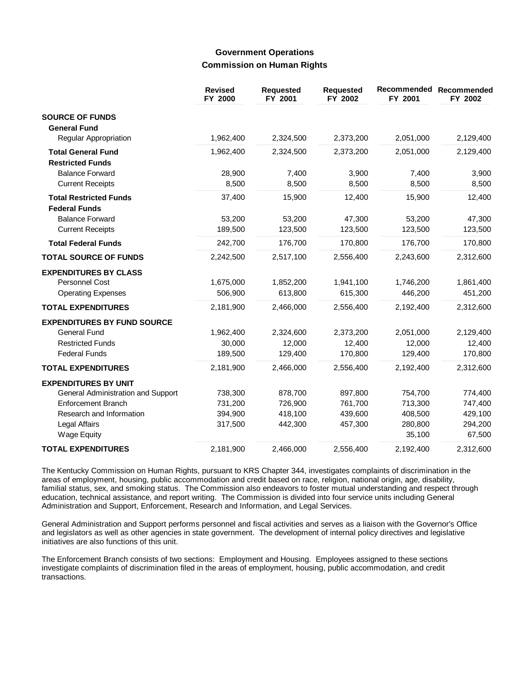## **Government Operations Commission on Human Rights**

|                                                       | <b>Revised</b><br>FY 2000 | <b>Requested</b><br>FY 2001 | Requested<br>FY 2002 | Recommended<br>FY 2001 | Recommended<br>FY 2002 |
|-------------------------------------------------------|---------------------------|-----------------------------|----------------------|------------------------|------------------------|
| <b>SOURCE OF FUNDS</b><br><b>General Fund</b>         |                           |                             |                      |                        |                        |
| Regular Appropriation                                 | 1,962,400                 | 2,324,500                   | 2,373,200            | 2,051,000              | 2,129,400              |
| <b>Total General Fund</b><br><b>Restricted Funds</b>  | 1,962,400                 | 2,324,500                   | 2,373,200            | 2,051,000              | 2,129,400              |
| <b>Balance Forward</b>                                | 28,900                    | 7,400                       | 3,900                | 7,400                  | 3,900                  |
| <b>Current Receipts</b>                               | 8,500                     | 8,500                       | 8,500                | 8,500                  | 8,500                  |
| <b>Total Restricted Funds</b><br><b>Federal Funds</b> | 37,400                    | 15,900                      | 12,400               | 15,900                 | 12,400                 |
| <b>Balance Forward</b>                                | 53,200                    | 53,200                      | 47,300               | 53,200                 | 47,300                 |
| <b>Current Receipts</b>                               | 189,500                   | 123,500                     | 123,500              | 123,500                | 123,500                |
| <b>Total Federal Funds</b>                            | 242,700                   | 176,700                     | 170,800              | 176,700                | 170,800                |
| <b>TOTAL SOURCE OF FUNDS</b>                          | 2,242,500                 | 2,517,100                   | 2,556,400            | 2,243,600              | 2,312,600              |
| <b>EXPENDITURES BY CLASS</b>                          |                           |                             |                      |                        |                        |
| Personnel Cost                                        | 1,675,000                 | 1,852,200                   | 1,941,100            | 1,746,200              | 1,861,400              |
| <b>Operating Expenses</b>                             | 506,900                   | 613,800                     | 615,300              | 446,200                | 451,200                |
| <b>TOTAL EXPENDITURES</b>                             | 2,181,900                 | 2,466,000                   | 2,556,400            | 2,192,400              | 2,312,600              |
| <b>EXPENDITURES BY FUND SOURCE</b>                    |                           |                             |                      |                        |                        |
| <b>General Fund</b>                                   | 1,962,400                 | 2,324,600                   | 2,373,200            | 2,051,000              | 2,129,400              |
| <b>Restricted Funds</b>                               | 30,000                    | 12,000                      | 12,400               | 12,000                 | 12,400                 |
| <b>Federal Funds</b>                                  | 189,500                   | 129,400                     | 170,800              | 129,400                | 170,800                |
| <b>TOTAL EXPENDITURES</b>                             | 2,181,900                 | 2,466,000                   | 2,556,400            | 2,192,400              | 2,312,600              |
| <b>EXPENDITURES BY UNIT</b>                           |                           |                             |                      |                        |                        |
| General Administration and Support                    | 738,300                   | 878,700                     | 897,800              | 754,700                | 774,400                |
| <b>Enforcement Branch</b>                             | 731,200                   | 726,900                     | 761,700              | 713,300                | 747,400                |
| Research and Information                              | 394,900                   | 418,100                     | 439,600              | 408,500                | 429,100                |
| Legal Affairs                                         | 317,500                   | 442,300                     | 457,300              | 280,800                | 294,200                |
| <b>Wage Equity</b>                                    |                           |                             |                      | 35,100                 | 67,500                 |
| <b>TOTAL EXPENDITURES</b>                             | 2,181,900                 | 2,466,000                   | 2,556,400            | 2,192,400              | 2,312,600              |

The Kentucky Commission on Human Rights, pursuant to KRS Chapter 344, investigates complaints of discrimination in the areas of employment, housing, public accommodation and credit based on race, religion, national origin, age, disability, familial status, sex, and smoking status. The Commission also endeavors to foster mutual understanding and respect through education, technical assistance, and report writing. The Commission is divided into four service units including General Administration and Support, Enforcement, Research and Information, and Legal Services.

General Administration and Support performs personnel and fiscal activities and serves as a liaison with the Governor's Office and legislators as well as other agencies in state government. The development of internal policy directives and legislative initiatives are also functions of this unit.

The Enforcement Branch consists of two sections: Employment and Housing. Employees assigned to these sections investigate complaints of discrimination filed in the areas of employment, housing, public accommodation, and credit transactions.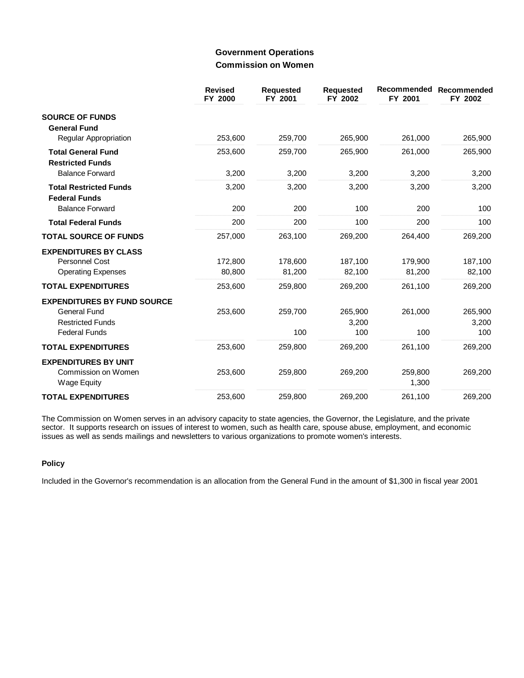## **Government Operations Commission on Women**

|                                                       | <b>Revised</b><br>FY 2000 | <b>Requested</b><br>FY 2001 | <b>Requested</b><br>FY 2002 | Recommended<br>FY 2001 | Recommended<br>FY 2002 |
|-------------------------------------------------------|---------------------------|-----------------------------|-----------------------------|------------------------|------------------------|
| <b>SOURCE OF FUNDS</b><br><b>General Fund</b>         |                           |                             |                             |                        |                        |
| Regular Appropriation                                 | 253,600                   | 259,700                     | 265,900                     | 261,000                | 265,900                |
| <b>Total General Fund</b><br><b>Restricted Funds</b>  | 253,600                   | 259,700                     | 265,900                     | 261,000                | 265,900                |
| <b>Balance Forward</b>                                | 3,200                     | 3,200                       | 3,200                       | 3,200                  | 3,200                  |
| <b>Total Restricted Funds</b><br><b>Federal Funds</b> | 3,200                     | 3,200                       | 3,200                       | 3,200                  | 3,200                  |
| <b>Balance Forward</b>                                | 200                       | 200                         | 100                         | 200                    | 100                    |
| <b>Total Federal Funds</b>                            | 200                       | 200                         | 100                         | 200                    | 100                    |
| <b>TOTAL SOURCE OF FUNDS</b>                          | 257,000                   | 263,100                     | 269,200                     | 264,400                | 269,200                |
| <b>EXPENDITURES BY CLASS</b>                          |                           |                             |                             |                        |                        |
| <b>Personnel Cost</b>                                 | 172,800                   | 178,600                     | 187,100                     | 179,900                | 187,100                |
| <b>Operating Expenses</b>                             | 80,800                    | 81,200                      | 82,100                      | 81,200                 | 82,100                 |
| <b>TOTAL EXPENDITURES</b>                             | 253,600                   | 259,800                     | 269,200                     | 261,100                | 269,200                |
| <b>EXPENDITURES BY FUND SOURCE</b>                    |                           |                             |                             |                        |                        |
| <b>General Fund</b>                                   | 253,600                   | 259,700                     | 265,900                     | 261,000                | 265,900                |
| <b>Restricted Funds</b>                               |                           |                             | 3,200                       |                        | 3,200                  |
| <b>Federal Funds</b>                                  |                           | 100                         | 100                         | 100                    | 100                    |
| <b>TOTAL EXPENDITURES</b>                             | 253,600                   | 259,800                     | 269,200                     | 261,100                | 269,200                |
| <b>EXPENDITURES BY UNIT</b>                           |                           |                             |                             |                        |                        |
| Commission on Women                                   | 253,600                   | 259,800                     | 269,200                     | 259,800                | 269,200                |
| <b>Wage Equity</b>                                    |                           |                             |                             | 1,300                  |                        |
| <b>TOTAL EXPENDITURES</b>                             | 253,600                   | 259,800                     | 269,200                     | 261,100                | 269,200                |

The Commission on Women serves in an advisory capacity to state agencies, the Governor, the Legislature, and the private sector. It supports research on issues of interest to women, such as health care, spouse abuse, employment, and economic issues as well as sends mailings and newsletters to various organizations to promote women's interests.

### **Policy**

Included in the Governor's recommendation is an allocation from the General Fund in the amount of \$1,300 in fiscal year 2001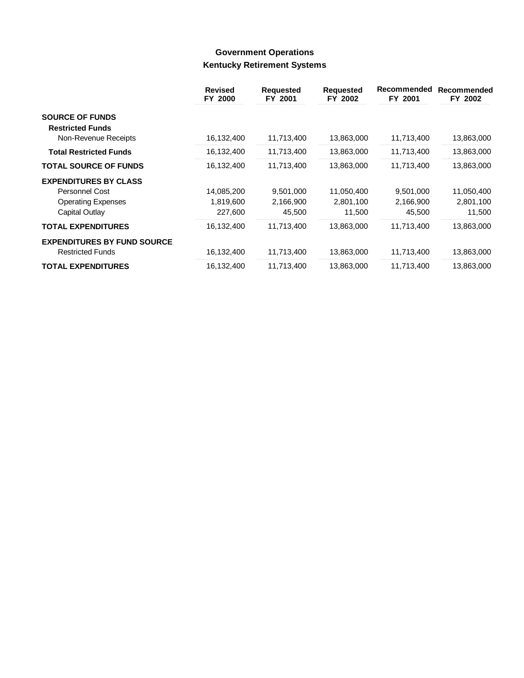# **Government Operations Kentucky Retirement Systems**

|                                    | <b>Revised</b><br>FY 2000 | <b>Requested</b><br>FY 2001 | <b>Requested</b><br>FY 2002 | Recommended<br>FY 2001 | Recommended<br>FY 2002 |
|------------------------------------|---------------------------|-----------------------------|-----------------------------|------------------------|------------------------|
| <b>SOURCE OF FUNDS</b>             |                           |                             |                             |                        |                        |
| <b>Restricted Funds</b>            |                           |                             |                             |                        |                        |
| Non-Revenue Receipts               | 16,132,400                | 11,713,400                  | 13,863,000                  | 11,713,400             | 13,863,000             |
| <b>Total Restricted Funds</b>      | 16,132,400                | 11,713,400                  | 13,863,000                  | 11,713,400             | 13,863,000             |
| <b>TOTAL SOURCE OF FUNDS</b>       | 16,132,400                | 11,713,400                  | 13,863,000                  | 11,713,400             | 13,863,000             |
| <b>EXPENDITURES BY CLASS</b>       |                           |                             |                             |                        |                        |
| Personnel Cost                     | 14,085,200                | 9,501,000                   | 11,050,400                  | 9,501,000              | 11,050,400             |
| <b>Operating Expenses</b>          | 1,819,600                 | 2,166,900                   | 2,801,100                   | 2,166,900              | 2,801,100              |
| Capital Outlay                     | 227,600                   | 45,500                      | 11,500                      | 45,500                 | 11,500                 |
| <b>TOTAL EXPENDITURES</b>          | 16,132,400                | 11,713,400                  | 13,863,000                  | 11,713,400             | 13,863,000             |
| <b>EXPENDITURES BY FUND SOURCE</b> |                           |                             |                             |                        |                        |
| <b>Restricted Funds</b>            | 16,132,400                | 11,713,400                  | 13,863,000                  | 11,713,400             | 13,863,000             |
| <b>TOTAL EXPENDITURES</b>          | 16,132,400                | 11,713,400                  | 13,863,000                  | 11,713,400             | 13,863,000             |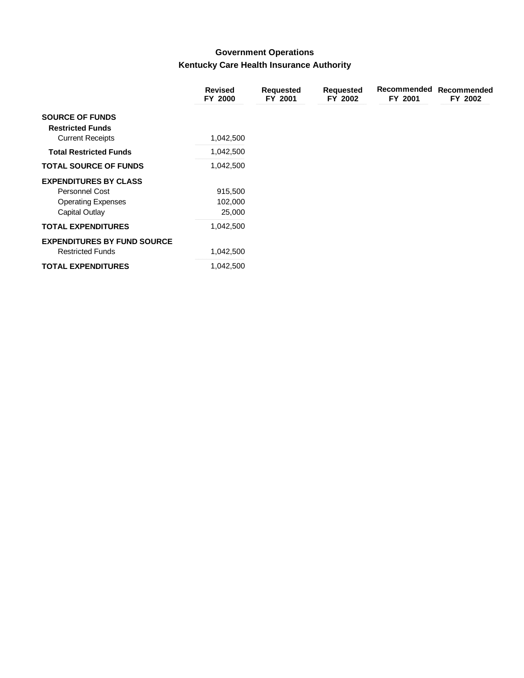# **Government Operations** Kentucky Care Health Insurance Authority

|                                    | <b>Revised</b><br>FY 2000 | <b>Requested</b><br>FY 2001 | <b>Requested</b><br>FY 2002 | Recommended<br>FY 2001 | Recommended<br>FY 2002 |
|------------------------------------|---------------------------|-----------------------------|-----------------------------|------------------------|------------------------|
| <b>SOURCE OF FUNDS</b>             |                           |                             |                             |                        |                        |
| <b>Restricted Funds</b>            |                           |                             |                             |                        |                        |
| <b>Current Receipts</b>            | 1,042,500                 |                             |                             |                        |                        |
| <b>Total Restricted Funds</b>      | 1,042,500                 |                             |                             |                        |                        |
| <b>TOTAL SOURCE OF FUNDS</b>       | 1,042,500                 |                             |                             |                        |                        |
| <b>EXPENDITURES BY CLASS</b>       |                           |                             |                             |                        |                        |
| <b>Personnel Cost</b>              | 915,500                   |                             |                             |                        |                        |
| <b>Operating Expenses</b>          | 102,000                   |                             |                             |                        |                        |
| Capital Outlay                     | 25,000                    |                             |                             |                        |                        |
| <b>TOTAL EXPENDITURES</b>          | 1,042,500                 |                             |                             |                        |                        |
| <b>EXPENDITURES BY FUND SOURCE</b> |                           |                             |                             |                        |                        |
| <b>Restricted Funds</b>            | 1,042,500                 |                             |                             |                        |                        |
| <b>TOTAL EXPENDITURES</b>          | 1,042,500                 |                             |                             |                        |                        |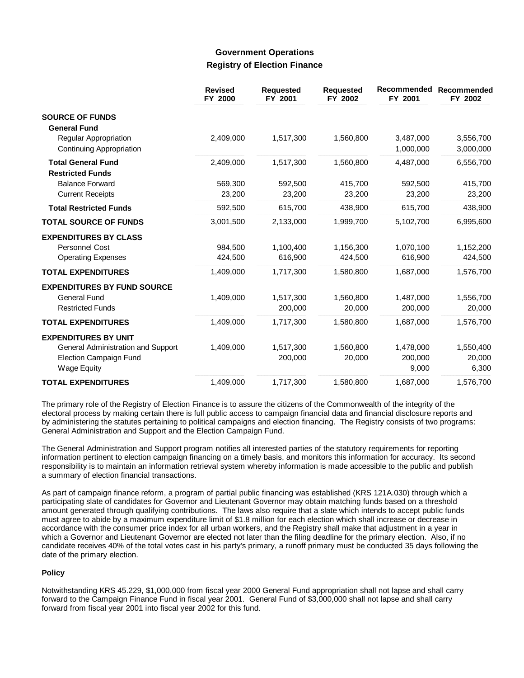### **Government Operations Registry of Election Finance**

|                                                                                                                          | <b>Revised</b><br>FY 2000 | <b>Requested</b><br>FY 2001 | <b>Requested</b><br>FY 2002 | Recommended<br>FY 2001        | Recommended<br>FY 2002       |
|--------------------------------------------------------------------------------------------------------------------------|---------------------------|-----------------------------|-----------------------------|-------------------------------|------------------------------|
| <b>SOURCE OF FUNDS</b>                                                                                                   |                           |                             |                             |                               |                              |
| <b>General Fund</b><br>Regular Appropriation<br>Continuing Appropriation                                                 | 2,409,000                 | 1,517,300                   | 1,560,800                   | 3,487,000<br>1,000,000        | 3,556,700<br>3,000,000       |
| <b>Total General Fund</b><br><b>Restricted Funds</b>                                                                     | 2,409,000                 | 1,517,300                   | 1,560,800                   | 4,487,000                     | 6,556,700                    |
| <b>Balance Forward</b><br><b>Current Receipts</b>                                                                        | 569,300<br>23,200         | 592,500<br>23,200           | 415,700<br>23,200           | 592.500<br>23,200             | 415,700<br>23,200            |
| <b>Total Restricted Funds</b>                                                                                            | 592,500                   | 615,700                     | 438,900                     | 615,700                       | 438,900                      |
| <b>TOTAL SOURCE OF FUNDS</b>                                                                                             | 3,001,500                 | 2,133,000                   | 1,999,700                   | 5,102,700                     | 6,995,600                    |
| <b>EXPENDITURES BY CLASS</b><br><b>Personnel Cost</b><br><b>Operating Expenses</b>                                       | 984,500<br>424,500        | 1,100,400<br>616,900        | 1,156,300<br>424,500        | 1,070,100<br>616,900          | 1,152,200<br>424,500         |
| <b>TOTAL EXPENDITURES</b>                                                                                                | 1,409,000                 | 1,717,300                   | 1,580,800                   | 1,687,000                     | 1,576,700                    |
| <b>EXPENDITURES BY FUND SOURCE</b><br><b>General Fund</b><br><b>Restricted Funds</b>                                     | 1,409,000                 | 1,517,300<br>200,000        | 1,560,800<br>20,000         | 1,487,000<br>200,000          | 1,556,700<br>20,000          |
| <b>TOTAL EXPENDITURES</b>                                                                                                | 1,409,000                 | 1,717,300                   | 1,580,800                   | 1,687,000                     | 1,576,700                    |
| <b>EXPENDITURES BY UNIT</b><br>General Administration and Support<br><b>Election Campaign Fund</b><br><b>Wage Equity</b> | 1,409,000                 | 1,517,300<br>200,000        | 1,560,800<br>20,000         | 1,478,000<br>200,000<br>9,000 | 1,550,400<br>20,000<br>6,300 |
| <b>TOTAL EXPENDITURES</b>                                                                                                | 1,409,000                 | 1,717,300                   | 1,580,800                   | 1,687,000                     | 1,576,700                    |

The primary role of the Registry of Election Finance is to assure the citizens of the Commonwealth of the integrity of the electoral process by making certain there is full public access to campaign financial data and financial disclosure reports and by administering the statutes pertaining to political campaigns and election financing. The Registry consists of two programs: General Administration and Support and the Election Campaign Fund.

The General Administration and Support program notifies all interested parties of the statutory requirements for reporting information pertinent to election campaign financing on a timely basis, and monitors this information for accuracy. Its second responsibility is to maintain an information retrieval system whereby information is made accessible to the public and publish a summary of election financial transactions.

As part of campaign finance reform, a program of partial public financing was established (KRS 121A.030) through which a participating slate of candidates for Governor and Lieutenant Governor may obtain matching funds based on a threshold amount generated through qualifying contributions. The laws also require that a slate which intends to accept public funds must agree to abide by a maximum expenditure limit of \$1.8 million for each election which shall increase or decrease in accordance with the consumer price index for all urban workers, and the Registry shall make that adjustment in a year in which a Governor and Lieutenant Governor are elected not later than the filing deadline for the primary election. Also, if no candidate receives 40% of the total votes cast in his party's primary, a runoff primary must be conducted 35 days following the date of the primary election.

### **Policy**

Notwithstanding KRS 45.229, \$1,000,000 from fiscal year 2000 General Fund appropriation shall not lapse and shall carry forward to the Campaign Finance Fund in fiscal year 2001. General Fund of \$3,000,000 shall not lapse and shall carry forward from fiscal year 2001 into fiscal year 2002 for this fund.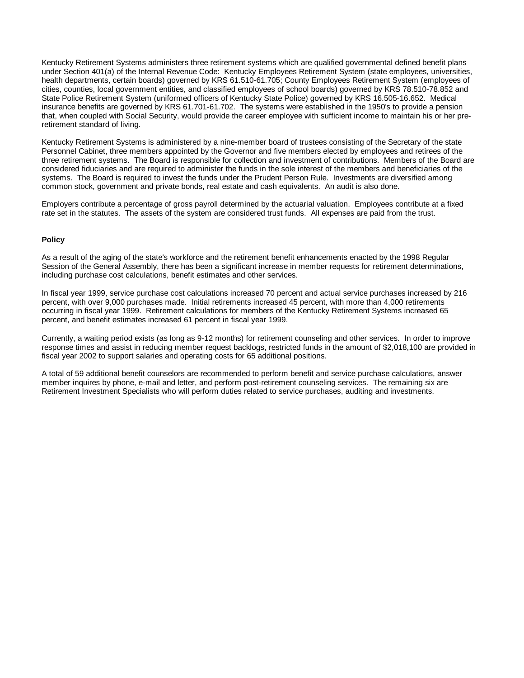Kentucky Retirement Systems administers three retirement systems which are qualified governmental defined benefit plans under Section 401(a) of the Internal Revenue Code: Kentucky Employees Retirement System (state employees, universities, health departments, certain boards) governed by KRS 61.510-61.705; County Employees Retirement System (employees of cities, counties, local government entities, and classified employees of school boards) governed by KRS 78.510-78.852 and State Police Retirement System (uniformed officers of Kentucky State Police) governed by KRS 16.505-16.652. Medical insurance benefits are governed by KRS 61.701-61.702. The systems were established in the 1950's to provide a pension that, when coupled with Social Security, would provide the career employee with sufficient income to maintain his or her preretirement standard of living.

Kentucky Retirement Systems is administered by a nine-member board of trustees consisting of the Secretary of the state Personnel Cabinet, three members appointed by the Governor and five members elected by employees and retirees of the three retirement systems. The Board is responsible for collection and investment of contributions. Members of the Board are considered fiduciaries and are required to administer the funds in the sole interest of the members and beneficiaries of the systems. The Board is required to invest the funds under the Prudent Person Rule. Investments are diversified among common stock, government and private bonds, real estate and cash equivalents. An audit is also done.

Employers contribute a percentage of gross payroll determined by the actuarial valuation. Employees contribute at a fixed rate set in the statutes. The assets of the system are considered trust funds. All expenses are paid from the trust.

### **Policy**

As a result of the aging of the state's workforce and the retirement benefit enhancements enacted by the 1998 Regular Session of the General Assembly, there has been a significant increase in member requests for retirement determinations, including purchase cost calculations, benefit estimates and other services.

In fiscal year 1999, service purchase cost calculations increased 70 percent and actual service purchases increased by 216 percent, with over 9,000 purchases made. Initial retirements increased 45 percent, with more than 4,000 retirements occurring in fiscal year 1999. Retirement calculations for members of the Kentucky Retirement Systems increased 65 percent, and benefit estimates increased 61 percent in fiscal year 1999.

Currently, a waiting period exists (as long as 9-12 months) for retirement counseling and other services. In order to improve response times and assist in reducing member request backlogs, restricted funds in the amount of \$2,018,100 are provided in fiscal year 2002 to support salaries and operating costs for 65 additional positions.

A total of 59 additional benefit counselors are recommended to perform benefit and service purchase calculations, answer member inquires by phone, e-mail and letter, and perform post-retirement counseling services. The remaining six are Retirement Investment Specialists who will perform duties related to service purchases, auditing and investments.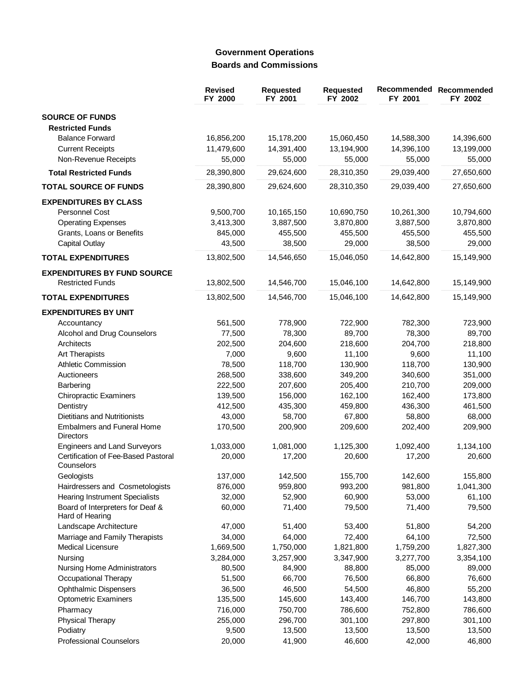# **Government Operations Boards and Commissions**

|                                                               | <b>Revised</b><br>FY 2000 | <b>Requested</b><br>FY 2001 | <b>Requested</b><br>FY 2002 | Recommended<br>FY 2001 | Recommended<br>FY 2002 |
|---------------------------------------------------------------|---------------------------|-----------------------------|-----------------------------|------------------------|------------------------|
| <b>SOURCE OF FUNDS</b><br><b>Restricted Funds</b>             |                           |                             |                             |                        |                        |
| <b>Balance Forward</b>                                        | 16,856,200                | 15,178,200                  | 15,060,450                  | 14,588,300             | 14,396,600             |
| <b>Current Receipts</b>                                       | 11,479,600                | 14,391,400                  | 13,194,900                  | 14,396,100             | 13,199,000             |
| Non-Revenue Receipts                                          | 55,000                    | 55,000                      | 55,000                      | 55,000                 | 55,000                 |
| <b>Total Restricted Funds</b>                                 | 28,390,800                | 29,624,600                  | 28,310,350                  | 29,039,400             | 27,650,600             |
| <b>TOTAL SOURCE OF FUNDS</b>                                  | 28,390,800                | 29,624,600                  | 28,310,350                  | 29,039,400             | 27,650,600             |
| <b>EXPENDITURES BY CLASS</b>                                  |                           |                             |                             |                        |                        |
| Personnel Cost                                                | 9,500,700                 | 10,165,150                  | 10,690,750                  | 10,261,300             | 10,794,600             |
| <b>Operating Expenses</b>                                     | 3,413,300                 | 3,887,500                   | 3,870,800                   | 3,887,500              | 3,870,800              |
| Grants, Loans or Benefits                                     | 845,000                   | 455,500                     | 455,500                     | 455,500                | 455,500                |
| <b>Capital Outlay</b>                                         | 43,500                    | 38,500                      | 29,000                      | 38,500                 | 29,000                 |
| <b>TOTAL EXPENDITURES</b>                                     | 13,802,500                | 14,546,650                  | 15,046,050                  | 14,642,800             | 15,149,900             |
|                                                               |                           |                             |                             |                        |                        |
| <b>EXPENDITURES BY FUND SOURCE</b><br><b>Restricted Funds</b> | 13,802,500                | 14,546,700                  | 15,046,100                  | 14,642,800             | 15,149,900             |
| <b>TOTAL EXPENDITURES</b>                                     | 13,802,500                | 14,546,700                  | 15,046,100                  | 14,642,800             | 15,149,900             |
| <b>EXPENDITURES BY UNIT</b>                                   |                           |                             |                             |                        |                        |
| Accountancy                                                   | 561,500                   | 778,900                     | 722,900                     | 782,300                | 723,900                |
| Alcohol and Drug Counselors                                   | 77,500                    | 78,300                      | 89,700                      | 78,300                 | 89,700                 |
| Architects                                                    | 202,500                   | 204,600                     | 218,600                     | 204,700                | 218,800                |
| Art Therapists                                                | 7,000                     | 9,600                       | 11,100                      | 9,600                  | 11,100                 |
| <b>Athletic Commission</b>                                    | 78,500                    | 118,700                     | 130,900                     | 118,700                | 130,900                |
| Auctioneers                                                   | 268,500                   | 338,600                     | 349,200                     | 340,600                | 351,000                |
| Barbering                                                     | 222,500                   | 207,600                     | 205,400                     | 210,700                | 209,000                |
| <b>Chiropractic Examiners</b>                                 | 139,500                   | 156,000                     | 162,100                     | 162,400                | 173,800                |
| Dentistry                                                     | 412,500                   | 435,300                     | 459,800                     | 436,300                | 461,500                |
| <b>Dietitians and Nutritionists</b>                           | 43,000                    | 58,700                      | 67,800                      | 58,800                 | 68,000                 |
| <b>Embalmers and Funeral Home</b><br><b>Directors</b>         | 170,500                   | 200,900                     | 209,600                     | 202,400                | 209,900                |
| <b>Engineers and Land Surveyors</b>                           | 1,033,000                 | 1,081,000                   | 1,125,300                   | 1,092,400              | 1,134,100              |
| Certification of Fee-Based Pastoral                           | 20,000                    | 17,200                      | 20,600                      | 17,200                 | 20,600                 |
| Counselors<br>Geologists                                      | 137,000                   | 142,500                     | 155,700                     | 142,600                | 155,800                |
| Hairdressers and Cosmetologists                               | 876,000                   | 959,800                     | 993,200                     | 981,800                | 1,041,300              |
| <b>Hearing Instrument Specialists</b>                         | 32,000                    | 52,900                      | 60,900                      | 53,000                 | 61,100                 |
| Board of Interpreters for Deaf &<br>Hard of Hearing           | 60,000                    | 71,400                      | 79,500                      | 71,400                 | 79,500                 |
| Landscape Architecture                                        | 47,000                    | 51,400                      | 53,400                      | 51,800                 | 54,200                 |
| Marriage and Family Therapists                                | 34,000                    | 64,000                      | 72,400                      | 64,100                 | 72,500                 |
| Medical Licensure                                             | 1,669,500                 | 1,750,000                   | 1,821,800                   | 1,759,200              | 1,827,300              |
|                                                               |                           |                             |                             |                        |                        |
| Nursing                                                       | 3,284,000                 | 3,257,900                   | 3,347,900                   | 3,277,700<br>85,000    | 3,354,100              |
| Nursing Home Administrators<br>Occupational Therapy           | 80,500                    | 84,900<br>66,700            | 88,800<br>76,500            | 66,800                 | 89,000                 |
|                                                               | 51,500                    |                             |                             |                        | 76,600                 |
| <b>Ophthalmic Dispensers</b><br><b>Optometric Examiners</b>   | 36,500<br>135,500         | 46,500<br>145,600           | 54,500<br>143,400           | 46,800<br>146,700      | 55,200<br>143,800      |
|                                                               |                           |                             |                             |                        |                        |
| Pharmacy<br>Physical Therapy                                  | 716,000<br>255,000        | 750,700<br>296,700          | 786,600<br>301,100          | 752,800<br>297,800     | 786,600<br>301,100     |
| Podiatry                                                      | 9,500                     | 13,500                      | 13,500                      | 13,500                 | 13,500                 |
| <b>Professional Counselors</b>                                | 20,000                    | 41,900                      | 46,600                      | 42,000                 | 46,800                 |
|                                                               |                           |                             |                             |                        |                        |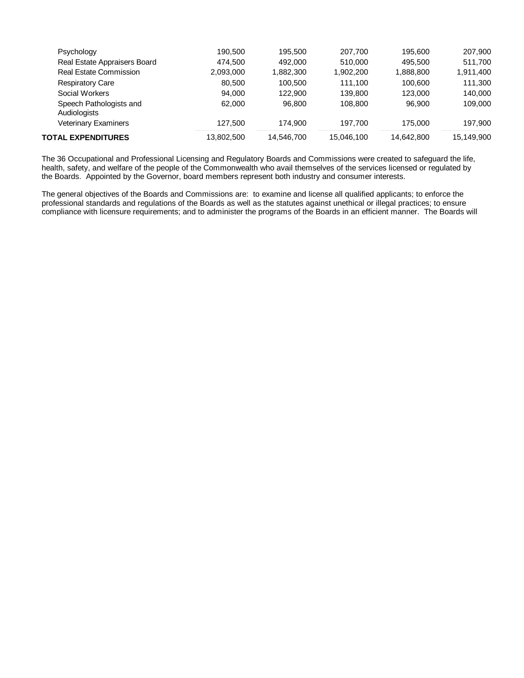| <b>TOTAL EXPENDITURES</b>               | 13,802,500 | 14,546,700 | 15,046,100 | 14.642.800 | 15,149,900 |
|-----------------------------------------|------------|------------|------------|------------|------------|
| <b>Veterinary Examiners</b>             | 127.500    | 174.900    | 197.700    | 175,000    | 197.900    |
| Speech Pathologists and<br>Audiologists | 62,000     | 96.800     | 108,800    | 96.900     | 109,000    |
| Social Workers                          | 94.000     | 122,900    | 139,800    | 123,000    | 140.000    |
| <b>Respiratory Care</b>                 | 80,500     | 100,500    | 111.100    | 100,600    | 111,300    |
| <b>Real Estate Commission</b>           | 2,093,000  | 1.882.300  | 1,902,200  | 1,888,800  | 1,911,400  |
| Real Estate Appraisers Board            | 474.500    | 492,000    | 510.000    | 495.500    | 511,700    |
| Psychology                              | 190.500    | 195.500    | 207,700    | 195.600    | 207,900    |
|                                         |            |            |            |            |            |

The 36 Occupational and Professional Licensing and Regulatory Boards and Commissions were created to safeguard the life, health, safety, and welfare of the people of the Commonwealth who avail themselves of the services licensed or regulated by the Boards. Appointed by the Governor, board members represent both industry and consumer interests.

The general objectives of the Boards and Commissions are: to examine and license all qualified applicants; to enforce the professional standards and regulations of the Boards as well as the statutes against unethical or illegal practices; to ensure compliance with licensure requirements; and to administer the programs of the Boards in an efficient manner. The Boards will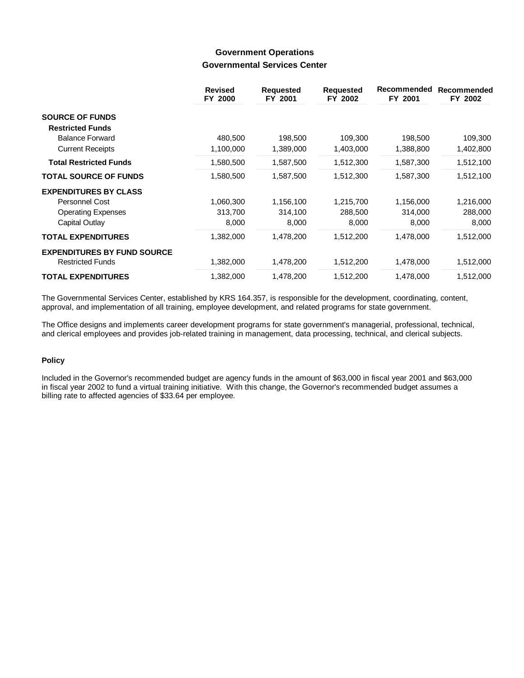### **Government Operations Governmental Services Center**

|                                    | <b>Revised</b><br>FY 2000 | <b>Requested</b><br>FY 2001 | <b>Requested</b><br>FY 2002 | Recommended<br>FY 2001 | Recommended<br>FY 2002 |
|------------------------------------|---------------------------|-----------------------------|-----------------------------|------------------------|------------------------|
| <b>SOURCE OF FUNDS</b>             |                           |                             |                             |                        |                        |
| <b>Restricted Funds</b>            |                           |                             |                             |                        |                        |
| <b>Balance Forward</b>             | 480,500                   | 198,500                     | 109,300                     | 198,500                | 109,300                |
| <b>Current Receipts</b>            | 1,100,000                 | 1,389,000                   | 1,403,000                   | 1,388,800              | 1,402,800              |
| <b>Total Restricted Funds</b>      | 1,580,500                 | 1,587,500                   | 1,512,300                   | 1,587,300              | 1,512,100              |
| <b>TOTAL SOURCE OF FUNDS</b>       | 1,580,500                 | 1,587,500                   | 1,512,300                   | 1,587,300              | 1,512,100              |
| <b>EXPENDITURES BY CLASS</b>       |                           |                             |                             |                        |                        |
| Personnel Cost                     | 1,060,300                 | 1,156,100                   | 1,215,700                   | 1,156,000              | 1,216,000              |
| <b>Operating Expenses</b>          | 313,700                   | 314,100                     | 288,500                     | 314,000                | 288,000                |
| Capital Outlay                     | 8,000                     | 8,000                       | 8,000                       | 8,000                  | 8,000                  |
| <b>TOTAL EXPENDITURES</b>          | 1,382,000                 | 1,478,200                   | 1,512,200                   | 1,478,000              | 1,512,000              |
| <b>EXPENDITURES BY FUND SOURCE</b> |                           |                             |                             |                        |                        |
| <b>Restricted Funds</b>            | 1,382,000                 | 1,478,200                   | 1,512,200                   | 1,478,000              | 1,512,000              |
| <b>TOTAL EXPENDITURES</b>          | 1,382,000                 | 1,478,200                   | 1,512,200                   | 1,478,000              | 1,512,000              |

The Governmental Services Center, established by KRS 164.357, is responsible for the development, coordinating, content, approval, and implementation of all training, employee development, and related programs for state government.

The Office designs and implements career development programs for state government's managerial, professional, technical, and clerical employees and provides job-related training in management, data processing, technical, and clerical subjects.

### **Policy**

Included in the Governor's recommended budget are agency funds in the amount of \$63,000 in fiscal year 2001 and \$63,000 in fiscal year 2002 to fund a virtual training initiative. With this change, the Governor's recommended budget assumes a billing rate to affected agencies of \$33.64 per employee.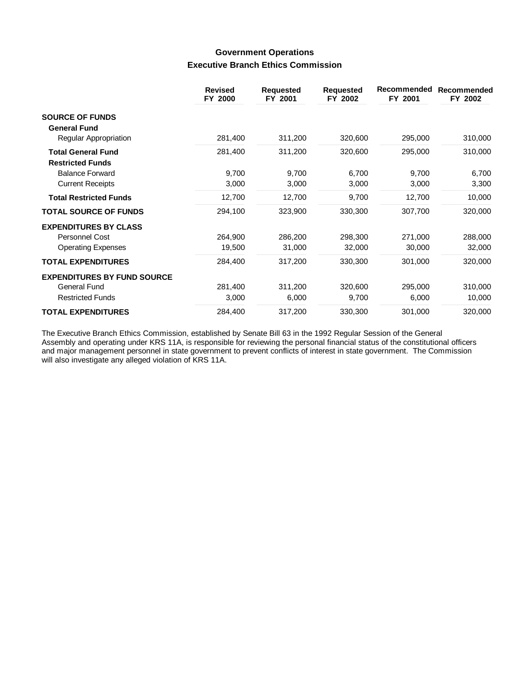## **Government Operations Executive Branch Ethics Commission**

|                                                      | <b>Revised</b><br>FY 2000 | <b>Requested</b><br>FY 2001 | <b>Requested</b><br>FY 2002 | Recommended<br>FY 2001 | <b>Recommended</b><br>FY 2002 |
|------------------------------------------------------|---------------------------|-----------------------------|-----------------------------|------------------------|-------------------------------|
| <b>SOURCE OF FUNDS</b>                               |                           |                             |                             |                        |                               |
| <b>General Fund</b>                                  |                           |                             |                             |                        |                               |
| Regular Appropriation                                | 281,400                   | 311,200                     | 320,600                     | 295,000                | 310,000                       |
| <b>Total General Fund</b><br><b>Restricted Funds</b> | 281,400                   | 311,200                     | 320,600                     | 295,000                | 310,000                       |
| <b>Balance Forward</b>                               | 9,700                     | 9,700                       | 6,700                       | 9,700                  | 6,700                         |
| <b>Current Receipts</b>                              | 3,000                     | 3,000                       | 3,000                       | 3,000                  | 3,300                         |
| <b>Total Restricted Funds</b>                        | 12,700                    | 12,700                      | 9,700                       | 12,700                 | 10,000                        |
| <b>TOTAL SOURCE OF FUNDS</b>                         | 294,100                   | 323,900                     | 330,300                     | 307,700                | 320,000                       |
| <b>EXPENDITURES BY CLASS</b>                         |                           |                             |                             |                        |                               |
| Personnel Cost                                       | 264,900                   | 286,200                     | 298,300                     | 271,000                | 288,000                       |
| <b>Operating Expenses</b>                            | 19,500                    | 31,000                      | 32,000                      | 30,000                 | 32,000                        |
| <b>TOTAL EXPENDITURES</b>                            | 284,400                   | 317,200                     | 330,300                     | 301,000                | 320,000                       |
| <b>EXPENDITURES BY FUND SOURCE</b>                   |                           |                             |                             |                        |                               |
| <b>General Fund</b>                                  | 281,400                   | 311,200                     | 320,600                     | 295,000                | 310,000                       |
| <b>Restricted Funds</b>                              | 3,000                     | 6,000                       | 9,700                       | 6,000                  | 10,000                        |
| <b>TOTAL EXPENDITURES</b>                            | 284,400                   | 317,200                     | 330,300                     | 301,000                | 320,000                       |

The Executive Branch Ethics Commission, established by Senate Bill 63 in the 1992 Regular Session of the General Assembly and operating under KRS 11A, is responsible for reviewing the personal financial status of the constitutional officers and major management personnel in state government to prevent conflicts of interest in state government. The Commission will also investigate any alleged violation of KRS 11A.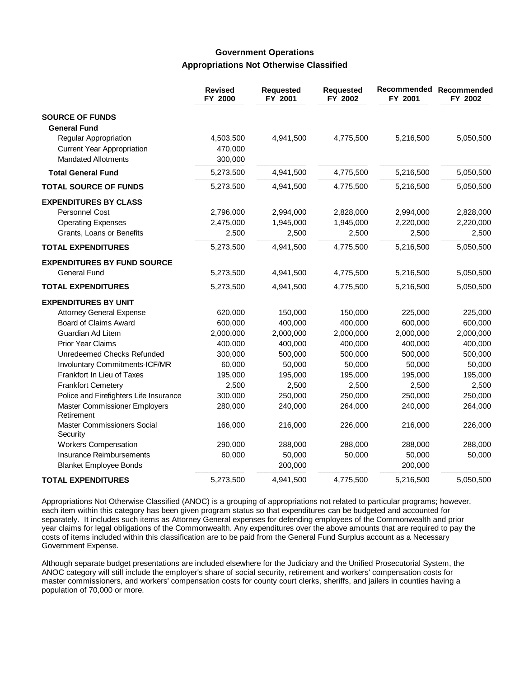### **Government Operations Appropriations Not Otherwise Classified**

|                                             | <b>Revised</b><br>FY 2000 | <b>Requested</b><br>FY 2001 | <b>Requested</b><br>FY 2002 | FY 2001   | Recommended Recommended<br>FY 2002 |
|---------------------------------------------|---------------------------|-----------------------------|-----------------------------|-----------|------------------------------------|
| <b>SOURCE OF FUNDS</b>                      |                           |                             |                             |           |                                    |
| <b>General Fund</b>                         |                           |                             |                             |           |                                    |
| Regular Appropriation                       | 4,503,500                 | 4,941,500                   | 4,775,500                   | 5,216,500 | 5,050,500                          |
| <b>Current Year Appropriation</b>           | 470,000                   |                             |                             |           |                                    |
| <b>Mandated Allotments</b>                  | 300,000                   |                             |                             |           |                                    |
| <b>Total General Fund</b>                   | 5,273,500                 | 4,941,500                   | 4,775,500                   | 5,216,500 | 5,050,500                          |
| <b>TOTAL SOURCE OF FUNDS</b>                | 5,273,500                 | 4,941,500                   | 4,775,500                   | 5,216,500 | 5,050,500                          |
| <b>EXPENDITURES BY CLASS</b>                |                           |                             |                             |           |                                    |
| Personnel Cost                              | 2,796,000                 | 2,994,000                   | 2,828,000                   | 2,994,000 | 2,828,000                          |
| <b>Operating Expenses</b>                   | 2,475,000                 | 1,945,000                   | 1,945,000                   | 2,220,000 | 2,220,000                          |
| Grants, Loans or Benefits                   | 2,500                     | 2,500                       | 2,500                       | 2,500     | 2,500                              |
| <b>TOTAL EXPENDITURES</b>                   | 5,273,500                 | 4,941,500                   | 4,775,500                   | 5,216,500 | 5,050,500                          |
| <b>EXPENDITURES BY FUND SOURCE</b>          |                           |                             |                             |           |                                    |
| <b>General Fund</b>                         | 5,273,500                 | 4,941,500                   | 4,775,500                   | 5,216,500 | 5,050,500                          |
| <b>TOTAL EXPENDITURES</b>                   | 5,273,500                 | 4,941,500                   | 4,775,500                   | 5,216,500 | 5,050,500                          |
| <b>EXPENDITURES BY UNIT</b>                 |                           |                             |                             |           |                                    |
| <b>Attorney General Expense</b>             | 620,000                   | 150,000                     | 150,000                     | 225,000   | 225,000                            |
| Board of Claims Award                       | 600,000                   | 400,000                     | 400,000                     | 600,000   | 600,000                            |
| Guardian Ad Litem                           | 2,000,000                 | 2,000,000                   | 2,000,000                   | 2,000,000 | 2,000,000                          |
| <b>Prior Year Claims</b>                    | 400,000                   | 400,000                     | 400,000                     | 400,000   | 400,000                            |
| Unredeemed Checks Refunded                  | 300,000                   | 500,000                     | 500,000                     | 500,000   | 500,000                            |
| Involuntary Commitments-ICF/MR              | 60,000                    | 50,000                      | 50,000                      | 50,000    | 50,000                             |
| Frankfort In Lieu of Taxes                  | 195,000                   | 195,000                     | 195,000                     | 195,000   | 195,000                            |
| <b>Frankfort Cemetery</b>                   | 2,500                     | 2,500                       | 2,500                       | 2,500     | 2,500                              |
| Police and Firefighters Life Insurance      | 300,000                   | 250,000                     | 250,000                     | 250,000   | 250,000                            |
| Master Commissioner Employers<br>Retirement | 280,000                   | 240,000                     | 264,000                     | 240,000   | 264,000                            |
| Master Commissioners Social<br>Security     | 166,000                   | 216,000                     | 226,000                     | 216,000   | 226,000                            |
| <b>Workers Compensation</b>                 | 290,000                   | 288,000                     | 288,000                     | 288,000   | 288,000                            |
| Insurance Reimbursements                    | 60,000                    | 50,000                      | 50,000                      | 50,000    | 50,000                             |
| <b>Blanket Employee Bonds</b>               |                           | 200,000                     |                             | 200,000   |                                    |
| <b>TOTAL EXPENDITURES</b>                   | 5,273,500                 | 4,941,500                   | 4,775,500                   | 5,216,500 | 5,050,500                          |

Appropriations Not Otherwise Classified (ANOC) is a grouping of appropriations not related to particular programs; however, each item within this category has been given program status so that expenditures can be budgeted and accounted for separately. It includes such items as Attorney General expenses for defending employees of the Commonwealth and prior year claims for legal obligations of the Commonwealth. Any expenditures over the above amounts that are required to pay the costs of items included within this classification are to be paid from the General Fund Surplus account as a Necessary Government Expense.

Although separate budget presentations are included elsewhere for the Judiciary and the Unified Prosecutorial System, the ANOC category will still include the employer's share of social security, retirement and workers' compensation costs for master commissioners, and workers' compensation costs for county court clerks, sheriffs, and jailers in counties having a population of 70,000 or more.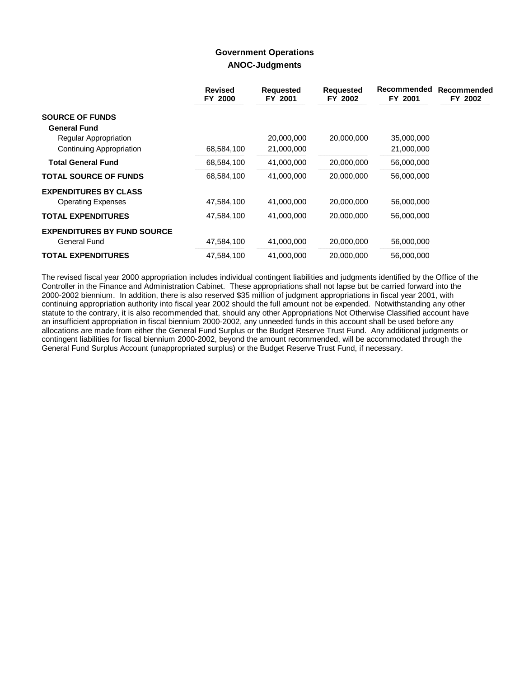### **Government Operations ANOC-Judgments**

|                                    | <b>Revised</b><br>FY 2000 | <b>Requested</b><br>FY 2001 | <b>Requested</b><br>FY 2002 | Recommended<br>FY 2001 | Recommended<br>FY 2002 |
|------------------------------------|---------------------------|-----------------------------|-----------------------------|------------------------|------------------------|
| <b>SOURCE OF FUNDS</b>             |                           |                             |                             |                        |                        |
| <b>General Fund</b>                |                           |                             |                             |                        |                        |
| Regular Appropriation              |                           | 20,000,000                  | 20,000,000                  | 35,000,000             |                        |
| Continuing Appropriation           | 68,584,100                | 21,000,000                  |                             | 21,000,000             |                        |
| <b>Total General Fund</b>          | 68,584,100                | 41,000,000                  | 20,000,000                  | 56,000,000             |                        |
| <b>TOTAL SOURCE OF FUNDS</b>       | 68,584,100                | 41,000,000                  | 20,000,000                  | 56,000,000             |                        |
| <b>EXPENDITURES BY CLASS</b>       |                           |                             |                             |                        |                        |
| <b>Operating Expenses</b>          | 47,584,100                | 41,000,000                  | 20,000,000                  | 56,000,000             |                        |
| <b>TOTAL EXPENDITURES</b>          | 47,584,100                | 41,000,000                  | 20,000,000                  | 56,000,000             |                        |
| <b>EXPENDITURES BY FUND SOURCE</b> |                           |                             |                             |                        |                        |
| General Fund                       | 47,584,100                | 41,000,000                  | 20,000,000                  | 56,000,000             |                        |
| <b>TOTAL EXPENDITURES</b>          | 47,584,100                | 41,000,000                  | 20,000,000                  | 56,000,000             |                        |

The revised fiscal year 2000 appropriation includes individual contingent liabilities and judgments identified by the Office of the Controller in the Finance and Administration Cabinet. These appropriations shall not lapse but be carried forward into the 2000-2002 biennium. In addition, there is also reserved \$35 million of judgment appropriations in fiscal year 2001, with continuing appropriation authority into fiscal year 2002 should the full amount not be expended. Notwithstanding any other statute to the contrary, it is also recommended that, should any other Appropriations Not Otherwise Classified account have an insufficient appropriation in fiscal biennium 2000-2002, any unneeded funds in this account shall be used before any allocations are made from either the General Fund Surplus or the Budget Reserve Trust Fund. Any additional judgments or contingent liabilities for fiscal biennium 2000-2002, beyond the amount recommended, will be accommodated through the General Fund Surplus Account (unappropriated surplus) or the Budget Reserve Trust Fund, if necessary.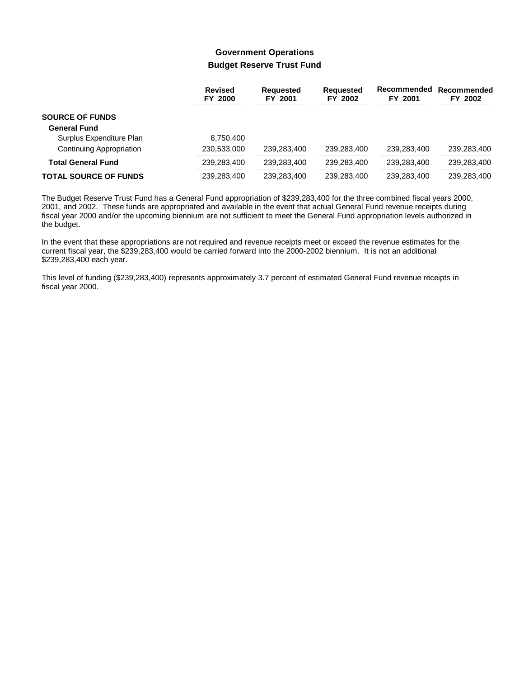## **Government Operations Budget Reserve Trust Fund**

|                              | <b>Revised</b><br>FY 2000 | <b>Requested</b><br>FY 2001 | <b>Requested</b><br>FY 2002 | Recommended<br>FY 2001 | Recommended<br>FY 2002 |
|------------------------------|---------------------------|-----------------------------|-----------------------------|------------------------|------------------------|
| <b>SOURCE OF FUNDS</b>       |                           |                             |                             |                        |                        |
| <b>General Fund</b>          |                           |                             |                             |                        |                        |
| Surplus Expenditure Plan     | 8.750.400                 |                             |                             |                        |                        |
| Continuing Appropriation     | 230,533,000               | 239,283,400                 | 239,283,400                 | 239,283,400            | 239,283,400            |
| <b>Total General Fund</b>    | 239,283,400               | 239,283,400                 | 239,283,400                 | 239.283.400            | 239,283,400            |
| <b>TOTAL SOURCE OF FUNDS</b> | 239,283,400               | 239,283,400                 | 239,283,400                 | 239,283,400            | 239,283,400            |

The Budget Reserve Trust Fund has a General Fund appropriation of \$239,283,400 for the three combined fiscal years 2000, 2001, and 2002. These funds are appropriated and available in the event that actual General Fund revenue receipts during fiscal year 2000 and/or the upcoming biennium are not sufficient to meet the General Fund appropriation levels authorized in the budget.

In the event that these appropriations are not required and revenue receipts meet or exceed the revenue estimates for the current fiscal year, the \$239,283,400 would be carried forward into the 2000-2002 biennium. It is not an additional \$239,283,400 each year.

This level of funding (\$239,283,400) represents approximately 3.7 percent of estimated General Fund revenue receipts in fiscal year 2000.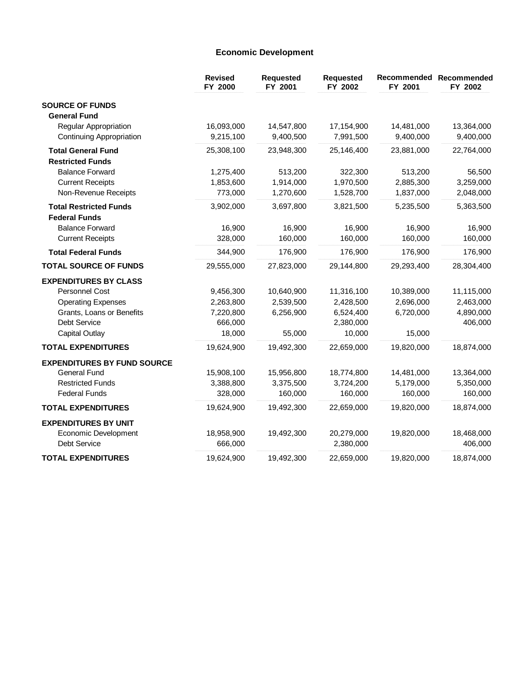## **Economic Development**

|                                    | <b>Revised</b><br>FY 2000 | Requested<br>FY 2001 | Requested<br>FY 2002 | FY 2001    | Recommended Recommended<br>FY 2002 |
|------------------------------------|---------------------------|----------------------|----------------------|------------|------------------------------------|
| <b>SOURCE OF FUNDS</b>             |                           |                      |                      |            |                                    |
| <b>General Fund</b>                |                           |                      |                      |            |                                    |
| <b>Regular Appropriation</b>       | 16,093,000                | 14,547,800           | 17,154,900           | 14,481,000 | 13,364,000                         |
| Continuing Appropriation           | 9,215,100                 | 9,400,500            | 7,991,500            | 9,400,000  | 9,400,000                          |
| <b>Total General Fund</b>          | 25,308,100                | 23,948,300           | 25,146,400           | 23,881,000 | 22,764,000                         |
| <b>Restricted Funds</b>            |                           |                      |                      |            |                                    |
| <b>Balance Forward</b>             | 1,275,400                 | 513,200              | 322,300              | 513,200    | 56,500                             |
| <b>Current Receipts</b>            | 1,853,600                 | 1,914,000            | 1,970,500            | 2,885,300  | 3,259,000                          |
| Non-Revenue Receipts               | 773,000                   | 1,270,600            | 1,528,700            | 1,837,000  | 2,048,000                          |
| <b>Total Restricted Funds</b>      | 3,902,000                 | 3,697,800            | 3,821,500            | 5,235,500  | 5,363,500                          |
| <b>Federal Funds</b>               |                           |                      |                      |            |                                    |
| <b>Balance Forward</b>             | 16,900                    | 16,900               | 16,900               | 16,900     | 16,900                             |
| <b>Current Receipts</b>            | 328,000                   | 160,000              | 160,000              | 160,000    | 160,000                            |
| <b>Total Federal Funds</b>         | 344,900                   | 176,900              | 176,900              | 176,900    | 176,900                            |
| <b>TOTAL SOURCE OF FUNDS</b>       | 29,555,000                | 27,823,000           | 29,144,800           | 29,293,400 | 28,304,400                         |
| <b>EXPENDITURES BY CLASS</b>       |                           |                      |                      |            |                                    |
| <b>Personnel Cost</b>              | 9,456,300                 | 10,640,900           | 11,316,100           | 10,389,000 | 11,115,000                         |
| <b>Operating Expenses</b>          | 2,263,800                 | 2,539,500            | 2,428,500            | 2,696,000  | 2,463,000                          |
| Grants, Loans or Benefits          | 7,220,800                 | 6,256,900            | 6,524,400            | 6,720,000  | 4,890,000                          |
| Debt Service                       | 666,000                   |                      | 2,380,000            |            | 406,000                            |
| Capital Outlay                     | 18,000                    | 55,000               | 10,000               | 15,000     |                                    |
| <b>TOTAL EXPENDITURES</b>          | 19,624,900                | 19,492,300           | 22,659,000           | 19,820,000 | 18,874,000                         |
| <b>EXPENDITURES BY FUND SOURCE</b> |                           |                      |                      |            |                                    |
| <b>General Fund</b>                | 15,908,100                | 15,956,800           | 18,774,800           | 14,481,000 | 13,364,000                         |
| <b>Restricted Funds</b>            | 3,388,800                 | 3,375,500            | 3,724,200            | 5,179,000  | 5,350,000                          |
| <b>Federal Funds</b>               | 328,000                   | 160,000              | 160,000              | 160,000    | 160,000                            |
| <b>TOTAL EXPENDITURES</b>          | 19,624,900                | 19,492,300           | 22,659,000           | 19,820,000 | 18,874,000                         |
| <b>EXPENDITURES BY UNIT</b>        |                           |                      |                      |            |                                    |
| Economic Development               | 18,958,900                | 19,492,300           | 20,279,000           | 19,820,000 | 18,468,000                         |
| Debt Service                       | 666,000                   |                      | 2,380,000            |            | 406,000                            |
| <b>TOTAL EXPENDITURES</b>          | 19,624,900                | 19,492,300           | 22,659,000           | 19,820,000 | 18,874,000                         |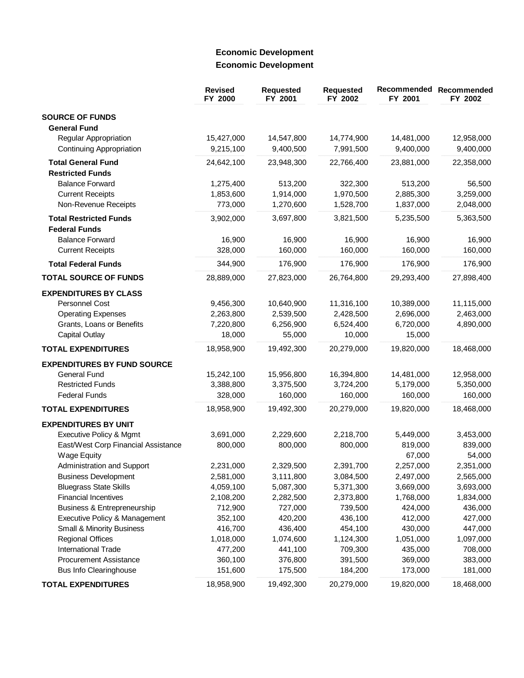# **Economic Development Economic Development**

|                                                                | <b>Revised</b><br>FY 2000 | Requested<br>FY 2001 | <b>Requested</b><br>FY 2002 | <b>Recommended</b><br>FY 2001 | Recommended<br>FY 2002 |
|----------------------------------------------------------------|---------------------------|----------------------|-----------------------------|-------------------------------|------------------------|
| <b>SOURCE OF FUNDS</b>                                         |                           |                      |                             |                               |                        |
| <b>General Fund</b>                                            |                           |                      |                             |                               |                        |
| <b>Regular Appropriation</b>                                   | 15,427,000                | 14,547,800           | 14,774,900                  | 14,481,000                    | 12,958,000             |
| Continuing Appropriation                                       | 9,215,100                 | 9,400,500            | 7,991,500                   | 9,400,000                     | 9,400,000              |
| <b>Total General Fund</b>                                      | 24,642,100                | 23,948,300           | 22,766,400                  | 23,881,000                    | 22,358,000             |
| <b>Restricted Funds</b>                                        |                           |                      |                             |                               |                        |
| <b>Balance Forward</b>                                         | 1,275,400                 | 513,200              | 322,300                     | 513,200                       | 56,500                 |
| <b>Current Receipts</b>                                        | 1,853,600                 | 1,914,000            | 1,970,500                   | 2,885,300                     | 3,259,000              |
| Non-Revenue Receipts                                           | 773,000                   | 1,270,600            | 1,528,700                   | 1,837,000                     | 2,048,000              |
| <b>Total Restricted Funds</b>                                  | 3,902,000                 | 3,697,800            | 3,821,500                   | 5,235,500                     | 5,363,500              |
| <b>Federal Funds</b>                                           |                           |                      |                             |                               |                        |
| <b>Balance Forward</b>                                         | 16,900                    | 16,900               | 16,900                      | 16,900                        | 16,900                 |
| <b>Current Receipts</b>                                        | 328,000                   | 160,000              | 160,000                     | 160,000                       | 160,000                |
| <b>Total Federal Funds</b>                                     | 344,900                   | 176,900              | 176,900                     | 176,900                       | 176,900                |
| <b>TOTAL SOURCE OF FUNDS</b>                                   | 28,889,000                | 27,823,000           | 26,764,800                  | 29,293,400                    | 27,898,400             |
| <b>EXPENDITURES BY CLASS</b>                                   |                           |                      |                             |                               |                        |
| Personnel Cost                                                 | 9,456,300                 | 10,640,900           | 11,316,100                  | 10,389,000                    | 11,115,000             |
| <b>Operating Expenses</b>                                      | 2,263,800                 | 2,539,500            | 2,428,500                   | 2,696,000                     | 2,463,000              |
| Grants, Loans or Benefits                                      | 7,220,800                 | 6,256,900            | 6,524,400                   | 6,720,000                     | 4,890,000              |
| <b>Capital Outlay</b>                                          | 18,000                    | 55,000               | 10,000                      | 15,000                        |                        |
| <b>TOTAL EXPENDITURES</b>                                      | 18,958,900                | 19,492,300           | 20,279,000                  | 19,820,000                    | 18,468,000             |
| <b>EXPENDITURES BY FUND SOURCE</b>                             |                           |                      |                             |                               |                        |
| <b>General Fund</b>                                            | 15,242,100                | 15,956,800           | 16,394,800                  | 14,481,000                    | 12,958,000             |
| <b>Restricted Funds</b>                                        | 3,388,800                 | 3,375,500            | 3,724,200                   | 5,179,000                     | 5,350,000              |
| <b>Federal Funds</b>                                           | 328,000                   | 160,000              | 160,000                     | 160,000                       | 160,000                |
| <b>TOTAL EXPENDITURES</b>                                      | 18,958,900                | 19,492,300           | 20,279,000                  | 19,820,000                    | 18,468,000             |
| <b>EXPENDITURES BY UNIT</b>                                    |                           |                      |                             |                               |                        |
| Executive Policy & Mgmt                                        | 3,691,000                 | 2,229,600            | 2,218,700                   | 5,449,000                     | 3,453,000              |
| East/West Corp Financial Assistance                            | 800,000                   | 800,000              | 800,000                     | 819,000                       | 839,000                |
| <b>Wage Equity</b>                                             |                           |                      |                             | 67,000                        | 54,000                 |
| Administration and Support                                     | 2,231,000                 | 2,329,500            | 2,391,700                   | 2,257,000                     | 2,351,000              |
| <b>Business Development</b>                                    | 2,581,000                 | 3,111,800            | 3,084,500                   | 2,497,000                     | 2,565,000              |
| <b>Bluegrass State Skills</b>                                  | 4,059,100                 | 5,087,300            | 5,371,300                   | 3,669,000                     | 3,693,000              |
| <b>Financial Incentives</b>                                    | 2,108,200                 | 2,282,500            | 2,373,800                   | 1,768,000                     | 1,834,000              |
| Business & Entrepreneurship                                    | 712,900                   | 727,000              | 739,500                     | 424,000                       | 436,000                |
| Executive Policy & Management                                  | 352,100                   | 420,200              | 436,100                     | 412,000                       | 427,000                |
| Small & Minority Business                                      | 416,700                   | 436,400              | 454,100                     | 430,000                       | 447,000                |
| <b>Regional Offices</b>                                        | 1,018,000                 | 1,074,600            | 1,124,300                   | 1,051,000                     | 1,097,000              |
| International Trade                                            | 477,200                   | 441,100              | 709,300                     | 435,000                       | 708,000                |
| <b>Procurement Assistance</b><br><b>Bus Info Clearinghouse</b> | 360,100<br>151,600        | 376,800<br>175,500   | 391,500<br>184,200          | 369,000<br>173,000            | 383,000<br>181,000     |
| <b>TOTAL EXPENDITURES</b>                                      | 18,958,900                | 19,492,300           | 20,279,000                  | 19,820,000                    | 18,468,000             |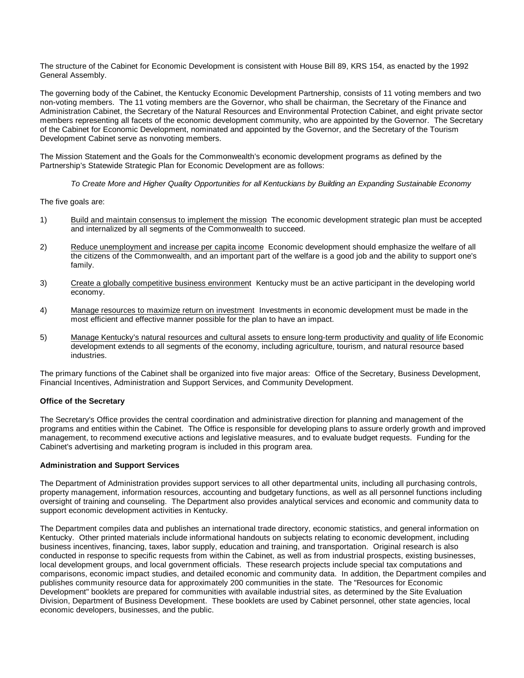The structure of the Cabinet for Economic Development is consistent with House Bill 89, KRS 154, as enacted by the 1992 General Assembly.

The governing body of the Cabinet, the Kentucky Economic Development Partnership, consists of 11 voting members and two non-voting members. The 11 voting members are the Governor, who shall be chairman, the Secretary of the Finance and Administration Cabinet, the Secretary of the Natural Resources and Environmental Protection Cabinet, and eight private sector members representing all facets of the economic development community, who are appointed by the Governor. The Secretary of the Cabinet for Economic Development, nominated and appointed by the Governor, and the Secretary of the Tourism Development Cabinet serve as nonvoting members.

The Mission Statement and the Goals for the Commonwealth's economic development programs as defined by the Partnership's Statewide Strategic Plan for Economic Development are as follows:

*To Create More and Higher Quality Opportunities for all Kentuckians by Building an Expanding Sustainable Economy*

The five goals are:

- 1) Build and maintain consensus to implement the mission The economic development strategic plan must be accepted and internalized by all segments of the Commonwealth to succeed.
- 2) Reduce unemployment and increase per capita income. Economic development should emphasize the welfare of all the citizens of the Commonwealth, and an important part of the welfare is a good job and the ability to support one's family.
- 3) Create a globally competitive business environment. Kentucky must be an active participant in the developing world economy.
- 4) Manage resources to maximize return on investment. Investments in economic development must be made in the most efficient and effective manner possible for the plan to have an impact.
- 5) Manage Kentucky's natural resources and cultural assets to ensure long-term productivity and quality of life. Economic development extends to all segments of the economy, including agriculture, tourism, and natural resource based industries.

The primary functions of the Cabinet shall be organized into five major areas: Office of the Secretary, Business Development, Financial Incentives, Administration and Support Services, and Community Development.

### **Office of the Secretary**

The Secretary's Office provides the central coordination and administrative direction for planning and management of the programs and entities within the Cabinet. The Office is responsible for developing plans to assure orderly growth and improved management, to recommend executive actions and legislative measures, and to evaluate budget requests. Funding for the Cabinet's advertising and marketing program is included in this program area.

### **Administration and Support Services**

The Department of Administration provides support services to all other departmental units, including all purchasing controls, property management, information resources, accounting and budgetary functions, as well as all personnel functions including oversight of training and counseling. The Department also provides analytical services and economic and community data to support economic development activities in Kentucky.

The Department compiles data and publishes an international trade directory, economic statistics, and general information on Kentucky. Other printed materials include informational handouts on subjects relating to economic development, including business incentives, financing, taxes, labor supply, education and training, and transportation. Original research is also conducted in response to specific requests from within the Cabinet, as well as from industrial prospects, existing businesses, local development groups, and local government officials. These research projects include special tax computations and comparisons, economic impact studies, and detailed economic and community data. In addition, the Department compiles and publishes community resource data for approximately 200 communities in the state. The "Resources for Economic Development" booklets are prepared for communities with available industrial sites, as determined by the Site Evaluation Division, Department of Business Development. These booklets are used by Cabinet personnel, other state agencies, local economic developers, businesses, and the public.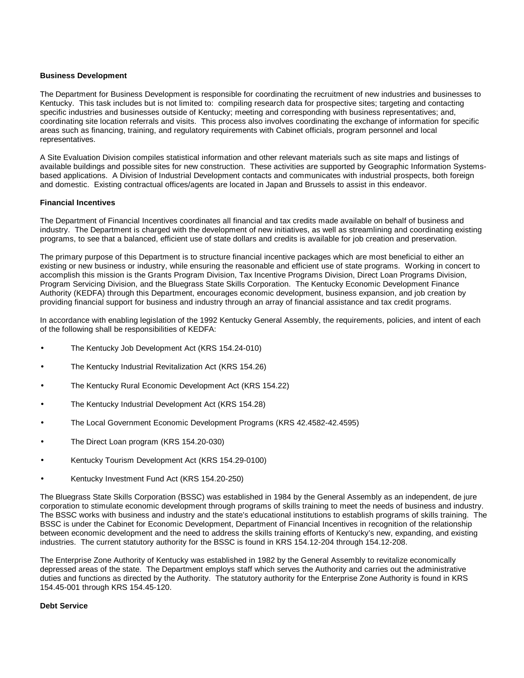#### **Business Development**

The Department for Business Development is responsible for coordinating the recruitment of new industries and businesses to Kentucky. This task includes but is not limited to: compiling research data for prospective sites; targeting and contacting specific industries and businesses outside of Kentucky; meeting and corresponding with business representatives; and, coordinating site location referrals and visits. This process also involves coordinating the exchange of information for specific areas such as financing, training, and regulatory requirements with Cabinet officials, program personnel and local representatives.

A Site Evaluation Division compiles statistical information and other relevant materials such as site maps and listings of available buildings and possible sites for new construction. These activities are supported by Geographic Information Systemsbased applications. A Division of Industrial Development contacts and communicates with industrial prospects, both foreign and domestic. Existing contractual offices/agents are located in Japan and Brussels to assist in this endeavor.

### **Financial Incentives**

The Department of Financial Incentives coordinates all financial and tax credits made available on behalf of business and industry. The Department is charged with the development of new initiatives, as well as streamlining and coordinating existing programs, to see that a balanced, efficient use of state dollars and credits is available for job creation and preservation.

The primary purpose of this Department is to structure financial incentive packages which are most beneficial to either an existing or new business or industry, while ensuring the reasonable and efficient use of state programs. Working in concert to accomplish this mission is the Grants Program Division, Tax Incentive Programs Division, Direct Loan Programs Division, Program Servicing Division, and the Bluegrass State Skills Corporation. The Kentucky Economic Development Finance Authority (KEDFA) through this Department, encourages economic development, business expansion, and job creation by providing financial support for business and industry through an array of financial assistance and tax credit programs.

In accordance with enabling legislation of the 1992 Kentucky General Assembly, the requirements, policies, and intent of each of the following shall be responsibilities of KEDFA:

- The Kentucky Job Development Act (KRS 154.24-010)
- The Kentucky Industrial Revitalization Act (KRS 154.26)
- The Kentucky Rural Economic Development Act (KRS 154.22)
- The Kentucky Industrial Development Act (KRS 154.28)
- The Local Government Economic Development Programs (KRS 42.4582-42.4595)
- The Direct Loan program (KRS 154.20-030)
- Kentucky Tourism Development Act (KRS 154.29-0100)
- Kentucky Investment Fund Act (KRS 154.20-250)

The Bluegrass State Skills Corporation (BSSC) was established in 1984 by the General Assembly as an independent, de jure corporation to stimulate economic development through programs of skills training to meet the needs of business and industry. The BSSC works with business and industry and the state's educational institutions to establish programs of skills training. The BSSC is under the Cabinet for Economic Development, Department of Financial Incentives in recognition of the relationship between economic development and the need to address the skills training efforts of Kentucky's new, expanding, and existing industries. The current statutory authority for the BSSC is found in KRS 154.12-204 through 154.12-208.

The Enterprise Zone Authority of Kentucky was established in 1982 by the General Assembly to revitalize economically depressed areas of the state. The Department employs staff which serves the Authority and carries out the administrative duties and functions as directed by the Authority. The statutory authority for the Enterprise Zone Authority is found in KRS 154.45-001 through KRS 154.45-120.

#### **Debt Service**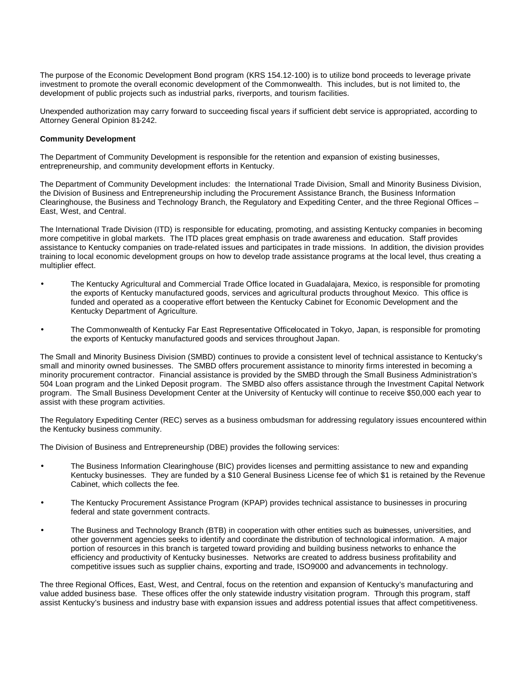The purpose of the Economic Development Bond program (KRS 154.12-100) is to utilize bond proceeds to leverage private investment to promote the overall economic development of the Commonwealth. This includes, but is not limited to, the development of public projects such as industrial parks, riverports, and tourism facilities.

Unexpended authorization may carry forward to succeeding fiscal years if sufficient debt service is appropriated, according to Attorney General Opinion 81-242.

### **Community Development**

The Department of Community Development is responsible for the retention and expansion of existing businesses, entrepreneurship, and community development efforts in Kentucky.

The Department of Community Development includes: the International Trade Division, Small and Minority Business Division, the Division of Business and Entrepreneurship including the Procurement Assistance Branch, the Business Information Clearinghouse, the Business and Technology Branch, the Regulatory and Expediting Center, and the three Regional Offices – East, West, and Central.

The International Trade Division (ITD) is responsible for educating, promoting, and assisting Kentucky companies in becoming more competitive in global markets. The ITD places great emphasis on trade awareness and education. Staff provides assistance to Kentucky companies on trade-related issues and participates in trade missions. In addition, the division provides training to local economic development groups on how to develop trade assistance programs at the local level, thus creating a multiplier effect.

- The Kentucky Agricultural and Commercial Trade Office located in Guadalajara, Mexico, is responsible for promoting the exports of Kentucky manufactured goods, services and agricultural products throughout Mexico. This office is funded and operated as a cooperative effort between the Kentucky Cabinet for Economic Development and the Kentucky Department of Agriculture.
- The Commonwealth of Kentucky Far East Representative Office located in Tokyo, Japan, is responsible for promoting the exports of Kentucky manufactured goods and services throughout Japan.

The Small and Minority Business Division (SMBD) continues to provide a consistent level of technical assistance to Kentucky's small and minority owned businesses. The SMBD offers procurement assistance to minority firms interested in becoming a minority procurement contractor. Financial assistance is provided by the SMBD through the Small Business Administration's 504 Loan program and the Linked Deposit program. The SMBD also offers assistance through the Investment Capital Network program. The Small Business Development Center at the University of Kentucky will continue to receive \$50,000 each year to assist with these program activities.

The Regulatory Expediting Center (REC) serves as a business ombudsman for addressing regulatory issues encountered within the Kentucky business community.

The Division of Business and Entrepreneurship (DBE) provides the following services:

- The Business Information Clearinghouse (BIC) provides licenses and permitting assistance to new and expanding Kentucky businesses. They are funded by a \$10 General Business License fee of which \$1 is retained by the Revenue Cabinet, which collects the fee.
- The Kentucky Procurement Assistance Program (KPAP) provides technical assistance to businesses in procuring federal and state government contracts.
- The Business and Technology Branch (BTB) in cooperation with other entities such as businesses, universities, and other government agencies seeks to identify and coordinate the distribution of technological information. A major portion of resources in this branch is targeted toward providing and building business networks to enhance the efficiency and productivity of Kentucky businesses. Networks are created to address business profitability and competitive issues such as supplier chains, exporting and trade, ISO9000 and advancements in technology.

The three Regional Offices, East, West, and Central, focus on the retention and expansion of Kentucky's manufacturing and value added business base. These offices offer the only statewide industry visitation program. Through this program, staff assist Kentucky's business and industry base with expansion issues and address potential issues that affect competitiveness.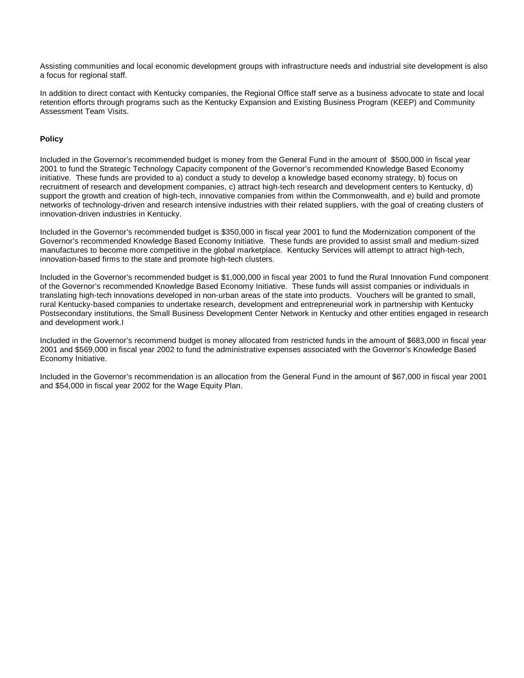Assisting communities and local economic development groups with infrastructure needs and industrial site development is also a focus for regional staff.

In addition to direct contact with Kentucky companies, the Regional Office staff serve as a business advocate to state and local retention efforts through programs such as the Kentucky Expansion and Existing Business Program (KEEP) and Community Assessment Team Visits.

### **Policy**

Included in the Governor's recommended budget is money from the General Fund in the amount of \$500,000 in fiscal year 2001 to fund the Strategic Technology Capacity component of the Governor's recommended Knowledge Based Economy initiative. These funds are provided to a) conduct a study to develop a knowledge based economy strategy, b) focus on recruitment of research and development companies, c) attract high-tech research and development centers to Kentucky, d) support the growth and creation of high-tech, innovative companies from within the Commonwealth, and e) build and promote networks of technology-driven and research intensive industries with their related suppliers, with the goal of creating clusters of innovation-driven industries in Kentucky.

Included in the Governor's recommended budget is \$350,000 in fiscal year 2001 to fund the Modernization component of the Governor's recommended Knowledge Based Economy Initiative. These funds are provided to assist small and medium-sized manufactures to become more competitive in the global marketplace. Kentucky Services will attempt to attract high-tech, innovation-based firms to the state and promote high-tech clusters.

Included in the Governor's recommended budget is \$1,000,000 in fiscal year 2001 to fund the Rural Innovation Fund component of the Governor's recommended Knowledge Based Economy Initiative. These funds will assist companies or individuals in translating high-tech innovations developed in non-urban areas of the state into products. Vouchers will be granted to small, rural Kentucky-based companies to undertake research, development and entrepreneurial work in partnership with Kentucky Postsecondary institutions, the Small Business Development Center Network in Kentucky and other entities engaged in research and development work.I

Included in the Governor's recommend budget is money allocated from restricted funds in the amount of \$683,000 in fiscal year 2001 and \$569,000 in fiscal year 2002 to fund the administrative expenses associated with the Governor's Knowledge Based Economy Initiative.

Included in the Governor's recommendation is an allocation from the General Fund in the amount of \$67,000 in fiscal year 2001 and \$54,000 in fiscal year 2002 for the Wage Equity Plan.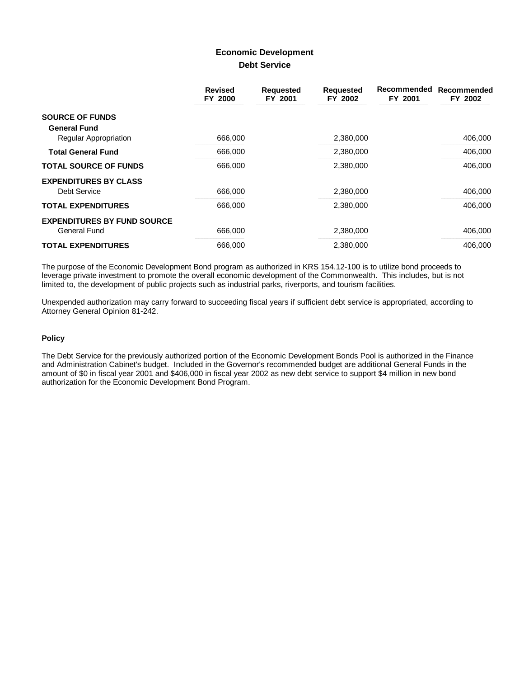## **Economic Development Debt Service**

|                                    | <b>Revised</b><br>FY 2000 | <b>Requested</b><br>FY 2001 | <b>Requested</b><br>FY 2002 | Recommended<br>FY 2001 | Recommended<br>FY 2002 |
|------------------------------------|---------------------------|-----------------------------|-----------------------------|------------------------|------------------------|
| <b>SOURCE OF FUNDS</b>             |                           |                             |                             |                        |                        |
| <b>General Fund</b>                |                           |                             |                             |                        |                        |
| Regular Appropriation              | 666,000                   |                             | 2,380,000                   |                        | 406,000                |
| <b>Total General Fund</b>          | 666,000                   |                             | 2,380,000                   |                        | 406,000                |
| <b>TOTAL SOURCE OF FUNDS</b>       | 666,000                   |                             | 2,380,000                   |                        | 406,000                |
| <b>EXPENDITURES BY CLASS</b>       |                           |                             |                             |                        |                        |
| <b>Debt Service</b>                | 666,000                   |                             | 2,380,000                   |                        | 406,000                |
| <b>TOTAL EXPENDITURES</b>          | 666,000                   |                             | 2,380,000                   |                        | 406,000                |
| <b>EXPENDITURES BY FUND SOURCE</b> |                           |                             |                             |                        |                        |
| General Fund                       | 666,000                   |                             | 2,380,000                   |                        | 406,000                |
| <b>TOTAL EXPENDITURES</b>          | 666,000                   |                             | 2,380,000                   |                        | 406,000                |

The purpose of the Economic Development Bond program as authorized in KRS 154.12-100 is to utilize bond proceeds to leverage private investment to promote the overall economic development of the Commonwealth. This includes, but is not limited to, the development of public projects such as industrial parks, riverports, and tourism facilities.

Unexpended authorization may carry forward to succeeding fiscal years if sufficient debt service is appropriated, according to Attorney General Opinion 81-242.

### **Policy**

The Debt Service for the previously authorized portion of the Economic Development Bonds Pool is authorized in the Finance and Administration Cabinet's budget. Included in the Governor's recommended budget are additional General Funds in the amount of \$0 in fiscal year 2001 and \$406,000 in fiscal year 2002 as new debt service to support \$4 million in new bond authorization for the Economic Development Bond Program.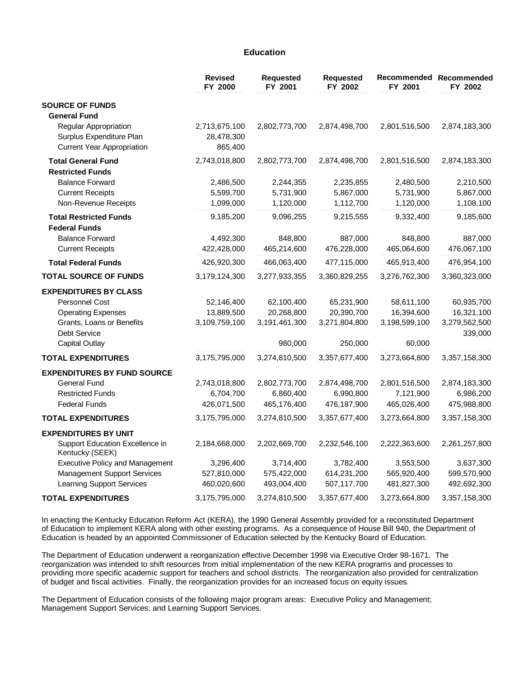### **Education**

|                                                                                        | <b>Revised</b><br>FY 2000              | <b>Requested</b><br>FY 2001 | <b>Requested</b><br>FY 2002 | FY 2001       | Recommended Recommended<br>FY 2002 |
|----------------------------------------------------------------------------------------|----------------------------------------|-----------------------------|-----------------------------|---------------|------------------------------------|
| <b>SOURCE OF FUNDS</b>                                                                 |                                        |                             |                             |               |                                    |
| <b>General Fund</b>                                                                    |                                        |                             |                             |               |                                    |
| Regular Appropriation<br>Surplus Expenditure Plan<br><b>Current Year Appropriation</b> | 2,713,675,100<br>28,478,300<br>865,400 | 2,802,773,700               | 2,874,498,700               | 2,801,516,500 | 2,874,183,300                      |
| <b>Total General Fund</b>                                                              | 2,743,018,800                          | 2,802,773,700               | 2,874,498,700               | 2,801,516,500 | 2,874,183,300                      |
| <b>Restricted Funds</b>                                                                |                                        |                             |                             |               |                                    |
| <b>Balance Forward</b>                                                                 | 2,486,500                              | 2,244,355                   | 2,235,855                   | 2,480,500     | 2,210,500                          |
| <b>Current Receipts</b>                                                                | 5,599,700                              | 5,731,900                   | 5,867,000                   | 5,731,900     | 5,867,000                          |
| Non-Revenue Receipts                                                                   | 1,099,000                              | 1,120,000                   | 1,112,700                   | 1,120,000     | 1,108,100                          |
| <b>Total Restricted Funds</b><br><b>Federal Funds</b>                                  | 9,185,200                              | 9,096,255                   | 9,215,555                   | 9,332,400     | 9,185,600                          |
| <b>Balance Forward</b>                                                                 | 4,492,300                              | 848,800                     | 887,000                     | 848,800       | 887,000                            |
| <b>Current Receipts</b>                                                                | 422,428,000                            | 465,214,600                 | 476,228,000                 | 465,064,600   | 476,067,100                        |
| <b>Total Federal Funds</b>                                                             | 426,920,300                            | 466,063,400                 | 477,115,000                 | 465,913,400   | 476,954,100                        |
| <b>TOTAL SOURCE OF FUNDS</b>                                                           | 3,179,124,300                          | 3,277,933,355               | 3,360,829,255               | 3,276,762,300 | 3,360,323,000                      |
| <b>EXPENDITURES BY CLASS</b>                                                           |                                        |                             |                             |               |                                    |
| Personnel Cost                                                                         | 52,146,400                             | 62,100,400                  | 65,231,900                  | 58,611,100    | 60,935,700                         |
| <b>Operating Expenses</b>                                                              | 13,889,500                             | 20,268,800                  | 20,390,700                  | 16,394,600    | 16,321,100                         |
| Grants, Loans or Benefits                                                              | 3,109,759,100                          | 3,191,461,300               | 3,271,804,800               | 3,198,599,100 | 3,279,562,500                      |
| Debt Service                                                                           |                                        |                             |                             |               | 339,000                            |
| <b>Capital Outlay</b>                                                                  |                                        | 980,000                     | 250,000                     | 60,000        |                                    |
| <b>TOTAL EXPENDITURES</b>                                                              | 3,175,795,000                          | 3,274,810,500               | 3,357,677,400               | 3,273,664,800 | 3,357,158,300                      |
| <b>EXPENDITURES BY FUND SOURCE</b>                                                     |                                        |                             |                             |               |                                    |
| <b>General Fund</b>                                                                    | 2,743,018,800                          | 2,802,773,700               | 2,874,498,700               | 2,801,516,500 | 2,874,183,300                      |
| <b>Restricted Funds</b>                                                                | 6,704,700                              | 6,860,400                   | 6,990,800                   | 7,121,900     | 6,986,200                          |
| <b>Federal Funds</b>                                                                   | 426,071,500                            | 465,176,400                 | 476,187,900                 | 465,026,400   | 475,988,800                        |
| <b>TOTAL EXPENDITURES</b>                                                              | 3,175,795,000                          | 3,274,810,500               | 3,357,677,400               | 3,273,664,800 | 3,357,158,300                      |
| <b>EXPENDITURES BY UNIT</b>                                                            |                                        |                             |                             |               |                                    |
| Support Education Excellence in<br>Kentucky (SEEK)                                     | 2,184,668,000                          | 2,202,669,700               | 2,232,546,100               | 2,222,363,600 | 2,261,257,800                      |
| <b>Executive Policy and Management</b>                                                 | 3,296,400                              | 3,714,400                   | 3,782,400                   | 3,553,500     | 3,637,300                          |
| <b>Management Support Services</b>                                                     | 527,810,000                            | 575,422,000                 | 614,231,200                 | 565,920,400   | 599,570,900                        |
| <b>Learning Support Services</b>                                                       | 460,020,600                            | 493,004,400                 | 507,117,700                 | 481,827,300   | 492,692,300                        |
| <b>TOTAL EXPENDITURES</b>                                                              | 3,175,795,000                          | 3,274,810,500               | 3,357,677,400               | 3,273,664,800 | 3,357,158,300                      |

In enacting the Kentucky Education Reform Act (KERA), the 1990 General Assembly provided for a reconstituted Department of Education to implement KERA along with other existing programs. As a consequence of House Bill 940, the Department of Education is headed by an appointed Commissioner of Education selected by the Kentucky Board of Education.

The Department of Education underwent a reorganization effective December 1998 via Executive Order 98-1671. The reorganization was intended to shift resources from initial implementation of the new KERA programs and processes to providing more specific academic support for teachers and school districts. The reorganization also provided for centralization of budget and fiscal activities. Finally, the reorganization provides for an increased focus on equity issues.

The Department of Education consists of the following major program areas: Executive Policy and Management; Management Support Services; and Learning Support Services.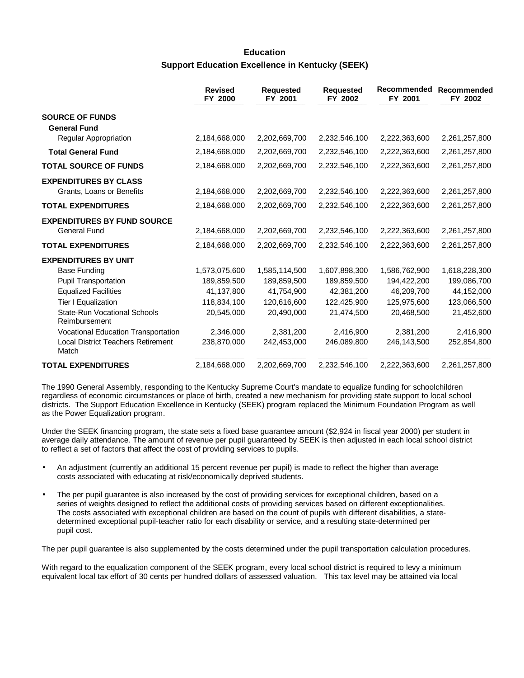# **Education Support Education Excellence in Kentucky (SEEK)**

|                                                           | <b>Revised</b><br>FY 2000 | <b>Requested</b><br>FY 2001 | <b>Requested</b><br>FY 2002 | Recommended<br>FY 2001 | <b>Recommended</b><br>FY 2002 |
|-----------------------------------------------------------|---------------------------|-----------------------------|-----------------------------|------------------------|-------------------------------|
| <b>SOURCE OF FUNDS</b><br><b>General Fund</b>             |                           |                             |                             |                        |                               |
| Regular Appropriation                                     | 2,184,668,000             | 2,202,669,700               | 2,232,546,100               | 2,222,363,600          | 2,261,257,800                 |
| <b>Total General Fund</b>                                 | 2,184,668,000             | 2,202,669,700               | 2,232,546,100               | 2,222,363,600          | 2,261,257,800                 |
| <b>TOTAL SOURCE OF FUNDS</b>                              | 2,184,668,000             | 2,202,669,700               | 2,232,546,100               | 2,222,363,600          | 2,261,257,800                 |
| <b>EXPENDITURES BY CLASS</b><br>Grants, Loans or Benefits | 2,184,668,000             | 2,202,669,700               | 2,232,546,100               | 2,222,363,600          | 2,261,257,800                 |
| <b>TOTAL EXPENDITURES</b>                                 | 2,184,668,000             | 2,202,669,700               | 2,232,546,100               | 2,222,363,600          | 2,261,257,800                 |
| <b>EXPENDITURES BY FUND SOURCE</b><br><b>General Fund</b> | 2,184,668,000             | 2,202,669,700               | 2,232,546,100               | 2,222,363,600          | 2,261,257,800                 |
| <b>TOTAL EXPENDITURES</b>                                 | 2,184,668,000             | 2,202,669,700               | 2,232,546,100               | 2,222,363,600          | 2,261,257,800                 |
| <b>EXPENDITURES BY UNIT</b>                               |                           |                             |                             |                        |                               |
| <b>Base Funding</b>                                       | 1,573,075,600             | 1,585,114,500               | 1,607,898,300               | 1,586,762,900          | 1,618,228,300                 |
| <b>Pupil Transportation</b>                               | 189,859,500               | 189,859,500                 | 189,859,500                 | 194,422,200            | 199,086,700                   |
| <b>Equalized Facilities</b>                               | 41,137,800                | 41,754,900                  | 42,381,200                  | 46,209,700             | 44,152,000                    |
| Tier I Equalization                                       | 118,834,100               | 120,616,600                 | 122,425,900                 | 125,975,600            | 123,066,500                   |
| <b>State-Run Vocational Schools</b><br>Reimbursement      | 20,545,000                | 20,490,000                  | 21,474,500                  | 20,468,500             | 21,452,600                    |
| <b>Vocational Education Transportation</b>                | 2,346,000                 | 2,381,200                   | 2,416,900                   | 2,381,200              | 2,416,900                     |
| <b>Local District Teachers Retirement</b><br>Match        | 238,870,000               | 242,453,000                 | 246,089,800                 | 246,143,500            | 252,854,800                   |
| <b>TOTAL EXPENDITURES</b>                                 | 2,184,668,000             | 2,202,669,700               | 2,232,546,100               | 2,222,363,600          | 2,261,257,800                 |

The 1990 General Assembly, responding to the Kentucky Supreme Court's mandate to equalize funding for schoolchildren regardless of economic circumstances or place of birth, created a new mechanism for providing state support to local school districts. The Support Education Excellence in Kentucky (SEEK) program replaced the Minimum Foundation Program as well as the Power Equalization program.

Under the SEEK financing program, the state sets a fixed base guarantee amount (\$2,924 in fiscal year 2000) per student in average daily attendance. The amount of revenue per pupil guaranteed by SEEK is then adjusted in each local school district to reflect a set of factors that affect the cost of providing services to pupils.

- An adjustment (currently an additional 15 percent revenue per pupil) is made to reflect the higher than average costs associated with educating at risk/economically deprived students.
- The per pupil guarantee is also increased by the cost of providing services for exceptional children, based on a series of weights designed to reflect the additional costs of providing services based on different exceptionalities. The costs associated with exceptional children are based on the count of pupils with different disabilities, a statedetermined exceptional pupil-teacher ratio for each disability or service, and a resulting state-determined per pupil cost.

The per pupil guarantee is also supplemented by the costs determined under the pupil transportation calculation procedures.

With regard to the equalization component of the SEEK program, every local school district is required to levy a minimum equivalent local tax effort of 30 cents per hundred dollars of assessed valuation. This tax level may be attained via local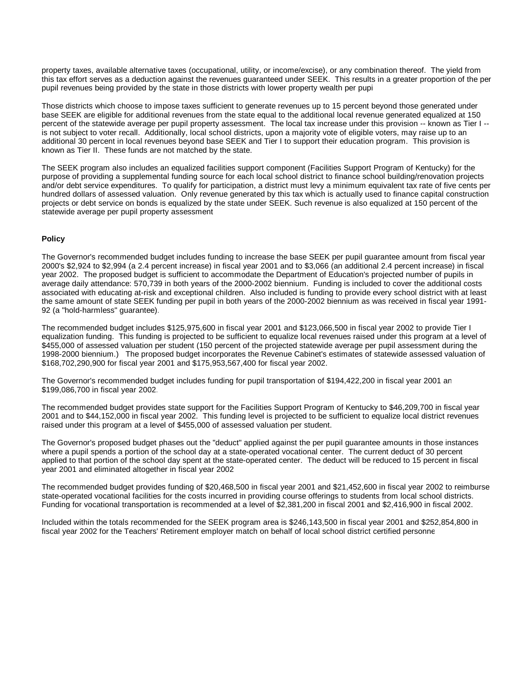property taxes, available alternative taxes (occupational, utility, or income/excise), or any combination thereof. The yield from this tax effort serves as a deduction against the revenues guaranteed under SEEK. This results in a greater proportion of the per pupil revenues being provided by the state in those districts with lower property wealth per pupi

Those districts which choose to impose taxes sufficient to generate revenues up to 15 percent beyond those generated under base SEEK are eligible for additional revenues from the state equal to the additional local revenue generated equalized at 150 percent of the statewide average per pupil property assessment. The local tax increase under this provision -- known as Tier I - is not subject to voter recall. Additionally, local school districts, upon a majority vote of eligible voters, may raise up to an additional 30 percent in local revenues beyond base SEEK and Tier I to support their education program. This provision is known as Tier II. These funds are not matched by the state.

The SEEK program also includes an equalized facilities support component (Facilities Support Program of Kentucky) for the purpose of providing a supplemental funding source for each local school district to finance school building/renovation projects and/or debt service expenditures. To qualify for participation, a district must levy a minimum equivalent tax rate of five cents per hundred dollars of assessed valuation. Only revenue generated by this tax which is actually used to finance capital construction projects or debt service on bonds is equalized by the state under SEEK. Such revenue is also equalized at 150 percent of the statewide average per pupil property assessment.

### **Policy**

The Governor's recommended budget includes funding to increase the base SEEK per pupil guarantee amount from fiscal year 2000's \$2,924 to \$2,994 (a 2.4 percent increase) in fiscal year 2001 and to \$3,066 (an additional 2.4 percent increase) in fiscal year 2002. The proposed budget is sufficient to accommodate the Department of Education's projected number of pupils in average daily attendance: 570,739 in both years of the 2000-2002 biennium. Funding is included to cover the additional costs associated with educating at-risk and exceptional children. Also included is funding to provide every school district with at least the same amount of state SEEK funding per pupil in both years of the 2000-2002 biennium as was received in fiscal year 1991- 92 (a "hold-harmless" guarantee).

The recommended budget includes \$125,975,600 in fiscal year 2001 and \$123,066,500 in fiscal year 2002 to provide Tier I equalization funding. This funding is projected to be sufficient to equalize local revenues raised under this program at a level of \$455,000 of assessed valuation per student (150 percent of the projected statewide average per pupil assessment during the 1998-2000 biennium.) The proposed budget incorporates the Revenue Cabinet's estimates of statewide assessed valuation of \$168,702,290,900 for fiscal year 2001 and \$175,953,567,400 for fiscal year 2002.

The Governor's recommended budget includes funding for pupil transportation of \$194,422,200 in fiscal year 2001 an \$199,086,700 in fiscal year 2002.

The recommended budget provides state support for the Facilities Support Program of Kentucky to \$46,209,700 in fiscal year 2001 and to \$44,152,000 in fiscal year 2002. This funding level is projected to be sufficient to equalize local district revenues raised under this program at a level of \$455,000 of assessed valuation per student.

The Governor's proposed budget phases out the "deduct" applied against the per pupil guarantee amounts in those instances where a pupil spends a portion of the school day at a state-operated vocational center. The current deduct of 30 percent applied to that portion of the school day spent at the state-operated center. The deduct will be reduced to 15 percent in fiscal year 2001 and eliminated altogether in fiscal year 2002.

The recommended budget provides funding of \$20,468,500 in fiscal year 2001 and \$21,452,600 in fiscal year 2002 to reimburse state-operated vocational facilities for the costs incurred in providing course offerings to students from local school districts. Funding for vocational transportation is recommended at a level of \$2,381,200 in fiscal 2001 and \$2,416,900 in fiscal 2002.

Included within the totals recommended for the SEEK program area is \$246,143,500 in fiscal year 2001 and \$252,854,800 in fiscal year 2002 for the Teachers' Retirement employer match on behalf of local school district certified personnel.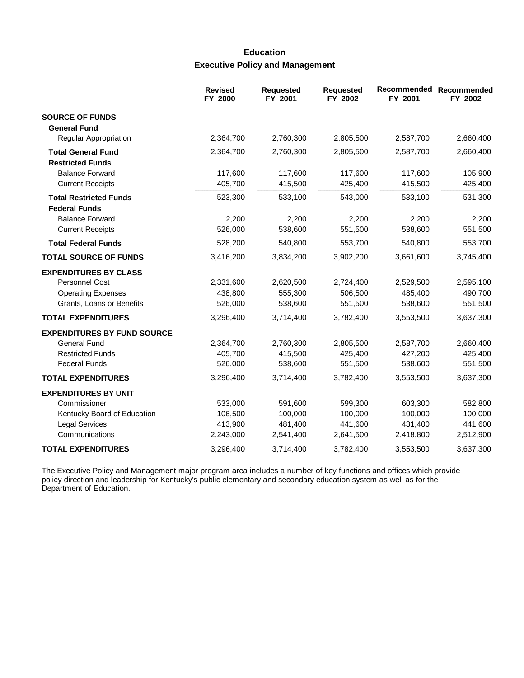# **Education Executive Policy and Management**

|                                                       | <b>Revised</b><br>FY 2000 | Requested<br>FY 2001 | <b>Requested</b><br>FY 2002 | FY 2001   | Recommended Recommended<br>FY 2002 |
|-------------------------------------------------------|---------------------------|----------------------|-----------------------------|-----------|------------------------------------|
| <b>SOURCE OF FUNDS</b><br><b>General Fund</b>         |                           |                      |                             |           |                                    |
| Regular Appropriation                                 | 2,364,700                 | 2,760,300            | 2,805,500                   | 2,587,700 | 2,660,400                          |
| <b>Total General Fund</b><br><b>Restricted Funds</b>  | 2,364,700                 | 2,760,300            | 2,805,500                   | 2,587,700 | 2,660,400                          |
| <b>Balance Forward</b>                                | 117,600                   | 117,600              | 117,600                     | 117,600   | 105,900                            |
| <b>Current Receipts</b>                               | 405,700                   | 415,500              | 425,400                     | 415,500   | 425,400                            |
| <b>Total Restricted Funds</b><br><b>Federal Funds</b> | 523,300                   | 533,100              | 543,000                     | 533,100   | 531,300                            |
| <b>Balance Forward</b>                                | 2,200                     | 2,200                | 2,200                       | 2,200     | 2,200                              |
| <b>Current Receipts</b>                               | 526,000                   | 538,600              | 551,500                     | 538,600   | 551,500                            |
| <b>Total Federal Funds</b>                            | 528,200                   | 540,800              | 553,700                     | 540,800   | 553,700                            |
| <b>TOTAL SOURCE OF FUNDS</b>                          | 3,416,200                 | 3,834,200            | 3,902,200                   | 3,661,600 | 3,745,400                          |
| <b>EXPENDITURES BY CLASS</b>                          |                           |                      |                             |           |                                    |
| <b>Personnel Cost</b>                                 | 2,331,600                 | 2,620,500            | 2,724,400                   | 2,529,500 | 2,595,100                          |
| <b>Operating Expenses</b>                             | 438,800                   | 555,300              | 506,500                     | 485,400   | 490,700                            |
| Grants, Loans or Benefits                             | 526,000                   | 538,600              | 551,500                     | 538,600   | 551,500                            |
| <b>TOTAL EXPENDITURES</b>                             | 3,296,400                 | 3,714,400            | 3,782,400                   | 3,553,500 | 3,637,300                          |
| <b>EXPENDITURES BY FUND SOURCE</b>                    |                           |                      |                             |           |                                    |
| General Fund                                          | 2,364,700                 | 2,760,300            | 2,805,500                   | 2,587,700 | 2,660,400                          |
| <b>Restricted Funds</b>                               | 405,700                   | 415,500              | 425,400                     | 427,200   | 425,400                            |
| <b>Federal Funds</b>                                  | 526,000                   | 538,600              | 551,500                     | 538,600   | 551,500                            |
| <b>TOTAL EXPENDITURES</b>                             | 3,296,400                 | 3,714,400            | 3,782,400                   | 3,553,500 | 3,637,300                          |
| <b>EXPENDITURES BY UNIT</b>                           |                           |                      |                             |           |                                    |
| Commissioner                                          | 533,000                   | 591,600              | 599,300                     | 603,300   | 582,800                            |
| Kentucky Board of Education                           | 106,500                   | 100,000              | 100,000                     | 100,000   | 100,000                            |
| <b>Legal Services</b>                                 | 413,900                   | 481,400              | 441,600                     | 431,400   | 441,600                            |
| Communications                                        | 2,243,000                 | 2,541,400            | 2,641,500                   | 2,418,800 | 2,512,900                          |
| <b>TOTAL EXPENDITURES</b>                             | 3,296,400                 | 3,714,400            | 3,782,400                   | 3,553,500 | 3,637,300                          |

The Executive Policy and Management major program area includes a number of key functions and offices which provide policy direction and leadership for Kentucky's public elementary and secondary education system as well as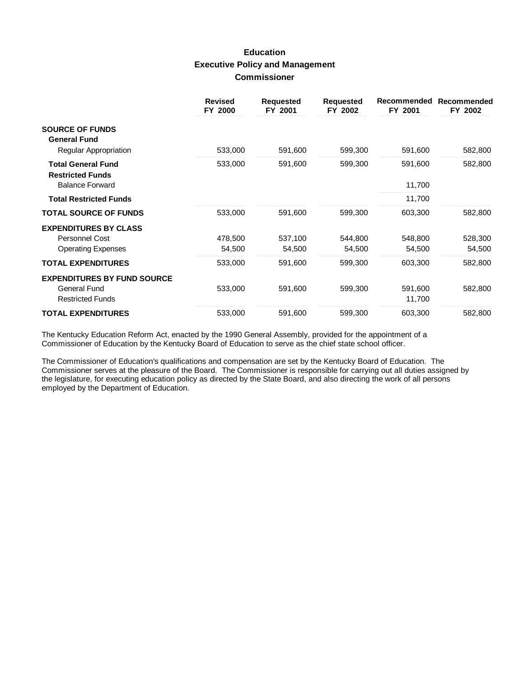# **Education Executive Policy and Management Commissioner**

|                                                      | <b>Revised</b><br>FY 2000 | <b>Requested</b><br>FY 2001 | <b>Requested</b><br>FY 2002 | Recommended<br>FY 2001 | Recommended<br>FY 2002 |
|------------------------------------------------------|---------------------------|-----------------------------|-----------------------------|------------------------|------------------------|
| <b>SOURCE OF FUNDS</b><br><b>General Fund</b>        |                           |                             |                             |                        |                        |
| Regular Appropriation                                | 533,000                   | 591,600                     | 599,300                     | 591,600                | 582,800                |
| <b>Total General Fund</b><br><b>Restricted Funds</b> | 533,000                   | 591,600                     | 599,300                     | 591,600                | 582,800                |
| <b>Balance Forward</b>                               |                           |                             |                             | 11,700                 |                        |
| <b>Total Restricted Funds</b>                        |                           |                             |                             | 11,700                 |                        |
| <b>TOTAL SOURCE OF FUNDS</b>                         | 533,000                   | 591,600                     | 599,300                     | 603,300                | 582,800                |
| <b>EXPENDITURES BY CLASS</b>                         |                           |                             |                             |                        |                        |
| <b>Personnel Cost</b>                                | 478,500                   | 537,100                     | 544,800                     | 548,800                | 528,300                |
| <b>Operating Expenses</b>                            | 54,500                    | 54,500                      | 54,500                      | 54,500                 | 54,500                 |
| <b>TOTAL EXPENDITURES</b>                            | 533,000                   | 591,600                     | 599,300                     | 603,300                | 582,800                |
| <b>EXPENDITURES BY FUND SOURCE</b>                   |                           |                             |                             |                        |                        |
| <b>General Fund</b>                                  | 533,000                   | 591,600                     | 599,300                     | 591,600                | 582,800                |
| <b>Restricted Funds</b>                              |                           |                             |                             | 11,700                 |                        |
| <b>TOTAL EXPENDITURES</b>                            | 533,000                   | 591,600                     | 599,300                     | 603,300                | 582,800                |

The Kentucky Education Reform Act, enacted by the 1990 General Assembly, provided for the appointment of a Commissioner of Education by the Kentucky Board of Education to serve as the chief state school officer.

The Commissioner of Education's qualifications and compensation are set by the Kentucky Board of Education. The Commissioner serves at the pleasure of the Board. The Commissioner is responsible for carrying out all duties assigned by the legislature, for executing education policy as directed by the State Board, and also directing the work of all persons employed by the Department of Education.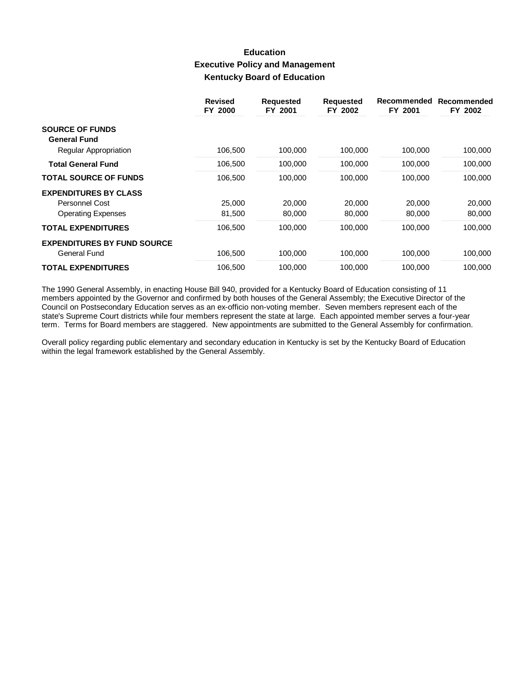## **Education Executive Policy and Management Kentucky Board of Education**

|                                    | <b>Revised</b><br>FY 2000 | <b>Requested</b><br>FY 2001 | <b>Requested</b><br>FY 2002 | Recommended<br>FY 2001 | Recommended<br>FY 2002 |
|------------------------------------|---------------------------|-----------------------------|-----------------------------|------------------------|------------------------|
| <b>SOURCE OF FUNDS</b>             |                           |                             |                             |                        |                        |
| <b>General Fund</b>                |                           |                             |                             |                        |                        |
| Regular Appropriation              | 106,500                   | 100,000                     | 100,000                     | 100,000                | 100,000                |
| <b>Total General Fund</b>          | 106,500                   | 100,000                     | 100,000                     | 100,000                | 100,000                |
| <b>TOTAL SOURCE OF FUNDS</b>       | 106,500                   | 100.000                     | 100,000                     | 100.000                | 100,000                |
| <b>EXPENDITURES BY CLASS</b>       |                           |                             |                             |                        |                        |
| Personnel Cost                     | 25,000                    | 20,000                      | 20,000                      | 20,000                 | 20,000                 |
| <b>Operating Expenses</b>          | 81,500                    | 80,000                      | 80,000                      | 80,000                 | 80,000                 |
| <b>TOTAL EXPENDITURES</b>          | 106,500                   | 100,000                     | 100,000                     | 100,000                | 100,000                |
| <b>EXPENDITURES BY FUND SOURCE</b> |                           |                             |                             |                        |                        |
| General Fund                       | 106,500                   | 100,000                     | 100,000                     | 100.000                | 100,000                |
| <b>TOTAL EXPENDITURES</b>          | 106,500                   | 100,000                     | 100,000                     | 100,000                | 100,000                |

The 1990 General Assembly, in enacting House Bill 940, provided for a Kentucky Board of Education consisting of 11 members appointed by the Governor and confirmed by both houses of the General Assembly; the Executive Director of the Council on Postsecondary Education serves as an ex-officio non-voting member. Seven members represent each of the state's Supreme Court districts while four members represent the state at large. Each appointed member serves a four-year term. Terms for Board members are staggered. New appointments are submitted to the General Assembly for confirmation.

Overall policy regarding public elementary and secondary education in Kentucky is set by the Kentucky Board of Education within the legal framework established by the General Assembly.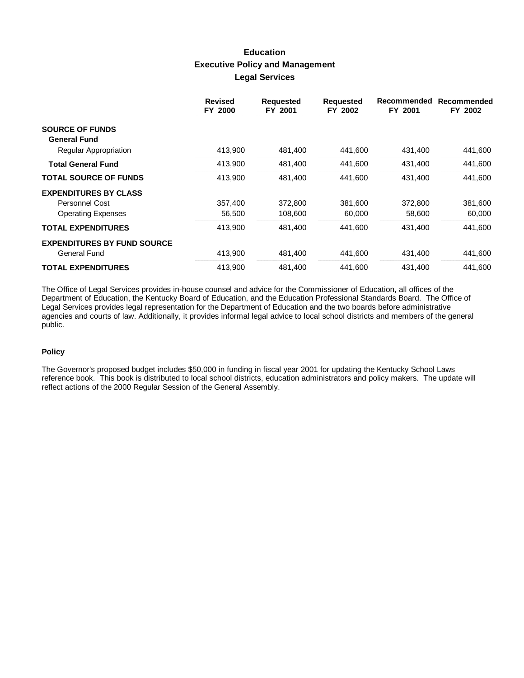# **Education Executive Policy and Management Legal Services**

|                                    | <b>Revised</b><br>FY 2000 | <b>Requested</b><br>FY 2001 | <b>Requested</b><br>FY 2002 | Recommended<br>FY 2001 | Recommended<br>FY 2002 |
|------------------------------------|---------------------------|-----------------------------|-----------------------------|------------------------|------------------------|
| <b>SOURCE OF FUNDS</b>             |                           |                             |                             |                        |                        |
| <b>General Fund</b>                |                           |                             |                             |                        |                        |
| Regular Appropriation              | 413,900                   | 481,400                     | 441,600                     | 431,400                | 441,600                |
| <b>Total General Fund</b>          | 413,900                   | 481,400                     | 441,600                     | 431,400                | 441,600                |
| <b>TOTAL SOURCE OF FUNDS</b>       | 413,900                   | 481,400                     | 441.600                     | 431,400                | 441,600                |
| <b>EXPENDITURES BY CLASS</b>       |                           |                             |                             |                        |                        |
| Personnel Cost                     | 357,400                   | 372,800                     | 381,600                     | 372,800                | 381,600                |
| <b>Operating Expenses</b>          | 56,500                    | 108,600                     | 60,000                      | 58,600                 | 60,000                 |
| <b>TOTAL EXPENDITURES</b>          | 413,900                   | 481,400                     | 441,600                     | 431,400                | 441,600                |
| <b>EXPENDITURES BY FUND SOURCE</b> |                           |                             |                             |                        |                        |
| General Fund                       | 413,900                   | 481,400                     | 441,600                     | 431,400                | 441,600                |
| <b>TOTAL EXPENDITURES</b>          | 413,900                   | 481,400                     | 441.600                     | 431,400                | 441.600                |

The Office of Legal Services provides in-house counsel and advice for the Commissioner of Education, all offices of the Department of Education, the Kentucky Board of Education, and the Education Professional Standards Board. The Office of Legal Services provides legal representation for the Department of Education and the two boards before administrative agencies and courts of law. Additionally, it provides informal legal advice to local school districts and members of the general public.

### **Policy**

The Governor's proposed budget includes \$50,000 in funding in fiscal year 2001 for updating the Kentucky School Laws reference book. This book is distributed to local school districts, education administrators and policy makers. The update will reflect actions of the 2000 Regular Session of the General Assembly.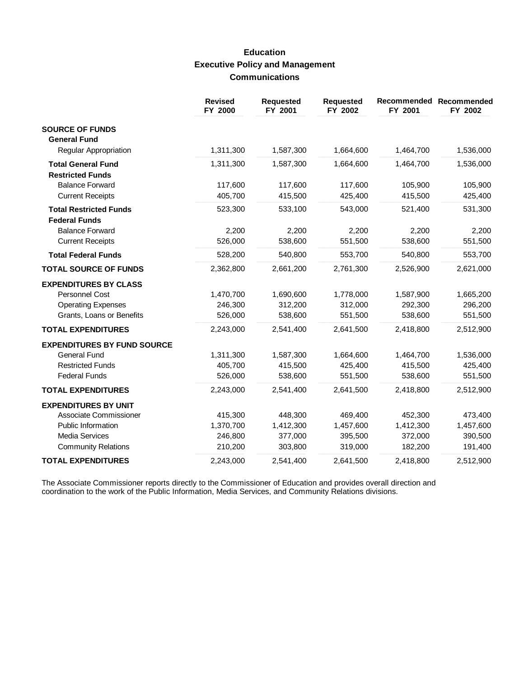# **Education Executive Policy and Management Communications**

|                                                                                                                             | <b>Revised</b><br>FY 2000                  | <b>Requested</b><br>FY 2001                | <b>Requested</b><br>FY 2002                | Recommended<br>FY 2001                     | Recommended<br>FY 2002                     |
|-----------------------------------------------------------------------------------------------------------------------------|--------------------------------------------|--------------------------------------------|--------------------------------------------|--------------------------------------------|--------------------------------------------|
| <b>SOURCE OF FUNDS</b><br><b>General Fund</b>                                                                               |                                            |                                            |                                            |                                            |                                            |
| <b>Regular Appropriation</b>                                                                                                | 1,311,300                                  | 1,587,300                                  | 1,664,600                                  | 1,464,700                                  | 1,536,000                                  |
| <b>Total General Fund</b><br><b>Restricted Funds</b>                                                                        | 1,311,300                                  | 1,587,300                                  | 1,664,600                                  | 1,464,700                                  | 1,536,000                                  |
| <b>Balance Forward</b><br><b>Current Receipts</b>                                                                           | 117,600<br>405,700                         | 117,600<br>415,500                         | 117,600<br>425,400                         | 105,900<br>415,500                         | 105,900<br>425,400                         |
| <b>Total Restricted Funds</b><br><b>Federal Funds</b>                                                                       | 523,300                                    | 533,100                                    | 543,000                                    | 521,400                                    | 531,300                                    |
| <b>Balance Forward</b><br><b>Current Receipts</b>                                                                           | 2,200<br>526,000                           | 2,200<br>538,600                           | 2,200<br>551,500                           | 2,200<br>538,600                           | 2,200<br>551,500                           |
| <b>Total Federal Funds</b>                                                                                                  | 528,200                                    | 540,800                                    | 553,700                                    | 540,800                                    | 553,700                                    |
| <b>TOTAL SOURCE OF FUNDS</b>                                                                                                | 2,362,800                                  | 2,661,200                                  | 2,761,300                                  | 2,526,900                                  | 2,621,000                                  |
| <b>EXPENDITURES BY CLASS</b><br><b>Personnel Cost</b><br><b>Operating Expenses</b><br>Grants, Loans or Benefits             | 1,470,700<br>246,300<br>526,000            | 1,690,600<br>312,200<br>538,600            | 1,778,000<br>312,000<br>551,500            | 1,587,900<br>292,300<br>538,600            | 1,665,200<br>296,200<br>551,500            |
| <b>TOTAL EXPENDITURES</b>                                                                                                   | 2,243,000                                  | 2,541,400                                  | 2,641,500                                  | 2,418,800                                  | 2,512,900                                  |
| <b>EXPENDITURES BY FUND SOURCE</b><br><b>General Fund</b><br><b>Restricted Funds</b><br><b>Federal Funds</b>                | 1,311,300<br>405,700<br>526,000            | 1,587,300<br>415,500<br>538,600            | 1,664,600<br>425,400<br>551,500            | 1,464,700<br>415,500<br>538,600            | 1,536,000<br>425,400<br>551,500            |
| <b>TOTAL EXPENDITURES</b>                                                                                                   | 2,243,000                                  | 2,541,400                                  | 2,641,500                                  | 2,418,800                                  | 2,512,900                                  |
| <b>EXPENDITURES BY UNIT</b><br>Associate Commissioner<br>Public Information<br>Media Services<br><b>Community Relations</b> | 415,300<br>1,370,700<br>246,800<br>210,200 | 448,300<br>1,412,300<br>377,000<br>303,800 | 469,400<br>1,457,600<br>395,500<br>319,000 | 452,300<br>1,412,300<br>372,000<br>182,200 | 473,400<br>1,457,600<br>390,500<br>191,400 |
| <b>TOTAL EXPENDITURES</b>                                                                                                   | 2,243,000                                  | 2,541,400                                  | 2,641,500                                  | 2,418,800                                  | 2,512,900                                  |

The Associate Commissioner reports directly to the Commissioner of Education and provides overall direction and coordination to the work of the Public Information, Media Services, and Community Relations divisions.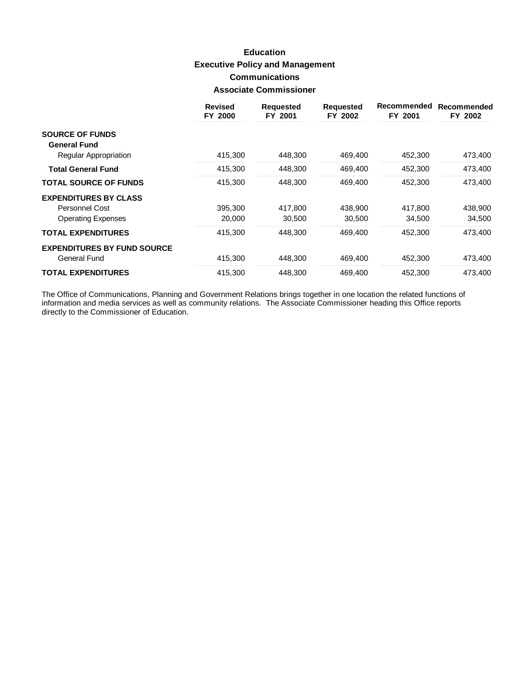# **Education Executive Policy and Management Communications Associate Commissioner**

|                                    | <b>Revised</b><br>FY 2000 | <b>Requested</b><br>FY 2001 | <b>Requested</b><br>FY 2002 | Recommended<br>FY 2001 | Recommended<br>FY 2002 |
|------------------------------------|---------------------------|-----------------------------|-----------------------------|------------------------|------------------------|
| <b>SOURCE OF FUNDS</b>             |                           |                             |                             |                        |                        |
| <b>General Fund</b>                |                           |                             |                             |                        |                        |
| Regular Appropriation              | 415,300                   | 448,300                     | 469,400                     | 452,300                | 473,400                |
| <b>Total General Fund</b>          | 415,300                   | 448,300                     | 469,400                     | 452,300                | 473,400                |
| <b>TOTAL SOURCE OF FUNDS</b>       | 415,300                   | 448.300                     | 469,400                     | 452,300                | 473,400                |
| <b>EXPENDITURES BY CLASS</b>       |                           |                             |                             |                        |                        |
| Personnel Cost                     | 395,300                   | 417,800                     | 438.900                     | 417.800                | 438,900                |
| <b>Operating Expenses</b>          | 20,000                    | 30,500                      | 30,500                      | 34,500                 | 34,500                 |
| <b>TOTAL EXPENDITURES</b>          | 415,300                   | 448.300                     | 469,400                     | 452,300                | 473,400                |
| <b>EXPENDITURES BY FUND SOURCE</b> |                           |                             |                             |                        |                        |
| General Fund                       | 415,300                   | 448,300                     | 469,400                     | 452,300                | 473,400                |
| <b>TOTAL EXPENDITURES</b>          | 415,300                   | 448.300                     | 469,400                     | 452.300                | 473.400                |

The Office of Communications, Planning and Government Relations brings together in one location the related functions of information and media services as well as community relations. The Associate Commissioner heading thi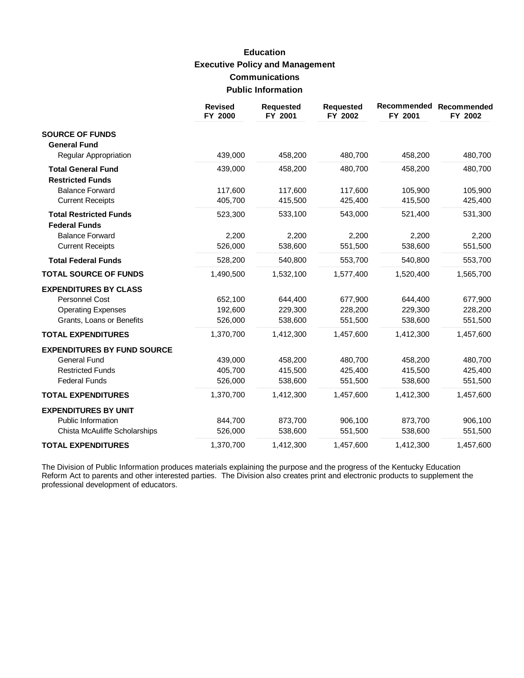# **Education Executive Policy and Management Communications Public Information**

|                                    | <b>Revised</b><br>FY 2000 | <b>Requested</b><br>FY 2001 | <b>Requested</b><br>FY 2002 | FY 2001   | Recommended Recommended<br>FY 2002 |
|------------------------------------|---------------------------|-----------------------------|-----------------------------|-----------|------------------------------------|
| <b>SOURCE OF FUNDS</b>             |                           |                             |                             |           |                                    |
| <b>General Fund</b>                |                           |                             |                             |           |                                    |
| Regular Appropriation              | 439,000                   | 458,200                     | 480,700                     | 458,200   | 480,700                            |
| <b>Total General Fund</b>          | 439,000                   | 458,200                     | 480,700                     | 458,200   | 480,700                            |
| <b>Restricted Funds</b>            |                           |                             |                             |           |                                    |
| <b>Balance Forward</b>             | 117,600                   | 117,600                     | 117,600                     | 105,900   | 105,900                            |
| <b>Current Receipts</b>            | 405,700                   | 415,500                     | 425,400                     | 415,500   | 425,400                            |
| <b>Total Restricted Funds</b>      | 523,300                   | 533,100                     | 543,000                     | 521,400   | 531,300                            |
| <b>Federal Funds</b>               |                           |                             |                             |           |                                    |
| <b>Balance Forward</b>             | 2,200                     | 2,200                       | 2,200                       | 2,200     | 2,200                              |
| <b>Current Receipts</b>            | 526,000                   | 538,600                     | 551,500                     | 538,600   | 551,500                            |
| <b>Total Federal Funds</b>         | 528,200                   | 540,800                     | 553,700                     | 540,800   | 553,700                            |
| <b>TOTAL SOURCE OF FUNDS</b>       | 1,490,500                 | 1,532,100                   | 1,577,400                   | 1,520,400 | 1,565,700                          |
| <b>EXPENDITURES BY CLASS</b>       |                           |                             |                             |           |                                    |
| Personnel Cost                     | 652,100                   | 644,400                     | 677,900                     | 644,400   | 677,900                            |
| <b>Operating Expenses</b>          | 192,600                   | 229,300                     | 228,200                     | 229,300   | 228,200                            |
| Grants, Loans or Benefits          | 526,000                   | 538,600                     | 551,500                     | 538,600   | 551,500                            |
| <b>TOTAL EXPENDITURES</b>          | 1,370,700                 | 1,412,300                   | 1,457,600                   | 1,412,300 | 1,457,600                          |
| <b>EXPENDITURES BY FUND SOURCE</b> |                           |                             |                             |           |                                    |
| <b>General Fund</b>                | 439,000                   | 458,200                     | 480,700                     | 458,200   | 480,700                            |
| <b>Restricted Funds</b>            | 405,700                   | 415,500                     | 425,400                     | 415,500   | 425,400                            |
| <b>Federal Funds</b>               | 526,000                   | 538,600                     | 551,500                     | 538,600   | 551,500                            |
| <b>TOTAL EXPENDITURES</b>          | 1,370,700                 | 1,412,300                   | 1,457,600                   | 1,412,300 | 1,457,600                          |
| <b>EXPENDITURES BY UNIT</b>        |                           |                             |                             |           |                                    |
| <b>Public Information</b>          | 844,700                   | 873,700                     | 906,100                     | 873,700   | 906,100                            |
| Chista McAuliffe Scholarships      | 526,000                   | 538,600                     | 551,500                     | 538,600   | 551,500                            |
| <b>TOTAL EXPENDITURES</b>          | 1,370,700                 | 1,412,300                   | 1,457,600                   | 1,412,300 | 1,457,600                          |

The Division of Public Information produces materials explaining the purpose and the progress of the Kentucky Education<br>Reform Act to parents and other interested parties. The Division also creates print and electronic pro professional development of educators.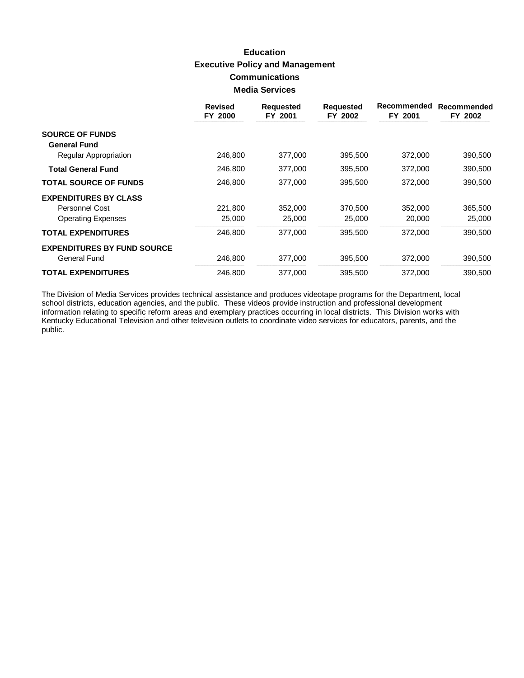# **Education Executive Policy and Management Communications Media Services**

|                                    | <b>Revised</b><br>FY 2000 | <b>Requested</b><br>FY 2001 | <b>Requested</b><br>FY 2002 | Recommended<br>FY 2001 | Recommended<br>FY 2002 |
|------------------------------------|---------------------------|-----------------------------|-----------------------------|------------------------|------------------------|
| <b>SOURCE OF FUNDS</b>             |                           |                             |                             |                        |                        |
| <b>General Fund</b>                |                           |                             |                             |                        |                        |
| <b>Regular Appropriation</b>       | 246,800                   | 377,000                     | 395,500                     | 372,000                | 390,500                |
| <b>Total General Fund</b>          | 246,800                   | 377,000                     | 395,500                     | 372,000                | 390,500                |
| <b>TOTAL SOURCE OF FUNDS</b>       | 246,800                   | 377,000                     | 395,500                     | 372,000                | 390,500                |
| <b>EXPENDITURES BY CLASS</b>       |                           |                             |                             |                        |                        |
| Personnel Cost                     | 221,800                   | 352,000                     | 370,500                     | 352,000                | 365,500                |
| <b>Operating Expenses</b>          | 25,000                    | 25,000                      | 25,000                      | 20,000                 | 25,000                 |
| <b>TOTAL EXPENDITURES</b>          | 246,800                   | 377,000                     | 395,500                     | 372,000                | 390,500                |
| <b>EXPENDITURES BY FUND SOURCE</b> |                           |                             |                             |                        |                        |
| General Fund                       | 246,800                   | 377,000                     | 395,500                     | 372,000                | 390,500                |
| <b>TOTAL EXPENDITURES</b>          | 246.800                   | 377.000                     | 395,500                     | 372,000                | 390,500                |

The Division of Media Services provides technical assistance and produces videotape programs for the Department, local school districts, education agencies, and the public. These videos provide instruction and professional Kentucky Educational Television and other television outlets to coordinate video services for educators, parents, and the public.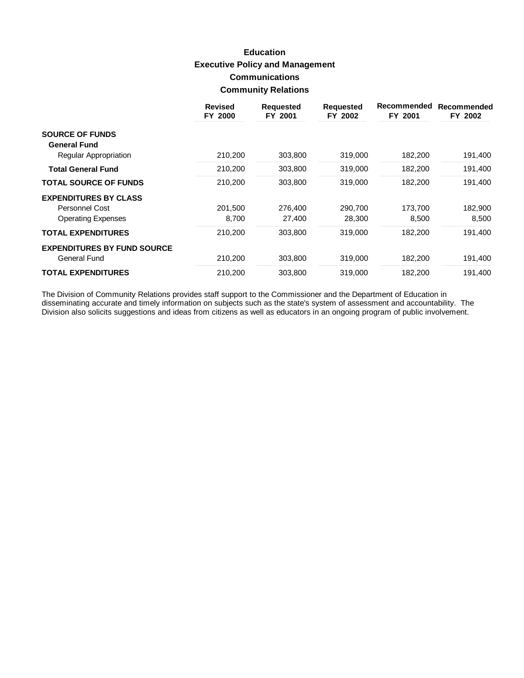# **Education Executive Policy and Management Communications Community Relations**

|                                    | <b>Revised</b><br>FY 2000 | <b>Requested</b><br>FY 2001 | <b>Requested</b><br>FY 2002 | Recommended<br>FY 2001 | Recommended<br>FY 2002 |
|------------------------------------|---------------------------|-----------------------------|-----------------------------|------------------------|------------------------|
| <b>SOURCE OF FUNDS</b>             |                           |                             |                             |                        |                        |
| <b>General Fund</b>                |                           |                             |                             |                        |                        |
| Regular Appropriation              | 210,200                   | 303,800                     | 319,000                     | 182,200                | 191,400                |
| <b>Total General Fund</b>          | 210,200                   | 303,800                     | 319,000                     | 182,200                | 191,400                |
| <b>TOTAL SOURCE OF FUNDS</b>       | 210,200                   | 303,800                     | 319,000                     | 182,200                | 191,400                |
| <b>EXPENDITURES BY CLASS</b>       |                           |                             |                             |                        |                        |
| Personnel Cost                     | 201,500                   | 276,400                     | 290,700                     | 173,700                | 182,900                |
| <b>Operating Expenses</b>          | 8,700                     | 27,400                      | 28,300                      | 8,500                  | 8,500                  |
| <b>TOTAL EXPENDITURES</b>          | 210,200                   | 303,800                     | 319,000                     | 182,200                | 191,400                |
| <b>EXPENDITURES BY FUND SOURCE</b> |                           |                             |                             |                        |                        |
| General Fund                       | 210,200                   | 303,800                     | 319,000                     | 182,200                | 191,400                |
| <b>TOTAL EXPENDITURES</b>          | 210,200                   | 303,800                     | 319,000                     | 182,200                | 191,400                |

The Division of Community Relations provides staff support to the Commissioner and the Department of Education in<br>disseminating accurate and timely information on subjects such as the state's system of assessment and accou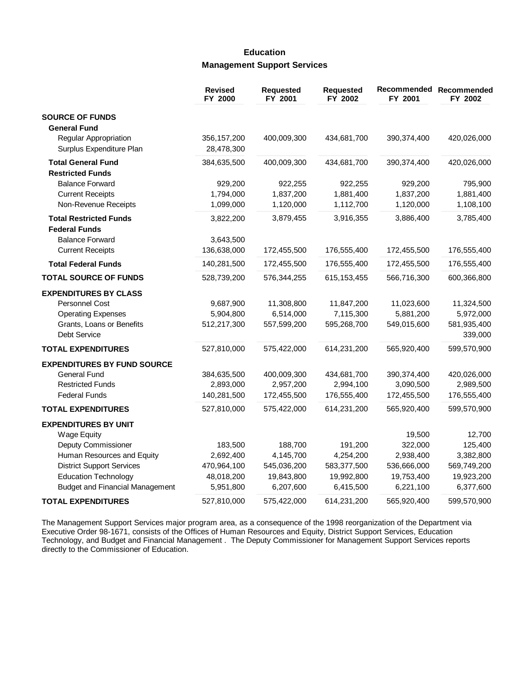## **Education Management Support Services**

|                                        | <b>Revised</b><br>FY 2000 | <b>Requested</b><br>FY 2001 | <b>Requested</b><br>FY 2002 | FY 2001       | Recommended Recommended<br>FY 2002 |
|----------------------------------------|---------------------------|-----------------------------|-----------------------------|---------------|------------------------------------|
| <b>SOURCE OF FUNDS</b>                 |                           |                             |                             |               |                                    |
| <b>General Fund</b>                    |                           |                             |                             |               |                                    |
| Regular Appropriation                  | 356, 157, 200             | 400,009,300                 | 434,681,700                 | 390, 374, 400 | 420,026,000                        |
| Surplus Expenditure Plan               | 28,478,300                |                             |                             |               |                                    |
| <b>Total General Fund</b>              | 384,635,500               | 400,009,300                 | 434,681,700                 | 390,374,400   | 420,026,000                        |
| <b>Restricted Funds</b>                |                           |                             |                             |               |                                    |
| <b>Balance Forward</b>                 | 929,200                   | 922,255                     | 922,255                     | 929,200       | 795,900                            |
| <b>Current Receipts</b>                | 1,794,000                 | 1,837,200                   | 1,881,400                   | 1,837,200     | 1,881,400                          |
| Non-Revenue Receipts                   | 1,099,000                 | 1,120,000                   | 1,112,700                   | 1,120,000     | 1,108,100                          |
| <b>Total Restricted Funds</b>          | 3,822,200                 | 3,879,455                   | 3,916,355                   | 3,886,400     | 3,785,400                          |
| <b>Federal Funds</b>                   |                           |                             |                             |               |                                    |
| <b>Balance Forward</b>                 | 3,643,500                 |                             |                             |               |                                    |
| <b>Current Receipts</b>                | 136,638,000               | 172,455,500                 | 176,555,400                 | 172,455,500   | 176,555,400                        |
| <b>Total Federal Funds</b>             | 140,281,500               | 172,455,500                 | 176,555,400                 | 172,455,500   | 176,555,400                        |
| <b>TOTAL SOURCE OF FUNDS</b>           | 528,739,200               | 576,344,255                 | 615, 153, 455               | 566,716,300   | 600,366,800                        |
| <b>EXPENDITURES BY CLASS</b>           |                           |                             |                             |               |                                    |
| Personnel Cost                         | 9,687,900                 | 11,308,800                  | 11,847,200                  | 11,023,600    | 11,324,500                         |
| <b>Operating Expenses</b>              | 5,904,800                 | 6,514,000                   | 7,115,300                   | 5,881,200     | 5,972,000                          |
| Grants, Loans or Benefits              | 512,217,300               | 557,599,200                 | 595,268,700                 | 549,015,600   | 581,935,400                        |
| Debt Service                           |                           |                             |                             |               | 339,000                            |
| <b>TOTAL EXPENDITURES</b>              | 527,810,000               | 575,422,000                 | 614,231,200                 | 565,920,400   | 599,570,900                        |
| <b>EXPENDITURES BY FUND SOURCE</b>     |                           |                             |                             |               |                                    |
| <b>General Fund</b>                    | 384,635,500               | 400,009,300                 | 434,681,700                 | 390,374,400   | 420,026,000                        |
| <b>Restricted Funds</b>                | 2,893,000                 | 2,957,200                   | 2,994,100                   | 3,090,500     | 2,989,500                          |
| <b>Federal Funds</b>                   | 140,281,500               | 172,455,500                 | 176,555,400                 | 172,455,500   | 176,555,400                        |
| <b>TOTAL EXPENDITURES</b>              | 527,810,000               | 575,422,000                 | 614,231,200                 | 565,920,400   | 599,570,900                        |
| <b>EXPENDITURES BY UNIT</b>            |                           |                             |                             |               |                                    |
| <b>Wage Equity</b>                     |                           |                             |                             | 19,500        | 12,700                             |
| Deputy Commissioner                    | 183,500                   | 188,700                     | 191,200                     | 322,000       | 125,400                            |
| Human Resources and Equity             | 2,692,400                 | 4,145,700                   | 4,254,200                   | 2,938,400     | 3,382,800                          |
| <b>District Support Services</b>       | 470,964,100               | 545,036,200                 | 583,377,500                 | 536,666,000   | 569,749,200                        |
| <b>Education Technology</b>            | 48,018,200                | 19,843,800                  | 19,992,800                  | 19,753,400    | 19,923,200                         |
| <b>Budget and Financial Management</b> | 5,951,800                 | 6,207,600                   | 6,415,500                   | 6,221,100     | 6,377,600                          |
| <b>TOTAL EXPENDITURES</b>              | 527,810,000               | 575,422,000                 | 614,231,200                 | 565,920,400   | 599,570,900                        |

The Management Support Services major program area, as a consequence of the 1998 reorganization of the Department via Executive Order 98-1671, consists of the Offices of Human Resources and Equity, District Support Services, Education Technology, and Budget and Financial Management. The Deputy Commissioner for Management Support Services reports directly to the Commissioner of Education.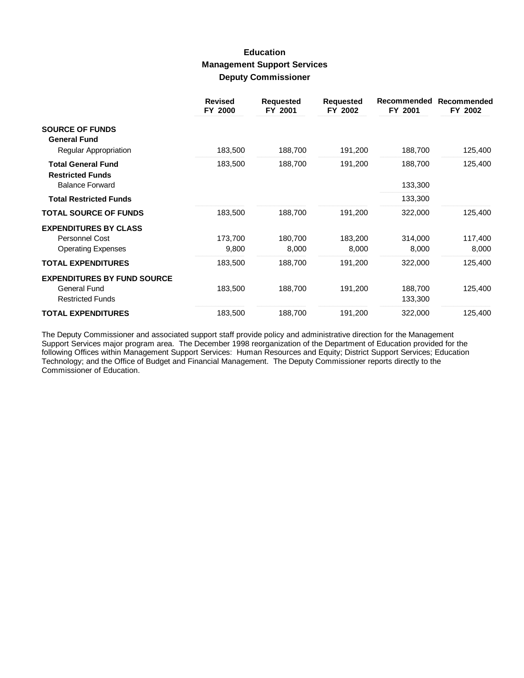## **Education Management Support Services Deputy Commissioner**

|                                                      | <b>Revised</b><br>FY 2000 | <b>Requested</b><br>FY 2001 | <b>Requested</b><br>FY 2002 | Recommended<br>FY 2001 | Recommended<br>FY 2002 |
|------------------------------------------------------|---------------------------|-----------------------------|-----------------------------|------------------------|------------------------|
| <b>SOURCE OF FUNDS</b><br><b>General Fund</b>        |                           |                             |                             |                        |                        |
| Regular Appropriation                                | 183,500                   | 188,700                     | 191,200                     | 188,700                | 125,400                |
| <b>Total General Fund</b><br><b>Restricted Funds</b> | 183,500                   | 188,700                     | 191,200                     | 188,700                | 125,400                |
| <b>Balance Forward</b>                               |                           |                             |                             | 133,300                |                        |
| <b>Total Restricted Funds</b>                        |                           |                             |                             | 133,300                |                        |
| <b>TOTAL SOURCE OF FUNDS</b>                         | 183,500                   | 188,700                     | 191,200                     | 322,000                | 125,400                |
| <b>EXPENDITURES BY CLASS</b>                         |                           |                             |                             |                        |                        |
| Personnel Cost                                       | 173,700                   | 180,700                     | 183,200                     | 314,000                | 117,400                |
| <b>Operating Expenses</b>                            | 9,800                     | 8,000                       | 8,000                       | 8,000                  | 8,000                  |
| <b>TOTAL EXPENDITURES</b>                            | 183,500                   | 188,700                     | 191,200                     | 322,000                | 125,400                |
| <b>EXPENDITURES BY FUND SOURCE</b>                   |                           |                             |                             |                        |                        |
| <b>General Fund</b>                                  | 183,500                   | 188,700                     | 191,200                     | 188,700                | 125,400                |
| <b>Restricted Funds</b>                              |                           |                             |                             | 133,300                |                        |
| <b>TOTAL EXPENDITURES</b>                            | 183,500                   | 188,700                     | 191,200                     | 322,000                | 125,400                |

The Deputy Commissioner and associated support staff provide policy and administrative direction for the Management<br>Support Services major program area. The December 1998 reorganization of the Department of Education provi Commissioner of Education.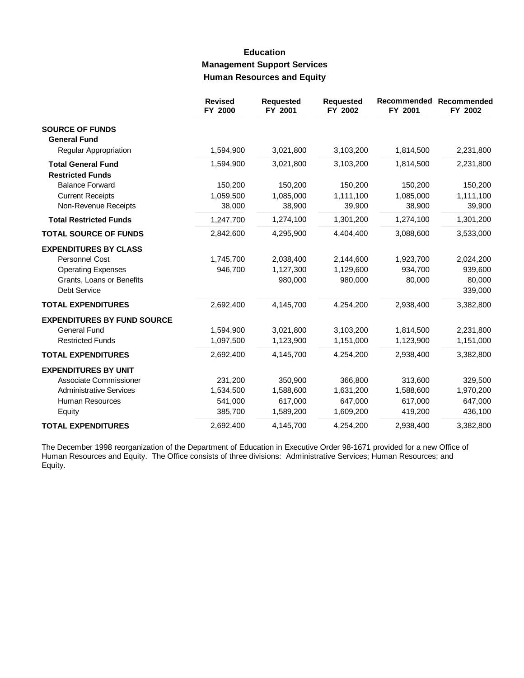# **Education Management Support Services Human Resources and Equity**

|                                                                                                                          | <b>Revised</b><br>FY 2000                  | <b>Requested</b><br>FY 2001                  | <b>Requested</b><br>FY 2002                  | Recommended<br>FY 2001                     | Recommended<br>FY 2002                     |
|--------------------------------------------------------------------------------------------------------------------------|--------------------------------------------|----------------------------------------------|----------------------------------------------|--------------------------------------------|--------------------------------------------|
| <b>SOURCE OF FUNDS</b><br><b>General Fund</b>                                                                            |                                            |                                              |                                              |                                            |                                            |
| Regular Appropriation                                                                                                    | 1,594,900                                  | 3,021,800                                    | 3,103,200                                    | 1,814,500                                  | 2,231,800                                  |
| <b>Total General Fund</b><br><b>Restricted Funds</b>                                                                     | 1,594,900                                  | 3,021,800                                    | 3,103,200                                    | 1,814,500                                  | 2,231,800                                  |
| <b>Balance Forward</b><br><b>Current Receipts</b><br>Non-Revenue Receipts                                                | 150,200<br>1,059,500<br>38,000             | 150,200<br>1,085,000<br>38,900               | 150,200<br>1,111,100<br>39,900               | 150,200<br>1,085,000<br>38,900             | 150,200<br>1,111,100<br>39,900             |
| <b>Total Restricted Funds</b>                                                                                            | 1,247,700                                  | 1,274,100                                    | 1,301,200                                    | 1,274,100                                  | 1,301,200                                  |
| <b>TOTAL SOURCE OF FUNDS</b>                                                                                             | 2,842,600                                  | 4,295,900                                    | 4,404,400                                    | 3,088,600                                  | 3,533,000                                  |
| <b>EXPENDITURES BY CLASS</b><br>Personnel Cost<br><b>Operating Expenses</b><br>Grants, Loans or Benefits<br>Debt Service | 1,745,700<br>946,700                       | 2,038,400<br>1,127,300<br>980,000            | 2,144,600<br>1,129,600<br>980,000            | 1,923,700<br>934,700<br>80,000             | 2,024,200<br>939,600<br>80,000<br>339,000  |
| <b>TOTAL EXPENDITURES</b>                                                                                                | 2,692,400                                  | 4,145,700                                    | 4,254,200                                    | 2,938,400                                  | 3,382,800                                  |
| <b>EXPENDITURES BY FUND SOURCE</b><br><b>General Fund</b><br><b>Restricted Funds</b>                                     | 1,594,900<br>1,097,500                     | 3,021,800<br>1,123,900                       | 3,103,200<br>1,151,000                       | 1,814,500<br>1,123,900                     | 2,231,800<br>1,151,000                     |
| <b>TOTAL EXPENDITURES</b>                                                                                                | 2,692,400                                  | 4,145,700                                    | 4,254,200                                    | 2,938,400                                  | 3,382,800                                  |
| <b>EXPENDITURES BY UNIT</b><br>Associate Commissioner<br><b>Administrative Services</b><br>Human Resources<br>Equity     | 231,200<br>1,534,500<br>541,000<br>385,700 | 350,900<br>1,588,600<br>617,000<br>1,589,200 | 366,800<br>1,631,200<br>647,000<br>1,609,200 | 313,600<br>1,588,600<br>617,000<br>419,200 | 329,500<br>1,970,200<br>647,000<br>436,100 |
| <b>TOTAL EXPENDITURES</b>                                                                                                | 2,692,400                                  | 4,145,700                                    | 4,254,200                                    | 2,938,400                                  | 3,382,800                                  |

The December 1998 reorganization of the Department of Education in Executive Order 98-1671 provided for a new Office of<br>Human Resources and Equity. The Office consists of three divisions: Administrative Services; Human Res Equity.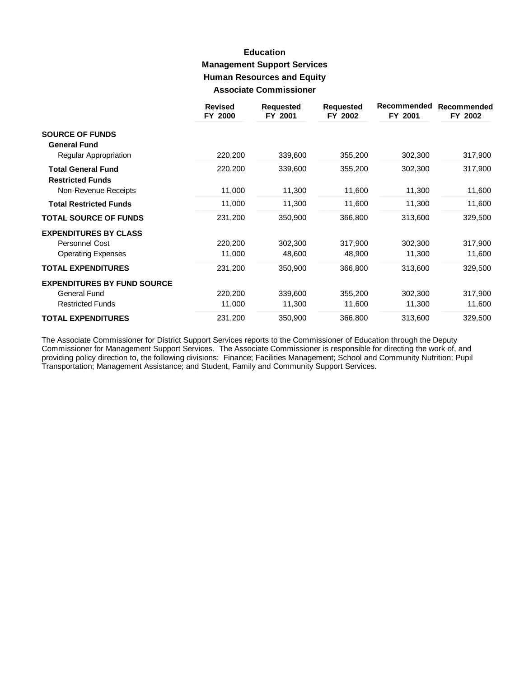## **Education Management Support Services Human Resources and Equity Associate Commissioner**

|                                    | <b>Revised</b><br>FY 2000 | <b>Requested</b><br>FY 2001 | <b>Requested</b><br>FY 2002 | Recommended<br>FY 2001 | Recommended<br>FY 2002 |
|------------------------------------|---------------------------|-----------------------------|-----------------------------|------------------------|------------------------|
| <b>SOURCE OF FUNDS</b>             |                           |                             |                             |                        |                        |
| <b>General Fund</b>                |                           |                             |                             |                        |                        |
| Regular Appropriation              | 220,200                   | 339,600                     | 355,200                     | 302,300                | 317,900                |
| <b>Total General Fund</b>          | 220,200                   | 339,600                     | 355,200                     | 302,300                | 317,900                |
| <b>Restricted Funds</b>            |                           |                             |                             |                        |                        |
| Non-Revenue Receipts               | 11,000                    | 11,300                      | 11,600                      | 11,300                 | 11,600                 |
| <b>Total Restricted Funds</b>      | 11,000                    | 11,300                      | 11,600                      | 11,300                 | 11,600                 |
| <b>TOTAL SOURCE OF FUNDS</b>       | 231,200                   | 350,900                     | 366,800                     | 313,600                | 329,500                |
| <b>EXPENDITURES BY CLASS</b>       |                           |                             |                             |                        |                        |
| Personnel Cost                     | 220,200                   | 302,300                     | 317,900                     | 302,300                | 317,900                |
| <b>Operating Expenses</b>          | 11,000                    | 48,600                      | 48,900                      | 11,300                 | 11,600                 |
| <b>TOTAL EXPENDITURES</b>          | 231,200                   | 350,900                     | 366,800                     | 313,600                | 329,500                |
| <b>EXPENDITURES BY FUND SOURCE</b> |                           |                             |                             |                        |                        |
| <b>General Fund</b>                | 220,200                   | 339,600                     | 355,200                     | 302,300                | 317,900                |
| <b>Restricted Funds</b>            | 11,000                    | 11,300                      | 11,600                      | 11,300                 | 11,600                 |
| <b>TOTAL EXPENDITURES</b>          | 231,200                   | 350,900                     | 366,800                     | 313,600                | 329,500                |

The Associate Commissioner for District Support Services reports to the Commissioner of Education through the Deputy Commissioner for Management Support Services. The Associate Commissioner is responsible for directing the work of, and<br>providing policy direction to, the following divisions: Finance; Facilities Management; School and Comm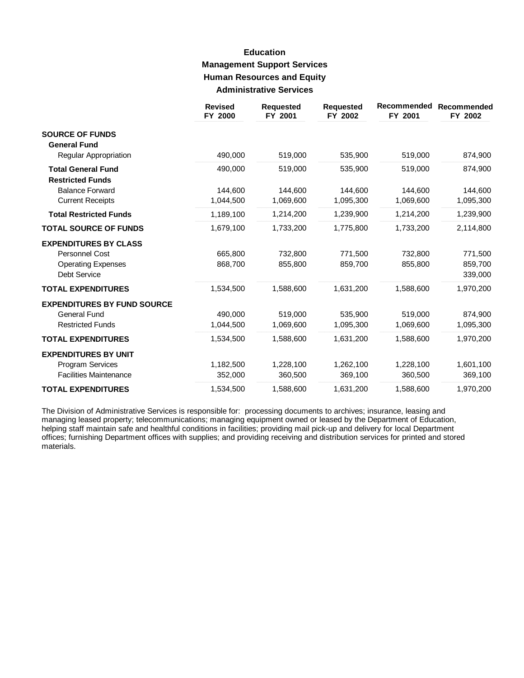## **Education Management Support Services Human Resources and Equity Administrative Services**

|                                                      | <b>Revised</b><br>FY 2000 | <b>Requested</b><br>FY 2001 | <b>Requested</b><br>FY 2002 | Recommended<br>FY 2001 | Recommended<br>FY 2002 |
|------------------------------------------------------|---------------------------|-----------------------------|-----------------------------|------------------------|------------------------|
| <b>SOURCE OF FUNDS</b><br><b>General Fund</b>        |                           |                             |                             |                        |                        |
| Regular Appropriation                                | 490,000                   | 519,000                     | 535,900                     | 519,000                | 874,900                |
| <b>Total General Fund</b><br><b>Restricted Funds</b> | 490,000                   | 519,000                     | 535,900                     | 519,000                | 874,900                |
| <b>Balance Forward</b>                               | 144,600                   | 144,600                     | 144,600                     | 144,600                | 144,600                |
| <b>Current Receipts</b>                              | 1,044,500                 | 1,069,600                   | 1,095,300                   | 1,069,600              | 1,095,300              |
| <b>Total Restricted Funds</b>                        | 1,189,100                 | 1,214,200                   | 1,239,900                   | 1,214,200              | 1,239,900              |
| <b>TOTAL SOURCE OF FUNDS</b>                         | 1,679,100                 | 1,733,200                   | 1,775,800                   | 1,733,200              | 2,114,800              |
| <b>EXPENDITURES BY CLASS</b>                         |                           |                             |                             |                        |                        |
| <b>Personnel Cost</b>                                | 665,800                   | 732,800                     | 771,500                     | 732,800                | 771,500                |
| <b>Operating Expenses</b><br><b>Debt Service</b>     | 868,700                   | 855,800                     | 859,700                     | 855,800                | 859,700<br>339,000     |
| <b>TOTAL EXPENDITURES</b>                            | 1,534,500                 | 1,588,600                   | 1,631,200                   | 1,588,600              | 1,970,200              |
| <b>EXPENDITURES BY FUND SOURCE</b>                   |                           |                             |                             |                        |                        |
| <b>General Fund</b>                                  | 490.000                   | 519,000                     | 535.900                     | 519.000                | 874,900                |
| <b>Restricted Funds</b>                              | 1,044,500                 | 1,069,600                   | 1,095,300                   | 1,069,600              | 1,095,300              |
| <b>TOTAL EXPENDITURES</b>                            | 1,534,500                 | 1,588,600                   | 1,631,200                   | 1,588,600              | 1,970,200              |
| <b>EXPENDITURES BY UNIT</b>                          |                           |                             |                             |                        |                        |
| Program Services                                     | 1,182,500                 | 1,228,100                   | 1,262,100                   | 1,228,100              | 1,601,100              |
| <b>Facilities Maintenance</b>                        | 352,000                   | 360,500                     | 369,100                     | 360,500                | 369,100                |
| <b>TOTAL EXPENDITURES</b>                            | 1,534,500                 | 1,588,600                   | 1,631,200                   | 1,588,600              | 1,970,200              |

The Division of Administrative Services is responsible for: processing documents to archives; insurance, leasing and managing leased property; telecommunications; managing equipment owned or leased by the Department of Education, helping staff maintain safe and healthful conditions in facilities; providing mail pick-up and delivery for local Department<br>offices; furnishing Department offices with supplies; and providing receiving and distribution se materials.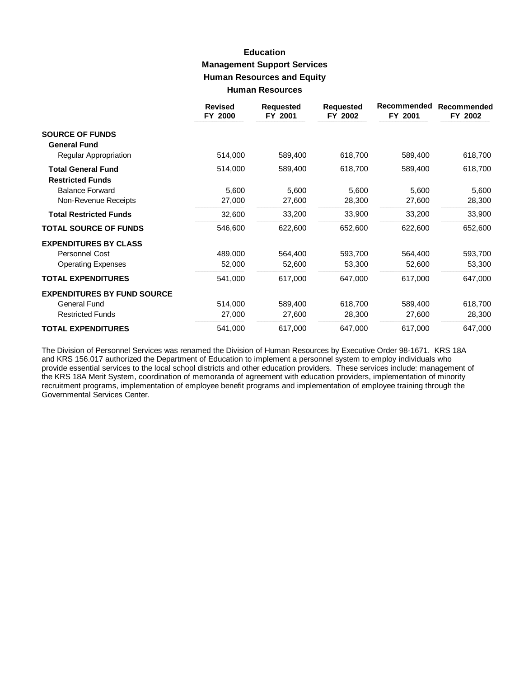# **Education Management Support Services Human Resources and Equity Human Resources**

|                                    | <b>Revised</b><br>FY 2000 | <b>Requested</b><br>FY 2001 | <b>Requested</b><br>FY 2002 | Recommended<br>FY 2001 | Recommended<br>FY 2002 |
|------------------------------------|---------------------------|-----------------------------|-----------------------------|------------------------|------------------------|
| <b>SOURCE OF FUNDS</b>             |                           |                             |                             |                        |                        |
| <b>General Fund</b>                |                           |                             |                             |                        |                        |
| Regular Appropriation              | 514,000                   | 589,400                     | 618,700                     | 589,400                | 618,700                |
| <b>Total General Fund</b>          | 514,000                   | 589,400                     | 618,700                     | 589,400                | 618,700                |
| <b>Restricted Funds</b>            |                           |                             |                             |                        |                        |
| <b>Balance Forward</b>             | 5,600                     | 5,600                       | 5,600                       | 5,600                  | 5,600                  |
| Non-Revenue Receipts               | 27,000                    | 27,600                      | 28,300                      | 27,600                 | 28,300                 |
| <b>Total Restricted Funds</b>      | 32,600                    | 33,200                      | 33,900                      | 33,200                 | 33,900                 |
| <b>TOTAL SOURCE OF FUNDS</b>       | 546,600                   | 622,600                     | 652,600                     | 622,600                | 652,600                |
| <b>EXPENDITURES BY CLASS</b>       |                           |                             |                             |                        |                        |
| Personnel Cost                     | 489,000                   | 564,400                     | 593,700                     | 564,400                | 593,700                |
| <b>Operating Expenses</b>          | 52,000                    | 52,600                      | 53,300                      | 52,600                 | 53,300                 |
| <b>TOTAL EXPENDITURES</b>          | 541,000                   | 617,000                     | 647,000                     | 617,000                | 647,000                |
| <b>EXPENDITURES BY FUND SOURCE</b> |                           |                             |                             |                        |                        |
| <b>General Fund</b>                | 514,000                   | 589,400                     | 618,700                     | 589,400                | 618,700                |
| <b>Restricted Funds</b>            | 27,000                    | 27,600                      | 28,300                      | 27,600                 | 28,300                 |
| <b>TOTAL EXPENDITURES</b>          | 541,000                   | 617,000                     | 647,000                     | 617,000                | 647,000                |

The Division of Personnel Services was renamed the Division of Human Resources by Executive Order 98-1671. KRS 18A and KRS 156.017 authorized the Department of Education to implement a personnel system to employ individuals who provide essential services to the local school districts and other education providers. These services include: management of the KRS 18A Merit System, coordination of memoranda of agreement with education providers, implementation of minority recruitment programs, implementation of employee benefit programs and implementation of employee training through the Governmental Services Center.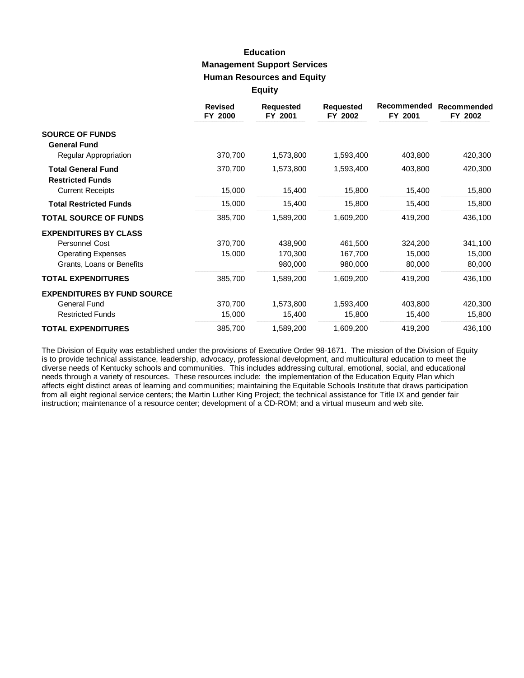### **Education Management Support Services Human Resources and Equity Equity**

|                                                      | <b>Revised</b><br>FY 2000 | <b>Requested</b><br>FY 2001 | <b>Requested</b><br>FY 2002 | Recommended<br>FY 2001 | Recommended<br>FY 2002 |
|------------------------------------------------------|---------------------------|-----------------------------|-----------------------------|------------------------|------------------------|
| <b>SOURCE OF FUNDS</b>                               |                           |                             |                             |                        |                        |
| <b>General Fund</b><br>Regular Appropriation         | 370,700                   | 1,573,800                   | 1,593,400                   | 403,800                | 420,300                |
|                                                      |                           |                             |                             |                        |                        |
| <b>Total General Fund</b><br><b>Restricted Funds</b> | 370,700                   | 1,573,800                   | 1,593,400                   | 403,800                | 420,300                |
| <b>Current Receipts</b>                              | 15,000                    | 15,400                      | 15,800                      | 15,400                 | 15,800                 |
| <b>Total Restricted Funds</b>                        | 15,000                    | 15,400                      | 15,800                      | 15,400                 | 15,800                 |
| <b>TOTAL SOURCE OF FUNDS</b>                         | 385,700                   | 1,589,200                   | 1,609,200                   | 419,200                | 436,100                |
| <b>EXPENDITURES BY CLASS</b>                         |                           |                             |                             |                        |                        |
| Personnel Cost                                       | 370,700                   | 438,900                     | 461,500                     | 324,200                | 341,100                |
| <b>Operating Expenses</b>                            | 15,000                    | 170,300                     | 167,700                     | 15,000                 | 15,000                 |
| Grants, Loans or Benefits                            |                           | 980,000                     | 980,000                     | 80,000                 | 80,000                 |
| <b>TOTAL EXPENDITURES</b>                            | 385,700                   | 1,589,200                   | 1,609,200                   | 419,200                | 436,100                |
| <b>EXPENDITURES BY FUND SOURCE</b>                   |                           |                             |                             |                        |                        |
| <b>General Fund</b>                                  | 370,700                   | 1,573,800                   | 1,593,400                   | 403,800                | 420,300                |
| <b>Restricted Funds</b>                              | 15,000                    | 15,400                      | 15,800                      | 15,400                 | 15,800                 |
| <b>TOTAL EXPENDITURES</b>                            | 385,700                   | 1,589,200                   | 1,609,200                   | 419,200                | 436,100                |

The Division of Equity was established under the provisions of Executive Order 98-1671. The mission of the Division of Equity is to provide technical assistance, leadership, advocacy, professional development, and multicultural education to meet the diverse needs of Kentucky schools and communities. This includes addressing cultural, emotional, social, and educational needs through a variety of resources. These resources include: the implementation of the Education Equity Plan which affects eight distinct areas of learning and communities; maintaining the Equitable Schools Institute that draws participation from all eight regional service centers; the Martin Luther King Project; the technical assistance for Title IX and gender fair instruction; maintenance of a resource center; development of a CD-ROM; and a virtual museum and web site.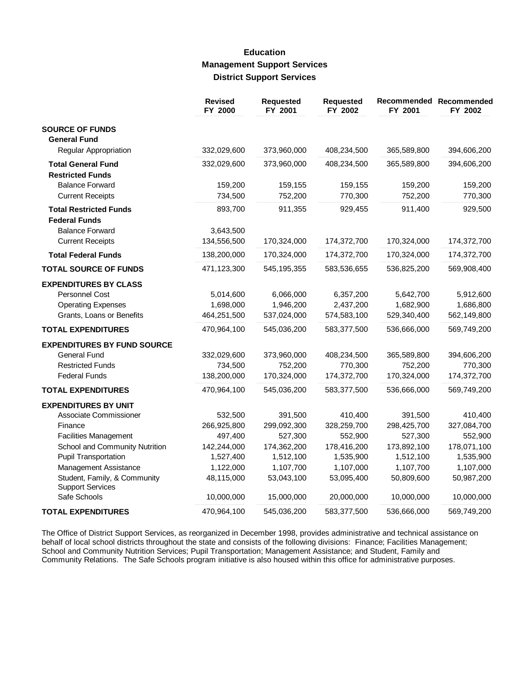### **Education Management Support Services District Support Services**

|                                                         | <b>Revised</b><br>FY 2000 | <b>Requested</b><br>FY 2001 | <b>Requested</b><br>FY 2002 | FY 2001     | Recommended Recommended<br>FY 2002 |
|---------------------------------------------------------|---------------------------|-----------------------------|-----------------------------|-------------|------------------------------------|
| <b>SOURCE OF FUNDS</b>                                  |                           |                             |                             |             |                                    |
| <b>General Fund</b>                                     |                           |                             |                             |             |                                    |
| Regular Appropriation                                   | 332,029,600               | 373,960,000                 | 408,234,500                 | 365,589,800 | 394,606,200                        |
| <b>Total General Fund</b>                               | 332,029,600               | 373,960,000                 | 408,234,500                 | 365,589,800 | 394,606,200                        |
| <b>Restricted Funds</b>                                 |                           |                             |                             |             |                                    |
| <b>Balance Forward</b>                                  | 159,200                   | 159,155                     | 159,155                     | 159,200     | 159,200                            |
| <b>Current Receipts</b>                                 | 734,500                   | 752,200                     | 770,300                     | 752,200     | 770,300                            |
| <b>Total Restricted Funds</b>                           | 893,700                   | 911,355                     | 929,455                     | 911,400     | 929,500                            |
| <b>Federal Funds</b>                                    |                           |                             |                             |             |                                    |
| <b>Balance Forward</b>                                  | 3,643,500                 |                             |                             |             |                                    |
| <b>Current Receipts</b>                                 | 134,556,500               | 170,324,000                 | 174,372,700                 | 170,324,000 | 174,372,700                        |
| <b>Total Federal Funds</b>                              | 138,200,000               | 170,324,000                 | 174,372,700                 | 170,324,000 | 174,372,700                        |
| <b>TOTAL SOURCE OF FUNDS</b>                            | 471,123,300               | 545, 195, 355               | 583,536,655                 | 536,825,200 | 569,908,400                        |
| <b>EXPENDITURES BY CLASS</b>                            |                           |                             |                             |             |                                    |
| <b>Personnel Cost</b>                                   | 5,014,600                 | 6,066,000                   | 6,357,200                   | 5,642,700   | 5,912,600                          |
| <b>Operating Expenses</b>                               | 1,698,000                 | 1,946,200                   | 2,437,200                   | 1,682,900   | 1,686,800                          |
| Grants, Loans or Benefits                               | 464,251,500               | 537,024,000                 | 574,583,100                 | 529,340,400 | 562,149,800                        |
| <b>TOTAL EXPENDITURES</b>                               | 470,964,100               | 545,036,200                 | 583,377,500                 | 536,666,000 | 569,749,200                        |
| <b>EXPENDITURES BY FUND SOURCE</b>                      |                           |                             |                             |             |                                    |
| <b>General Fund</b>                                     | 332,029,600               | 373,960,000                 | 408,234,500                 | 365,589,800 | 394,606,200                        |
| <b>Restricted Funds</b>                                 | 734,500                   | 752,200                     | 770,300                     | 752,200     | 770,300                            |
| <b>Federal Funds</b>                                    | 138,200,000               | 170,324,000                 | 174,372,700                 | 170,324,000 | 174,372,700                        |
| <b>TOTAL EXPENDITURES</b>                               | 470,964,100               | 545,036,200                 | 583,377,500                 | 536,666,000 | 569,749,200                        |
| <b>EXPENDITURES BY UNIT</b>                             |                           |                             |                             |             |                                    |
| Associate Commissioner                                  | 532,500                   | 391,500                     | 410,400                     | 391,500     | 410,400                            |
| Finance                                                 | 266,925,800               | 299,092,300                 | 328,259,700                 | 298,425,700 | 327,084,700                        |
| <b>Facilities Management</b>                            | 497,400                   | 527,300                     | 552,900                     | 527,300     | 552,900                            |
| School and Community Nutrition                          | 142,244,000               | 174,362,200                 | 178,416,200                 | 173,892,100 | 178,071,100                        |
| <b>Pupil Transportation</b>                             | 1,527,400                 | 1,512,100                   | 1,535,900                   | 1,512,100   | 1,535,900                          |
| Management Assistance                                   | 1,122,000                 | 1,107,700                   | 1,107,000                   | 1,107,700   | 1,107,000                          |
| Student, Family, & Community<br><b>Support Services</b> | 48,115,000                | 53,043,100                  | 53,095,400                  | 50,809,600  | 50,987,200                         |
| Safe Schools                                            | 10,000,000                | 15,000,000                  | 20,000,000                  | 10,000,000  | 10,000,000                         |
| <b>TOTAL EXPENDITURES</b>                               | 470,964,100               | 545,036,200                 | 583,377,500                 | 536,666,000 | 569,749,200                        |

The Office of District Support Services, as reorganized in December 1998, provides administrative and technical assistance on behalf of local school districts throughout the state and consists of the following divisions: F School and Community Nutrition Services; Pupil Transportation; Management Assistance; and Student, Family and Community Relations. The Safe Schools program initiative is also housed within this office for administrative purposes.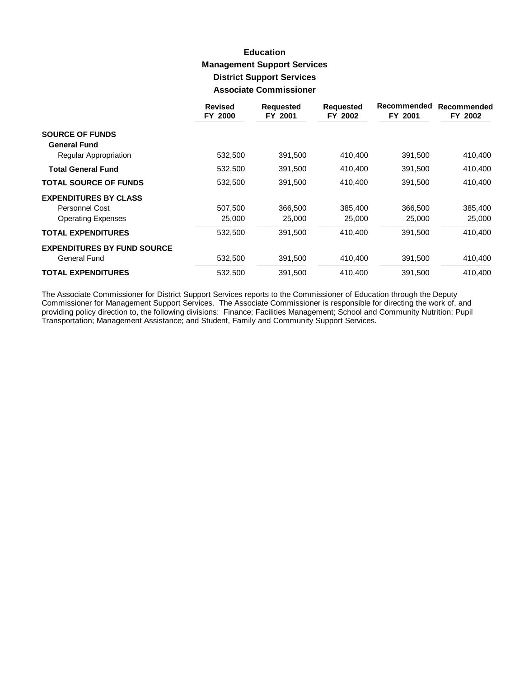# **Education Management Support Services District Support Services Associate Commissioner**

|                                    | <b>Revised</b><br>FY 2000 | <b>Requested</b><br>FY 2001 | <b>Requested</b><br>FY 2002 | Recommended<br>FY 2001 | Recommended<br>FY 2002 |
|------------------------------------|---------------------------|-----------------------------|-----------------------------|------------------------|------------------------|
| <b>SOURCE OF FUNDS</b>             |                           |                             |                             |                        |                        |
| <b>General Fund</b>                |                           |                             |                             |                        |                        |
| Regular Appropriation              | 532,500                   | 391,500                     | 410,400                     | 391,500                | 410,400                |
| <b>Total General Fund</b>          | 532,500                   | 391,500                     | 410,400                     | 391,500                | 410,400                |
| <b>TOTAL SOURCE OF FUNDS</b>       | 532,500                   | 391,500                     | 410,400                     | 391,500                | 410,400                |
| <b>EXPENDITURES BY CLASS</b>       |                           |                             |                             |                        |                        |
| Personnel Cost                     | 507,500                   | 366,500                     | 385,400                     | 366,500                | 385,400                |
| <b>Operating Expenses</b>          | 25,000                    | 25,000                      | 25,000                      | 25,000                 | 25,000                 |
| <b>TOTAL EXPENDITURES</b>          | 532,500                   | 391,500                     | 410,400                     | 391,500                | 410,400                |
| <b>EXPENDITURES BY FUND SOURCE</b> |                           |                             |                             |                        |                        |
| General Fund                       | 532,500                   | 391,500                     | 410,400                     | 391,500                | 410,400                |
| <b>TOTAL EXPENDITURES</b>          | 532,500                   | 391,500                     | 410,400                     | 391,500                | 410.400                |

The Associate Commissioner for District Support Services reports to the Commissioner of Education through the Deputy<br>Commissioner for Management Support Services. The Associate Commissioner is responsible for directing the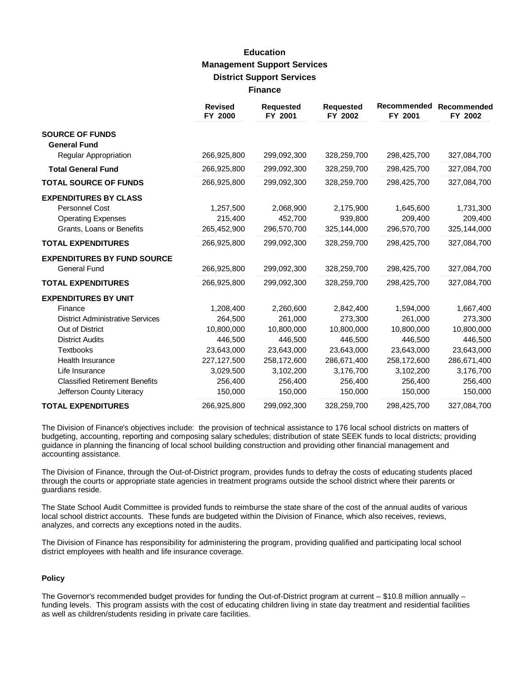# **Education Management Support Services District Support Services Finance**

|                                               | <b>Revised</b><br>FY 2000 | <b>Requested</b><br>FY 2001 | <b>Requested</b><br>FY 2002 | <b>Recommended</b><br>FY 2001 | Recommended<br>FY 2002 |
|-----------------------------------------------|---------------------------|-----------------------------|-----------------------------|-------------------------------|------------------------|
| <b>SOURCE OF FUNDS</b><br><b>General Fund</b> |                           |                             |                             |                               |                        |
| <b>Regular Appropriation</b>                  | 266,925,800               | 299,092,300                 | 328,259,700                 | 298,425,700                   | 327,084,700            |
| <b>Total General Fund</b>                     | 266,925,800               | 299,092,300                 | 328,259,700                 | 298,425,700                   | 327,084,700            |
| <b>TOTAL SOURCE OF FUNDS</b>                  | 266,925,800               | 299,092,300                 | 328,259,700                 | 298,425,700                   | 327,084,700            |
| <b>EXPENDITURES BY CLASS</b>                  |                           |                             |                             |                               |                        |
| <b>Personnel Cost</b>                         | 1,257,500                 | 2,068,900                   | 2,175,900                   | 1,645,600                     | 1,731,300              |
| <b>Operating Expenses</b>                     | 215,400                   | 452,700                     | 939,800                     | 209,400                       | 209,400                |
| Grants, Loans or Benefits                     | 265,452,900               | 296,570,700                 | 325,144,000                 | 296,570,700                   | 325,144,000            |
| <b>TOTAL EXPENDITURES</b>                     | 266,925,800               | 299,092,300                 | 328,259,700                 | 298,425,700                   | 327,084,700            |
| <b>EXPENDITURES BY FUND SOURCE</b>            |                           |                             |                             |                               |                        |
| General Fund                                  | 266,925,800               | 299,092,300                 | 328,259,700                 | 298,425,700                   | 327,084,700            |
| <b>TOTAL EXPENDITURES</b>                     | 266,925,800               | 299,092,300                 | 328,259,700                 | 298,425,700                   | 327,084,700            |
| <b>EXPENDITURES BY UNIT</b>                   |                           |                             |                             |                               |                        |
| Finance                                       | 1,208,400                 | 2,260,600                   | 2,842,400                   | 1,594,000                     | 1,667,400              |
| <b>District Administrative Services</b>       | 264,500                   | 261,000                     | 273.300                     | 261.000                       | 273,300                |
| Out of District                               | 10,800,000                | 10,800,000                  | 10,800,000                  | 10,800,000                    | 10,800,000             |
| <b>District Audits</b>                        | 446,500                   | 446,500                     | 446,500                     | 446,500                       | 446,500                |
| <b>Textbooks</b>                              | 23,643,000                | 23,643,000                  | 23,643,000                  | 23,643,000                    | 23,643,000             |
| <b>Health Insurance</b>                       | 227,127,500               | 258,172,600                 | 286,671,400                 | 258,172,600                   | 286,671,400            |
| Life Insurance                                | 3,029,500                 | 3,102,200                   | 3,176,700                   | 3,102,200                     | 3,176,700              |
| <b>Classified Retirement Benefits</b>         | 256,400                   | 256,400                     | 256,400                     | 256,400                       | 256,400                |
| Jefferson County Literacy                     | 150,000                   | 150,000                     | 150,000                     | 150,000                       | 150,000                |
| <b>TOTAL EXPENDITURES</b>                     | 266,925,800               | 299,092,300                 | 328,259,700                 | 298,425,700                   | 327,084,700            |

The Division of Finance's objectives include: the provision of technical assistance to 176 local school districts on matters of budgeting, accounting, reporting and composing salary schedules; distribution of state SEEK funds to local districts; providing guidance in planning the financing of local school building construction and providing other financial management and accounting assistance.

The Division of Finance, through the Out-of-District program, provides funds to defray the costs of educating students placed through the courts or appropriate state agencies in treatment programs outside the school district where their parents or guardians reside.

The State School Audit Committee is provided funds to reimburse the state share of the cost of the annual audits of various local school district accounts. These funds are budgeted within the Division of Finance, which also receives, reviews, analyzes, and corrects any exceptions noted in the audits.

The Division of Finance has responsibility for administering the program, providing qualified and participating local school district employees with health and life insurance coverage.

#### **Policy**

The Governor's recommended budget provides for funding the Out-of-District program at current – \$10.8 million annually – funding levels. This program assists with the cost of educating children living in state day treatment and residential facilities as well as children/students residing in private care facilities.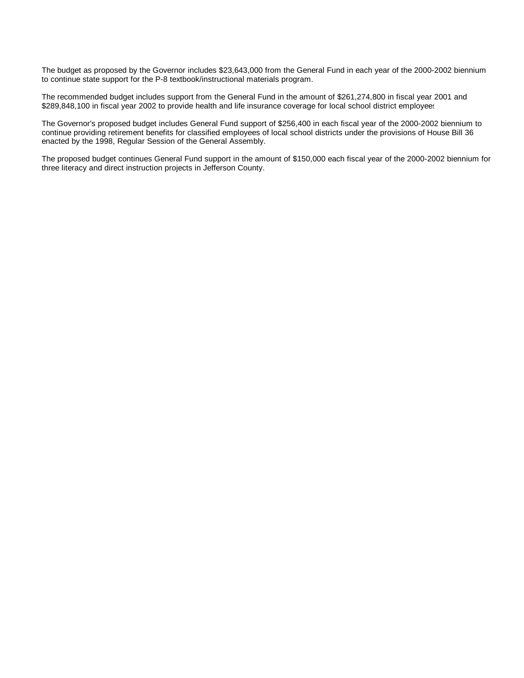The budget as proposed by the Governor includes \$23,643,000 from the General Fund in each year of the 2000-2002 biennium to continue state support for the P-8 textbook/instructional materials program.

The recommended budget includes support from the General Fund in the amount of \$261,274,800 in fiscal year 2001 and \$289,848,100 in fiscal year 2002 to provide health and life insurance coverage for local school district employees

The Governor's proposed budget includes General Fund support of \$256,400 in each fiscal year of the 2000-2002 biennium to continue providing retirement benefits for classified employees of local school districts under the provisions of House Bill 36 enacted by the 1998, Regular Session of the General Assembly.

The proposed budget continues General Fund support in the amount of \$150,000 each fiscal year of the 2000-2002 biennium for three literacy and direct instruction projects in Jefferson County.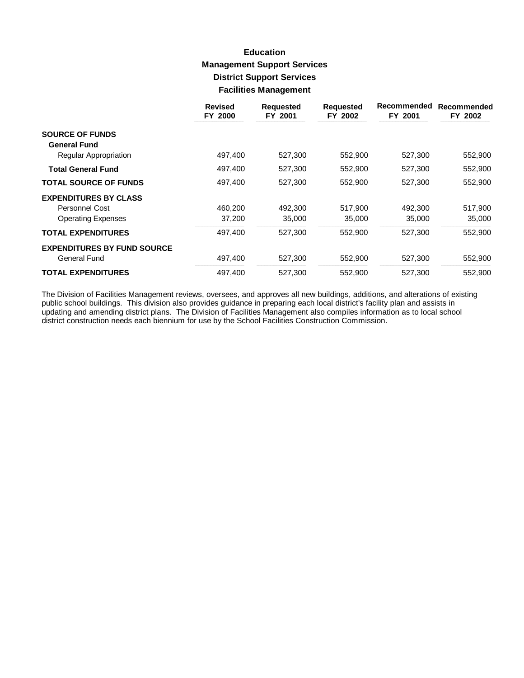# **Education Management Support Services District Support Services Facilities Management**

|                                    | <b>Revised</b><br>FY 2000 | <b>Requested</b><br>FY 2001 | <b>Requested</b><br>FY 2002 | Recommended<br>FY 2001 | Recommended<br>FY 2002 |
|------------------------------------|---------------------------|-----------------------------|-----------------------------|------------------------|------------------------|
| <b>SOURCE OF FUNDS</b>             |                           |                             |                             |                        |                        |
| <b>General Fund</b>                |                           |                             |                             |                        |                        |
| Regular Appropriation              | 497,400                   | 527,300                     | 552,900                     | 527,300                | 552,900                |
| <b>Total General Fund</b>          | 497,400                   | 527,300                     | 552,900                     | 527,300                | 552,900                |
| <b>TOTAL SOURCE OF FUNDS</b>       | 497,400                   | 527,300                     | 552,900                     | 527,300                | 552,900                |
| <b>EXPENDITURES BY CLASS</b>       |                           |                             |                             |                        |                        |
| Personnel Cost                     | 460,200                   | 492,300                     | 517,900                     | 492,300                | 517,900                |
| <b>Operating Expenses</b>          | 37,200                    | 35,000                      | 35,000                      | 35,000                 | 35,000                 |
| <b>TOTAL EXPENDITURES</b>          | 497,400                   | 527,300                     | 552,900                     | 527,300                | 552,900                |
| <b>EXPENDITURES BY FUND SOURCE</b> |                           |                             |                             |                        |                        |
| General Fund                       | 497,400                   | 527,300                     | 552,900                     | 527,300                | 552,900                |
| <b>TOTAL EXPENDITURES</b>          | 497,400                   | 527.300                     | 552,900                     | 527.300                | 552,900                |

The Division of Facilities Management reviews, oversees, and approves all new buildings, additions, and alterations of existing public school buildings. This division also provides guidance in preparing each local district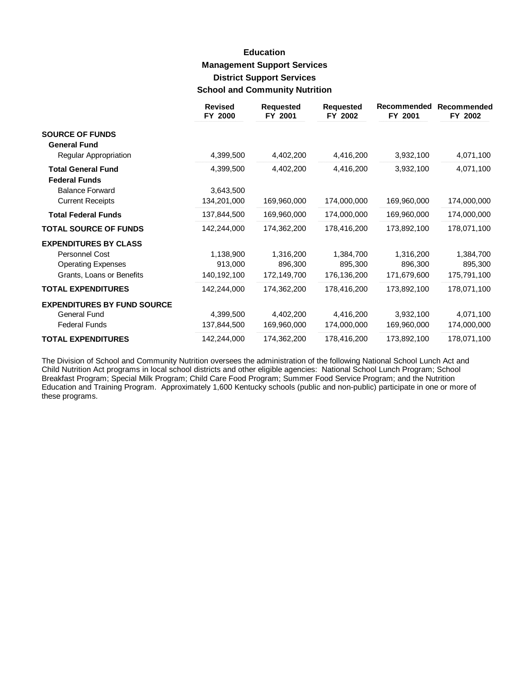# **Education Management Support Services District Support Services School and Community Nutrition**

|                                    | <b>Revised</b><br>FY 2000 | <b>Requested</b><br>FY 2001 | <b>Requested</b><br>FY 2002 | Recommended<br>FY 2001 | Recommended<br>FY 2002 |
|------------------------------------|---------------------------|-----------------------------|-----------------------------|------------------------|------------------------|
| <b>SOURCE OF FUNDS</b>             |                           |                             |                             |                        |                        |
| <b>General Fund</b>                |                           |                             |                             |                        |                        |
| Regular Appropriation              | 4,399,500                 | 4,402,200                   | 4,416,200                   | 3,932,100              | 4,071,100              |
| <b>Total General Fund</b>          | 4,399,500                 | 4,402,200                   | 4,416,200                   | 3,932,100              | 4,071,100              |
| <b>Federal Funds</b>               |                           |                             |                             |                        |                        |
| <b>Balance Forward</b>             | 3,643,500                 |                             |                             |                        |                        |
| <b>Current Receipts</b>            | 134,201,000               | 169,960,000                 | 174,000,000                 | 169,960,000            | 174,000,000            |
| <b>Total Federal Funds</b>         | 137,844,500               | 169,960,000                 | 174,000,000                 | 169,960,000            | 174,000,000            |
| <b>TOTAL SOURCE OF FUNDS</b>       | 142,244,000               | 174,362,200                 | 178,416,200                 | 173,892,100            | 178,071,100            |
| <b>EXPENDITURES BY CLASS</b>       |                           |                             |                             |                        |                        |
| Personnel Cost                     | 1,138,900                 | 1,316,200                   | 1,384,700                   | 1,316,200              | 1,384,700              |
| <b>Operating Expenses</b>          | 913,000                   | 896,300                     | 895,300                     | 896,300                | 895,300                |
| Grants, Loans or Benefits          | 140,192,100               | 172,149,700                 | 176,136,200                 | 171,679,600            | 175,791,100            |
| <b>TOTAL EXPENDITURES</b>          | 142,244,000               | 174,362,200                 | 178,416,200                 | 173,892,100            | 178,071,100            |
| <b>EXPENDITURES BY FUND SOURCE</b> |                           |                             |                             |                        |                        |
| <b>General Fund</b>                | 4,399,500                 | 4,402,200                   | 4,416,200                   | 3,932,100              | 4,071,100              |
| <b>Federal Funds</b>               | 137,844,500               | 169,960,000                 | 174,000,000                 | 169,960,000            | 174,000,000            |
| <b>TOTAL EXPENDITURES</b>          | 142,244,000               | 174,362,200                 | 178,416,200                 | 173,892,100            | 178,071,100            |

The Division of School and Community Nutrition oversees the administration of the following National School Lunch Act and Child Nutrition Act programs in local school districts and other eligible agencies: National School Lunch Program; School Breakfast Program; Special Milk Program; Child Care Food Program; Summer Food Service Program; and the Nutrition Education and Training Program. Approximately 1,600 Kentucky schools (public and non-public) participate in one or more of these programs.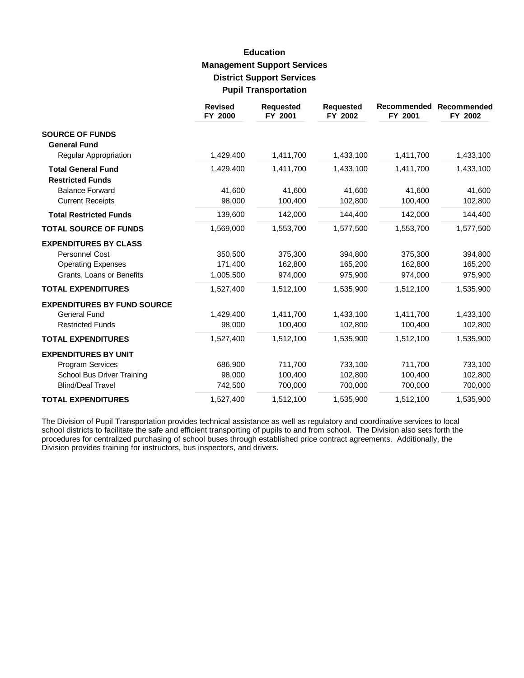# **Education Management Support Services District Support Services Pupil Transportation**

|                                                      | <b>Revised</b><br>FY 2000 | <b>Requested</b><br>FY 2001 | <b>Requested</b><br>FY 2002 | Recommended<br>FY 2001 | Recommended<br>FY 2002 |
|------------------------------------------------------|---------------------------|-----------------------------|-----------------------------|------------------------|------------------------|
| <b>SOURCE OF FUNDS</b><br><b>General Fund</b>        |                           |                             |                             |                        |                        |
| <b>Regular Appropriation</b>                         | 1,429,400                 | 1,411,700                   | 1,433,100                   | 1,411,700              | 1,433,100              |
| <b>Total General Fund</b><br><b>Restricted Funds</b> | 1,429,400                 | 1,411,700                   | 1,433,100                   | 1,411,700              | 1,433,100              |
| <b>Balance Forward</b>                               | 41,600                    | 41,600                      | 41,600                      | 41,600                 | 41,600                 |
| <b>Current Receipts</b>                              | 98,000                    | 100,400                     | 102,800                     | 100,400                | 102,800                |
| <b>Total Restricted Funds</b>                        | 139,600                   | 142,000                     | 144,400                     | 142,000                | 144,400                |
| <b>TOTAL SOURCE OF FUNDS</b>                         | 1,569,000                 | 1,553,700                   | 1,577,500                   | 1,553,700              | 1,577,500              |
| <b>EXPENDITURES BY CLASS</b>                         |                           |                             |                             |                        |                        |
| <b>Personnel Cost</b>                                | 350,500                   | 375,300                     | 394,800                     | 375,300                | 394,800                |
| <b>Operating Expenses</b>                            | 171,400                   | 162,800                     | 165,200                     | 162.800                | 165,200                |
| Grants, Loans or Benefits                            | 1,005,500                 | 974,000                     | 975,900                     | 974,000                | 975,900                |
| <b>TOTAL EXPENDITURES</b>                            | 1,527,400                 | 1,512,100                   | 1,535,900                   | 1,512,100              | 1,535,900              |
| <b>EXPENDITURES BY FUND SOURCE</b>                   |                           |                             |                             |                        |                        |
| General Fund                                         | 1,429,400                 | 1,411,700                   | 1,433,100                   | 1,411,700              | 1,433,100              |
| <b>Restricted Funds</b>                              | 98,000                    | 100,400                     | 102,800                     | 100,400                | 102,800                |
| <b>TOTAL EXPENDITURES</b>                            | 1,527,400                 | 1,512,100                   | 1,535,900                   | 1,512,100              | 1,535,900              |
| <b>EXPENDITURES BY UNIT</b>                          |                           |                             |                             |                        |                        |
| <b>Program Services</b>                              | 686,900                   | 711,700                     | 733,100                     | 711,700                | 733,100                |
| School Bus Driver Training                           | 98,000                    | 100,400                     | 102,800                     | 100,400                | 102,800                |
| <b>Blind/Deaf Travel</b>                             | 742,500                   | 700,000                     | 700,000                     | 700,000                | 700,000                |
| <b>TOTAL EXPENDITURES</b>                            | 1,527,400                 | 1,512,100                   | 1,535,900                   | 1,512,100              | 1,535,900              |

The Division of Pupil Transportation provides technical assistance as well as regulatory and coordinative services to local school districts to facilitate the safe and efficient transporting of pupils to and from school. The Division also sets forth the procedures for centralized purchasing of school buses through established price contract agreements. Additionally, the Division provides training for instructors, bus inspectors, and drivers.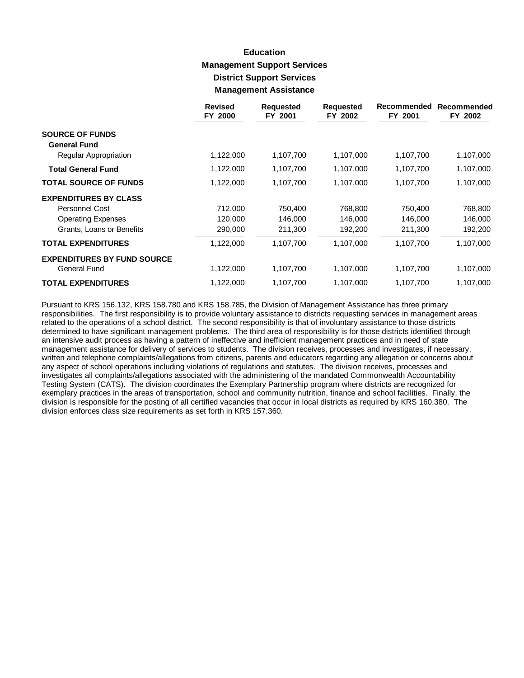# **Education Management Support Services District Support Services Management Assistance**

|                                                    | <b>Revised</b><br>FY 2000 | <b>Requested</b><br>FY 2001 | <b>Requested</b><br>FY 2002 | Recommended<br>FY 2001 | Recommended<br>FY 2002 |
|----------------------------------------------------|---------------------------|-----------------------------|-----------------------------|------------------------|------------------------|
| <b>SOURCE OF FUNDS</b><br><b>General Fund</b>      |                           |                             |                             |                        |                        |
| Regular Appropriation                              | 1,122,000                 | 1,107,700                   | 1,107,000                   | 1,107,700              | 1,107,000              |
| <b>Total General Fund</b>                          | 1,122,000                 | 1,107,700                   | 1,107,000                   | 1,107,700              | 1,107,000              |
| <b>TOTAL SOURCE OF FUNDS</b>                       | 1,122,000                 | 1,107,700                   | 1,107,000                   | 1,107,700              | 1,107,000              |
| <b>EXPENDITURES BY CLASS</b>                       |                           |                             |                             |                        |                        |
| <b>Personnel Cost</b>                              | 712,000                   | 750,400                     | 768,800                     | 750,400                | 768,800                |
| <b>Operating Expenses</b>                          | 120,000                   | 146,000                     | 146,000                     | 146,000                | 146,000                |
| Grants, Loans or Benefits                          | 290,000                   | 211,300                     | 192,200                     | 211,300                | 192,200                |
| <b>TOTAL EXPENDITURES</b>                          | 1,122,000                 | 1,107,700                   | 1,107,000                   | 1,107,700              | 1,107,000              |
| <b>EXPENDITURES BY FUND SOURCE</b><br>General Fund | 1,122,000                 | 1,107,700                   | 1,107,000                   | 1,107,700              | 1,107,000              |
| <b>TOTAL EXPENDITURES</b>                          | 1,122,000                 | 1,107,700                   | 1,107,000                   | 1,107,700              | 1,107,000              |

Pursuant to KRS 156.132, KRS 158.780 and KRS 158.785, the Division of Management Assistance has three primary responsibilities. The first responsibility is to provide voluntary assistance to districts requesting services in management areas related to the operations of a school district. The second responsibility is that of involuntary assistance to those districts determined to have significant management problems. The third area of responsibility is for those districts identified through an intensive audit process as having a pattern of ineffective and inefficient management practices and in need of state management assistance for delivery of services to students. The division receives, processes and investigates, if necessary, written and telephone complaints/allegations from citizens, parents and educators regarding any allegation or concerns about any aspect of school operations including violations of regulations and statutes. The division receives, processes and investigates all complaints/allegations associated with the administering of the mandated Commonwealth Accountability Testing System (CATS). The division coordinates the Exemplary Partnership program where districts are recognized for exemplary practices in the areas of transportation, school and community nutrition, finance and school facilities. Finally, the division is responsible for the posting of all certified vacancies that occur in local districts as required by KRS 160.380. The division enforces class size requirements as set forth in KRS 157.360.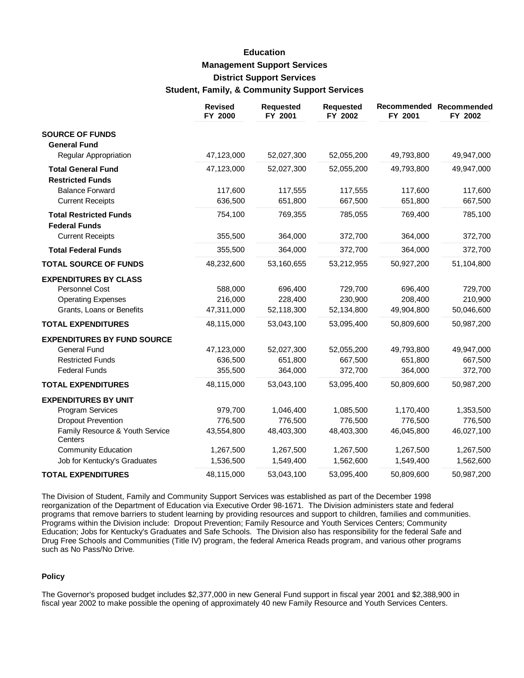# **Education Management Support Services District Support Services Student, Family, & Community Support Services**

|                                                       | <b>Revised</b><br>FY 2000 | <b>Requested</b><br>FY 2001 | <b>Requested</b><br>FY 2002 | FY 2001    | Recommended Recommended<br>FY 2002 |
|-------------------------------------------------------|---------------------------|-----------------------------|-----------------------------|------------|------------------------------------|
| <b>SOURCE OF FUNDS</b>                                |                           |                             |                             |            |                                    |
| <b>General Fund</b>                                   |                           |                             |                             |            |                                    |
| Regular Appropriation                                 | 47,123,000                | 52,027,300                  | 52,055,200                  | 49,793,800 | 49,947,000                         |
| <b>Total General Fund</b><br><b>Restricted Funds</b>  | 47,123,000                | 52,027,300                  | 52,055,200                  | 49,793,800 | 49,947,000                         |
| <b>Balance Forward</b>                                | 117,600                   | 117,555                     | 117,555                     | 117,600    | 117,600                            |
| <b>Current Receipts</b>                               | 636,500                   | 651,800                     | 667,500                     | 651,800    | 667,500                            |
| <b>Total Restricted Funds</b><br><b>Federal Funds</b> | 754,100                   | 769,355                     | 785,055                     | 769,400    | 785,100                            |
| <b>Current Receipts</b>                               | 355,500                   | 364,000                     | 372,700                     | 364,000    | 372,700                            |
| <b>Total Federal Funds</b>                            | 355,500                   | 364,000                     | 372,700                     | 364,000    | 372,700                            |
| <b>TOTAL SOURCE OF FUNDS</b>                          | 48,232,600                | 53,160,655                  | 53,212,955                  | 50,927,200 | 51,104,800                         |
| <b>EXPENDITURES BY CLASS</b>                          |                           |                             |                             |            |                                    |
| Personnel Cost                                        | 588,000                   | 696,400                     | 729,700                     | 696,400    | 729,700                            |
| <b>Operating Expenses</b>                             | 216,000                   | 228,400                     | 230,900                     | 208,400    | 210,900                            |
| Grants, Loans or Benefits                             | 47,311,000                | 52,118,300                  | 52,134,800                  | 49,904,800 | 50,046,600                         |
| <b>TOTAL EXPENDITURES</b>                             | 48,115,000                | 53,043,100                  | 53,095,400                  | 50,809,600 | 50,987,200                         |
| <b>EXPENDITURES BY FUND SOURCE</b>                    |                           |                             |                             |            |                                    |
| <b>General Fund</b>                                   | 47,123,000                | 52,027,300                  | 52,055,200                  | 49,793,800 | 49,947,000                         |
| <b>Restricted Funds</b>                               | 636,500                   | 651,800                     | 667,500                     | 651,800    | 667,500                            |
| <b>Federal Funds</b>                                  | 355,500                   | 364,000                     | 372,700                     | 364,000    | 372,700                            |
| <b>TOTAL EXPENDITURES</b>                             | 48,115,000                | 53,043,100                  | 53,095,400                  | 50,809,600 | 50,987,200                         |
| <b>EXPENDITURES BY UNIT</b>                           |                           |                             |                             |            |                                    |
| Program Services                                      | 979,700                   | 1,046,400                   | 1,085,500                   | 1,170,400  | 1,353,500                          |
| <b>Dropout Prevention</b>                             | 776,500                   | 776,500                     | 776,500                     | 776,500    | 776,500                            |
| Family Resource & Youth Service<br>Centers            | 43,554,800                | 48,403,300                  | 48,403,300                  | 46,045,800 | 46,027,100                         |
| <b>Community Education</b>                            | 1,267,500                 | 1,267,500                   | 1,267,500                   | 1,267,500  | 1,267,500                          |
| Job for Kentucky's Graduates                          | 1,536,500                 | 1,549,400                   | 1,562,600                   | 1,549,400  | 1,562,600                          |
| <b>TOTAL EXPENDITURES</b>                             | 48,115,000                | 53,043,100                  | 53,095,400                  | 50,809,600 | 50,987,200                         |

The Division of Student, Family and Community Support Services was established as part of the December 1998 reorganization of the Department of Education via Executive Order 98-1671. The Division administers state and federal programs that remove barriers to student learning by providing resources and support to children, families and communities. Programs within the Division include: Dropout Prevention; Family Resource and Youth Services Centers; Community Education; Jobs for Kentucky's Graduates and Safe Schools. The Division also has responsibility for the federal Safe and Drug Free Schools and Communities (Title IV) program, the federal America Reads program, and various other programs such as No Pass/No Drive.

#### **Policy**

The Governor's proposed budget includes \$2,377,000 in new General Fund support in fiscal year 2001 and \$2,388,900 in fiscal year 2002 to make possible the opening of approximately 40 new Family Resource and Youth Services Centers.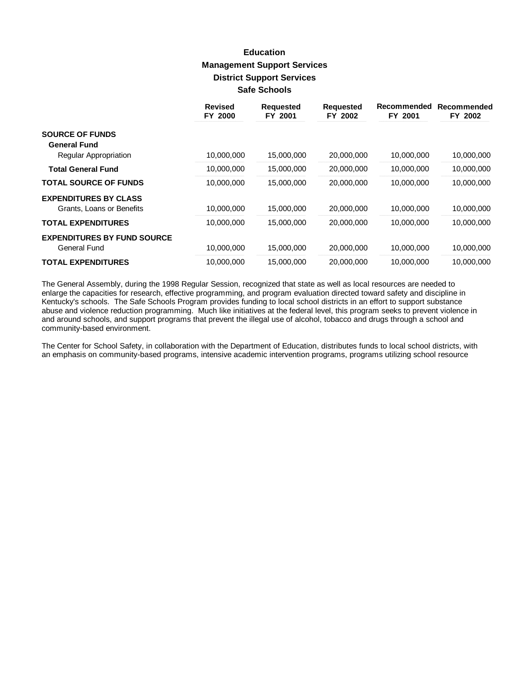# **Education Management Support Services District Support Services Safe Schools**

|                                    | <b>Revised</b><br>FY 2000 | <b>Requested</b><br>FY 2001 | <b>Requested</b><br>FY 2002 | Recommended<br>FY 2001 | Recommended<br>FY 2002 |
|------------------------------------|---------------------------|-----------------------------|-----------------------------|------------------------|------------------------|
| <b>SOURCE OF FUNDS</b>             |                           |                             |                             |                        |                        |
| <b>General Fund</b>                |                           |                             |                             |                        |                        |
| Regular Appropriation              | 10,000,000                | 15,000,000                  | 20,000,000                  | 10,000,000             | 10,000,000             |
| <b>Total General Fund</b>          | 10,000,000                | 15,000,000                  | 20,000,000                  | 10,000,000             | 10,000,000             |
| <b>TOTAL SOURCE OF FUNDS</b>       | 10,000,000                | 15,000,000                  | 20,000,000                  | 10,000,000             | 10,000,000             |
| <b>EXPENDITURES BY CLASS</b>       |                           |                             |                             |                        |                        |
| Grants, Loans or Benefits          | 10,000,000                | 15,000,000                  | 20,000,000                  | 10,000,000             | 10,000,000             |
| <b>TOTAL EXPENDITURES</b>          | 10,000,000                | 15,000,000                  | 20,000,000                  | 10,000,000             | 10,000,000             |
| <b>EXPENDITURES BY FUND SOURCE</b> |                           |                             |                             |                        |                        |
| <b>General Fund</b>                | 10,000,000                | 15,000,000                  | 20,000,000                  | 10.000.000             | 10,000,000             |
| <b>TOTAL EXPENDITURES</b>          | 10,000,000                | 15,000,000                  | 20,000,000                  | 10,000,000             | 10,000,000             |

The General Assembly, during the 1998 Regular Session, recognized that state as well as local resources are needed to enlarge the capacities for research, effective programming, and program evaluation directed toward safety and discipline in Kentucky's schools. The Safe Schools Program provides funding to local school districts in an effort to support substance abuse and violence reduction programming. Much like initiatives at the federal level, this program seeks to prevent violence in and around schools, and support programs that prevent the illegal use of alcohol, tobacco and drugs through a school and community-based environment.

The Center for School Safety, in collaboration with the Department of Education, distributes funds to local school districts, with an emphasis on community-based programs, intensive academic intervention programs, programs utilizing school resource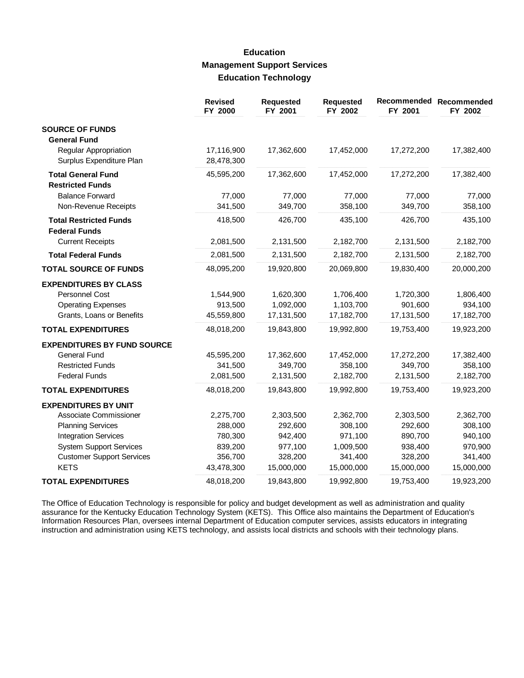## **Education Management Support Services Education Technology**

|                                    | <b>Revised</b><br>FY 2000 | <b>Requested</b><br>FY 2001 | <b>Requested</b><br>FY 2002 | Recommended<br>FY 2001 | Recommended<br>FY 2002 |
|------------------------------------|---------------------------|-----------------------------|-----------------------------|------------------------|------------------------|
| <b>SOURCE OF FUNDS</b>             |                           |                             |                             |                        |                        |
| <b>General Fund</b>                |                           |                             |                             |                        |                        |
| <b>Regular Appropriation</b>       | 17,116,900                | 17,362,600                  | 17,452,000                  | 17,272,200             | 17,382,400             |
| Surplus Expenditure Plan           | 28,478,300                |                             |                             |                        |                        |
| <b>Total General Fund</b>          | 45,595,200                | 17,362,600                  | 17,452,000                  | 17,272,200             | 17,382,400             |
| <b>Restricted Funds</b>            |                           |                             |                             |                        |                        |
| <b>Balance Forward</b>             | 77,000                    | 77,000                      | 77,000                      | 77,000                 | 77,000                 |
| Non-Revenue Receipts               | 341,500                   | 349,700                     | 358,100                     | 349,700                | 358,100                |
| <b>Total Restricted Funds</b>      | 418,500                   | 426,700                     | 435,100                     | 426,700                | 435,100                |
| <b>Federal Funds</b>               |                           |                             |                             |                        |                        |
| <b>Current Receipts</b>            | 2,081,500                 | 2,131,500                   | 2,182,700                   | 2,131,500              | 2,182,700              |
| <b>Total Federal Funds</b>         | 2,081,500                 | 2,131,500                   | 2,182,700                   | 2,131,500              | 2,182,700              |
| <b>TOTAL SOURCE OF FUNDS</b>       | 48,095,200                | 19,920,800                  | 20,069,800                  | 19,830,400             | 20,000,200             |
| <b>EXPENDITURES BY CLASS</b>       |                           |                             |                             |                        |                        |
| Personnel Cost                     | 1,544,900                 | 1,620,300                   | 1,706,400                   | 1,720,300              | 1,806,400              |
| <b>Operating Expenses</b>          | 913,500                   | 1,092,000                   | 1,103,700                   | 901,600                | 934,100                |
| Grants, Loans or Benefits          | 45,559,800                | 17,131,500                  | 17,182,700                  | 17,131,500             | 17,182,700             |
| <b>TOTAL EXPENDITURES</b>          | 48,018,200                | 19,843,800                  | 19,992,800                  | 19,753,400             | 19,923,200             |
| <b>EXPENDITURES BY FUND SOURCE</b> |                           |                             |                             |                        |                        |
| <b>General Fund</b>                | 45,595,200                | 17,362,600                  | 17,452,000                  | 17,272,200             | 17,382,400             |
| <b>Restricted Funds</b>            | 341,500                   | 349,700                     | 358,100                     | 349,700                | 358,100                |
| <b>Federal Funds</b>               | 2,081,500                 | 2,131,500                   | 2,182,700                   | 2,131,500              | 2,182,700              |
| <b>TOTAL EXPENDITURES</b>          | 48,018,200                | 19,843,800                  | 19,992,800                  | 19,753,400             | 19,923,200             |
| <b>EXPENDITURES BY UNIT</b>        |                           |                             |                             |                        |                        |
| Associate Commissioner             | 2,275,700                 | 2,303,500                   | 2,362,700                   | 2,303,500              | 2,362,700              |
| <b>Planning Services</b>           | 288,000                   | 292,600                     | 308,100                     | 292,600                | 308,100                |
| <b>Integration Services</b>        | 780,300                   | 942,400                     | 971,100                     | 890,700                | 940,100                |
| <b>System Support Services</b>     | 839,200                   | 977,100                     | 1,009,500                   | 938,400                | 970,900                |
| <b>Customer Support Services</b>   | 356,700                   | 328,200                     | 341,400                     | 328,200                | 341,400                |
| <b>KETS</b>                        | 43,478,300                | 15,000,000                  | 15,000,000                  | 15,000,000             | 15,000,000             |
| <b>TOTAL EXPENDITURES</b>          | 48,018,200                | 19,843,800                  | 19,992,800                  | 19,753,400             | 19,923,200             |

The Office of Education Technology is responsible for policy and budget development as well as administration and quality assurance for the Kentucky Education Technology System (KETS). This Office also maintains the Department of Education's Information Resources Plan, oversees internal Department of Education computer services, assists educators in integrating instruction and administration using KETS technology, and assists local districts and schools with their technology plans.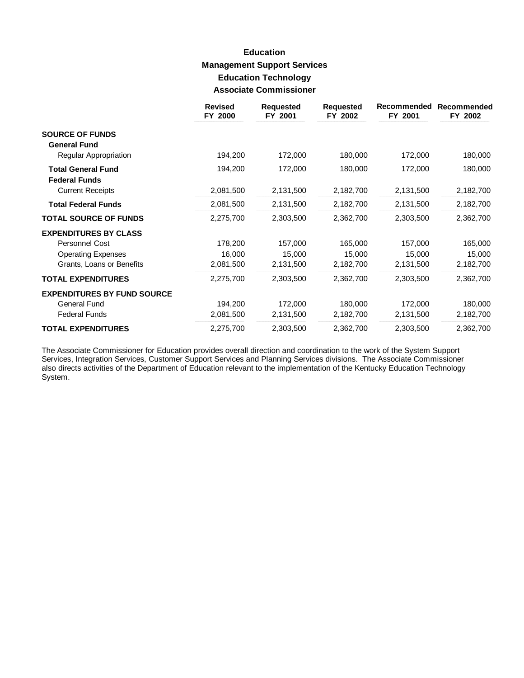# **Education Management Support Services Education Technology Associate Commissioner**

|                                                                                                          | <b>Revised</b><br>FY 2000      | <b>Requested</b><br>FY 2001    | <b>Requested</b><br>FY 2002    | Recommended<br>FY 2001         | Recommended<br>FY 2002         |
|----------------------------------------------------------------------------------------------------------|--------------------------------|--------------------------------|--------------------------------|--------------------------------|--------------------------------|
| <b>SOURCE OF FUNDS</b><br><b>General Fund</b>                                                            |                                |                                |                                |                                |                                |
| Regular Appropriation                                                                                    | 194,200                        | 172,000                        | 180,000                        | 172,000                        | 180,000                        |
| <b>Total General Fund</b><br><b>Federal Funds</b>                                                        | 194,200                        | 172,000                        | 180,000                        | 172,000                        | 180,000                        |
| <b>Current Receipts</b>                                                                                  | 2,081,500                      | 2,131,500                      | 2,182,700                      | 2,131,500                      | 2,182,700                      |
| <b>Total Federal Funds</b>                                                                               | 2,081,500                      | 2,131,500                      | 2,182,700                      | 2,131,500                      | 2,182,700                      |
| <b>TOTAL SOURCE OF FUNDS</b>                                                                             | 2,275,700                      | 2,303,500                      | 2,362,700                      | 2,303,500                      | 2,362,700                      |
| <b>EXPENDITURES BY CLASS</b><br>Personnel Cost<br><b>Operating Expenses</b><br>Grants, Loans or Benefits | 178,200<br>16,000<br>2,081,500 | 157,000<br>15,000<br>2,131,500 | 165,000<br>15,000<br>2,182,700 | 157,000<br>15,000<br>2,131,500 | 165,000<br>15,000<br>2,182,700 |
| <b>TOTAL EXPENDITURES</b>                                                                                | 2,275,700                      | 2,303,500                      | 2,362,700                      | 2,303,500                      | 2,362,700                      |
| <b>EXPENDITURES BY FUND SOURCE</b><br><b>General Fund</b><br><b>Federal Funds</b>                        | 194,200<br>2,081,500           | 172,000<br>2,131,500           | 180,000<br>2,182,700           | 172,000<br>2,131,500           | 180,000<br>2,182,700           |
| <b>TOTAL EXPENDITURES</b>                                                                                | 2,275,700                      | 2,303,500                      | 2,362,700                      | 2,303,500                      | 2,362,700                      |

The Associate Commissioner for Education provides overall direction and coordination to the work of the System Support Services, Integration Services, Customer Support Services and Planning Services divisions. The Associate Commissioner also directs activities of the Department of Education relevant to the implementation of the Kentucky Education Technology System.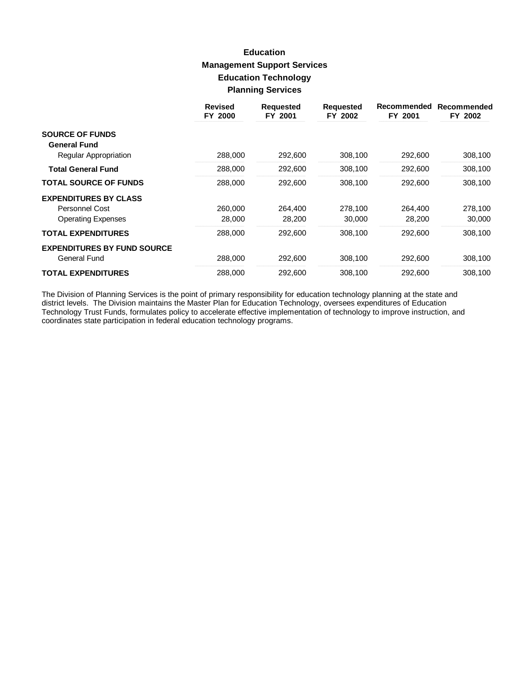# **Education Management Support Services Education Technology Planning Services**

|                                    | <b>Revised</b><br>FY 2000 | <b>Requested</b><br>FY 2001 | <b>Requested</b><br>FY 2002 | Recommended<br>FY 2001 | Recommended<br>FY 2002 |
|------------------------------------|---------------------------|-----------------------------|-----------------------------|------------------------|------------------------|
| <b>SOURCE OF FUNDS</b>             |                           |                             |                             |                        |                        |
| <b>General Fund</b>                |                           |                             |                             |                        |                        |
| Regular Appropriation              | 288,000                   | 292,600                     | 308,100                     | 292,600                | 308,100                |
| <b>Total General Fund</b>          | 288,000                   | 292,600                     | 308,100                     | 292,600                | 308,100                |
| <b>TOTAL SOURCE OF FUNDS</b>       | 288,000                   | 292,600                     | 308,100                     | 292,600                | 308,100                |
| <b>EXPENDITURES BY CLASS</b>       |                           |                             |                             |                        |                        |
| Personnel Cost                     | 260,000                   | 264.400                     | 278.100                     | 264.400                | 278,100                |
| <b>Operating Expenses</b>          | 28,000                    | 28,200                      | 30,000                      | 28,200                 | 30,000                 |
| <b>TOTAL EXPENDITURES</b>          | 288,000                   | 292,600                     | 308,100                     | 292,600                | 308,100                |
| <b>EXPENDITURES BY FUND SOURCE</b> |                           |                             |                             |                        |                        |
| General Fund                       | 288,000                   | 292,600                     | 308,100                     | 292,600                | 308,100                |
| <b>TOTAL EXPENDITURES</b>          | 288,000                   | 292,600                     | 308.100                     | 292,600                | 308.100                |

The Division of Planning Services is the point of primary responsibility for education technology planning at the state and district levels. The Division maintains the Master Plan for Education Technology, oversees expendi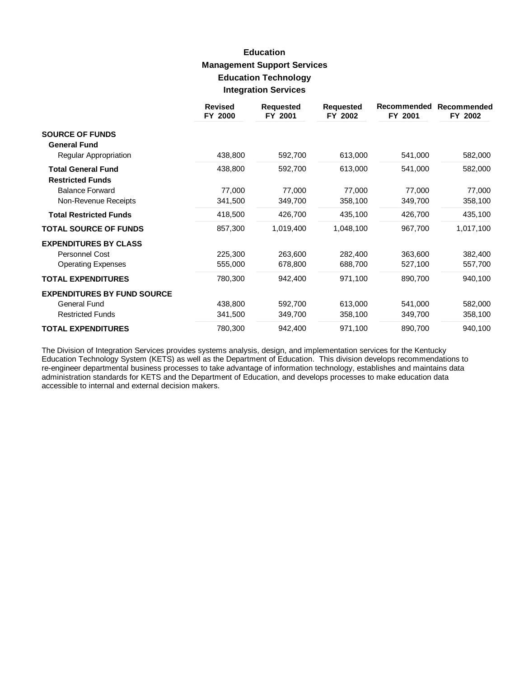# **Education Management Support Services Education Technology Integration Services**

|                                                      | <b>Revised</b><br>FY 2000 | <b>Requested</b><br>FY 2001 | <b>Requested</b><br>FY 2002 | Recommended<br>FY 2001 | Recommended<br>FY 2002 |
|------------------------------------------------------|---------------------------|-----------------------------|-----------------------------|------------------------|------------------------|
| <b>SOURCE OF FUNDS</b><br><b>General Fund</b>        |                           |                             |                             |                        |                        |
| Regular Appropriation                                | 438,800                   | 592,700                     | 613,000                     | 541,000                | 582,000                |
| <b>Total General Fund</b><br><b>Restricted Funds</b> | 438,800                   | 592,700                     | 613,000                     | 541,000                | 582,000                |
| <b>Balance Forward</b>                               | 77,000                    | 77,000                      | 77,000                      | 77,000                 | 77,000                 |
| Non-Revenue Receipts                                 | 341,500                   | 349,700                     | 358,100                     | 349,700                | 358,100                |
| <b>Total Restricted Funds</b>                        | 418,500                   | 426,700                     | 435,100                     | 426,700                | 435,100                |
| <b>TOTAL SOURCE OF FUNDS</b>                         | 857,300                   | 1,019,400                   | 1,048,100                   | 967,700                | 1,017,100              |
| <b>EXPENDITURES BY CLASS</b>                         |                           |                             |                             |                        |                        |
| Personnel Cost                                       | 225,300                   | 263,600                     | 282,400                     | 363,600                | 382,400                |
| <b>Operating Expenses</b>                            | 555,000                   | 678,800                     | 688,700                     | 527,100                | 557,700                |
| <b>TOTAL EXPENDITURES</b>                            | 780,300                   | 942,400                     | 971,100                     | 890,700                | 940,100                |
| <b>EXPENDITURES BY FUND SOURCE</b>                   |                           |                             |                             |                        |                        |
| <b>General Fund</b>                                  | 438,800                   | 592,700                     | 613,000                     | 541,000                | 582,000                |
| <b>Restricted Funds</b>                              | 341,500                   | 349,700                     | 358,100                     | 349,700                | 358,100                |
| <b>TOTAL EXPENDITURES</b>                            | 780,300                   | 942,400                     | 971,100                     | 890,700                | 940,100                |

The Division of Integration Services provides systems analysis, design, and implementation services for the Kentucky Education Technology System (KETS) as well as the Department of Education. This division develops recommendations to re-engineer departmental business processes to take advantage of information technology, establishes and maintains data administration standards for KETS and the Department of Education, and develops processes to make education data accessible to internal and external decision makers.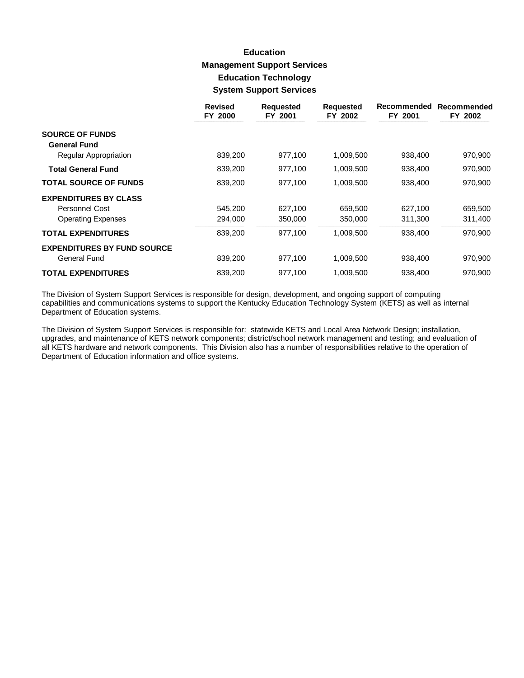# **Education Management Support Services Education Technology System Support Services**

|                                    | <b>Revised</b><br>FY 2000 | <b>Requested</b><br>FY 2001 | <b>Requested</b><br>FY 2002 | Recommended<br>FY 2001 | Recommended<br>FY 2002 |
|------------------------------------|---------------------------|-----------------------------|-----------------------------|------------------------|------------------------|
| <b>SOURCE OF FUNDS</b>             |                           |                             |                             |                        |                        |
| <b>General Fund</b>                |                           |                             |                             |                        |                        |
| Regular Appropriation              | 839,200                   | 977,100                     | 1,009,500                   | 938,400                | 970,900                |
| <b>Total General Fund</b>          | 839,200                   | 977,100                     | 1,009,500                   | 938,400                | 970,900                |
| <b>TOTAL SOURCE OF FUNDS</b>       | 839,200                   | 977.100                     | 1,009,500                   | 938,400                | 970,900                |
| <b>EXPENDITURES BY CLASS</b>       |                           |                             |                             |                        |                        |
| Personnel Cost                     | 545,200                   | 627,100                     | 659,500                     | 627,100                | 659,500                |
| <b>Operating Expenses</b>          | 294,000                   | 350,000                     | 350,000                     | 311,300                | 311,400                |
| <b>TOTAL EXPENDITURES</b>          | 839,200                   | 977,100                     | 1,009,500                   | 938,400                | 970,900                |
| <b>EXPENDITURES BY FUND SOURCE</b> |                           |                             |                             |                        |                        |
| General Fund                       | 839,200                   | 977,100                     | 1,009,500                   | 938,400                | 970,900                |
| <b>TOTAL EXPENDITURES</b>          | 839,200                   | 977,100                     | 1,009,500                   | 938,400                | 970,900                |

The Division of System Support Services is responsible for design, development, and ongoing support of computing capabilities and communications systems to support the Kentucky Education Technology System (KETS) as well as internal Department of Education systems.

The Division of System Support Services is responsible for: statewide KETS and Local Area Network Design; installation, upgrades, and maintenance of KETS network components; district/school network management and testing; and evaluation of all KETS hardware and network components. This Division also has a number of responsibilities relative to the operation of Department of Education information and office systems.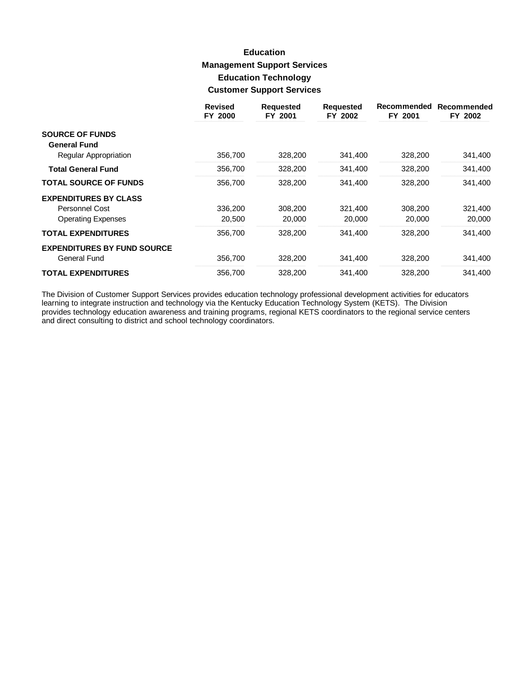# **Education Management Support Services Education Technology Customer Support Services**

|                                    | <b>Revised</b><br>FY 2000 | <b>Requested</b><br>FY 2001 | <b>Requested</b><br>FY 2002 | Recommended<br>FY 2001 | Recommended<br>FY 2002 |
|------------------------------------|---------------------------|-----------------------------|-----------------------------|------------------------|------------------------|
| <b>SOURCE OF FUNDS</b>             |                           |                             |                             |                        |                        |
| <b>General Fund</b>                |                           |                             |                             |                        |                        |
| Regular Appropriation              | 356,700                   | 328,200                     | 341,400                     | 328,200                | 341,400                |
| <b>Total General Fund</b>          | 356,700                   | 328,200                     | 341,400                     | 328,200                | 341,400                |
| <b>TOTAL SOURCE OF FUNDS</b>       | 356,700                   | 328,200                     | 341,400                     | 328,200                | 341,400                |
| <b>EXPENDITURES BY CLASS</b>       |                           |                             |                             |                        |                        |
| Personnel Cost                     | 336,200                   | 308,200                     | 321,400                     | 308,200                | 321,400                |
| <b>Operating Expenses</b>          | 20,500                    | 20,000                      | 20,000                      | 20,000                 | 20,000                 |
| <b>TOTAL EXPENDITURES</b>          | 356,700                   | 328,200                     | 341,400                     | 328,200                | 341,400                |
| <b>EXPENDITURES BY FUND SOURCE</b> |                           |                             |                             |                        |                        |
| General Fund                       | 356,700                   | 328,200                     | 341,400                     | 328,200                | 341,400                |
| <b>TOTAL EXPENDITURES</b>          | 356.700                   | 328,200                     | 341.400                     | 328,200                | 341.400                |

The Division of Customer Support Services provides education technology professional development activities for educators learning to integrate instruction and technology via the Kentucky Education Technology System (KETS) and direct consulting to district and school technology coordinators.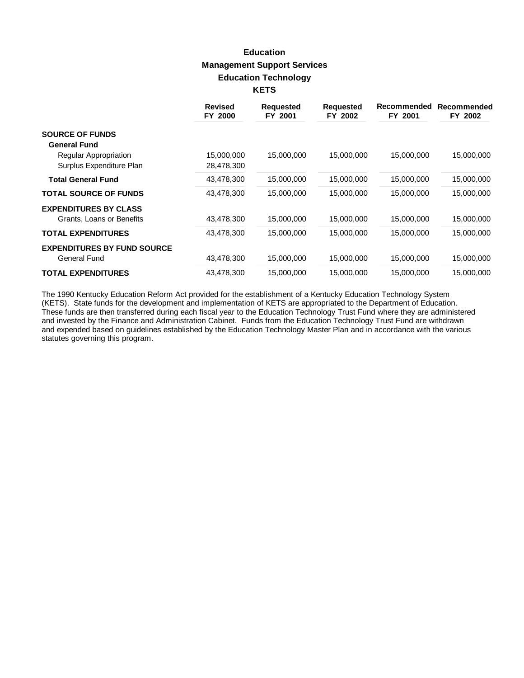# **Education Management Support Services Education Technology KETS**

|                                    | <b>Revised</b><br>FY 2000 | <b>Requested</b><br>FY 2001 | <b>Requested</b><br>FY 2002 | Recommended<br>FY 2001 | Recommended<br>FY 2002 |
|------------------------------------|---------------------------|-----------------------------|-----------------------------|------------------------|------------------------|
| <b>SOURCE OF FUNDS</b>             |                           |                             |                             |                        |                        |
| <b>General Fund</b>                |                           |                             |                             |                        |                        |
| Regular Appropriation              | 15,000,000                | 15,000,000                  | 15,000,000                  | 15,000,000             | 15,000,000             |
| Surplus Expenditure Plan           | 28,478,300                |                             |                             |                        |                        |
| <b>Total General Fund</b>          | 43,478,300                | 15,000,000                  | 15,000,000                  | 15,000,000             | 15,000,000             |
| <b>TOTAL SOURCE OF FUNDS</b>       | 43,478,300                | 15,000,000                  | 15,000,000                  | 15,000,000             | 15,000,000             |
| <b>EXPENDITURES BY CLASS</b>       |                           |                             |                             |                        |                        |
| Grants, Loans or Benefits          | 43,478,300                | 15,000,000                  | 15,000,000                  | 15,000,000             | 15,000,000             |
| <b>TOTAL EXPENDITURES</b>          | 43,478,300                | 15,000,000                  | 15,000,000                  | 15,000,000             | 15,000,000             |
| <b>EXPENDITURES BY FUND SOURCE</b> |                           |                             |                             |                        |                        |
| <b>General Fund</b>                | 43,478,300                | 15,000,000                  | 15,000,000                  | 15,000,000             | 15,000,000             |
| <b>TOTAL EXPENDITURES</b>          | 43,478,300                | 15,000,000                  | 15,000,000                  | 15,000,000             | 15,000,000             |

The 1990 Kentucky Education Reform Act provided for the establishment of a Kentucky Education Technology System<br>(KETS). State funds for the development and implementation of KETS are appropriated to the Department of Educa These funds are then transferred during each fiscal year to the Education Technology Trust Fund where they are administered<br>and invested by the Finance and Administration Cabinet. Funds from the Education Technology Trust and expended based on guidelines established by the Education Technology Master Plan and in accordance with the various statutes governing this program.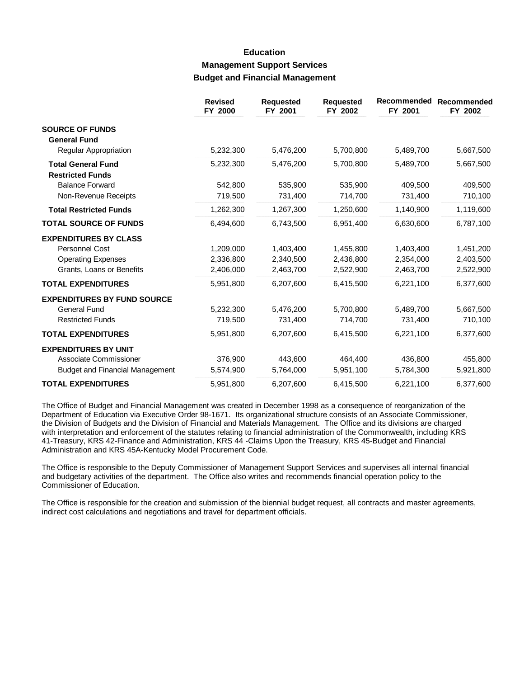## **Education Management Support Services Budget and Financial Management**

|                                                      | <b>Revised</b><br>FY 2000 | <b>Requested</b><br>FY 2001 | <b>Requested</b><br>FY 2002 | Recommended<br>FY 2001 | Recommended<br>FY 2002 |
|------------------------------------------------------|---------------------------|-----------------------------|-----------------------------|------------------------|------------------------|
| <b>SOURCE OF FUNDS</b><br><b>General Fund</b>        |                           |                             |                             |                        |                        |
| Regular Appropriation                                | 5,232,300                 | 5,476,200                   | 5,700,800                   | 5,489,700              | 5,667,500              |
| <b>Total General Fund</b><br><b>Restricted Funds</b> | 5,232,300                 | 5,476,200                   | 5,700,800                   | 5,489,700              | 5,667,500              |
| <b>Balance Forward</b>                               | 542.800                   | 535.900                     | 535,900                     | 409,500                | 409,500                |
| Non-Revenue Receipts                                 | 719,500                   | 731,400                     | 714,700                     | 731,400                | 710,100                |
| <b>Total Restricted Funds</b>                        | 1,262,300                 | 1,267,300                   | 1,250,600                   | 1,140,900              | 1,119,600              |
| <b>TOTAL SOURCE OF FUNDS</b>                         | 6,494,600                 | 6,743,500                   | 6,951,400                   | 6,630,600              | 6,787,100              |
| <b>EXPENDITURES BY CLASS</b>                         |                           |                             |                             |                        |                        |
| <b>Personnel Cost</b>                                | 1,209,000                 | 1,403,400                   | 1,455,800                   | 1,403,400              | 1,451,200              |
| <b>Operating Expenses</b>                            | 2,336,800                 | 2,340,500                   | 2,436,800                   | 2,354,000              | 2,403,500              |
| Grants, Loans or Benefits                            | 2,406,000                 | 2,463,700                   | 2,522,900                   | 2,463,700              | 2,522,900              |
| <b>TOTAL EXPENDITURES</b>                            | 5,951,800                 | 6,207,600                   | 6,415,500                   | 6,221,100              | 6,377,600              |
| <b>EXPENDITURES BY FUND SOURCE</b>                   |                           |                             |                             |                        |                        |
| <b>General Fund</b>                                  | 5,232,300                 | 5,476,200                   | 5,700,800                   | 5,489,700              | 5,667,500              |
| <b>Restricted Funds</b>                              | 719,500                   | 731,400                     | 714,700                     | 731,400                | 710,100                |
| <b>TOTAL EXPENDITURES</b>                            | 5,951,800                 | 6,207,600                   | 6,415,500                   | 6,221,100              | 6,377,600              |
| <b>EXPENDITURES BY UNIT</b>                          |                           |                             |                             |                        |                        |
| Associate Commissioner                               | 376,900                   | 443,600                     | 464,400                     | 436,800                | 455,800                |
| <b>Budget and Financial Management</b>               | 5,574,900                 | 5,764,000                   | 5,951,100                   | 5,784,300              | 5,921,800              |
| <b>TOTAL EXPENDITURES</b>                            | 5,951,800                 | 6,207,600                   | 6,415,500                   | 6,221,100              | 6,377,600              |

The Office of Budget and Financial Management was created in December 1998 as a consequence of reorganization of the Department of Education via Executive Order 98-1671. Its organizational structure consists of an Associate Commissioner, the Division of Budgets and the Division of Financial and Materials Management. The Office and its divisions are charged with interpretation and enforcement of the statutes relating to financial administration of the Commonwealth, including KRS 41-Treasury, KRS 42-Finance and Administration, KRS 44 -Claims Upon the Treasury, KRS 45-Budget and Financial Administration and KRS 45A-Kentucky Model Procurement Code.

The Office is responsible to the Deputy Commissioner of Management Support Services and supervises all internal financial and budgetary activities of the department. The Office also writes and recommends financial operation policy to the Commissioner of Education.

The Office is responsible for the creation and submission of the biennial budget request, all contracts and master agreements, indirect cost calculations and negotiations and travel for department officials.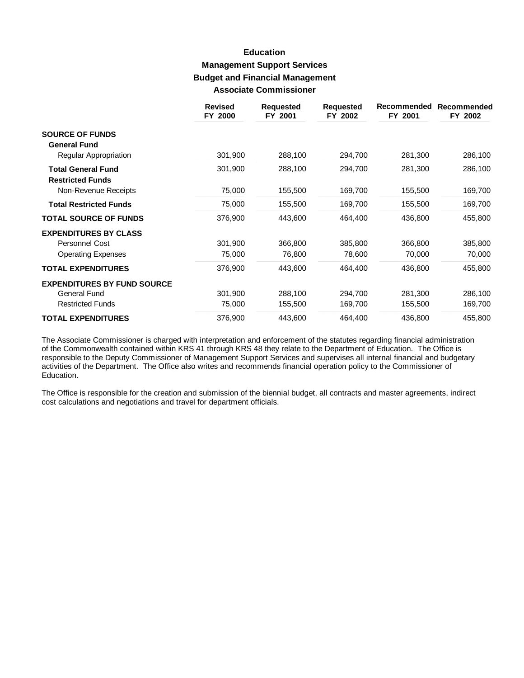## **Education Management Support Services Budget and Financial Management Associate Commissioner**

|                                                      | <b>Revised</b><br>FY 2000 | <b>Requested</b><br>FY 2001 | <b>Requested</b><br>FY 2002 | Recommended<br>FY 2001 | Recommended<br>FY 2002 |
|------------------------------------------------------|---------------------------|-----------------------------|-----------------------------|------------------------|------------------------|
| <b>SOURCE OF FUNDS</b><br><b>General Fund</b>        |                           |                             |                             |                        |                        |
| Regular Appropriation                                | 301,900                   | 288,100                     | 294,700                     | 281,300                | 286,100                |
| <b>Total General Fund</b><br><b>Restricted Funds</b> | 301,900                   | 288,100                     | 294,700                     | 281,300                | 286,100                |
| Non-Revenue Receipts                                 | 75,000                    | 155,500                     | 169,700                     | 155,500                | 169,700                |
| <b>Total Restricted Funds</b>                        | 75,000                    | 155,500                     | 169,700                     | 155,500                | 169,700                |
| <b>TOTAL SOURCE OF FUNDS</b>                         | 376,900                   | 443,600                     | 464,400                     | 436,800                | 455,800                |
| <b>EXPENDITURES BY CLASS</b>                         |                           |                             |                             |                        |                        |
| <b>Personnel Cost</b>                                | 301,900                   | 366,800                     | 385,800                     | 366,800                | 385,800                |
| <b>Operating Expenses</b>                            | 75,000                    | 76,800                      | 78,600                      | 70,000                 | 70,000                 |
| <b>TOTAL EXPENDITURES</b>                            | 376,900                   | 443,600                     | 464,400                     | 436,800                | 455,800                |
| <b>EXPENDITURES BY FUND SOURCE</b>                   |                           |                             |                             |                        |                        |
| <b>General Fund</b>                                  | 301,900                   | 288,100                     | 294,700                     | 281,300                | 286,100                |
| <b>Restricted Funds</b>                              | 75,000                    | 155,500                     | 169,700                     | 155,500                | 169,700                |
| <b>TOTAL EXPENDITURES</b>                            | 376,900                   | 443,600                     | 464,400                     | 436,800                | 455,800                |

The Associate Commissioner is charged with interpretation and enforcement of the statutes regarding financial administration of the Commonwealth contained within KRS 41 through KRS 48 they relate to the Department of Education. The Office is responsible to the Deputy Commissioner of Management Support Services and supervises all internal financial and budgetary activities of the Department. The Office also writes and recommends financial operation policy to the Commissioner of Education.

The Office is responsible for the creation and submission of the biennial budget, all contracts and master agreements, indirect cost calculations and negotiations and travel for department officials.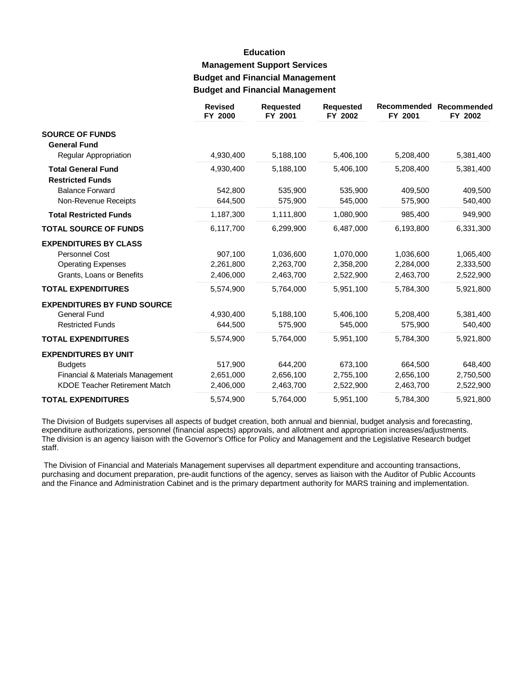# **Education Management Support Services Budget and Financial Management Budget and Financial Management**

|                                                      | <b>Revised</b><br>FY 2000 | <b>Requested</b><br>FY 2001 | <b>Requested</b><br>FY 2002 | Recommended<br>FY 2001 | Recommended<br>FY 2002 |
|------------------------------------------------------|---------------------------|-----------------------------|-----------------------------|------------------------|------------------------|
| <b>SOURCE OF FUNDS</b>                               |                           |                             |                             |                        |                        |
| <b>General Fund</b>                                  |                           |                             |                             |                        |                        |
| Regular Appropriation                                | 4,930,400                 | 5,188,100                   | 5,406,100                   | 5,208,400              | 5,381,400              |
| <b>Total General Fund</b><br><b>Restricted Funds</b> | 4,930,400                 | 5,188,100                   | 5,406,100                   | 5,208,400              | 5,381,400              |
| <b>Balance Forward</b>                               | 542,800                   | 535.900                     | 535,900                     | 409.500                | 409,500                |
| Non-Revenue Receipts                                 | 644,500                   | 575,900                     | 545,000                     | 575,900                | 540,400                |
| <b>Total Restricted Funds</b>                        | 1,187,300                 | 1,111,800                   | 1,080,900                   | 985,400                | 949,900                |
| <b>TOTAL SOURCE OF FUNDS</b>                         | 6,117,700                 | 6,299,900                   | 6,487,000                   | 6,193,800              | 6,331,300              |
| <b>EXPENDITURES BY CLASS</b>                         |                           |                             |                             |                        |                        |
| <b>Personnel Cost</b>                                | 907.100                   | 1,036,600                   | 1,070,000                   | 1,036,600              | 1,065,400              |
| <b>Operating Expenses</b>                            | 2,261,800                 | 2,263,700                   | 2,358,200                   | 2,284,000              | 2,333,500              |
| Grants, Loans or Benefits                            | 2,406,000                 | 2,463,700                   | 2,522,900                   | 2,463,700              | 2,522,900              |
| <b>TOTAL EXPENDITURES</b>                            | 5,574,900                 | 5,764,000                   | 5,951,100                   | 5,784,300              | 5,921,800              |
| <b>EXPENDITURES BY FUND SOURCE</b>                   |                           |                             |                             |                        |                        |
| <b>General Fund</b>                                  | 4,930,400                 | 5,188,100                   | 5,406,100                   | 5,208,400              | 5,381,400              |
| <b>Restricted Funds</b>                              | 644,500                   | 575,900                     | 545,000                     | 575,900                | 540,400                |
| <b>TOTAL EXPENDITURES</b>                            | 5,574,900                 | 5,764,000                   | 5,951,100                   | 5,784,300              | 5,921,800              |
| <b>EXPENDITURES BY UNIT</b>                          |                           |                             |                             |                        |                        |
| <b>Budgets</b>                                       | 517,900                   | 644,200                     | 673,100                     | 664,500                | 648,400                |
| Financial & Materials Management                     | 2,651,000                 | 2,656,100                   | 2,755,100                   | 2,656,100              | 2,750,500              |
| <b>KDOE Teacher Retirement Match</b>                 | 2,406,000                 | 2,463,700                   | 2,522,900                   | 2,463,700              | 2,522,900              |
| <b>TOTAL EXPENDITURES</b>                            | 5,574,900                 | 5,764,000                   | 5,951,100                   | 5,784,300              | 5,921,800              |

The Division of Budgets supervises all aspects of budget creation, both annual and biennial, budget analysis and forecasting, expenditure authorizations, personnel (financial aspects) approvals, and allotment and appropriation increases/adjustments. The division is an agency liaison with the Governor's Office for Policy and Management and the Legislative Research budget staff.

The Division of Financial and Materials Management supervises all department expenditure and accounting transactions, purchasing and document preparation, pre-audit functions of the agency, serves as liaison with the Auditor of Public Accounts and the Finance and Administration Cabinet and is the primary department authority for MARS training and implementation.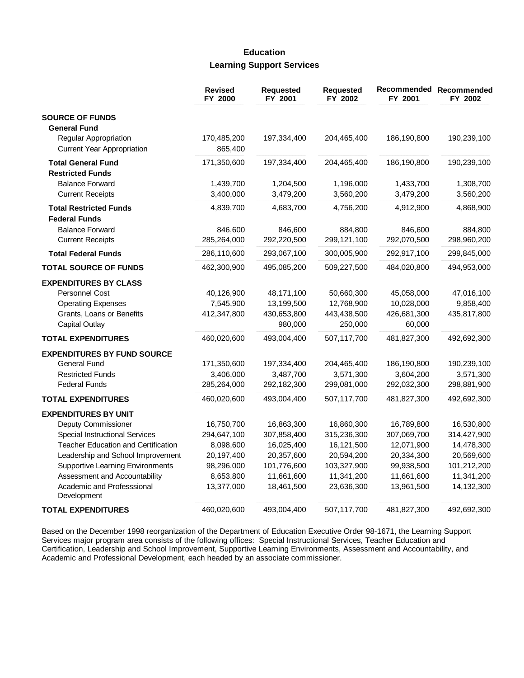### **Education Learning Support Services**

|                                            | <b>Revised</b><br>FY 2000 | Requested<br>FY 2001 | <b>Requested</b><br>FY 2002 | FY 2001     | Recommended Recommended<br>FY 2002 |
|--------------------------------------------|---------------------------|----------------------|-----------------------------|-------------|------------------------------------|
| <b>SOURCE OF FUNDS</b>                     |                           |                      |                             |             |                                    |
| <b>General Fund</b>                        |                           |                      |                             |             |                                    |
| Regular Appropriation                      | 170,485,200               | 197,334,400          | 204,465,400                 | 186,190,800 | 190,239,100                        |
| <b>Current Year Appropriation</b>          | 865,400                   |                      |                             |             |                                    |
| <b>Total General Fund</b>                  | 171,350,600               | 197,334,400          | 204,465,400                 | 186,190,800 | 190,239,100                        |
| <b>Restricted Funds</b>                    |                           |                      |                             |             |                                    |
| <b>Balance Forward</b>                     | 1,439,700                 | 1,204,500            | 1,196,000                   | 1,433,700   | 1,308,700                          |
| <b>Current Receipts</b>                    | 3,400,000                 | 3,479,200            | 3,560,200                   | 3,479,200   | 3,560,200                          |
| <b>Total Restricted Funds</b>              | 4,839,700                 | 4,683,700            | 4,756,200                   | 4,912,900   | 4,868,900                          |
| <b>Federal Funds</b>                       |                           |                      |                             |             |                                    |
| <b>Balance Forward</b>                     | 846,600                   | 846,600              | 884,800                     | 846,600     | 884,800                            |
| <b>Current Receipts</b>                    | 285,264,000               | 292,220,500          | 299,121,100                 | 292,070,500 | 298,960,200                        |
| <b>Total Federal Funds</b>                 | 286,110,600               | 293,067,100          | 300,005,900                 | 292,917,100 | 299,845,000                        |
| <b>TOTAL SOURCE OF FUNDS</b>               | 462,300,900               | 495,085,200          | 509,227,500                 | 484,020,800 | 494,953,000                        |
| <b>EXPENDITURES BY CLASS</b>               |                           |                      |                             |             |                                    |
| <b>Personnel Cost</b>                      | 40,126,900                | 48,171,100           | 50,660,300                  | 45,058,000  | 47,016,100                         |
| <b>Operating Expenses</b>                  | 7,545,900                 | 13,199,500           | 12,768,900                  | 10,028,000  | 9,858,400                          |
| Grants, Loans or Benefits                  | 412,347,800               | 430,653,800          | 443,438,500                 | 426,681,300 | 435,817,800                        |
| <b>Capital Outlay</b>                      |                           | 980,000              | 250,000                     | 60,000      |                                    |
| <b>TOTAL EXPENDITURES</b>                  | 460,020,600               | 493,004,400          | 507,117,700                 | 481,827,300 | 492,692,300                        |
| <b>EXPENDITURES BY FUND SOURCE</b>         |                           |                      |                             |             |                                    |
| <b>General Fund</b>                        | 171,350,600               | 197,334,400          | 204,465,400                 | 186,190,800 | 190,239,100                        |
| <b>Restricted Funds</b>                    | 3,406,000                 | 3,487,700            | 3,571,300                   | 3,604,200   | 3,571,300                          |
| <b>Federal Funds</b>                       | 285,264,000               | 292,182,300          | 299,081,000                 | 292,032,300 | 298,881,900                        |
| <b>TOTAL EXPENDITURES</b>                  | 460,020,600               | 493,004,400          | 507,117,700                 | 481,827,300 | 492,692,300                        |
| <b>EXPENDITURES BY UNIT</b>                |                           |                      |                             |             |                                    |
| Deputy Commissioner                        | 16,750,700                | 16,863,300           | 16,860,300                  | 16,789,800  | 16,530,800                         |
| <b>Special Instructional Services</b>      | 294,647,100               | 307,858,400          | 315,236,300                 | 307,069,700 | 314,427,900                        |
| <b>Teacher Education and Certification</b> | 8,098,600                 | 16,025,400           | 16,121,500                  | 12,071,900  | 14,478,300                         |
| Leadership and School Improvement          | 20,197,400                | 20,357,600           | 20,594,200                  | 20,334,300  | 20,569,600                         |
| <b>Supportive Learning Environments</b>    | 98,296,000                | 101,776,600          | 103,327,900                 | 99,938,500  | 101,212,200                        |
| Assessment and Accountability              | 8,653,800                 | 11,661,600           | 11,341,200                  | 11,661,600  | 11,341,200                         |
| Academic and Professsional<br>Development  | 13,377,000                | 18,461,500           | 23,636,300                  | 13,961,500  | 14,132,300                         |
| <b>TOTAL EXPENDITURES</b>                  | 460,020,600               | 493,004,400          | 507,117,700                 | 481,827,300 | 492,692,300                        |

Based on the December 1998 reorganization of the Department of Education Executive Order 98-1671, the Learning Support Services major program area consists of the following offices: Special Instructional Services, Teacher Education and Certification, Leadership and School Improvement, Supportive Learning Environments, Assessment and Accountability, and Academic and Professional Development, each headed by an associate commissioner.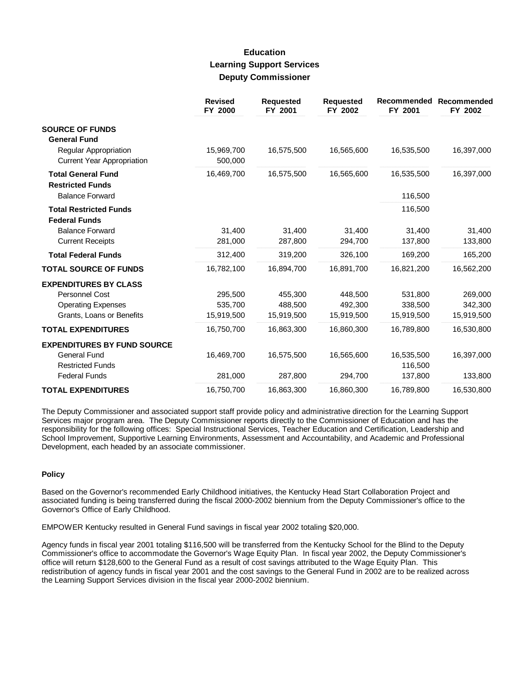### **Education Learning Support Services Deputy Commissioner**

|                                                            | <b>Revised</b><br>FY 2000 | <b>Requested</b><br>FY 2001 | <b>Requested</b><br>FY 2002 | Recommended<br>FY 2001 | <b>Recommended</b><br>FY 2002 |
|------------------------------------------------------------|---------------------------|-----------------------------|-----------------------------|------------------------|-------------------------------|
| <b>SOURCE OF FUNDS</b><br><b>General Fund</b>              |                           |                             |                             |                        |                               |
| Regular Appropriation<br><b>Current Year Appropriation</b> | 15,969,700<br>500,000     | 16,575,500                  | 16,565,600                  | 16,535,500             | 16,397,000                    |
| <b>Total General Fund</b><br><b>Restricted Funds</b>       | 16,469,700                | 16,575,500                  | 16,565,600                  | 16,535,500             | 16,397,000                    |
| <b>Balance Forward</b>                                     |                           |                             |                             | 116,500                |                               |
| <b>Total Restricted Funds</b><br><b>Federal Funds</b>      |                           |                             |                             | 116,500                |                               |
| <b>Balance Forward</b>                                     | 31,400                    | 31,400                      | 31.400                      | 31.400                 | 31,400                        |
| <b>Current Receipts</b>                                    | 281,000                   | 287,800                     | 294,700                     | 137,800                | 133,800                       |
| <b>Total Federal Funds</b>                                 | 312,400                   | 319,200                     | 326,100                     | 169,200                | 165,200                       |
| <b>TOTAL SOURCE OF FUNDS</b>                               | 16,782,100                | 16,894,700                  | 16,891,700                  | 16,821,200             | 16,562,200                    |
| <b>EXPENDITURES BY CLASS</b>                               |                           |                             |                             |                        |                               |
| Personnel Cost                                             | 295,500                   | 455,300                     | 448.500                     | 531,800                | 269,000                       |
| <b>Operating Expenses</b>                                  | 535.700                   | 488.500                     | 492.300                     | 338,500                | 342,300                       |
| Grants, Loans or Benefits                                  | 15,919,500                | 15,919,500                  | 15,919,500                  | 15,919,500             | 15,919,500                    |
| <b>TOTAL EXPENDITURES</b>                                  | 16,750,700                | 16,863,300                  | 16,860,300                  | 16,789,800             | 16,530,800                    |
| <b>EXPENDITURES BY FUND SOURCE</b>                         |                           |                             |                             |                        |                               |
| <b>General Fund</b><br><b>Restricted Funds</b>             | 16,469,700                | 16,575,500                  | 16,565,600                  | 16,535,500<br>116,500  | 16,397,000                    |
| <b>Federal Funds</b>                                       | 281,000                   | 287,800                     | 294,700                     | 137,800                | 133,800                       |
| <b>TOTAL EXPENDITURES</b>                                  | 16,750,700                | 16,863,300                  | 16,860,300                  | 16,789,800             | 16,530,800                    |

The Deputy Commissioner and associated support staff provide policy and administrative direction for the Learning Support Services major program area. The Deputy Commissioner reports directly to the Commissioner of Education and has the responsibility for the following offices: Special Instructional Services, Teacher Education and Certification, Leadership and School Improvement, Supportive Learning Environments, Assessment and Accountability, and Academic and Professional Development, each headed by an associate commissioner.

#### **Policy**

Based on the Governor's recommended Early Childhood initiatives, the Kentucky Head Start Collaboration Project and associated funding is being transferred during the fiscal 2000-2002 biennium from the Deputy Commissioner's office to the Governor's Office of Early Childhood.

EMPOWER Kentucky resulted in General Fund savings in fiscal year 2002 totaling \$20,000.

Agency funds in fiscal year 2001 totaling \$116,500 will be transferred from the Kentucky School for the Blind to the Deputy Commissioner's office to accommodate the Governor's Wage Equity Plan. In fiscal year 2002, the Deputy Commissioner's office will return \$128,600 to the General Fund as a result of cost savings attributed to the Wage Equity Plan. This redistribution of agency funds in fiscal year 2001 and the cost savings to the General Fund in 2002 are to be realized across the Learning Support Services division in the fiscal year 2000-2002 biennium.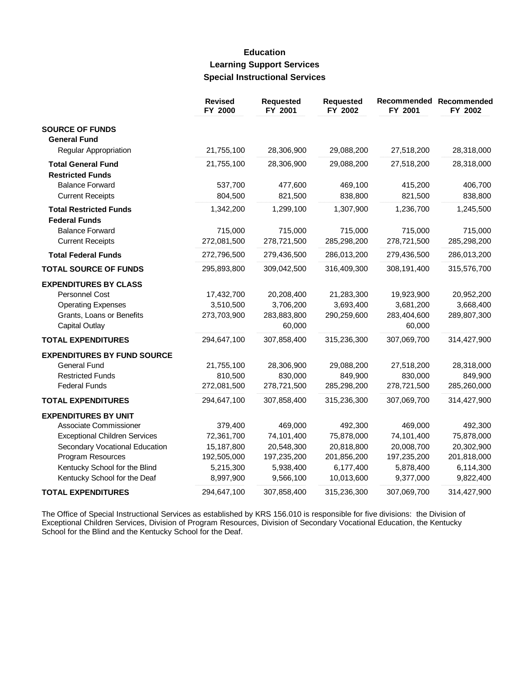# **Education Learning Support Services Special Instructional Services**

|                                      | <b>Revised</b><br>FY 2000 | <b>Requested</b><br>FY 2001 | Requested<br>FY 2002 | FY 2001     | Recommended Recommended<br>FY 2002 |
|--------------------------------------|---------------------------|-----------------------------|----------------------|-------------|------------------------------------|
| <b>SOURCE OF FUNDS</b>               |                           |                             |                      |             |                                    |
| <b>General Fund</b>                  |                           |                             |                      |             |                                    |
| Regular Appropriation                | 21,755,100                | 28,306,900                  | 29,088,200           | 27,518,200  | 28,318,000                         |
| <b>Total General Fund</b>            | 21,755,100                | 28,306,900                  | 29,088,200           | 27,518,200  | 28,318,000                         |
| <b>Restricted Funds</b>              |                           |                             |                      |             |                                    |
| <b>Balance Forward</b>               | 537,700                   | 477,600                     | 469,100              | 415,200     | 406,700                            |
| <b>Current Receipts</b>              | 804,500                   | 821,500                     | 838,800              | 821,500     | 838,800                            |
| <b>Total Restricted Funds</b>        | 1,342,200                 | 1,299,100                   | 1,307,900            | 1,236,700   | 1,245,500                          |
| <b>Federal Funds</b>                 |                           |                             |                      |             |                                    |
| <b>Balance Forward</b>               | 715,000                   | 715,000                     | 715,000              | 715,000     | 715,000                            |
| <b>Current Receipts</b>              | 272,081,500               | 278,721,500                 | 285,298,200          | 278,721,500 | 285,298,200                        |
| <b>Total Federal Funds</b>           | 272,796,500               | 279,436,500                 | 286,013,200          | 279,436,500 | 286,013,200                        |
| <b>TOTAL SOURCE OF FUNDS</b>         | 295,893,800               | 309,042,500                 | 316,409,300          | 308,191,400 | 315,576,700                        |
| <b>EXPENDITURES BY CLASS</b>         |                           |                             |                      |             |                                    |
| Personnel Cost                       | 17,432,700                | 20,208,400                  | 21,283,300           | 19,923,900  | 20,952,200                         |
| <b>Operating Expenses</b>            | 3,510,500                 | 3,706,200                   | 3,693,400            | 3,681,200   | 3,668,400                          |
| Grants, Loans or Benefits            | 273,703,900               | 283,883,800                 | 290,259,600          | 283,404,600 | 289,807,300                        |
| <b>Capital Outlay</b>                |                           | 60,000                      |                      | 60,000      |                                    |
| <b>TOTAL EXPENDITURES</b>            | 294,647,100               | 307,858,400                 | 315,236,300          | 307,069,700 | 314,427,900                        |
| <b>EXPENDITURES BY FUND SOURCE</b>   |                           |                             |                      |             |                                    |
| <b>General Fund</b>                  | 21,755,100                | 28,306,900                  | 29,088,200           | 27,518,200  | 28,318,000                         |
| <b>Restricted Funds</b>              | 810,500                   | 830,000                     | 849,900              | 830,000     | 849,900                            |
| <b>Federal Funds</b>                 | 272,081,500               | 278,721,500                 | 285,298,200          | 278,721,500 | 285,260,000                        |
| <b>TOTAL EXPENDITURES</b>            | 294,647,100               | 307,858,400                 | 315,236,300          | 307,069,700 | 314,427,900                        |
| <b>EXPENDITURES BY UNIT</b>          |                           |                             |                      |             |                                    |
| Associate Commissioner               | 379,400                   | 469,000                     | 492,300              | 469,000     | 492,300                            |
| <b>Exceptional Children Services</b> | 72,361,700                | 74,101,400                  | 75,878,000           | 74,101,400  | 75,878,000                         |
| Secondary Vocational Education       | 15,187,800                | 20,548,300                  | 20,818,800           | 20,008,700  | 20,302,900                         |
| Program Resources                    | 192,505,000               | 197,235,200                 | 201,856,200          | 197,235,200 | 201,818,000                        |
| Kentucky School for the Blind        | 5,215,300                 | 5,938,400                   | 6,177,400            | 5,878,400   | 6,114,300                          |
| Kentucky School for the Deaf         | 8,997,900                 | 9,566,100                   | 10,013,600           | 9,377,000   | 9,822,400                          |
| <b>TOTAL EXPENDITURES</b>            | 294,647,100               | 307,858,400                 | 315,236,300          | 307,069,700 | 314,427,900                        |

The Office of Special Instructional Services as established by KRS 156.010 is responsible for five divisions: the Division of Exceptional Children Services, Division of Program Resources, Division of Secondary Vocational E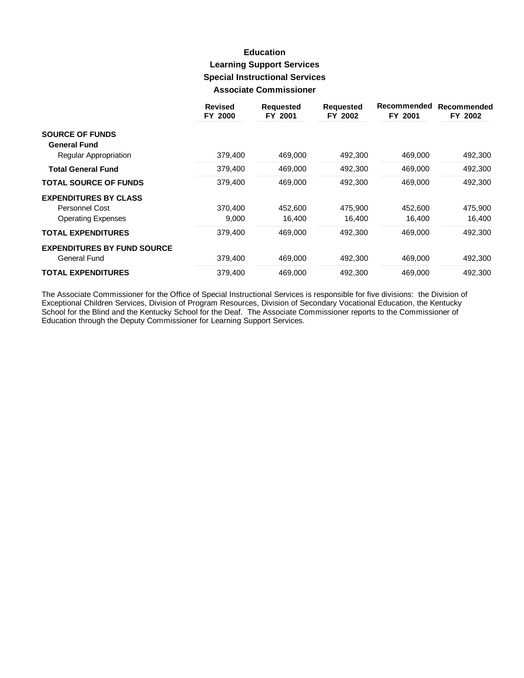## **Education Learning Support Services Special Instructional Services Associate Commissioner**

|                                    | <b>Revised</b><br>FY 2000 | <b>Requested</b><br>FY 2001 | <b>Requested</b><br>FY 2002 | Recommended<br>FY 2001 | Recommended<br>FY 2002 |
|------------------------------------|---------------------------|-----------------------------|-----------------------------|------------------------|------------------------|
| <b>SOURCE OF FUNDS</b>             |                           |                             |                             |                        |                        |
| <b>General Fund</b>                |                           |                             |                             |                        |                        |
| Regular Appropriation              | 379,400                   | 469,000                     | 492,300                     | 469,000                | 492,300                |
| <b>Total General Fund</b>          | 379,400                   | 469,000                     | 492,300                     | 469,000                | 492,300                |
| <b>TOTAL SOURCE OF FUNDS</b>       | 379,400                   | 469,000                     | 492,300                     | 469,000                | 492,300                |
| <b>EXPENDITURES BY CLASS</b>       |                           |                             |                             |                        |                        |
| Personnel Cost                     | 370,400                   | 452,600                     | 475.900                     | 452,600                | 475,900                |
| <b>Operating Expenses</b>          | 9,000                     | 16,400                      | 16,400                      | 16,400                 | 16,400                 |
| <b>TOTAL EXPENDITURES</b>          | 379,400                   | 469,000                     | 492,300                     | 469,000                | 492,300                |
| <b>EXPENDITURES BY FUND SOURCE</b> |                           |                             |                             |                        |                        |
| General Fund                       | 379,400                   | 469,000                     | 492,300                     | 469,000                | 492,300                |
| <b>TOTAL EXPENDITURES</b>          | 379.400                   | 469.000                     | 492,300                     | 469,000                | 492,300                |

The Associate Commissioner for the Office of Special Instructional Services is responsible for five divisions: the Division of Exceptional Children Services, Division of Program Resources, Division of Secondary Vocational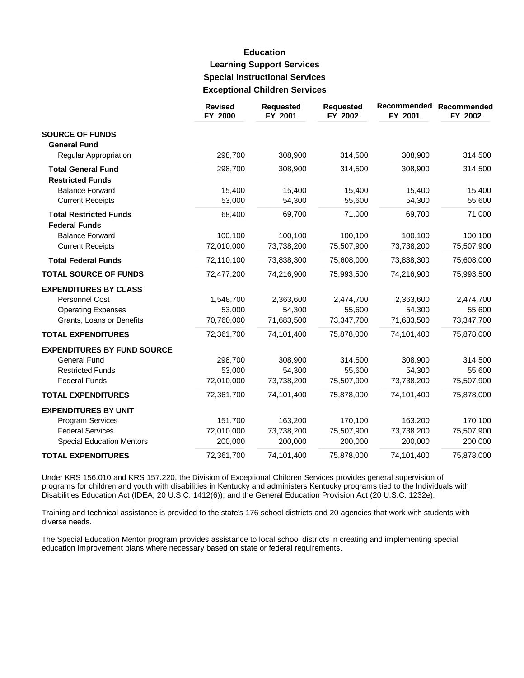# **Education Learning Support Services Special Instructional Services Exceptional Children Services**

|                                                                                                                       | <b>Revised</b><br>FY 2000        | <b>Requested</b><br>FY 2001      | <b>Requested</b><br>FY 2002      | Recommended<br>FY 2001           | Recommended<br>FY 2002           |
|-----------------------------------------------------------------------------------------------------------------------|----------------------------------|----------------------------------|----------------------------------|----------------------------------|----------------------------------|
| <b>SOURCE OF FUNDS</b><br><b>General Fund</b>                                                                         |                                  |                                  |                                  |                                  |                                  |
| Regular Appropriation                                                                                                 | 298,700                          | 308,900                          | 314,500                          | 308,900                          | 314,500                          |
| <b>Total General Fund</b><br><b>Restricted Funds</b>                                                                  | 298,700                          | 308,900                          | 314,500                          | 308,900                          | 314,500                          |
| <b>Balance Forward</b><br><b>Current Receipts</b>                                                                     | 15,400<br>53,000                 | 15,400<br>54,300                 | 15,400<br>55,600                 | 15,400<br>54,300                 | 15,400<br>55,600                 |
| <b>Total Restricted Funds</b><br><b>Federal Funds</b>                                                                 | 68,400                           | 69,700                           | 71,000                           | 69,700                           | 71,000                           |
| <b>Balance Forward</b><br><b>Current Receipts</b>                                                                     | 100,100<br>72,010,000            | 100,100<br>73,738,200            | 100,100<br>75,507,900            | 100,100<br>73,738,200            | 100,100<br>75,507,900            |
| <b>Total Federal Funds</b>                                                                                            | 72,110,100                       | 73,838,300                       | 75,608,000                       | 73,838,300                       | 75,608,000                       |
| <b>TOTAL SOURCE OF FUNDS</b>                                                                                          | 72,477,200                       | 74,216,900                       | 75,993,500                       | 74,216,900                       | 75,993,500                       |
| <b>EXPENDITURES BY CLASS</b><br><b>Personnel Cost</b><br><b>Operating Expenses</b>                                    | 1,548,700<br>53,000              | 2,363,600<br>54,300              | 2,474,700<br>55,600              | 2,363,600<br>54,300              | 2,474,700<br>55,600              |
| Grants, Loans or Benefits<br><b>TOTAL EXPENDITURES</b>                                                                | 70,760,000<br>72,361,700         | 71,683,500<br>74,101,400         | 73,347,700<br>75,878,000         | 71,683,500<br>74,101,400         | 73,347,700<br>75,878,000         |
| <b>EXPENDITURES BY FUND SOURCE</b><br><b>General Fund</b><br><b>Restricted Funds</b><br><b>Federal Funds</b>          | 298,700<br>53,000<br>72,010,000  | 308,900<br>54,300<br>73,738,200  | 314,500<br>55,600<br>75,507,900  | 308,900<br>54,300<br>73,738,200  | 314,500<br>55,600<br>75,507,900  |
| <b>TOTAL EXPENDITURES</b>                                                                                             | 72,361,700                       | 74,101,400                       | 75,878,000                       | 74,101,400                       | 75,878,000                       |
| <b>EXPENDITURES BY UNIT</b><br><b>Program Services</b><br><b>Federal Services</b><br><b>Special Education Mentors</b> | 151,700<br>72,010,000<br>200,000 | 163,200<br>73,738,200<br>200,000 | 170,100<br>75,507,900<br>200,000 | 163,200<br>73,738,200<br>200,000 | 170,100<br>75,507,900<br>200,000 |
| <b>TOTAL EXPENDITURES</b>                                                                                             | 72,361,700                       | 74,101,400                       | 75,878,000                       | 74,101,400                       | 75,878,000                       |

Under KRS 156.010 and KRS 157.220, the Division of Exceptional Children Services provides general supervision of programs for children and youth with disabilities in Kentucky and administers Kentucky programs tied to the Individuals with Disabilities Education Act (IDEA; 20 U.S.C. 1412(6)); and the General Education Provision Act (20 U.S.C. 1232e).

Training and technical assistance is provided to the state's 176 school districts and 20 agencies that work with students with diverse needs.

The Special Education Mentor program provides assistance to local school districts in creating and implementing special education improvement plans where necessary based on state or federal requirements.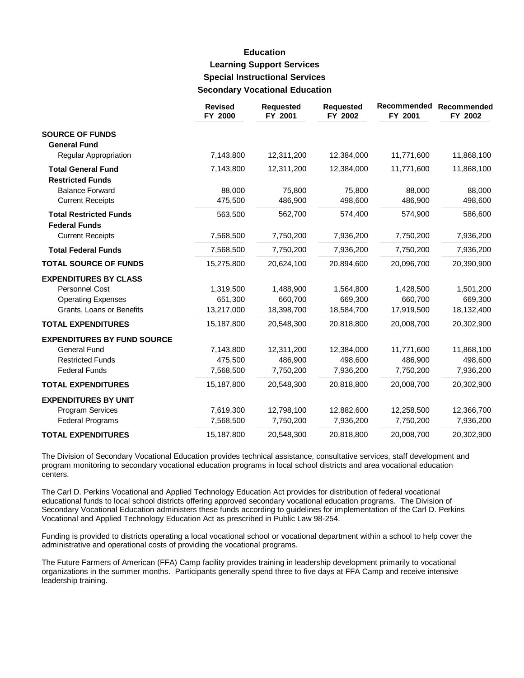# **Education Learning Support Services Special Instructional Services Secondary Vocational Education**

|                                                                                                          | <b>Revised</b><br>FY 2000          | <b>Requested</b><br>FY 2001        | Requested<br>FY 2002               | Recommended<br>FY 2001             | Recommended<br>FY 2002             |
|----------------------------------------------------------------------------------------------------------|------------------------------------|------------------------------------|------------------------------------|------------------------------------|------------------------------------|
| <b>SOURCE OF FUNDS</b><br><b>General Fund</b>                                                            |                                    |                                    |                                    |                                    |                                    |
| Regular Appropriation                                                                                    | 7,143,800                          | 12,311,200                         | 12,384,000                         | 11,771,600                         | 11,868,100                         |
| <b>Total General Fund</b><br><b>Restricted Funds</b>                                                     | 7,143,800                          | 12,311,200                         | 12,384,000                         | 11,771,600                         | 11,868,100                         |
| <b>Balance Forward</b><br><b>Current Receipts</b>                                                        | 88,000<br>475,500                  | 75,800<br>486,900                  | 75,800<br>498,600                  | 88,000<br>486,900                  | 88,000<br>498,600                  |
| <b>Total Restricted Funds</b><br><b>Federal Funds</b>                                                    | 563,500                            | 562,700                            | 574,400                            | 574,900                            | 586,600                            |
| <b>Current Receipts</b>                                                                                  | 7,568,500                          | 7,750,200                          | 7,936,200                          | 7,750,200                          | 7,936,200                          |
| <b>Total Federal Funds</b>                                                                               | 7,568,500                          | 7,750,200                          | 7,936,200                          | 7,750,200                          | 7,936,200                          |
| <b>TOTAL SOURCE OF FUNDS</b>                                                                             | 15,275,800                         | 20,624,100                         | 20,894,600                         | 20,096,700                         | 20,390,900                         |
| <b>EXPENDITURES BY CLASS</b><br>Personnel Cost<br><b>Operating Expenses</b><br>Grants, Loans or Benefits | 1,319,500<br>651,300<br>13,217,000 | 1,488,900<br>660,700<br>18,398,700 | 1,564,800<br>669,300<br>18,584,700 | 1,428,500<br>660,700<br>17,919,500 | 1,501,200<br>669,300<br>18,132,400 |
| <b>TOTAL EXPENDITURES</b>                                                                                | 15,187,800                         | 20,548,300                         | 20,818,800                         | 20,008,700                         | 20,302,900                         |
| <b>EXPENDITURES BY FUND SOURCE</b><br>General Fund<br><b>Restricted Funds</b><br><b>Federal Funds</b>    | 7,143,800<br>475,500<br>7,568,500  | 12,311,200<br>486,900<br>7,750,200 | 12,384,000<br>498,600<br>7,936,200 | 11,771,600<br>486,900<br>7,750,200 | 11,868,100<br>498,600<br>7,936,200 |
| <b>TOTAL EXPENDITURES</b>                                                                                | 15,187,800                         | 20,548,300                         | 20,818,800                         | 20,008,700                         | 20,302,900                         |
| <b>EXPENDITURES BY UNIT</b><br>Program Services                                                          | 7,619,300                          | 12,798,100                         | 12,882,600                         | 12,258,500                         | 12,366,700                         |
| <b>Federal Programs</b>                                                                                  | 7,568,500                          | 7,750,200                          | 7,936,200                          | 7,750,200                          | 7,936,200                          |
| <b>TOTAL EXPENDITURES</b>                                                                                | 15,187,800                         | 20,548,300                         | 20,818,800                         | 20,008,700                         | 20,302,900                         |

The Division of Secondary Vocational Education provides technical assistance, consultative services, staff development and program monitoring to secondary vocational education programs in local school districts and area vocational education centers.

The Carl D. Perkins Vocational and Applied Technology Education Act provides for distribution of federal vocational educational funds to local school districts offering approved secondary vocational education programs. The Division of Secondary Vocational Education administers these funds according to guidelines for implementation of the Carl D. Perkins Vocational and Applied Technology Education Act as prescribed in Public Law 98-254.

Funding is provided to districts operating a local vocational school or vocational department within a school to help cover the administrative and operational costs of providing the vocational programs.

The Future Farmers of American (FFA) Camp facility provides training in leadership development primarily to vocational organizations in the summer months. Participants generally spend three to five days at FFA Camp and receive intensive leadership training.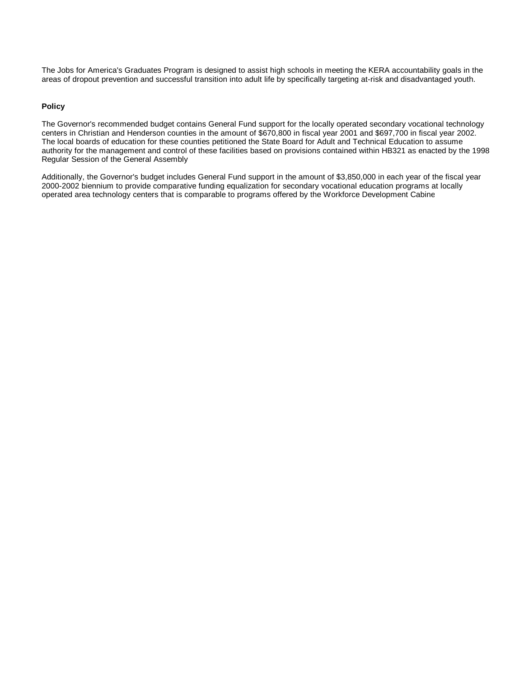The Jobs for America's Graduates Program is designed to assist high schools in meeting the KERA accountability goals in the areas of dropout prevention and successful transition into adult life by specifically targeting at-risk and disadvantaged youth.

#### **Policy**

The Governor's recommended budget contains General Fund support for the locally operated secondary vocational technology centers in Christian and Henderson counties in the amount of \$670,800 in fiscal year 2001 and \$697,700 in fiscal year 2002. The local boards of education for these counties petitioned the State Board for Adult and Technical Education to assume authority for the management and control of these facilities based on provisions contained within HB321 as enacted by the 1998 Regular Session of the General Assembly.

Additionally, the Governor's budget includes General Fund support in the amount of \$3,850,000 in each year of the fiscal year 2000-2002 biennium to provide comparative funding equalization for secondary vocational education programs at locally operated area technology centers that is comparable to programs offered by the Workforce Development Cabine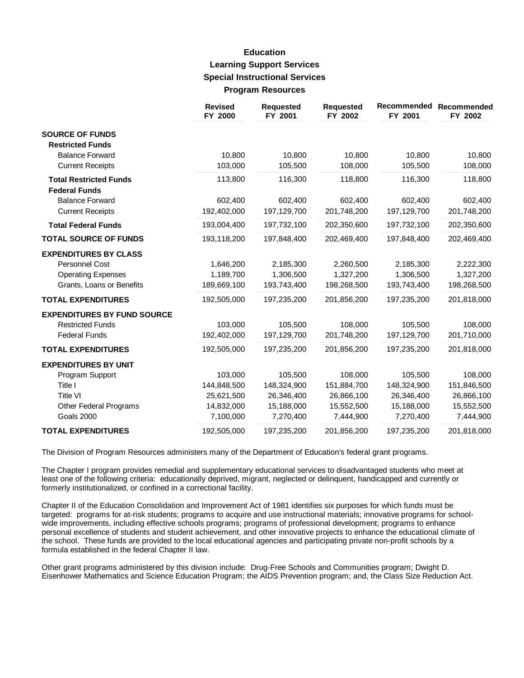### **Education Learning Support Services Special Instructional Services Program Resources**

|                                                   | <b>Revised</b><br>FY 2000 | <b>Requested</b><br>FY 2001 | <b>Requested</b><br>FY 2002 | Recommended<br>FY 2001 | Recommended<br>FY 2002 |
|---------------------------------------------------|---------------------------|-----------------------------|-----------------------------|------------------------|------------------------|
| <b>SOURCE OF FUNDS</b><br><b>Restricted Funds</b> |                           |                             |                             |                        |                        |
| <b>Balance Forward</b>                            | 10,800                    | 10,800                      | 10,800                      | 10,800                 | 10,800                 |
| <b>Current Receipts</b>                           | 103,000                   | 105,500                     | 108,000                     | 105,500                | 108,000                |
| <b>Total Restricted Funds</b>                     | 113,800                   | 116,300                     | 118,800                     | 116,300                | 118,800                |
| <b>Federal Funds</b><br><b>Balance Forward</b>    | 602,400                   | 602,400                     | 602,400                     | 602,400                | 602,400                |
| <b>Current Receipts</b>                           | 192,402,000               | 197,129,700                 | 201,748,200                 | 197,129,700            | 201,748,200            |
| <b>Total Federal Funds</b>                        | 193,004,400               | 197,732,100                 | 202,350,600                 | 197,732,100            | 202,350,600            |
| <b>TOTAL SOURCE OF FUNDS</b>                      | 193,118,200               | 197,848,400                 | 202,469,400                 | 197,848,400            | 202,469,400            |
| <b>EXPENDITURES BY CLASS</b>                      |                           |                             |                             |                        |                        |
| <b>Personnel Cost</b>                             | 1,646,200                 | 2,185,300                   | 2,260,500                   | 2,185,300              | 2,222,300              |
| <b>Operating Expenses</b>                         | 1,189,700                 | 1,306,500                   | 1,327,200                   | 1,306,500              | 1,327,200              |
| Grants, Loans or Benefits                         | 189,669,100               | 193,743,400                 | 198,268,500                 | 193,743,400            | 198,268,500            |
| <b>TOTAL EXPENDITURES</b>                         | 192,505,000               | 197,235,200                 | 201,856,200                 | 197,235,200            | 201,818,000            |
| <b>EXPENDITURES BY FUND SOURCE</b>                |                           |                             |                             |                        |                        |
| <b>Restricted Funds</b>                           | 103,000                   | 105,500                     | 108,000                     | 105,500                | 108,000                |
| <b>Federal Funds</b>                              | 192,402,000               | 197,129,700                 | 201,748,200                 | 197,129,700            | 201,710,000            |
| <b>TOTAL EXPENDITURES</b>                         | 192,505,000               | 197,235,200                 | 201,856,200                 | 197,235,200            | 201,818,000            |
| <b>EXPENDITURES BY UNIT</b>                       |                           |                             |                             |                        |                        |
| Program Support                                   | 103,000                   | 105,500                     | 108,000                     | 105,500                | 108,000                |
| Title I                                           | 144,848,500               | 148,324,900                 | 151,884,700                 | 148,324,900            | 151,846,500            |
| <b>Title VI</b>                                   | 25,621,500                | 26,346,400                  | 26,866,100                  | 26,346,400             | 26,866,100             |
| Other Federal Programs                            | 14,832,000                | 15,188,000                  | 15,552,500                  | 15,188,000             | 15,552,500             |
| Goals 2000                                        | 7,100,000                 | 7,270,400                   | 7,444,900                   | 7,270,400              | 7,444,900              |
| <b>TOTAL EXPENDITURES</b>                         | 192,505,000               | 197,235,200                 | 201,856,200                 | 197,235,200            | 201,818,000            |

The Division of Program Resources administers many of the Department of Education's federal grant programs.

The Chapter I program provides remedial and supplementary educational services to disadvantaged students who meet at least one of the following criteria: educationally deprived, migrant, neglected or delinquent, handicapped and currently or formerly institutionalized, or confined in a correctional facility.

Chapter II of the Education Consolidation and Improvement Act of 1981 identifies six purposes for which funds must be targeted: programs for at-risk students; programs to acquire and use instructional materials; innovative programs for schoolwide improvements, including effective schools programs; programs of professional development; programs to enhance personal excellence of students and student achievement, and other innovative projects to enhance the educational climate of the school. These funds are provided to the local educational agencies and participating private non-profit schools by a formula established in the federal Chapter II law.

Other grant programs administered by this division include: Drug-Free Schools and Communities program; Dwight D. Eisenhower Mathematics and Science Education Program; the AIDS Prevention program; and, the Class Size Reduction Act.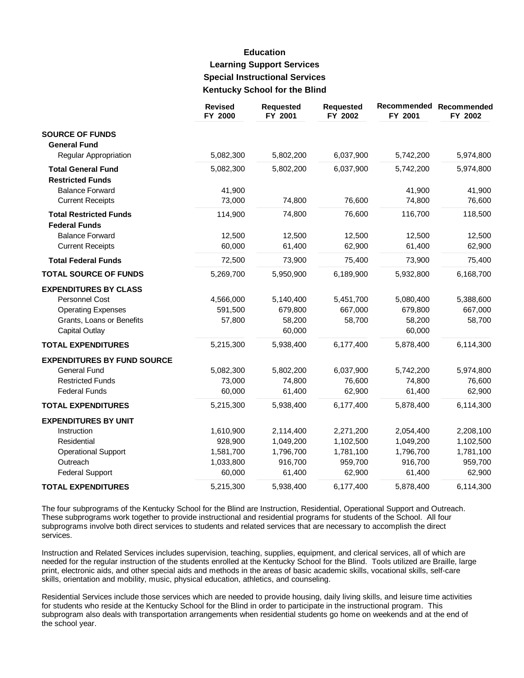# **Education Learning Support Services Special Instructional Services Kentucky School for the Blind**

|                                              | <b>Revised</b><br>FY 2000 | <b>Requested</b><br>FY 2001 | <b>Requested</b><br>FY 2002 | FY 2001   | Recommended Recommended<br>FY 2002 |
|----------------------------------------------|---------------------------|-----------------------------|-----------------------------|-----------|------------------------------------|
| <b>SOURCE OF FUNDS</b>                       |                           |                             |                             |           |                                    |
| <b>General Fund</b><br>Regular Appropriation | 5,082,300                 | 5,802,200                   | 6,037,900                   | 5,742,200 | 5,974,800                          |
|                                              |                           |                             |                             |           |                                    |
| <b>Total General Fund</b>                    | 5,082,300                 | 5,802,200                   | 6,037,900                   | 5,742,200 | 5,974,800                          |
| <b>Restricted Funds</b>                      |                           |                             |                             |           |                                    |
| <b>Balance Forward</b>                       | 41,900                    |                             |                             | 41,900    | 41,900                             |
| <b>Current Receipts</b>                      | 73,000                    | 74,800                      | 76,600                      | 74,800    | 76,600                             |
| <b>Total Restricted Funds</b>                | 114,900                   | 74,800                      | 76,600                      | 116,700   | 118,500                            |
| <b>Federal Funds</b>                         |                           |                             |                             |           |                                    |
| <b>Balance Forward</b>                       | 12,500                    | 12,500                      | 12,500                      | 12,500    | 12,500                             |
| <b>Current Receipts</b>                      | 60,000                    | 61,400                      | 62,900                      | 61,400    | 62,900                             |
| <b>Total Federal Funds</b>                   | 72,500                    | 73,900                      | 75,400                      | 73,900    | 75,400                             |
| <b>TOTAL SOURCE OF FUNDS</b>                 | 5,269,700                 | 5,950,900                   | 6,189,900                   | 5,932,800 | 6,168,700                          |
| <b>EXPENDITURES BY CLASS</b>                 |                           |                             |                             |           |                                    |
| Personnel Cost                               | 4,566,000                 | 5,140,400                   | 5,451,700                   | 5,080,400 | 5,388,600                          |
| <b>Operating Expenses</b>                    | 591,500                   | 679,800                     | 667,000                     | 679,800   | 667,000                            |
| Grants, Loans or Benefits                    | 57,800                    | 58,200                      | 58,700                      | 58,200    | 58,700                             |
| <b>Capital Outlay</b>                        |                           | 60,000                      |                             | 60,000    |                                    |
| <b>TOTAL EXPENDITURES</b>                    | 5,215,300                 | 5,938,400                   | 6,177,400                   | 5,878,400 | 6,114,300                          |
| <b>EXPENDITURES BY FUND SOURCE</b>           |                           |                             |                             |           |                                    |
| <b>General Fund</b>                          | 5,082,300                 | 5,802,200                   | 6,037,900                   | 5,742,200 | 5,974,800                          |
| <b>Restricted Funds</b>                      | 73,000                    | 74,800                      | 76,600                      | 74,800    | 76,600                             |
| <b>Federal Funds</b>                         | 60,000                    | 61,400                      | 62,900                      | 61,400    | 62,900                             |
| <b>TOTAL EXPENDITURES</b>                    | 5,215,300                 | 5,938,400                   | 6,177,400                   | 5,878,400 | 6,114,300                          |
| <b>EXPENDITURES BY UNIT</b>                  |                           |                             |                             |           |                                    |
| Instruction                                  | 1,610,900                 | 2,114,400                   | 2,271,200                   | 2,054,400 | 2,208,100                          |
| Residential                                  | 928,900                   | 1,049,200                   | 1,102,500                   | 1,049,200 | 1,102,500                          |
| <b>Operational Support</b>                   | 1,581,700                 | 1,796,700                   | 1,781,100                   | 1,796,700 | 1,781,100                          |
| Outreach                                     | 1,033,800                 | 916,700                     | 959,700                     | 916,700   | 959,700                            |
| <b>Federal Support</b>                       | 60,000                    | 61,400                      | 62,900                      | 61,400    | 62,900                             |
| <b>TOTAL EXPENDITURES</b>                    | 5,215,300                 | 5,938,400                   | 6,177,400                   | 5,878,400 | 6,114,300                          |

The four subprograms of the Kentucky School for the Blind are Instruction, Residential, Operational Support and Outreach. These subprograms work together to provide instructional and residential programs for students of the School. All four subprograms involve both direct services to students and related services that are necessary to accomplish the direct services.

Instruction and Related Services includes supervision, teaching, supplies, equipment, and clerical services, all of which are needed for the regular instruction of the students enrolled at the Kentucky School for the Blind. Tools utilized are Braille, large print, electronic aids, and other special aids and methods in the areas of basic academic skills, vocational skills, self-care skills, orientation and mobility, music, physical education, athletics, and counseling.

Residential Services include those services which are needed to provide housing, daily living skills, and leisure time activities for students who reside at the Kentucky School for the Blind in order to participate in the instructional program. This subprogram also deals with transportation arrangements when residential students go home on weekends and at the end of the school year.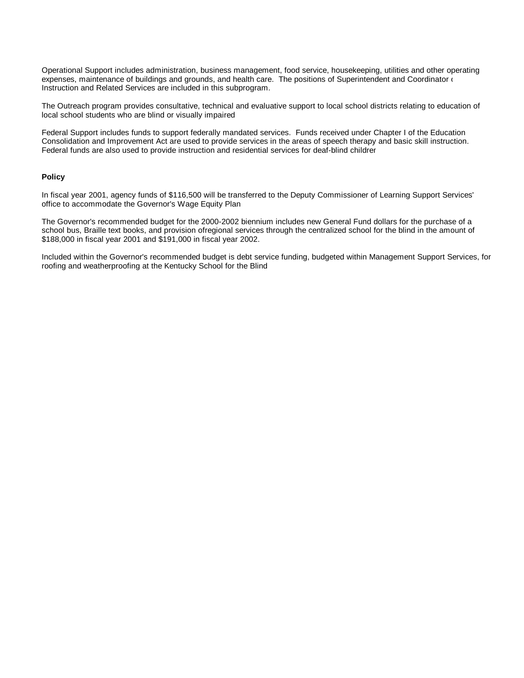Operational Support includes administration, business management, food service, housekeeping, utilities and other operating expenses, maintenance of buildings and grounds, and health care. The positions of Superintendent and Coordinator of Instruction and Related Services are included in this subprogram.

The Outreach program provides consultative, technical and evaluative support to local school districts relating to education of local school students who are blind or visually impaired.

Federal Support includes funds to support federally mandated services. Funds received under Chapter I of the Education Consolidation and Improvement Act are used to provide services in the areas of speech therapy and basic skill instruction. Federal funds are also used to provide instruction and residential services for deaf-blind childrer

#### **Policy**

In fiscal year 2001, agency funds of \$116,500 will be transferred to the Deputy Commissioner of Learning Support Services' office to accommodate the Governor's Wage Equity Plan.

The Governor's recommended budget for the 2000-2002 biennium includes new General Fund dollars for the purchase of a school bus, Braille text books, and provision of regional services through the centralized school for the blind in the amount of \$188,000 in fiscal year 2001 and \$191,000 in fiscal year 2002.

Included within the Governor's recommended budget is debt service funding, budgeted within Management Support Services, for roofing and weatherproofing at the Kentucky School for the Blind.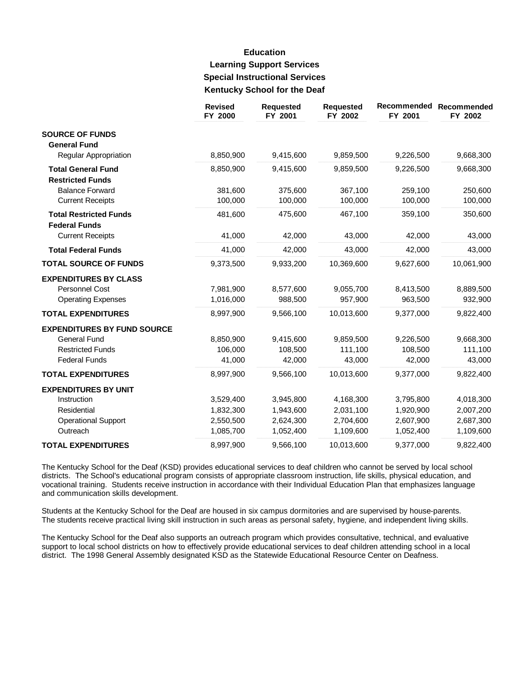# **Education Learning Support Services Special Instructional Services** Kentucky School for the Deaf

|                                                       | <b>Revised</b><br>FY 2000 | <b>Requested</b><br>FY 2001 | <b>Requested</b><br>FY 2002 | Recommended<br>FY 2001 | Recommended<br>FY 2002 |
|-------------------------------------------------------|---------------------------|-----------------------------|-----------------------------|------------------------|------------------------|
| <b>SOURCE OF FUNDS</b><br><b>General Fund</b>         |                           |                             |                             |                        |                        |
| Regular Appropriation                                 | 8,850,900                 | 9,415,600                   | 9,859,500                   | 9,226,500              | 9,668,300              |
| <b>Total General Fund</b>                             | 8,850,900                 | 9,415,600                   | 9,859,500                   | 9,226,500              | 9,668,300              |
| <b>Restricted Funds</b>                               |                           |                             |                             |                        |                        |
| <b>Balance Forward</b>                                | 381,600                   | 375,600                     | 367,100                     | 259,100                | 250,600                |
| <b>Current Receipts</b>                               | 100,000                   | 100,000                     | 100,000                     | 100,000                | 100,000                |
| <b>Total Restricted Funds</b><br><b>Federal Funds</b> | 481,600                   | 475,600                     | 467,100                     | 359,100                | 350,600                |
| <b>Current Receipts</b>                               | 41,000                    | 42,000                      | 43,000                      | 42,000                 | 43,000                 |
| <b>Total Federal Funds</b>                            | 41,000                    | 42,000                      | 43,000                      | 42,000                 | 43,000                 |
| <b>TOTAL SOURCE OF FUNDS</b>                          | 9,373,500                 | 9,933,200                   | 10,369,600                  | 9,627,600              | 10,061,900             |
| <b>EXPENDITURES BY CLASS</b>                          |                           |                             |                             |                        |                        |
| Personnel Cost                                        | 7,981,900                 | 8,577,600                   | 9,055,700                   | 8,413,500              | 8,889,500              |
| <b>Operating Expenses</b>                             | 1,016,000                 | 988,500                     | 957,900                     | 963,500                | 932,900                |
| <b>TOTAL EXPENDITURES</b>                             | 8,997,900                 | 9,566,100                   | 10,013,600                  | 9,377,000              | 9,822,400              |
| <b>EXPENDITURES BY FUND SOURCE</b>                    |                           |                             |                             |                        |                        |
| <b>General Fund</b>                                   | 8,850,900                 | 9,415,600                   | 9,859,500                   | 9,226,500              | 9,668,300              |
| <b>Restricted Funds</b>                               | 106,000                   | 108,500                     | 111,100                     | 108,500                | 111,100                |
| <b>Federal Funds</b>                                  | 41,000                    | 42,000                      | 43,000                      | 42,000                 | 43,000                 |
| <b>TOTAL EXPENDITURES</b>                             | 8,997,900                 | 9,566,100                   | 10,013,600                  | 9,377,000              | 9,822,400              |
| <b>EXPENDITURES BY UNIT</b>                           |                           |                             |                             |                        |                        |
| Instruction                                           | 3,529,400                 | 3,945,800                   | 4,168,300                   | 3,795,800              | 4,018,300              |
| Residential                                           | 1,832,300                 | 1,943,600                   | 2,031,100                   | 1,920,900              | 2,007,200              |
| <b>Operational Support</b>                            | 2,550,500                 | 2,624,300                   | 2,704,600                   | 2,607,900              | 2,687,300              |
| Outreach                                              | 1,085,700                 | 1,052,400                   | 1,109,600                   | 1,052,400              | 1,109,600              |
| <b>TOTAL EXPENDITURES</b>                             | 8,997,900                 | 9,566,100                   | 10,013,600                  | 9,377,000              | 9,822,400              |

The Kentucky School for the Deaf (KSD) provides educational services to deaf children who cannot be served by local school districts. The School's educational program consists of appropriate classroom instruction, life skills, physical education, and vocational training. Students receive instruction in accordance with their Individual Education Plan that emphasizes language and communication skills development.

Students at the Kentucky School for the Deaf are housed in six campus dormitories and are supervised by house-parents. The students receive practical living skill instruction in such areas as personal safety, hygiene, and independent living skills.

The Kentucky School for the Deaf also supports an outreach program which provides consultative, technical, and evaluative support to local school districts on how to effectively provide educational services to deaf children attending school in a local district. The 1998 General Assembly designated KSD as the Statewide Educational Resource Center on Deafness.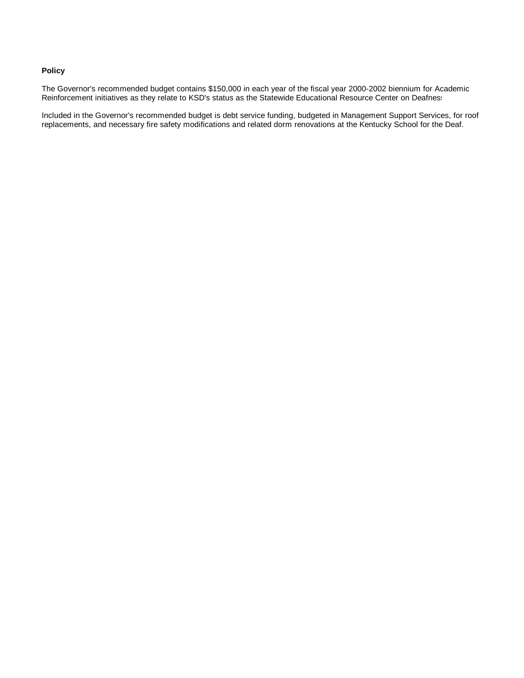#### **Policy**

The Governor's recommended budget contains \$150,000 in each year of the fiscal year 2000-2002 biennium for Academic Reinforcement initiatives as they relate to KSD's status as the Statewide Educational Resource Center on Deafness.

Included in the Governor's recommended budget is debt service funding, budgeted in Management Support Services, for roof replacements, and necessary fire safety modifications and related dorm renovations at the Kentucky School for the Deaf.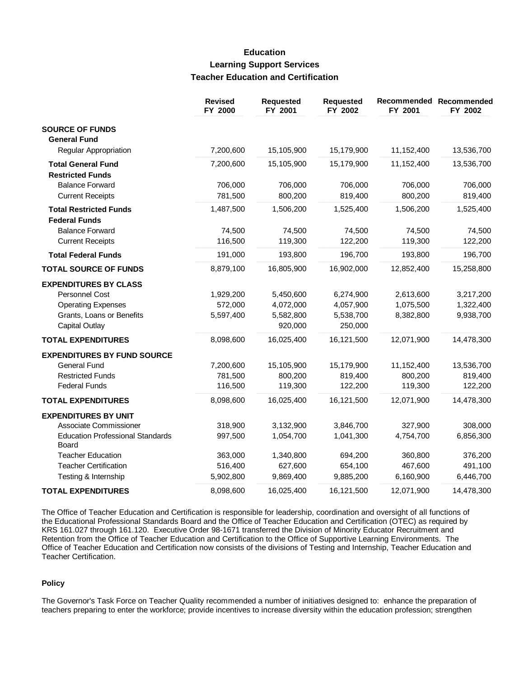#### **Education Learning Support Services Teacher Education and Certification**

|                                                  | <b>Revised</b><br>FY 2000 | <b>Requested</b><br>FY 2001 | Requested<br>FY 2002 | Recommended<br>FY 2001 | Recommended<br>FY 2002 |
|--------------------------------------------------|---------------------------|-----------------------------|----------------------|------------------------|------------------------|
| <b>SOURCE OF FUNDS</b>                           |                           |                             |                      |                        |                        |
| <b>General Fund</b>                              |                           |                             |                      |                        |                        |
| Regular Appropriation                            | 7,200,600                 | 15,105,900                  | 15,179,900           | 11,152,400             | 13,536,700             |
| <b>Total General Fund</b>                        | 7,200,600                 | 15,105,900                  | 15,179,900           | 11,152,400             | 13,536,700             |
| <b>Restricted Funds</b>                          |                           |                             |                      |                        |                        |
| <b>Balance Forward</b>                           | 706,000                   | 706,000                     | 706,000              | 706,000                | 706,000                |
| <b>Current Receipts</b>                          | 781,500                   | 800,200                     | 819,400              | 800,200                | 819,400                |
| <b>Total Restricted Funds</b>                    | 1,487,500                 | 1,506,200                   | 1,525,400            | 1,506,200              | 1,525,400              |
| <b>Federal Funds</b>                             |                           |                             |                      |                        |                        |
| <b>Balance Forward</b>                           | 74,500                    | 74,500                      | 74,500               | 74,500                 | 74,500                 |
| <b>Current Receipts</b>                          | 116,500                   | 119,300                     | 122,200              | 119,300                | 122,200                |
| <b>Total Federal Funds</b>                       | 191,000                   | 193,800                     | 196,700              | 193,800                | 196,700                |
| <b>TOTAL SOURCE OF FUNDS</b>                     | 8,879,100                 | 16,805,900                  | 16,902,000           | 12,852,400             | 15,258,800             |
| <b>EXPENDITURES BY CLASS</b>                     |                           |                             |                      |                        |                        |
| Personnel Cost                                   | 1,929,200                 | 5,450,600                   | 6,274,900            | 2,613,600              | 3,217,200              |
| <b>Operating Expenses</b>                        | 572,000                   | 4,072,000                   | 4,057,900            | 1,075,500              | 1,322,400              |
| Grants, Loans or Benefits                        | 5,597,400                 | 5,582,800                   | 5,538,700            | 8,382,800              | 9,938,700              |
| <b>Capital Outlay</b>                            |                           | 920,000                     | 250,000              |                        |                        |
| <b>TOTAL EXPENDITURES</b>                        | 8,098,600                 | 16,025,400                  | 16,121,500           | 12,071,900             | 14,478,300             |
| <b>EXPENDITURES BY FUND SOURCE</b>               |                           |                             |                      |                        |                        |
| <b>General Fund</b>                              | 7,200,600                 | 15,105,900                  | 15,179,900           | 11,152,400             | 13,536,700             |
| <b>Restricted Funds</b>                          | 781,500                   | 800,200                     | 819,400              | 800,200                | 819,400                |
| <b>Federal Funds</b>                             | 116,500                   | 119,300                     | 122,200              | 119,300                | 122,200                |
| <b>TOTAL EXPENDITURES</b>                        | 8,098,600                 | 16,025,400                  | 16,121,500           | 12,071,900             | 14,478,300             |
| <b>EXPENDITURES BY UNIT</b>                      |                           |                             |                      |                        |                        |
| Associate Commissioner                           | 318,900                   | 3,132,900                   | 3,846,700            | 327,900                | 308,000                |
| <b>Education Professional Standards</b><br>Board | 997,500                   | 1,054,700                   | 1,041,300            | 4,754,700              | 6,856,300              |
| <b>Teacher Education</b>                         | 363,000                   | 1,340,800                   | 694,200              | 360,800                | 376,200                |
| <b>Teacher Certification</b>                     | 516,400                   | 627,600                     | 654,100              | 467,600                | 491,100                |
| Testing & Internship                             | 5,902,800                 | 9,869,400                   | 9,885,200            | 6,160,900              | 6,446,700              |
| <b>TOTAL EXPENDITURES</b>                        | 8,098,600                 | 16,025,400                  | 16,121,500           | 12,071,900             | 14,478,300             |

The Office of Teacher Education and Certification is responsible for leadership, coordination and oversight of all functions of the Educational Professional Standards Board and the Office of Teacher Education and Certification (OTEC) as required by KRS 161.027 through 161.120. Executive Order 98-1671 transferred the Division of Minority Educator Recruitment and Retention from the Office of Teacher Education and Certification to the Office of Supportive Learning Environments. The Office of Teacher Education and Certification now consists of the divisions of Testing and Internship, Teacher Education and Teacher Certification.

#### **Policy**

The Governor's Task Force on Teacher Quality recommended a number of initiatives designed to: enhance the preparation of teachers preparing to enter the workforce; provide incentives to increase diversity within the education profession; strengthen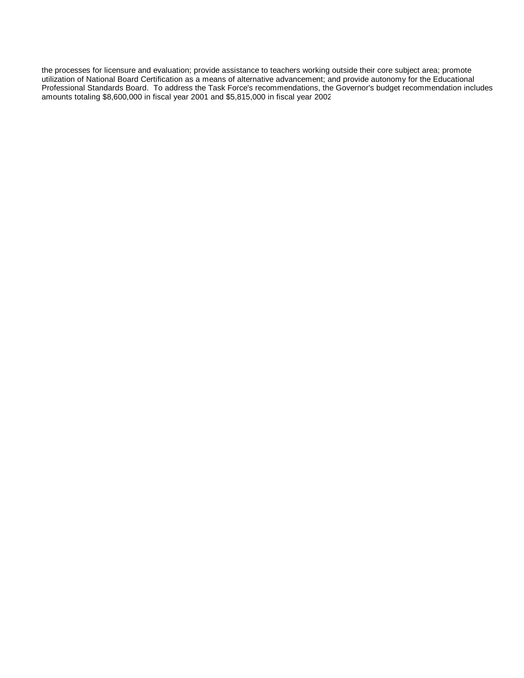the processes for licensure and evaluation; provide assistance to teachers working outside their core subject area; promote utilization of National Board Certification as a means of alternative advancement; and provide autonomy for the Educational Professional Standards Board. To address the Task Force's recommendations, the Governor's budget recommendation includes amounts totaling \$8,600,000 in fiscal year 2001 and \$5,815,000 in fiscal year 2002.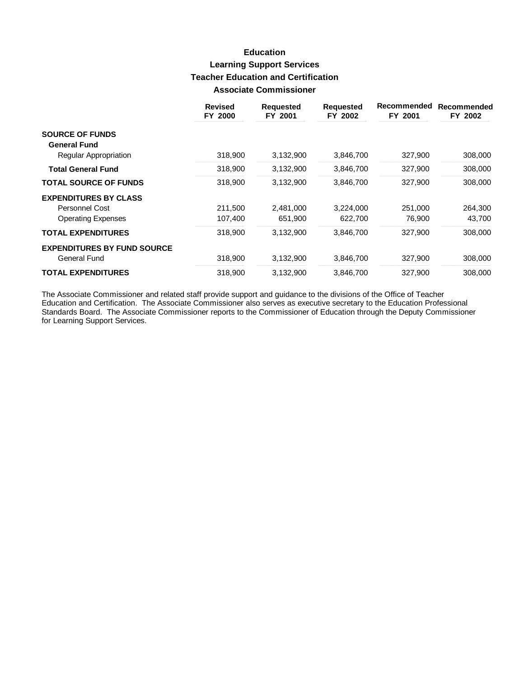# **Education Learning Support Services Teacher Education and Certification Associate Commissioner**

|                                               | <b>Revised</b><br>FY 2000 | <b>Requested</b><br>FY 2001 | <b>Requested</b><br>FY 2002 | Recommended<br>FY 2001 | Recommended<br>FY 2002 |
|-----------------------------------------------|---------------------------|-----------------------------|-----------------------------|------------------------|------------------------|
| <b>SOURCE OF FUNDS</b><br><b>General Fund</b> |                           |                             |                             |                        |                        |
| Regular Appropriation                         | 318,900                   | 3,132,900                   | 3,846,700                   | 327,900                | 308,000                |
| <b>Total General Fund</b>                     | 318,900                   | 3,132,900                   | 3,846,700                   | 327,900                | 308,000                |
| <b>TOTAL SOURCE OF FUNDS</b>                  | 318,900                   | 3,132,900                   | 3,846,700                   | 327,900                | 308,000                |
| <b>EXPENDITURES BY CLASS</b>                  |                           |                             |                             |                        |                        |
| Personnel Cost                                | 211,500                   | 2,481,000                   | 3,224,000                   | 251,000                | 264,300                |
| <b>Operating Expenses</b>                     | 107,400                   | 651,900                     | 622,700                     | 76,900                 | 43,700                 |
| <b>TOTAL EXPENDITURES</b>                     | 318,900                   | 3,132,900                   | 3,846,700                   | 327,900                | 308,000                |
| <b>EXPENDITURES BY FUND SOURCE</b>            |                           |                             |                             |                        |                        |
| General Fund                                  | 318,900                   | 3,132,900                   | 3,846,700                   | 327,900                | 308,000                |
| <b>TOTAL EXPENDITURES</b>                     | 318,900                   | 3.132.900                   | 3,846,700                   | 327,900                | 308,000                |

The Associate Commissioner and related staff provide support and guidance to the divisions of the Office of Teacher<br>Education and Certification. The Associate Commissioner also serves as executive secretary to the Educatio for Learning Support Services.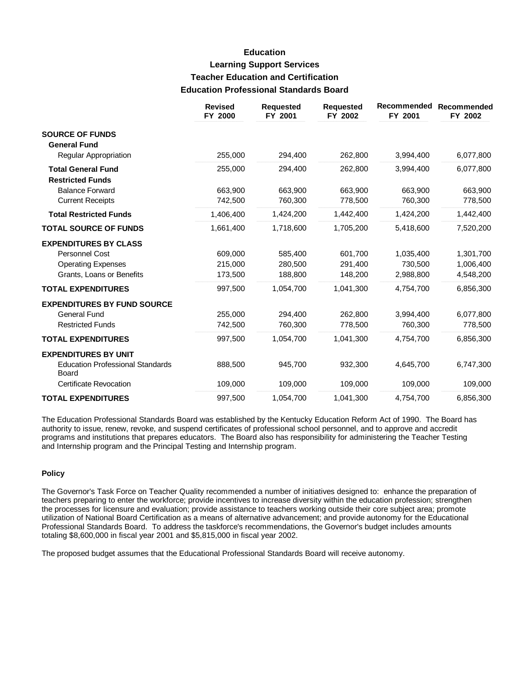## **Education Learning Support Services Teacher Education and Certification Education Professional Standards Board**

|                                                  | <b>Revised</b><br>FY 2000 | <b>Requested</b><br>FY 2001 | <b>Requested</b><br>FY 2002 | Recommended<br>FY 2001 | Recommended<br>FY 2002 |
|--------------------------------------------------|---------------------------|-----------------------------|-----------------------------|------------------------|------------------------|
| <b>SOURCE OF FUNDS</b>                           |                           |                             |                             |                        |                        |
| <b>General Fund</b>                              |                           |                             |                             |                        |                        |
| Regular Appropriation                            | 255,000                   | 294,400                     | 262,800                     | 3,994,400              | 6,077,800              |
| <b>Total General Fund</b>                        | 255,000                   | 294,400                     | 262,800                     | 3,994,400              | 6,077,800              |
| <b>Restricted Funds</b>                          |                           |                             |                             |                        |                        |
| <b>Balance Forward</b>                           | 663,900                   | 663,900                     | 663,900                     | 663,900                | 663,900                |
| <b>Current Receipts</b>                          | 742,500                   | 760,300                     | 778,500                     | 760,300                | 778,500                |
| <b>Total Restricted Funds</b>                    | 1,406,400                 | 1,424,200                   | 1,442,400                   | 1,424,200              | 1,442,400              |
| <b>TOTAL SOURCE OF FUNDS</b>                     | 1,661,400                 | 1,718,600                   | 1,705,200                   | 5,418,600              | 7,520,200              |
| <b>EXPENDITURES BY CLASS</b>                     |                           |                             |                             |                        |                        |
| <b>Personnel Cost</b>                            | 609,000                   | 585.400                     | 601.700                     | 1,035,400              | 1,301,700              |
| <b>Operating Expenses</b>                        | 215,000                   | 280,500                     | 291,400                     | 730,500                | 1,006,400              |
| Grants, Loans or Benefits                        | 173,500                   | 188,800                     | 148,200                     | 2,988,800              | 4,548,200              |
| <b>TOTAL EXPENDITURES</b>                        | 997,500                   | 1,054,700                   | 1,041,300                   | 4,754,700              | 6,856,300              |
| <b>EXPENDITURES BY FUND SOURCE</b>               |                           |                             |                             |                        |                        |
| <b>General Fund</b>                              | 255,000                   | 294,400                     | 262,800                     | 3,994,400              | 6,077,800              |
| <b>Restricted Funds</b>                          | 742,500                   | 760,300                     | 778,500                     | 760,300                | 778,500                |
| <b>TOTAL EXPENDITURES</b>                        | 997,500                   | 1,054,700                   | 1,041,300                   | 4,754,700              | 6,856,300              |
| <b>EXPENDITURES BY UNIT</b>                      |                           |                             |                             |                        |                        |
| <b>Education Professional Standards</b><br>Board | 888,500                   | 945,700                     | 932,300                     | 4,645,700              | 6,747,300              |
| <b>Certificate Revocation</b>                    | 109,000                   | 109,000                     | 109,000                     | 109,000                | 109,000                |
| <b>TOTAL EXPENDITURES</b>                        | 997,500                   | 1,054,700                   | 1,041,300                   | 4,754,700              | 6,856,300              |

The Education Professional Standards Board was established by the Kentucky Education Reform Act of 1990. The Board has authority to issue, renew, revoke, and suspend certificates of professional school personnel, and to approve and accredit programs and institutions that prepares educators. The Board also has responsibility for administering the Teacher Testing and Internship program and the Principal Testing and Internship program.

#### **Policy**

The Governor's Task Force on Teacher Quality recommended a number of initiatives designed to: enhance the preparation of teachers preparing to enter the workforce; provide incentives to increase diversity within the education profession; strengthen the processes for licensure and evaluation; provide assistance to teachers working outside their core subject area; promote utilization of National Board Certification as a means of alternative advancement; and provide autonomy for the Educational Professional Standards Board. To address the taskforce's recommendations, the Governor's budget includes amounts totaling \$8,600,000 in fiscal year 2001 and \$5,815,000 in fiscal year 2002.

The proposed budget assumes that the Educational Professional Standards Board will receive autonomy.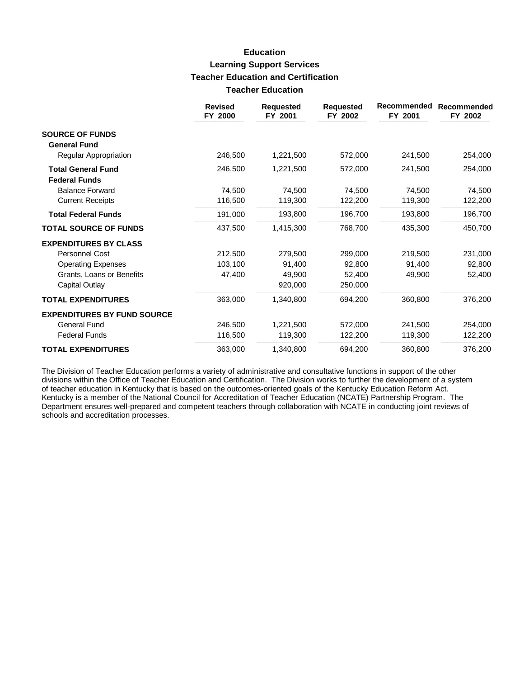# **Education Learning Support Services Teacher Education and Certification Teacher Education**

|                                    | <b>Revised</b><br>FY 2000 | <b>Requested</b><br>FY 2001 | <b>Requested</b><br>FY 2002 | Recommended<br>FY 2001 | Recommended<br>FY 2002 |
|------------------------------------|---------------------------|-----------------------------|-----------------------------|------------------------|------------------------|
| <b>SOURCE OF FUNDS</b>             |                           |                             |                             |                        |                        |
| <b>General Fund</b>                |                           |                             |                             |                        |                        |
| Regular Appropriation              | 246,500                   | 1,221,500                   | 572,000                     | 241,500                | 254,000                |
| <b>Total General Fund</b>          | 246,500                   | 1,221,500                   | 572,000                     | 241,500                | 254,000                |
| <b>Federal Funds</b>               |                           |                             |                             |                        |                        |
| <b>Balance Forward</b>             | 74,500                    | 74,500                      | 74,500                      | 74,500                 | 74,500                 |
| <b>Current Receipts</b>            | 116,500                   | 119,300                     | 122,200                     | 119,300                | 122,200                |
| <b>Total Federal Funds</b>         | 191,000                   | 193,800                     | 196,700                     | 193,800                | 196,700                |
| <b>TOTAL SOURCE OF FUNDS</b>       | 437,500                   | 1,415,300                   | 768,700                     | 435,300                | 450,700                |
| <b>EXPENDITURES BY CLASS</b>       |                           |                             |                             |                        |                        |
| <b>Personnel Cost</b>              | 212,500                   | 279,500                     | 299,000                     | 219,500                | 231,000                |
| <b>Operating Expenses</b>          | 103,100                   | 91,400                      | 92,800                      | 91,400                 | 92,800                 |
| Grants, Loans or Benefits          | 47,400                    | 49,900                      | 52,400                      | 49,900                 | 52,400                 |
| Capital Outlay                     |                           | 920,000                     | 250,000                     |                        |                        |
| <b>TOTAL EXPENDITURES</b>          | 363,000                   | 1.340.800                   | 694,200                     | 360,800                | 376,200                |
| <b>EXPENDITURES BY FUND SOURCE</b> |                           |                             |                             |                        |                        |
| General Fund                       | 246,500                   | 1,221,500                   | 572,000                     | 241,500                | 254,000                |
| <b>Federal Funds</b>               | 116,500                   | 119,300                     | 122,200                     | 119,300                | 122,200                |
| <b>TOTAL EXPENDITURES</b>          | 363,000                   | 1,340,800                   | 694,200                     | 360,800                | 376,200                |

The Division of Teacher Education performs a variety of administrative and consultative functions in support of the other divisions within the Office of Teacher Education and Certification. The Division works to further th of teacher education in Kentucky that is based on the outcomes-oriented goals of the Kentucky Education Reform Act.<br>Kentucky is a member of the National Council for Accreditation of Teacher Education (NCATE) Partnership Pr Department ensures well-prepared and competent teachers through collaboration with NCATE in conducting joint reviews of schools and accreditation processes.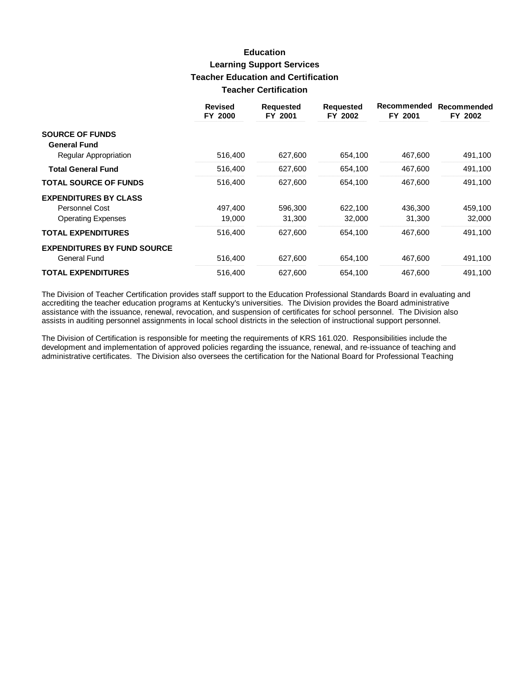## **Education Learning Support Services Teacher Education and Certification Teacher Certification**

|                                    | <b>Revised</b><br>FY 2000 | <b>Requested</b><br>FY 2001 | <b>Requested</b><br>FY 2002 | Recommended<br>FY 2001 | Recommended<br>FY 2002 |
|------------------------------------|---------------------------|-----------------------------|-----------------------------|------------------------|------------------------|
| <b>SOURCE OF FUNDS</b>             |                           |                             |                             |                        |                        |
| <b>General Fund</b>                |                           |                             |                             |                        |                        |
| Regular Appropriation              | 516,400                   | 627,600                     | 654,100                     | 467,600                | 491,100                |
| <b>Total General Fund</b>          | 516,400                   | 627,600                     | 654,100                     | 467,600                | 491,100                |
| <b>TOTAL SOURCE OF FUNDS</b>       | 516,400                   | 627,600                     | 654,100                     | 467,600                | 491,100                |
| <b>EXPENDITURES BY CLASS</b>       |                           |                             |                             |                        |                        |
| Personnel Cost                     | 497.400                   | 596,300                     | 622,100                     | 436,300                | 459,100                |
| <b>Operating Expenses</b>          | 19,000                    | 31,300                      | 32,000                      | 31,300                 | 32,000                 |
| <b>TOTAL EXPENDITURES</b>          | 516,400                   | 627,600                     | 654,100                     | 467,600                | 491,100                |
| <b>EXPENDITURES BY FUND SOURCE</b> |                           |                             |                             |                        |                        |
| General Fund                       | 516,400                   | 627,600                     | 654,100                     | 467,600                | 491,100                |
| <b>TOTAL EXPENDITURES</b>          | 516,400                   | 627.600                     | 654,100                     | 467,600                | 491,100                |

The Division of Teacher Certification provides staff support to the Education Professional Standards Board in evaluating and accrediting the teacher education programs at Kentucky's universities. The Division provides the Board administrative assistance with the issuance, renewal, revocation, and suspension of certificates for school personnel. The Division also assists in auditing personnel assignments in local school districts in the selection of instructional support personnel.

The Division of Certification is responsible for meeting the requirements of KRS 161.020. Responsibilities include the development and implementation of approved policies regarding the issuance, renewal, and re-issuance of teaching and administrative certificates. The Division also oversees the certification for the National Board for Professional Teaching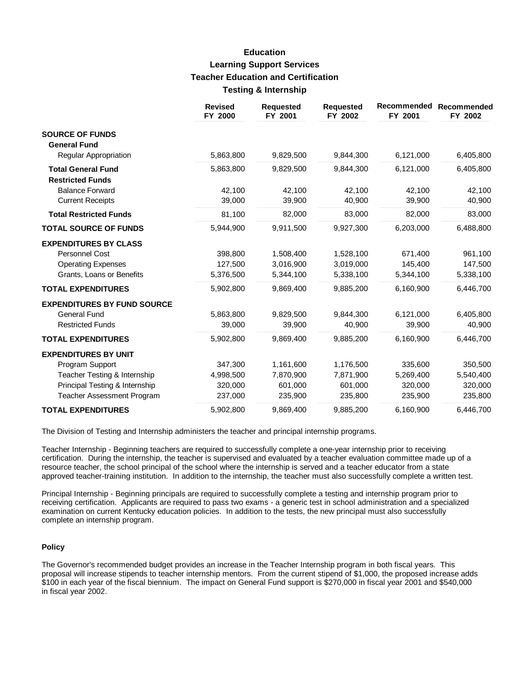## **Education Learning Support Services Teacher Education and Certification Testing & Internship**

|                                                      | <b>Revised</b><br>FY 2000 | <b>Requested</b><br>FY 2001 | <b>Requested</b><br>FY 2002 | Recommended<br>FY 2001 | Recommended<br>FY 2002 |
|------------------------------------------------------|---------------------------|-----------------------------|-----------------------------|------------------------|------------------------|
| <b>SOURCE OF FUNDS</b><br><b>General Fund</b>        |                           |                             |                             |                        |                        |
| Regular Appropriation                                | 5,863,800                 | 9,829,500                   | 9,844,300                   | 6,121,000              | 6,405,800              |
| <b>Total General Fund</b><br><b>Restricted Funds</b> | 5,863,800                 | 9,829,500                   | 9,844,300                   | 6,121,000              | 6,405,800              |
| <b>Balance Forward</b>                               | 42.100                    | 42,100                      | 42,100                      | 42,100                 | 42,100                 |
| <b>Current Receipts</b>                              | 39,000                    | 39,900                      | 40,900                      | 39,900                 | 40,900                 |
| <b>Total Restricted Funds</b>                        | 81,100                    | 82,000                      | 83,000                      | 82,000                 | 83,000                 |
| <b>TOTAL SOURCE OF FUNDS</b>                         | 5,944,900                 | 9,911,500                   | 9,927,300                   | 6,203,000              | 6,488,800              |
| <b>EXPENDITURES BY CLASS</b>                         |                           |                             |                             |                        |                        |
| <b>Personnel Cost</b>                                | 398,800                   | 1,508,400                   | 1,528,100                   | 671,400                | 961,100                |
| <b>Operating Expenses</b>                            | 127,500                   | 3,016,900                   | 3,019,000                   | 145,400                | 147,500                |
| Grants, Loans or Benefits                            | 5,376,500                 | 5,344,100                   | 5,338,100                   | 5,344,100              | 5,338,100              |
| <b>TOTAL EXPENDITURES</b>                            | 5,902,800                 | 9,869,400                   | 9,885,200                   | 6,160,900              | 6,446,700              |
| <b>EXPENDITURES BY FUND SOURCE</b>                   |                           |                             |                             |                        |                        |
| <b>General Fund</b>                                  | 5,863,800                 | 9,829,500                   | 9,844,300                   | 6,121,000              | 6,405,800              |
| <b>Restricted Funds</b>                              | 39,000                    | 39,900                      | 40,900                      | 39,900                 | 40,900                 |
| <b>TOTAL EXPENDITURES</b>                            | 5,902,800                 | 9,869,400                   | 9,885,200                   | 6,160,900              | 6,446,700              |
| <b>EXPENDITURES BY UNIT</b>                          |                           |                             |                             |                        |                        |
| Program Support                                      | 347,300                   | 1,161,600                   | 1,176,500                   | 335,600                | 350,500                |
| Teacher Testing & Internship                         | 4,998,500                 | 7,870,900                   | 7,871,900                   | 5,269,400              | 5,540,400              |
| Principal Testing & Internship                       | 320,000                   | 601,000                     | 601,000                     | 320,000                | 320,000                |
| <b>Teacher Assessment Program</b>                    | 237,000                   | 235,900                     | 235,800                     | 235,900                | 235,800                |
| <b>TOTAL EXPENDITURES</b>                            | 5,902,800                 | 9,869,400                   | 9,885,200                   | 6,160,900              | 6,446,700              |

The Division of Testing and Internship administers the teacher and principal internship programs.

Teacher Internship - Beginning teachers are required to successfully complete a one-year internship prior to receiving certification. During the internship, the teacher is supervised and evaluated by a teacher evaluation committee made up of a resource teacher, the school principal of the school where the internship is served and a teacher educator from a state approved teacher-training institution. In addition to the internship, the teacher must also successfully complete a written test.

Principal Internship - Beginning principals are required to successfully complete a testing and internship program prior to receiving certification. Applicants are required to pass two exams - a generic test in school administration and a specialized examination on current Kentucky education policies. In addition to the tests, the new principal must also successfully complete an internship program.

#### **Policy**

The Governor's recommended budget provides an increase in the Teacher Internship program in both fiscal years. This proposal will increase stipends to teacher internship mentors. From the current stipend of \$1,000, the proposed increase adds \$100 in each year of the fiscal biennium. The impact on General Fund support is \$270,000 in fiscal year 2001 and \$540,000 in fiscal year 2002.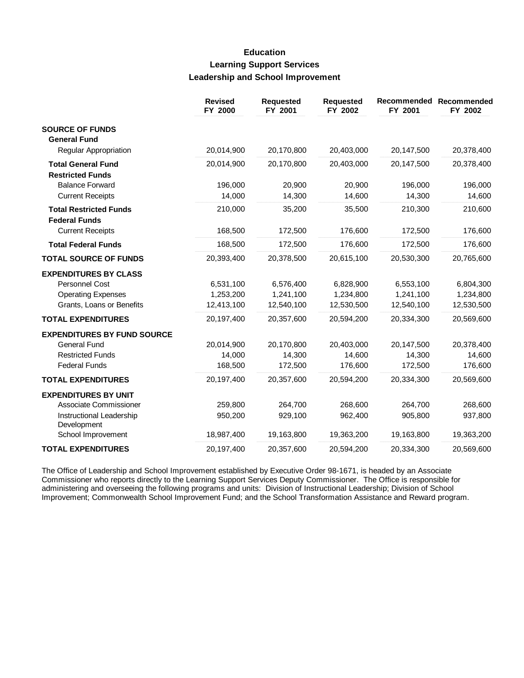## **Education Learning Support Services Leadership and School Improvement**

|                                                       | <b>Revised</b><br>FY 2000 | <b>Requested</b><br>FY 2001 | <b>Requested</b><br>FY 2002 | Recommended<br>FY 2001 | Recommended<br>FY 2002 |
|-------------------------------------------------------|---------------------------|-----------------------------|-----------------------------|------------------------|------------------------|
| <b>SOURCE OF FUNDS</b><br><b>General Fund</b>         |                           |                             |                             |                        |                        |
| <b>Regular Appropriation</b>                          | 20,014,900                | 20,170,800                  | 20,403,000                  | 20,147,500             | 20,378,400             |
| <b>Total General Fund</b>                             | 20,014,900                | 20,170,800                  | 20,403,000                  | 20,147,500             | 20,378,400             |
| <b>Restricted Funds</b>                               |                           |                             |                             |                        |                        |
| <b>Balance Forward</b>                                | 196,000                   | 20,900                      | 20,900                      | 196,000                | 196,000                |
| <b>Current Receipts</b>                               | 14,000                    | 14,300                      | 14,600                      | 14,300                 | 14,600                 |
| <b>Total Restricted Funds</b><br><b>Federal Funds</b> | 210,000                   | 35,200                      | 35,500                      | 210,300                | 210,600                |
| <b>Current Receipts</b>                               | 168,500                   | 172,500                     | 176,600                     | 172,500                | 176,600                |
| <b>Total Federal Funds</b>                            | 168,500                   | 172,500                     | 176,600                     | 172,500                | 176,600                |
| <b>TOTAL SOURCE OF FUNDS</b>                          | 20,393,400                | 20,378,500                  | 20,615,100                  | 20,530,300             | 20,765,600             |
| <b>EXPENDITURES BY CLASS</b>                          |                           |                             |                             |                        |                        |
| Personnel Cost                                        | 6,531,100                 | 6,576,400                   | 6,828,900                   | 6,553,100              | 6,804,300              |
| <b>Operating Expenses</b>                             | 1,253,200                 | 1,241,100                   | 1,234,800                   | 1,241,100              | 1,234,800              |
| Grants, Loans or Benefits                             | 12,413,100                | 12,540,100                  | 12,530,500                  | 12,540,100             | 12,530,500             |
| <b>TOTAL EXPENDITURES</b>                             | 20,197,400                | 20,357,600                  | 20,594,200                  | 20,334,300             | 20,569,600             |
| <b>EXPENDITURES BY FUND SOURCE</b>                    |                           |                             |                             |                        |                        |
| <b>General Fund</b>                                   | 20,014,900                | 20,170,800                  | 20,403,000                  | 20,147,500             | 20,378,400             |
| <b>Restricted Funds</b>                               | 14,000                    | 14,300                      | 14,600                      | 14,300                 | 14,600                 |
| <b>Federal Funds</b>                                  | 168,500                   | 172,500                     | 176,600                     | 172,500                | 176,600                |
| <b>TOTAL EXPENDITURES</b>                             | 20,197,400                | 20,357,600                  | 20,594,200                  | 20,334,300             | 20,569,600             |
| <b>EXPENDITURES BY UNIT</b>                           |                           |                             |                             |                        |                        |
| Associate Commissioner                                | 259,800                   | 264,700                     | 268,600                     | 264,700                | 268,600                |
| Instructional Leadership<br>Development               | 950,200                   | 929,100                     | 962,400                     | 905,800                | 937,800                |
| School Improvement                                    | 18,987,400                | 19,163,800                  | 19,363,200                  | 19,163,800             | 19,363,200             |
| <b>TOTAL EXPENDITURES</b>                             | 20,197,400                | 20,357,600                  | 20,594,200                  | 20,334,300             | 20,569,600             |

The Office of Leadership and School Improvement established by Executive Order 98-1671, is headed by an Associate<br>Commissioner who reports directly to the Learning Support Services Deputy Commissioner. The Office is respon Improvement; Commonwealth School Improvement Fund; and the School Transformation Assistance and Reward program.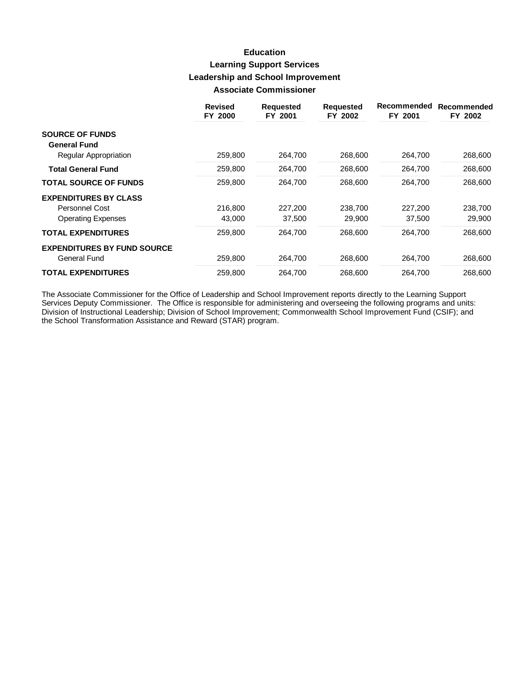## **Education Learning Support Services Leadership and School Improvement Associate Commissioner**

|                                    | <b>Revised</b><br>FY 2000 | <b>Requested</b><br>FY 2001 | <b>Requested</b><br>FY 2002 | Recommended<br>FY 2001 | Recommended<br>FY 2002 |
|------------------------------------|---------------------------|-----------------------------|-----------------------------|------------------------|------------------------|
| <b>SOURCE OF FUNDS</b>             |                           |                             |                             |                        |                        |
| <b>General Fund</b>                |                           |                             |                             |                        |                        |
| Regular Appropriation              | 259,800                   | 264,700                     | 268,600                     | 264,700                | 268,600                |
| <b>Total General Fund</b>          | 259,800                   | 264,700                     | 268,600                     | 264,700                | 268,600                |
| <b>TOTAL SOURCE OF FUNDS</b>       | 259,800                   | 264,700                     | 268,600                     | 264,700                | 268,600                |
| <b>EXPENDITURES BY CLASS</b>       |                           |                             |                             |                        |                        |
| Personnel Cost                     | 216,800                   | 227,200                     | 238,700                     | 227,200                | 238,700                |
| <b>Operating Expenses</b>          | 43,000                    | 37,500                      | 29,900                      | 37,500                 | 29,900                 |
| <b>TOTAL EXPENDITURES</b>          | 259,800                   | 264,700                     | 268,600                     | 264,700                | 268,600                |
| <b>EXPENDITURES BY FUND SOURCE</b> |                           |                             |                             |                        |                        |
| General Fund                       | 259,800                   | 264,700                     | 268,600                     | 264.700                | 268,600                |
| <b>TOTAL EXPENDITURES</b>          | 259,800                   | 264.700                     | 268,600                     | 264.700                | 268,600                |

The Associate Commissioner for the Office of Leadership and School Improvement reports directly to the Learning Support Services Deputy Commissioner. The Office is responsible for administering and overseeing the following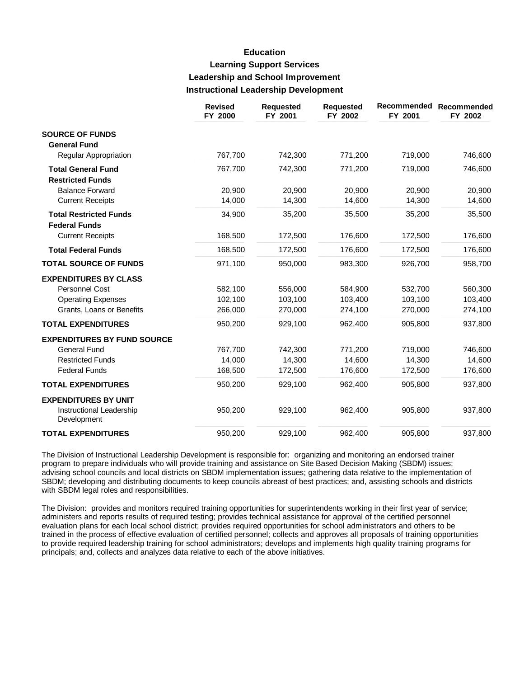## **Education Learning Support Services Leadership and School Improvement Instructional Leadership Development**

|                                                       | <b>Revised</b><br>FY 2000 | <b>Requested</b><br>FY 2001 | <b>Requested</b><br>FY 2002 | Recommended<br>FY 2001 | Recommended<br>FY 2002 |
|-------------------------------------------------------|---------------------------|-----------------------------|-----------------------------|------------------------|------------------------|
| <b>SOURCE OF FUNDS</b>                                |                           |                             |                             |                        |                        |
| <b>General Fund</b>                                   |                           |                             |                             |                        |                        |
| Regular Appropriation                                 | 767,700                   | 742,300                     | 771,200                     | 719,000                | 746,600                |
| <b>Total General Fund</b>                             | 767,700                   | 742,300                     | 771,200                     | 719,000                | 746,600                |
| <b>Restricted Funds</b>                               |                           |                             |                             |                        |                        |
| <b>Balance Forward</b>                                | 20,900                    | 20,900                      | 20,900                      | 20,900                 | 20,900                 |
| <b>Current Receipts</b>                               | 14,000                    | 14,300                      | 14,600                      | 14,300                 | 14,600                 |
| <b>Total Restricted Funds</b><br><b>Federal Funds</b> | 34,900                    | 35,200                      | 35,500                      | 35,200                 | 35,500                 |
| <b>Current Receipts</b>                               | 168,500                   | 172,500                     | 176,600                     | 172,500                | 176,600                |
| <b>Total Federal Funds</b>                            | 168,500                   | 172,500                     | 176,600                     | 172,500                | 176,600                |
| <b>TOTAL SOURCE OF FUNDS</b>                          | 971,100                   | 950,000                     | 983,300                     | 926,700                | 958,700                |
| <b>EXPENDITURES BY CLASS</b>                          |                           |                             |                             |                        |                        |
| Personnel Cost                                        | 582,100                   | 556,000                     | 584,900                     | 532,700                | 560,300                |
| <b>Operating Expenses</b>                             | 102,100                   | 103,100                     | 103,400                     | 103,100                | 103,400                |
| Grants, Loans or Benefits                             | 266,000                   | 270,000                     | 274,100                     | 270,000                | 274,100                |
| <b>TOTAL EXPENDITURES</b>                             | 950,200                   | 929,100                     | 962,400                     | 905,800                | 937,800                |
| <b>EXPENDITURES BY FUND SOURCE</b>                    |                           |                             |                             |                        |                        |
| <b>General Fund</b>                                   | 767,700                   | 742,300                     | 771,200                     | 719,000                | 746,600                |
| <b>Restricted Funds</b>                               | 14,000                    | 14,300                      | 14,600                      | 14,300                 | 14,600                 |
| <b>Federal Funds</b>                                  | 168,500                   | 172,500                     | 176,600                     | 172,500                | 176,600                |
| <b>TOTAL EXPENDITURES</b>                             | 950,200                   | 929,100                     | 962,400                     | 905,800                | 937,800                |
| <b>EXPENDITURES BY UNIT</b>                           |                           |                             |                             |                        |                        |
| Instructional Leadership<br>Development               | 950,200                   | 929,100                     | 962,400                     | 905,800                | 937,800                |
| <b>TOTAL EXPENDITURES</b>                             | 950.200                   | 929,100                     | 962.400                     | 905,800                | 937,800                |

The Division of Instructional Leadership Development is responsible for: organizing and monitoring an endorsed trainer program to prepare individuals who will provide training and assistance on Site Based Decision Making (SBDM) issues; advising school councils and local districts on SBDM implementation issues; gathering data relative to the implementation of SBDM; developing and distributing documents to keep councils abreast of best practices; and, assisting schools and districts with SBDM legal roles and responsibilities.

The Division: provides and monitors required training opportunities for superintendents working in their first year of service; administers and reports results of required testing; provides technical assistance for approval of the certified personnel evaluation plans for each local school district; provides required opportunities for school administrators and others to be trained in the process of effective evaluation of certified personnel; collects and approves all proposals of training opportunities to provide required leadership training for school administrators; develops and implements high quality training programs for principals; and, collects and analyzes data relative to each of the above initiatives.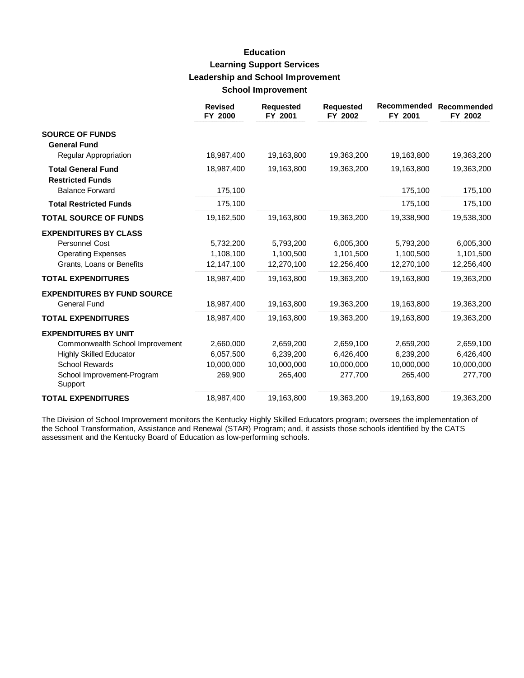# **Education Learning Support Services Leadership and School Improvement School Improvement**

|                                                                                                          | <b>Revised</b><br>FY 2000            | <b>Requested</b><br>FY 2001          | <b>Requested</b><br>FY 2002          | Recommended<br>FY 2001               | Recommended<br>FY 2002               |
|----------------------------------------------------------------------------------------------------------|--------------------------------------|--------------------------------------|--------------------------------------|--------------------------------------|--------------------------------------|
| <b>SOURCE OF FUNDS</b><br><b>General Fund</b>                                                            |                                      |                                      |                                      |                                      |                                      |
| Regular Appropriation                                                                                    | 18,987,400                           | 19,163,800                           | 19,363,200                           | 19,163,800                           | 19,363,200                           |
| <b>Total General Fund</b><br><b>Restricted Funds</b>                                                     | 18,987,400                           | 19,163,800                           | 19,363,200                           | 19,163,800                           | 19,363,200                           |
| <b>Balance Forward</b>                                                                                   | 175,100                              |                                      |                                      | 175,100                              | 175,100                              |
| <b>Total Restricted Funds</b>                                                                            | 175,100                              |                                      |                                      | 175,100                              | 175,100                              |
| <b>TOTAL SOURCE OF FUNDS</b>                                                                             | 19,162,500                           | 19,163,800                           | 19,363,200                           | 19,338,900                           | 19,538,300                           |
| <b>EXPENDITURES BY CLASS</b><br>Personnel Cost<br><b>Operating Expenses</b><br>Grants, Loans or Benefits | 5,732,200<br>1,108,100<br>12,147,100 | 5.793.200<br>1,100,500<br>12,270,100 | 6,005,300<br>1,101,500<br>12,256,400 | 5,793,200<br>1,100,500<br>12,270,100 | 6,005,300<br>1,101,500<br>12,256,400 |
| <b>TOTAL EXPENDITURES</b>                                                                                | 18,987,400                           | 19,163,800                           | 19,363,200                           | 19,163,800                           | 19,363,200                           |
| <b>EXPENDITURES BY FUND SOURCE</b><br><b>General Fund</b>                                                | 18,987,400                           | 19,163,800                           | 19,363,200                           | 19,163,800                           | 19,363,200                           |
| <b>TOTAL EXPENDITURES</b>                                                                                | 18,987,400                           | 19,163,800                           | 19,363,200                           | 19,163,800                           | 19,363,200                           |
| <b>EXPENDITURES BY UNIT</b><br>Commonwealth School Improvement                                           | 2,660,000                            | 2,659,200                            | 2,659,100                            | 2,659,200                            | 2,659,100                            |
| <b>Highly Skilled Educator</b>                                                                           | 6,057,500                            | 6,239,200                            | 6,426,400                            | 6,239,200                            | 6,426,400                            |
| <b>School Rewards</b>                                                                                    | 10,000,000                           | 10,000,000                           | 10,000,000                           | 10,000,000                           | 10,000,000                           |
| School Improvement-Program<br>Support                                                                    | 269,900                              | 265,400                              | 277,700                              | 265,400                              | 277,700                              |
| <b>TOTAL EXPENDITURES</b>                                                                                | 18,987,400                           | 19,163,800                           | 19,363,200                           | 19,163,800                           | 19,363,200                           |

The Division of School Improvement monitors the Kentucky Highly Skilled Educators program; oversees the implementation of the School Transformation, Assistance and Renewal (STAR) Program; and, it assists those schools identified by the CATS assessment and the Kentucky Board of Education as low-performing schools.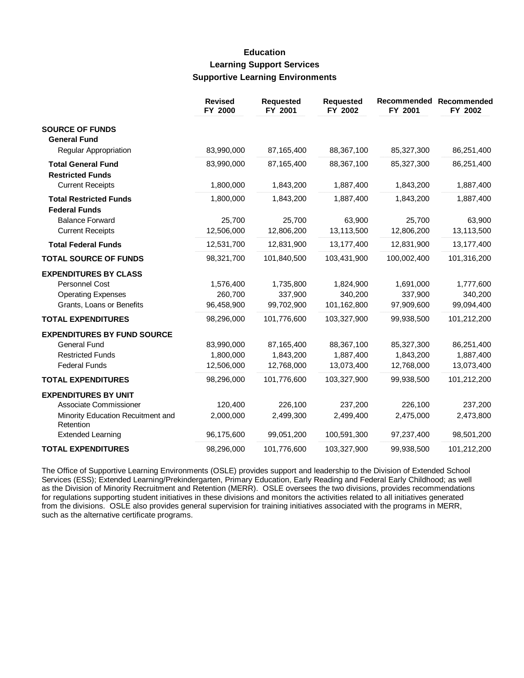## **Education Learning Support Services Supportive Learning Environments**

|                                                                                                                                     | <b>Revised</b><br>FY 2000             | <b>Requested</b><br>FY 2001           | <b>Requested</b><br>FY 2002           | Recommended<br>FY 2001                | Recommended<br>FY 2002                |
|-------------------------------------------------------------------------------------------------------------------------------------|---------------------------------------|---------------------------------------|---------------------------------------|---------------------------------------|---------------------------------------|
| <b>SOURCE OF FUNDS</b><br><b>General Fund</b>                                                                                       |                                       |                                       |                                       |                                       |                                       |
| Regular Appropriation                                                                                                               | 83,990,000                            | 87,165,400                            | 88,367,100                            | 85,327,300                            | 86,251,400                            |
| <b>Total General Fund</b><br><b>Restricted Funds</b>                                                                                | 83,990,000                            | 87,165,400                            | 88,367,100                            | 85,327,300                            | 86,251,400                            |
| <b>Current Receipts</b>                                                                                                             | 1,800,000                             | 1,843,200                             | 1,887,400                             | 1,843,200                             | 1,887,400                             |
| <b>Total Restricted Funds</b><br><b>Federal Funds</b>                                                                               | 1,800,000                             | 1,843,200                             | 1,887,400                             | 1,843,200                             | 1,887,400                             |
| <b>Balance Forward</b><br><b>Current Receipts</b>                                                                                   | 25,700<br>12,506,000                  | 25,700<br>12,806,200                  | 63,900<br>13,113,500                  | 25,700<br>12,806,200                  | 63,900<br>13,113,500                  |
| <b>Total Federal Funds</b>                                                                                                          | 12,531,700                            | 12,831,900                            | 13,177,400                            | 12,831,900                            | 13,177,400                            |
| <b>TOTAL SOURCE OF FUNDS</b>                                                                                                        | 98,321,700                            | 101,840,500                           | 103,431,900                           | 100,002,400                           | 101,316,200                           |
| <b>EXPENDITURES BY CLASS</b><br>Personnel Cost<br><b>Operating Expenses</b><br>Grants, Loans or Benefits                            | 1,576,400<br>260,700<br>96,458,900    | 1,735,800<br>337,900<br>99,702,900    | 1,824,900<br>340,200<br>101,162,800   | 1,691,000<br>337,900<br>97,909,600    | 1,777,600<br>340,200<br>99,094,400    |
| <b>TOTAL EXPENDITURES</b>                                                                                                           | 98,296,000                            | 101,776,600                           | 103,327,900                           | 99,938,500                            | 101,212,200                           |
| <b>EXPENDITURES BY FUND SOURCE</b><br><b>General Fund</b><br><b>Restricted Funds</b><br><b>Federal Funds</b>                        | 83,990,000<br>1,800,000<br>12,506,000 | 87,165,400<br>1,843,200<br>12,768,000 | 88,367,100<br>1,887,400<br>13,073,400 | 85,327,300<br>1,843,200<br>12,768,000 | 86,251,400<br>1,887,400<br>13,073,400 |
| <b>TOTAL EXPENDITURES</b>                                                                                                           | 98,296,000                            | 101,776,600                           | 103,327,900                           | 99,938,500                            | 101,212,200                           |
| <b>EXPENDITURES BY UNIT</b><br>Associate Commissioner<br>Minority Education Recuitment and<br>Retention<br><b>Extended Learning</b> | 120,400<br>2,000,000<br>96,175,600    | 226,100<br>2,499,300<br>99,051,200    | 237,200<br>2,499,400<br>100,591,300   | 226,100<br>2,475,000<br>97,237,400    | 237,200<br>2,473,800<br>98,501,200    |
| <b>TOTAL EXPENDITURES</b>                                                                                                           | 98,296,000                            | 101,776,600                           | 103,327,900                           | 99,938,500                            | 101,212,200                           |

The Office of Supportive Learning Environments (OSLE) provides support and leadership to the Division of Extended School Services (ESS); Extended Learning/Prekindergarten, Primary Education, Early Reading and Federal Early Childhood; as well as the Division of Minority Recruitment and Retention (MERR). OSLE oversees the two divisions, provides recommendations for regulations supporting student initiatives in these divisions and monitors the activities related to all initiatives generated from the divisions. OSLE also provides general supervision for training initiatives associated with the programs in MERR, such as the alternative certificate programs.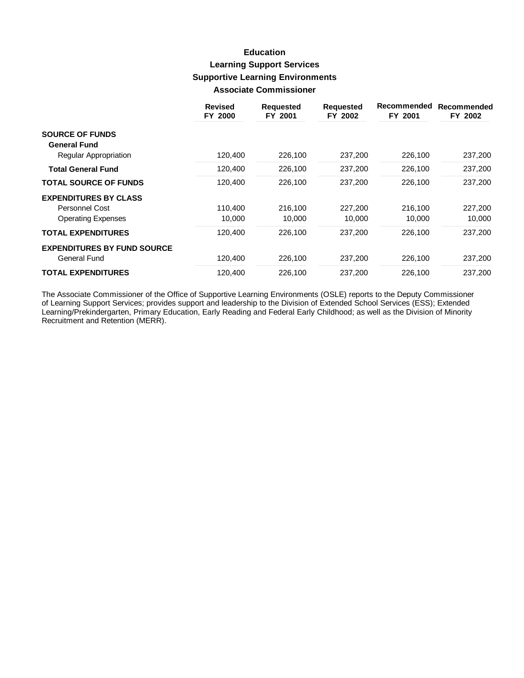## **Education Learning Support Services Supportive Learning Environments Associate Commissioner**

|                                    | <b>Revised</b><br>FY 2000 | <b>Requested</b><br>FY 2001 | <b>Requested</b><br>FY 2002 | Recommended<br>FY 2001 | Recommended<br>FY 2002 |
|------------------------------------|---------------------------|-----------------------------|-----------------------------|------------------------|------------------------|
| <b>SOURCE OF FUNDS</b>             |                           |                             |                             |                        |                        |
| <b>General Fund</b>                |                           |                             |                             |                        |                        |
| Regular Appropriation              | 120,400                   | 226,100                     | 237,200                     | 226,100                | 237,200                |
| <b>Total General Fund</b>          | 120,400                   | 226,100                     | 237,200                     | 226,100                | 237,200                |
| <b>TOTAL SOURCE OF FUNDS</b>       | 120,400                   | 226,100                     | 237,200                     | 226,100                | 237,200                |
| <b>EXPENDITURES BY CLASS</b>       |                           |                             |                             |                        |                        |
| Personnel Cost                     | 110.400                   | 216,100                     | 227,200                     | 216,100                | 227,200                |
| <b>Operating Expenses</b>          | 10,000                    | 10,000                      | 10,000                      | 10,000                 | 10,000                 |
| <b>TOTAL EXPENDITURES</b>          | 120,400                   | 226,100                     | 237.200                     | 226,100                | 237,200                |
| <b>EXPENDITURES BY FUND SOURCE</b> |                           |                             |                             |                        |                        |
| General Fund                       | 120,400                   | 226,100                     | 237,200                     | 226,100                | 237,200                |
| <b>TOTAL EXPENDITURES</b>          | 120,400                   | 226,100                     | 237,200                     | 226,100                | 237.200                |

The Associate Commissioner of the Office of Supportive Learning Environments (OSLE) reports to the Deputy Commissioner of Learning Support Services; provides support and leadership to the Division of Extended School Servic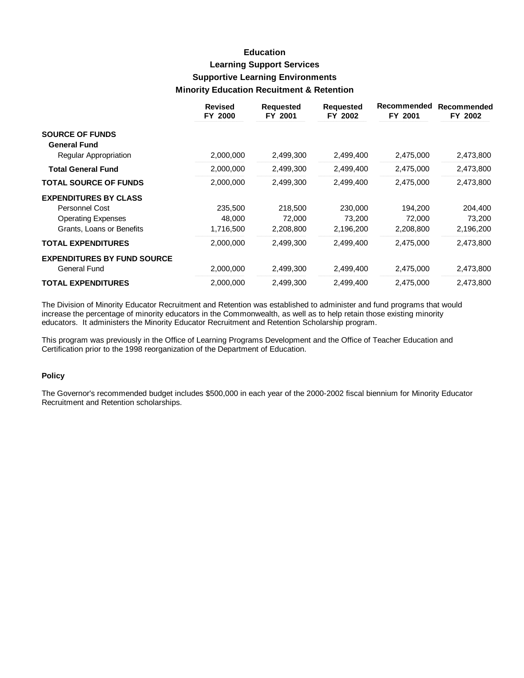# **Education Learning Support Services Supportive Learning Environments Minority Education Recultment & Retention**

|                                    | <b>Revised</b><br>FY 2000 | <b>Requested</b><br>FY 2001 | <b>Requested</b><br>FY 2002 | Recommended<br>FY 2001 | Recommended<br>FY 2002 |
|------------------------------------|---------------------------|-----------------------------|-----------------------------|------------------------|------------------------|
| <b>SOURCE OF FUNDS</b>             |                           |                             |                             |                        |                        |
| <b>General Fund</b>                |                           |                             |                             |                        |                        |
| Regular Appropriation              | 2,000,000                 | 2,499,300                   | 2,499,400                   | 2,475,000              | 2,473,800              |
| <b>Total General Fund</b>          | 2,000,000                 | 2,499,300                   | 2,499,400                   | 2,475,000              | 2,473,800              |
| <b>TOTAL SOURCE OF FUNDS</b>       | 2,000,000                 | 2,499,300                   | 2,499,400                   | 2,475,000              | 2,473,800              |
| <b>EXPENDITURES BY CLASS</b>       |                           |                             |                             |                        |                        |
| <b>Personnel Cost</b>              | 235,500                   | 218,500                     | 230,000                     | 194,200                | 204,400                |
| <b>Operating Expenses</b>          | 48,000                    | 72,000                      | 73,200                      | 72,000                 | 73,200                 |
| Grants, Loans or Benefits          | 1,716,500                 | 2,208,800                   | 2,196,200                   | 2,208,800              | 2,196,200              |
| <b>TOTAL EXPENDITURES</b>          | 2,000,000                 | 2,499,300                   | 2,499,400                   | 2,475,000              | 2,473,800              |
| <b>EXPENDITURES BY FUND SOURCE</b> |                           |                             |                             |                        |                        |
| General Fund                       | 2,000,000                 | 2,499,300                   | 2,499,400                   | 2,475,000              | 2,473,800              |
| <b>TOTAL EXPENDITURES</b>          | 2,000,000                 | 2,499,300                   | 2,499,400                   | 2,475,000              | 2,473,800              |

The Division of Minority Educator Recruitment and Retention was established to administer and fund programs that would increase the percentage of minority educators in the Commonwealth, as well as to help retain those existing minority educators. It administers the Minority Educator Recruitment and Retention Scholarship program.

This program was previously in the Office of Learning Programs Development and the Office of Teacher Education and Certification prior to the 1998 reorganization of the Department of Education.

#### **Policy**

The Governor's recommended budget includes \$500,000 in each year of the 2000-2002 fiscal biennium for Minority Educator Recruitment and Retention scholarships.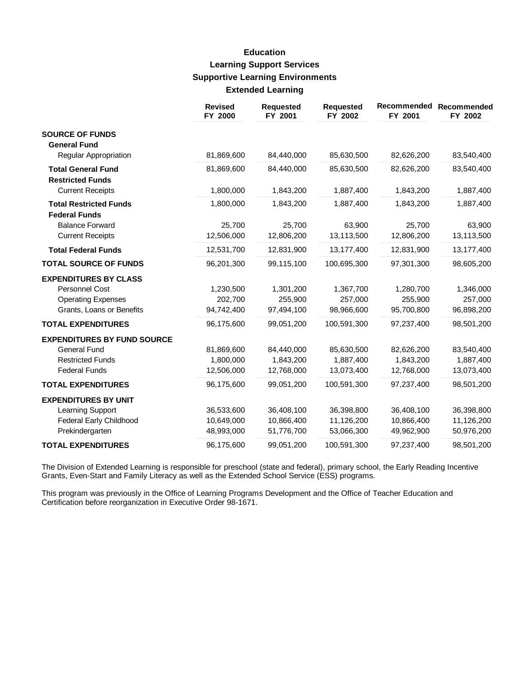## **Education Learning Support Services Supportive Learning Environments Extended Learning**

|                                               | <b>Revised</b><br>FY 2000 | <b>Requested</b><br>FY 2001 | <b>Requested</b><br>FY 2002 | Recommended<br>FY 2001 | Recommended<br>FY 2002 |
|-----------------------------------------------|---------------------------|-----------------------------|-----------------------------|------------------------|------------------------|
| <b>SOURCE OF FUNDS</b><br><b>General Fund</b> |                           |                             |                             |                        |                        |
| Regular Appropriation                         | 81,869,600                | 84,440,000                  | 85,630,500                  | 82,626,200             | 83,540,400             |
| <b>Total General Fund</b>                     | 81,869,600                | 84,440,000                  | 85,630,500                  | 82,626,200             | 83,540,400             |
| <b>Restricted Funds</b>                       |                           |                             |                             |                        |                        |
| <b>Current Receipts</b>                       | 1,800,000                 | 1,843,200                   | 1,887,400                   | 1,843,200              | 1,887,400              |
| <b>Total Restricted Funds</b>                 | 1,800,000                 | 1,843,200                   | 1,887,400                   | 1,843,200              | 1,887,400              |
| <b>Federal Funds</b>                          |                           |                             |                             |                        |                        |
| <b>Balance Forward</b>                        | 25,700                    | 25,700                      | 63,900                      | 25,700                 | 63,900                 |
| <b>Current Receipts</b>                       | 12,506,000                | 12,806,200                  | 13,113,500                  | 12,806,200             | 13,113,500             |
| <b>Total Federal Funds</b>                    | 12,531,700                | 12,831,900                  | 13,177,400                  | 12,831,900             | 13,177,400             |
| <b>TOTAL SOURCE OF FUNDS</b>                  | 96,201,300                | 99,115,100                  | 100,695,300                 | 97,301,300             | 98,605,200             |
| <b>EXPENDITURES BY CLASS</b>                  |                           |                             |                             |                        |                        |
| Personnel Cost                                | 1,230,500                 | 1,301,200                   | 1,367,700                   | 1,280,700              | 1,346,000              |
| <b>Operating Expenses</b>                     | 202,700                   | 255,900                     | 257,000                     | 255,900                | 257,000                |
| Grants, Loans or Benefits                     | 94,742,400                | 97,494,100                  | 98,966,600                  | 95,700,800             | 96,898,200             |
| <b>TOTAL EXPENDITURES</b>                     | 96,175,600                | 99,051,200                  | 100,591,300                 | 97,237,400             | 98,501,200             |
| <b>EXPENDITURES BY FUND SOURCE</b>            |                           |                             |                             |                        |                        |
| <b>General Fund</b>                           | 81,869,600                | 84,440,000                  | 85,630,500                  | 82,626,200             | 83,540,400             |
| <b>Restricted Funds</b>                       | 1,800,000                 | 1,843,200                   | 1,887,400                   | 1,843,200              | 1,887,400              |
| <b>Federal Funds</b>                          | 12,506,000                | 12,768,000                  | 13,073,400                  | 12,768,000             | 13,073,400             |
| <b>TOTAL EXPENDITURES</b>                     | 96,175,600                | 99,051,200                  | 100,591,300                 | 97,237,400             | 98,501,200             |
| <b>EXPENDITURES BY UNIT</b>                   |                           |                             |                             |                        |                        |
| Learning Support                              | 36,533,600                | 36,408,100                  | 36,398,800                  | 36,408,100             | 36,398,800             |
| <b>Federal Early Childhood</b>                | 10,649,000                | 10,866,400                  | 11,126,200                  | 10,866,400             | 11,126,200             |
| Prekindergarten                               | 48,993,000                | 51,776,700                  | 53,066,300                  | 49,962,900             | 50,976,200             |
| <b>TOTAL EXPENDITURES</b>                     | 96,175,600                | 99,051,200                  | 100,591,300                 | 97,237,400             | 98,501,200             |

The Division of Extended Learning is responsible for preschool (state and federal), primary school, the Early Reading Incentive Grants, Even-Start and Family Literacy as well as the Extended School Service (ESS) programs.

This program was previously in the Office of Learning Programs Development and the Office of Teacher Education and Certification before reorganization in Executive Order 98-1671.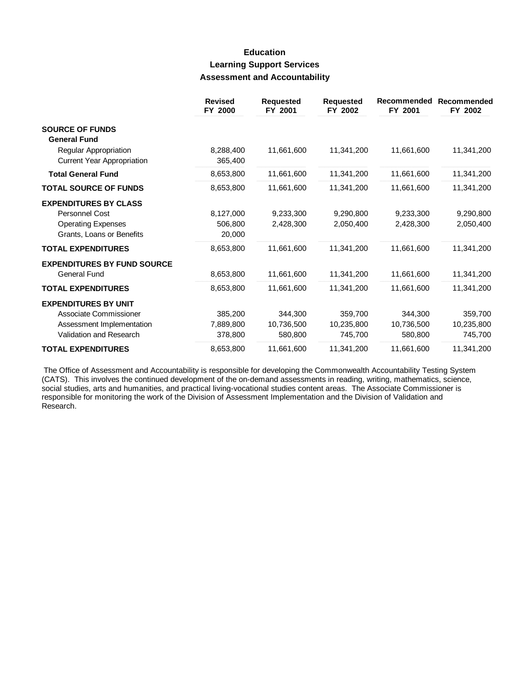## **Education Learning Support Services Assessment and Accountability**

|                                                            | <b>Revised</b><br>FY 2000 | <b>Requested</b><br>FY 2001 | <b>Requested</b><br>FY 2002 | <b>Recommended</b><br>FY 2001 | Recommended<br>FY 2002 |
|------------------------------------------------------------|---------------------------|-----------------------------|-----------------------------|-------------------------------|------------------------|
| <b>SOURCE OF FUNDS</b><br><b>General Fund</b>              |                           |                             |                             |                               |                        |
| Regular Appropriation<br><b>Current Year Appropriation</b> | 8,288,400<br>365,400      | 11,661,600                  | 11,341,200                  | 11,661,600                    | 11,341,200             |
| <b>Total General Fund</b>                                  | 8,653,800                 | 11,661,600                  | 11,341,200                  | 11,661,600                    | 11,341,200             |
| <b>TOTAL SOURCE OF FUNDS</b>                               | 8,653,800                 | 11,661,600                  | 11,341,200                  | 11,661,600                    | 11,341,200             |
| <b>EXPENDITURES BY CLASS</b>                               |                           |                             |                             |                               |                        |
| Personnel Cost                                             | 8,127,000                 | 9,233,300                   | 9,290,800                   | 9,233,300                     | 9,290,800              |
| <b>Operating Expenses</b><br>Grants, Loans or Benefits     | 506,800<br>20,000         | 2,428,300                   | 2,050,400                   | 2,428,300                     | 2,050,400              |
| <b>TOTAL EXPENDITURES</b>                                  | 8,653,800                 | 11,661,600                  | 11,341,200                  | 11,661,600                    | 11,341,200             |
| <b>EXPENDITURES BY FUND SOURCE</b>                         |                           |                             |                             |                               |                        |
| <b>General Fund</b>                                        | 8,653,800                 | 11,661,600                  | 11,341,200                  | 11,661,600                    | 11,341,200             |
| <b>TOTAL EXPENDITURES</b>                                  | 8,653,800                 | 11,661,600                  | 11,341,200                  | 11,661,600                    | 11,341,200             |
| <b>EXPENDITURES BY UNIT</b>                                |                           |                             |                             |                               |                        |
| Associate Commissioner                                     | 385,200                   | 344,300                     | 359,700                     | 344,300                       | 359,700                |
| Assessment Implementation                                  | 7,889,800                 | 10,736,500                  | 10,235,800                  | 10,736,500                    | 10,235,800             |
| Validation and Research                                    | 378,800                   | 580,800                     | 745,700                     | 580,800                       | 745,700                |
| <b>TOTAL EXPENDITURES</b>                                  | 8,653,800                 | 11,661,600                  | 11,341,200                  | 11,661,600                    | 11,341,200             |

The Office of Assessment and Accountability is responsible for developing the Commonwealth Accountability Testing System (CATS). This involves the continued development of the on-demand assessments in reading, writing, mathematics, science, social studies, arts and humanities, and practical living-vocational studies content areas. The Associate Commissioner is responsible for monitoring the work of the Division of Assessment Implementation and the Division of Validation and Research.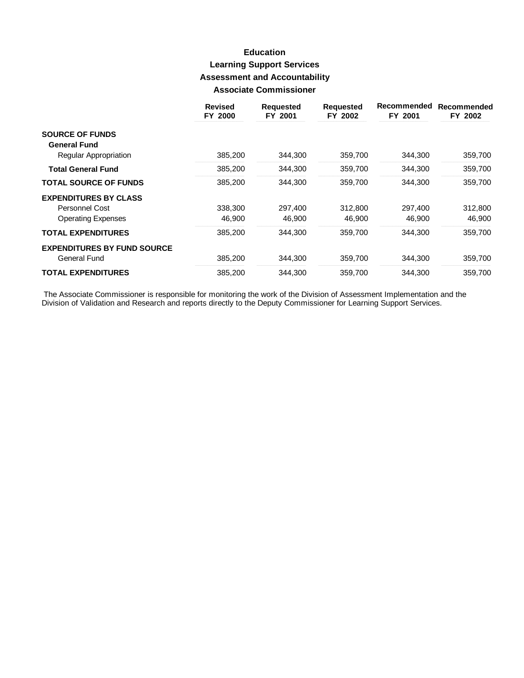# **Education Learning Support Services Assessment and Accountability Associate Commissioner**

|                                    | <b>Revised</b><br>FY 2000 | <b>Requested</b><br>FY 2001 | <b>Requested</b><br>FY 2002 | Recommended<br>FY 2001 | Recommended<br>FY 2002 |
|------------------------------------|---------------------------|-----------------------------|-----------------------------|------------------------|------------------------|
| <b>SOURCE OF FUNDS</b>             |                           |                             |                             |                        |                        |
| <b>General Fund</b>                |                           |                             |                             |                        |                        |
| Regular Appropriation              | 385,200                   | 344,300                     | 359,700                     | 344,300                | 359,700                |
| <b>Total General Fund</b>          | 385,200                   | 344,300                     | 359,700                     | 344,300                | 359,700                |
| <b>TOTAL SOURCE OF FUNDS</b>       | 385,200                   | 344.300                     | 359,700                     | 344.300                | 359,700                |
| <b>EXPENDITURES BY CLASS</b>       |                           |                             |                             |                        |                        |
| Personnel Cost                     | 338,300                   | 297,400                     | 312,800                     | 297,400                | 312,800                |
| <b>Operating Expenses</b>          | 46,900                    | 46,900                      | 46,900                      | 46,900                 | 46,900                 |
| <b>TOTAL EXPENDITURES</b>          | 385,200                   | 344.300                     | 359,700                     | 344.300                | 359,700                |
| <b>EXPENDITURES BY FUND SOURCE</b> |                           |                             |                             |                        |                        |
| General Fund                       | 385,200                   | 344.300                     | 359.700                     | 344.300                | 359,700                |
| <b>TOTAL EXPENDITURES</b>          | 385,200                   | 344,300                     | 359,700                     | 344,300                | 359,700                |

The Associate Commissioner is responsible for monitoring the work of the Division of Assessment Implementation and the<br>Division of Validation and Research and reports directly to the Deputy Commissioner for Learning Suppor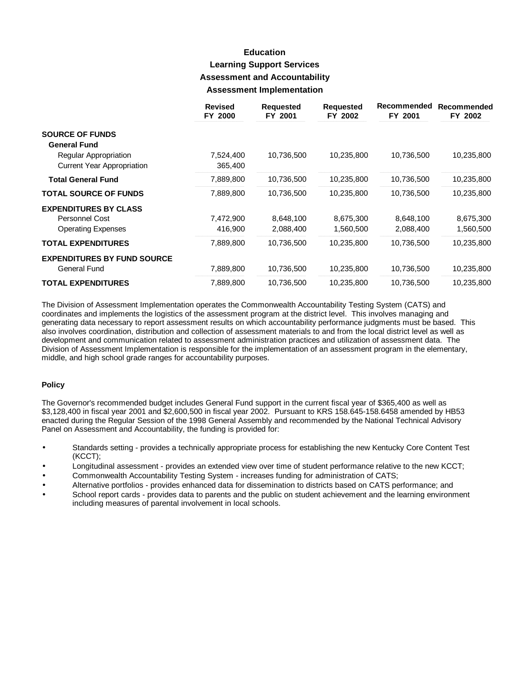## **Education Learning Support Services Assessment and Accountability Assessment Implementation**

|                                    | <b>Revised</b><br>FY 2000 | <b>Requested</b><br>FY 2001 | <b>Requested</b><br>FY 2002 | Recommended<br>FY 2001 | Recommended<br>FY 2002 |
|------------------------------------|---------------------------|-----------------------------|-----------------------------|------------------------|------------------------|
| <b>SOURCE OF FUNDS</b>             |                           |                             |                             |                        |                        |
| <b>General Fund</b>                |                           |                             |                             |                        |                        |
| Regular Appropriation              | 7,524,400                 | 10,736,500                  | 10,235,800                  | 10,736,500             | 10,235,800             |
| <b>Current Year Appropriation</b>  | 365,400                   |                             |                             |                        |                        |
| <b>Total General Fund</b>          | 7,889,800                 | 10,736,500                  | 10,235,800                  | 10,736,500             | 10,235,800             |
| <b>TOTAL SOURCE OF FUNDS</b>       | 7,889,800                 | 10,736,500                  | 10,235,800                  | 10,736,500             | 10,235,800             |
| <b>EXPENDITURES BY CLASS</b>       |                           |                             |                             |                        |                        |
| Personnel Cost                     | 7,472,900                 | 8,648,100                   | 8,675,300                   | 8,648,100              | 8,675,300              |
| <b>Operating Expenses</b>          | 416,900                   | 2,088,400                   | 1,560,500                   | 2,088,400              | 1,560,500              |
| <b>TOTAL EXPENDITURES</b>          | 7,889,800                 | 10,736,500                  | 10,235,800                  | 10,736,500             | 10,235,800             |
| <b>EXPENDITURES BY FUND SOURCE</b> |                           |                             |                             |                        |                        |
| General Fund                       | 7,889,800                 | 10,736,500                  | 10,235,800                  | 10,736,500             | 10,235,800             |
| <b>TOTAL EXPENDITURES</b>          | 7,889,800                 | 10,736,500                  | 10,235,800                  | 10,736,500             | 10,235,800             |

The Division of Assessment Implementation operates the Commonwealth Accountability Testing System (CATS) and coordinates and implements the logistics of the assessment program at the district level. This involves managing and generating data necessary to report assessment results on which accountability performance judgments must be based. This also involves coordination, distribution and collection of assessment materials to and from the local district level as well as development and communication related to assessment administration practices and utilization of assessment data. The Division of Assessment Implementation is responsible for the implementation of an assessment program in the elementary, middle, and high school grade ranges for accountability purposes.

#### **Policy**

The Governor's recommended budget includes General Fund support in the current fiscal year of \$365,400 as well as \$3,128,400 in fiscal year 2001 and \$2,600,500 in fiscal year 2002. Pursuant to KRS 158.645-158.6458 amended by HB53 enacted during the Regular Session of the 1998 General Assembly and recommended by the National Technical Advisory Panel on Assessment and Accountability, the funding is provided for:

- Standards setting provides a technically appropriate process for establishing the new Kentucky Core Content Test (KCCT);
- Longitudinal assessment provides an extended view over time of student performance relative to the new KCCT;
- Commonwealth Accountability Testing System increases funding for administration of CATS;
- Alternative portfolios provides enhanced data for dissemination to districts based on CATS performance; and
- School report cards provides data to parents and the public on student achievement and the learning environment including measures of parental involvement in local schools.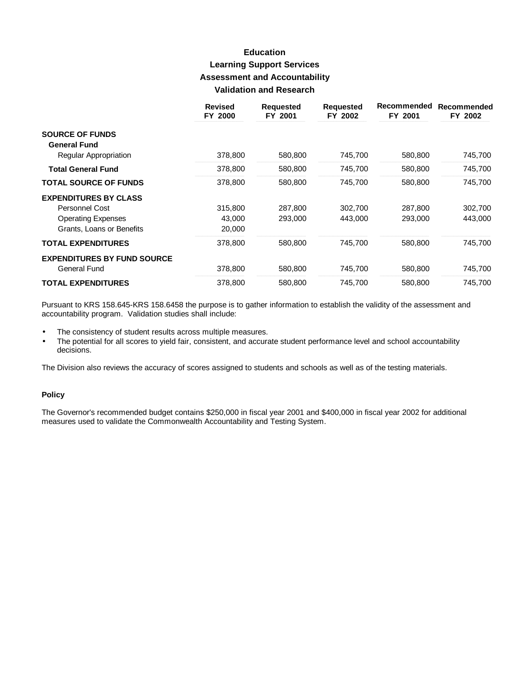## **Education Learning Support Services Assessment and Accountability Validation and Research**

|                                                    | <b>Revised</b><br>FY 2000 | <b>Requested</b><br>FY 2001 | <b>Requested</b><br>FY 2002 | Recommended<br>FY 2001 | Recommended<br>FY 2002 |
|----------------------------------------------------|---------------------------|-----------------------------|-----------------------------|------------------------|------------------------|
| <b>SOURCE OF FUNDS</b><br><b>General Fund</b>      |                           |                             |                             |                        |                        |
| Regular Appropriation                              | 378,800                   | 580,800                     | 745,700                     | 580,800                | 745,700                |
| <b>Total General Fund</b>                          | 378,800                   | 580,800                     | 745,700                     | 580,800                | 745,700                |
| <b>TOTAL SOURCE OF FUNDS</b>                       | 378,800                   | 580,800                     | 745.700                     | 580,800                | 745,700                |
| <b>EXPENDITURES BY CLASS</b>                       |                           |                             |                             |                        |                        |
| <b>Personnel Cost</b>                              | 315,800                   | 287,800                     | 302,700                     | 287,800                | 302,700                |
| <b>Operating Expenses</b>                          | 43,000                    | 293,000                     | 443,000                     | 293,000                | 443,000                |
| Grants, Loans or Benefits                          | 20,000                    |                             |                             |                        |                        |
| <b>TOTAL EXPENDITURES</b>                          | 378,800                   | 580,800                     | 745.700                     | 580,800                | 745,700                |
| <b>EXPENDITURES BY FUND SOURCE</b><br>General Fund | 378,800                   | 580,800                     | 745,700                     | 580,800                | 745,700                |
| <b>TOTAL EXPENDITURES</b>                          | 378,800                   | 580.800                     | 745,700                     | 580,800                | 745,700                |

Pursuant to KRS 158.645-KRS 158.6458 the purpose is to gather information to establish the validity of the assessment and accountability program. Validation studies shall include:

- The consistency of student results across multiple measures.  $\bullet$
- The potential for all scores to yield fair, consistent, and accurate student performance level and school accountability  $\bullet$ decisions.

The Division also reviews the accuracy of scores assigned to students and schools as well as of the testing materials.

#### **Policy**

The Governor's recommended budget contains \$250,000 in fiscal year 2001 and \$400,000 in fiscal year 2002 for additional measures used to validate the Commonwealth Accountability and Testing System.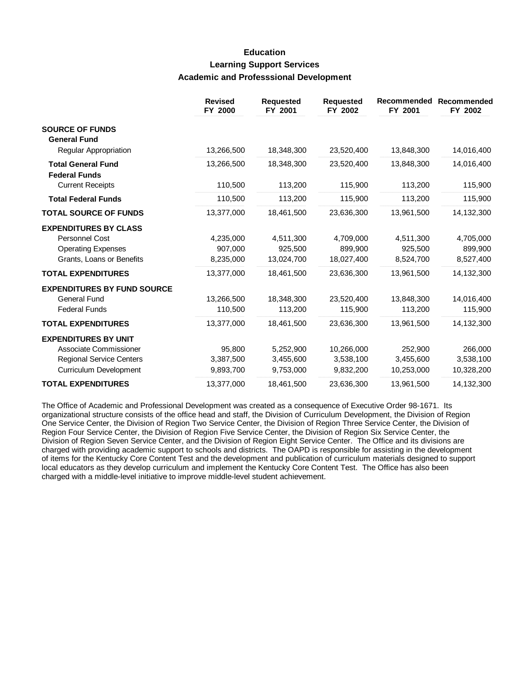### **Education Learning Support Services Academic and Professsional Development**

|                                                                                                                    | <b>Revised</b><br>FY 2000         | <b>Requested</b><br>FY 2001         | <b>Requested</b><br>FY 2002          | Recommended<br>FY 2001             | Recommended<br>FY 2002             |
|--------------------------------------------------------------------------------------------------------------------|-----------------------------------|-------------------------------------|--------------------------------------|------------------------------------|------------------------------------|
| <b>SOURCE OF FUNDS</b><br><b>General Fund</b>                                                                      |                                   |                                     |                                      |                                    |                                    |
| Regular Appropriation                                                                                              | 13,266,500                        | 18,348,300                          | 23,520,400                           | 13,848,300                         | 14,016,400                         |
| <b>Total General Fund</b><br><b>Federal Funds</b>                                                                  | 13,266,500                        | 18,348,300                          | 23,520,400                           | 13,848,300                         | 14,016,400                         |
| <b>Current Receipts</b>                                                                                            | 110,500                           | 113,200                             | 115,900                              | 113,200                            | 115,900                            |
| <b>Total Federal Funds</b>                                                                                         | 110,500                           | 113,200                             | 115,900                              | 113,200                            | 115,900                            |
| <b>TOTAL SOURCE OF FUNDS</b>                                                                                       | 13,377,000                        | 18,461,500                          | 23,636,300                           | 13,961,500                         | 14,132,300                         |
| <b>EXPENDITURES BY CLASS</b><br>Personnel Cost<br><b>Operating Expenses</b><br>Grants, Loans or Benefits           | 4,235,000<br>907,000<br>8,235,000 | 4,511,300<br>925,500<br>13,024,700  | 4,709,000<br>899,900<br>18,027,400   | 4,511,300<br>925,500<br>8,524,700  | 4,705,000<br>899,900<br>8,527,400  |
| <b>TOTAL EXPENDITURES</b>                                                                                          | 13,377,000                        | 18,461,500                          | 23,636,300                           | 13,961,500                         | 14,132,300                         |
| <b>EXPENDITURES BY FUND SOURCE</b><br><b>General Fund</b><br><b>Federal Funds</b>                                  | 13,266,500<br>110,500             | 18,348,300<br>113,200               | 23,520,400<br>115,900                | 13,848,300<br>113,200              | 14,016,400<br>115,900              |
| <b>TOTAL EXPENDITURES</b>                                                                                          | 13,377,000                        | 18,461,500                          | 23,636,300                           | 13,961,500                         | 14,132,300                         |
| <b>EXPENDITURES BY UNIT</b><br>Associate Commissioner<br><b>Regional Service Centers</b><br>Curriculum Development | 95,800<br>3,387,500<br>9,893,700  | 5,252,900<br>3,455,600<br>9,753,000 | 10,266,000<br>3,538,100<br>9,832,200 | 252,900<br>3,455,600<br>10,253,000 | 266,000<br>3,538,100<br>10,328,200 |
| <b>TOTAL EXPENDITURES</b>                                                                                          | 13,377,000                        | 18,461,500                          | 23,636,300                           | 13,961,500                         | 14,132,300                         |

The Office of Academic and Professional Development was created as a consequence of Executive Order 98-1671. Its organizational structure consists of the office head and staff, the Division of Curriculum Development, the Division of Region One Service Center, the Division of Region Two Service Center, the Division of Region Three Service Center, the Division of Region Four Service Center, the Division of Region Five Service Center, the Division of Region Six Service Center, the Division of Region Seven Service Center, and the Division of Region Eight Service Center. The Office and its divisions are charged with providing academic support to schools and districts. The OAPD is responsible for assisting in the development of items for the Kentucky Core Content Test and the development and publication of curriculum materials designed to support local educators as they develop curriculum and implement the Kentucky Core Content Test. The Office has also been charged with a middle-level initiative to improve middle-level student achievement.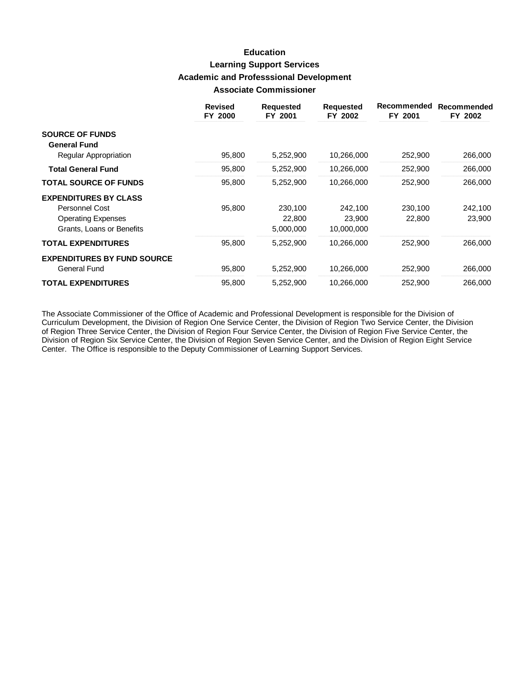## **Education Learning Support Services Academic and Professsional Development Associate Commissioner**

|                                               | <b>Revised</b><br>FY 2000 | <b>Requested</b><br>FY 2001 | <b>Requested</b><br>FY 2002 | Recommended<br>FY 2001 | Recommended<br>FY 2002 |
|-----------------------------------------------|---------------------------|-----------------------------|-----------------------------|------------------------|------------------------|
| <b>SOURCE OF FUNDS</b><br><b>General Fund</b> |                           |                             |                             |                        |                        |
| Regular Appropriation                         | 95,800                    | 5,252,900                   | 10,266,000                  | 252,900                | 266,000                |
| <b>Total General Fund</b>                     | 95,800                    | 5,252,900                   | 10,266,000                  | 252,900                | 266,000                |
| <b>TOTAL SOURCE OF FUNDS</b>                  | 95,800                    | 5,252,900                   | 10,266,000                  | 252,900                | 266,000                |
| <b>EXPENDITURES BY CLASS</b>                  |                           |                             |                             |                        |                        |
| Personnel Cost                                | 95,800                    | 230,100                     | 242,100                     | 230,100                | 242,100                |
| <b>Operating Expenses</b>                     |                           | 22,800                      | 23,900                      | 22,800                 | 23,900                 |
| Grants, Loans or Benefits                     |                           | 5,000,000                   | 10,000,000                  |                        |                        |
| <b>TOTAL EXPENDITURES</b>                     | 95,800                    | 5,252,900                   | 10,266,000                  | 252,900                | 266,000                |
| <b>EXPENDITURES BY FUND SOURCE</b>            |                           |                             |                             |                        |                        |
| General Fund                                  | 95,800                    | 5,252,900                   | 10,266,000                  | 252,900                | 266,000                |
| <b>TOTAL EXPENDITURES</b>                     | 95,800                    | 5,252,900                   | 10,266,000                  | 252,900                | 266,000                |

The Associate Commissioner of the Office of Academic and Professional Development is responsible for the Division of Curriculum Development, the Division of Region One Service Center, the Division of Region Two Service Center, the Division of Region Three Service Center, the Division of Region Four Service Center, the Division of Region Five Service Center, the Division of Region Six Service Center, the Division of Region Seven Service Center, and the Division of Region Eight Service Center. The Office is responsible to the Deputy Commissioner of Learning Support Services.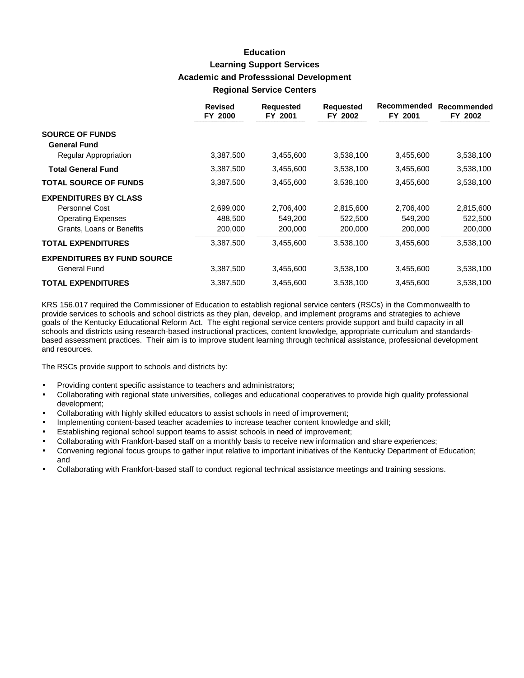## **Education Learning Support Services Academic and Professsional Development Regional Service Centers**

|                                    | <b>Revised</b><br>FY 2000 | <b>Requested</b><br>FY 2001 | <b>Requested</b><br>FY 2002 | Recommended<br>FY 2001 | Recommended<br>FY 2002 |
|------------------------------------|---------------------------|-----------------------------|-----------------------------|------------------------|------------------------|
| <b>SOURCE OF FUNDS</b>             |                           |                             |                             |                        |                        |
| <b>General Fund</b>                |                           |                             |                             |                        |                        |
| Regular Appropriation              | 3,387,500                 | 3,455,600                   | 3,538,100                   | 3,455,600              | 3,538,100              |
| <b>Total General Fund</b>          | 3,387,500                 | 3,455,600                   | 3,538,100                   | 3,455,600              | 3,538,100              |
| <b>TOTAL SOURCE OF FUNDS</b>       | 3,387,500                 | 3,455,600                   | 3,538,100                   | 3,455,600              | 3,538,100              |
| <b>EXPENDITURES BY CLASS</b>       |                           |                             |                             |                        |                        |
| Personnel Cost                     | 2,699,000                 | 2,706,400                   | 2,815,600                   | 2,706,400              | 2,815,600              |
| <b>Operating Expenses</b>          | 488,500                   | 549,200                     | 522,500                     | 549,200                | 522,500                |
| Grants, Loans or Benefits          | 200,000                   | 200,000                     | 200,000                     | 200,000                | 200,000                |
| <b>TOTAL EXPENDITURES</b>          | 3,387,500                 | 3,455,600                   | 3,538,100                   | 3,455,600              | 3,538,100              |
| <b>EXPENDITURES BY FUND SOURCE</b> |                           |                             |                             |                        |                        |
| General Fund                       | 3,387,500                 | 3,455,600                   | 3,538,100                   | 3,455,600              | 3,538,100              |
| <b>TOTAL EXPENDITURES</b>          | 3,387,500                 | 3,455,600                   | 3,538,100                   | 3,455,600              | 3,538,100              |

KRS 156.017 required the Commissioner of Education to establish regional service centers (RSCs) in the Commonwealth to provide services to schools and school districts as they plan, develop, and implement programs and strategies to achieve goals of the Kentucky Educational Reform Act. The eight regional service centers provide support and build capacity in all schools and districts using research-based instructional practices, content knowledge, appropriate curriculum and standardsbased assessment practices. Their aim is to improve student learning through technical assistance, professional development and resources.

The RSCs provide support to schools and districts by:

- Providing content specific assistance to teachers and administrators;
- Collaborating with regional state universities, colleges and educational cooperatives to provide high quality professional development;
- Collaborating with highly skilled educators to assist schools in need of improvement;
- Implementing content-based teacher academies to increase teacher content knowledge and skill;
- Establishing regional school support teams to assist schools in need of improvement;
- Collaborating with Frankfort-based staff on a monthly basis to receive new information and share experiences;
- **·** Convening regional focus groups to gather input relative to important initiatives of the Kentucky Department of Education; and
- **·** Collaborating with Frankfort-based staff to conduct regional technical assistance meetings and training sessions.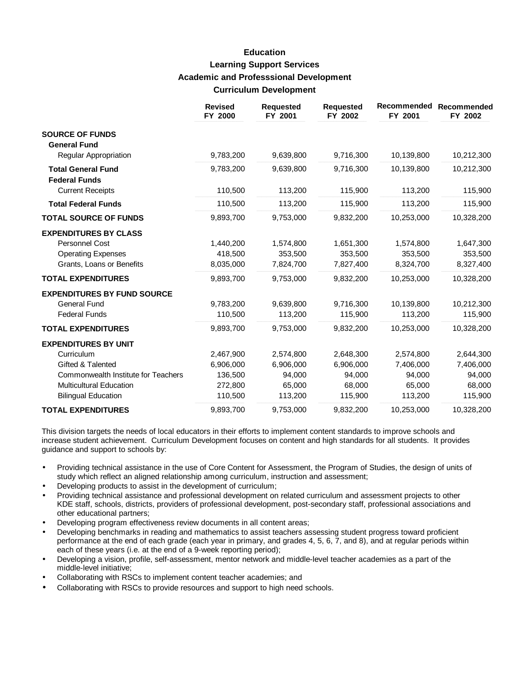## **Education Learning Support Services Academic and Professsional Development Curriculum Development**

|                                                   | <b>Revised</b><br>FY 2000 | <b>Requested</b><br>FY 2001 | <b>Requested</b><br>FY 2002 | <b>Recommended</b><br>FY 2001 | Recommended<br>FY 2002 |
|---------------------------------------------------|---------------------------|-----------------------------|-----------------------------|-------------------------------|------------------------|
| <b>SOURCE OF FUNDS</b><br><b>General Fund</b>     |                           |                             |                             |                               |                        |
| Regular Appropriation                             | 9,783,200                 | 9,639,800                   | 9,716,300                   | 10,139,800                    | 10,212,300             |
| <b>Total General Fund</b><br><b>Federal Funds</b> | 9,783,200                 | 9,639,800                   | 9,716,300                   | 10,139,800                    | 10,212,300             |
| <b>Current Receipts</b>                           | 110,500                   | 113,200                     | 115,900                     | 113,200                       | 115,900                |
| <b>Total Federal Funds</b>                        | 110,500                   | 113,200                     | 115,900                     | 113,200                       | 115,900                |
| <b>TOTAL SOURCE OF FUNDS</b>                      | 9,893,700                 | 9,753,000                   | 9,832,200                   | 10,253,000                    | 10,328,200             |
| <b>EXPENDITURES BY CLASS</b>                      |                           |                             |                             |                               |                        |
| <b>Personnel Cost</b>                             | 1,440,200                 | 1,574,800                   | 1,651,300                   | 1,574,800                     | 1,647,300              |
| <b>Operating Expenses</b>                         | 418,500                   | 353,500                     | 353,500                     | 353,500                       | 353,500                |
| Grants, Loans or Benefits                         | 8,035,000                 | 7,824,700                   | 7,827,400                   | 8,324,700                     | 8,327,400              |
| <b>TOTAL EXPENDITURES</b>                         | 9,893,700                 | 9,753,000                   | 9,832,200                   | 10,253,000                    | 10,328,200             |
| <b>EXPENDITURES BY FUND SOURCE</b>                |                           |                             |                             |                               |                        |
| <b>General Fund</b>                               | 9,783,200                 | 9,639,800                   | 9,716,300                   | 10,139,800                    | 10,212,300             |
| <b>Federal Funds</b>                              | 110,500                   | 113,200                     | 115,900                     | 113,200                       | 115,900                |
| <b>TOTAL EXPENDITURES</b>                         | 9,893,700                 | 9,753,000                   | 9,832,200                   | 10,253,000                    | 10,328,200             |
| <b>EXPENDITURES BY UNIT</b>                       |                           |                             |                             |                               |                        |
| Curriculum                                        | 2,467,900                 | 2,574,800                   | 2,648,300                   | 2,574,800                     | 2,644,300              |
| Gifted & Talented                                 | 6,906,000                 | 6,906,000                   | 6,906,000                   | 7,406,000                     | 7,406,000              |
| Commonwealth Institute for Teachers               | 136,500                   | 94,000                      | 94,000                      | 94,000                        | 94,000                 |
| <b>Multicultural Education</b>                    | 272,800                   | 65,000                      | 68,000                      | 65,000                        | 68,000                 |
| <b>Bilingual Education</b>                        | 110,500                   | 113,200                     | 115,900                     | 113,200                       | 115,900                |
| <b>TOTAL EXPENDITURES</b>                         | 9,893,700                 | 9,753,000                   | 9,832,200                   | 10,253,000                    | 10,328,200             |

This division targets the needs of local educators in their efforts to implement content standards to improve schools and increase student achievement. Curriculum Development focuses on content and high standards for all students. It provides guidance and support to schools by:

- Providing technical assistance in the use of Core Content for Assessment, the Program of Studies, the design of units of study which reflect an aligned relationship among curriculum, instruction and assessment;
- Developing products to assist in the development of curriculum;
- Providing technical assistance and professional development on related curriculum and assessment projects to other KDE staff, schools, districts, providers of professional development, post-secondary staff, professional associations and other educational partners;
- Developing program effectiveness review documents in all content areas;
- Developing benchmarks in reading and mathematics to assist teachers assessing student progress toward proficient performance at the end of each grade (each year in primary, and grades 4, 5, 6, 7, and 8), and at regular periods within each of these years (i.e. at the end of a 9-week reporting period);
- Developing a vision, profile, self-assessment, mentor network and middle-level teacher academies as a part of the middle-level initiative;
- Collaborating with RSCs to implement content teacher academies; and
- Collaborating with RSCs to provide resources and support to high need schools.